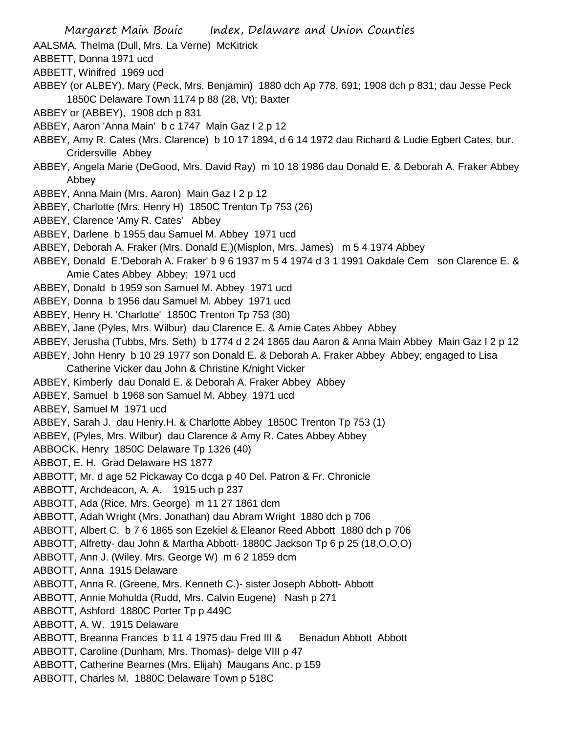AALSMA, Thelma (Dull, Mrs. La Verne) McKitrick

ABBETT, Donna 1971 ucd

ABBETT, Winifred 1969 ucd

- ABBEY (or ALBEY), Mary (Peck, Mrs. Benjamin) 1880 dch Ap 778, 691; 1908 dch p 831; dau Jesse Peck 1850C Delaware Town 1174 p 88 (28, Vt); Baxter
- ABBEY or (ABBEY), 1908 dch p 831
- ABBEY, Aaron 'Anna Main' b c 1747 Main Gaz I 2 p 12
- ABBEY, Amy R. Cates (Mrs. Clarence) b 10 17 1894, d 6 14 1972 dau Richard & Ludie Egbert Cates, bur. Cridersville Abbey
- ABBEY, Angela Marie (DeGood, Mrs. David Ray) m 10 18 1986 dau Donald E. & Deborah A. Fraker Abbey Abbey
- ABBEY, Anna Main (Mrs. Aaron) Main Gaz I 2 p 12
- ABBEY, Charlotte (Mrs. Henry H) 1850C Trenton Tp 753 (26)
- ABBEY, Clarence 'Amy R. Cates' Abbey
- ABBEY, Darlene b 1955 dau Samuel M. Abbey 1971 ucd
- ABBEY, Deborah A. Fraker (Mrs. Donald E.)(Misplon, Mrs. James) m 5 4 1974 Abbey
- ABBEY, Donald E.'Deborah A. Fraker' b 9 6 1937 m 5 4 1974 d 3 1 1991 Oakdale Cem son Clarence E. & Amie Cates Abbey Abbey; 1971 ucd
- ABBEY, Donald b 1959 son Samuel M. Abbey 1971 ucd
- ABBEY, Donna b 1956 dau Samuel M. Abbey 1971 ucd
- ABBEY, Henry H. 'Charlotte' 1850C Trenton Tp 753 (30)
- ABBEY, Jane (Pyles, Mrs. Wilbur) dau Clarence E. & Amie Cates Abbey Abbey
- ABBEY, Jerusha (Tubbs, Mrs. Seth) b 1774 d 2 24 1865 dau Aaron & Anna Main Abbey Main Gaz I 2 p 12
- ABBEY, John Henry b 10 29 1977 son Donald E. & Deborah A. Fraker Abbey Abbey; engaged to Lisa Catherine Vicker dau John & Christine K/night Vicker
- ABBEY, Kimberly dau Donald E. & Deborah A. Fraker Abbey Abbey
- ABBEY, Samuel b 1968 son Samuel M. Abbey 1971 ucd
- ABBEY, Samuel M 1971 ucd
- ABBEY, Sarah J. dau Henry.H. & Charlotte Abbey 1850C Trenton Tp 753 (1)
- ABBEY, (Pyles, Mrs. Wilbur) dau Clarence & Amy R. Cates Abbey Abbey
- ABBOCK, Henry 1850C Delaware Tp 1326 (40)
- ABBOT, E. H. Grad Delaware HS 1877
- ABBOTT, Mr. d age 52 Pickaway Co dcga p 40 Del. Patron & Fr. Chronicle
- ABBOTT, Archdeacon, A. A. 1915 uch p 237
- ABBOTT, Ada (Rice, Mrs. George) m 11 27 1861 dcm
- ABBOTT, Adah Wright (Mrs. Jonathan) dau Abram Wright 1880 dch p 706
- ABBOTT, Albert C. b 7 6 1865 son Ezekiel & Eleanor Reed Abbott 1880 dch p 706
- ABBOTT, Alfretty- dau John & Martha Abbott- 1880C Jackson Tp 6 p 25 (18,O,O,O)
- ABBOTT, Ann J. (Wiley. Mrs. George W) m 6 2 1859 dcm
- ABBOTT, Anna 1915 Delaware
- ABBOTT, Anna R. (Greene, Mrs. Kenneth C.)- sister Joseph Abbott- Abbott
- ABBOTT, Annie Mohulda (Rudd, Mrs. Calvin Eugene) Nash p 271
- ABBOTT, Ashford 1880C Porter Tp p 449C
- ABBOTT, A. W. 1915 Delaware
- ABBOTT, Breanna Frances b 11 4 1975 dau Fred III & Benadun Abbott Abbott
- ABBOTT, Caroline (Dunham, Mrs. Thomas)- delge VIII p 47
- ABBOTT, Catherine Bearnes (Mrs. Elijah) Maugans Anc. p 159
- ABBOTT, Charles M. 1880C Delaware Town p 518C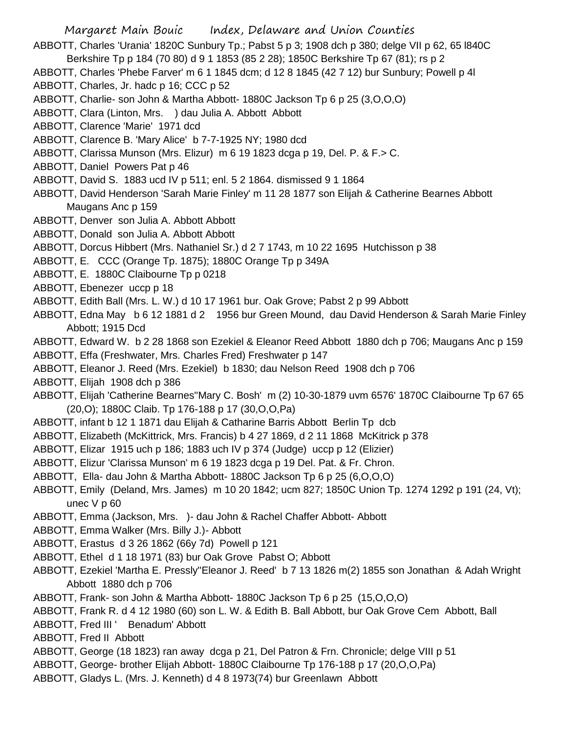- Margaret Main Bouic Index, Delaware and Union Counties ABBOTT, Charles 'Urania' 1820C Sunbury Tp.; Pabst 5 p 3; 1908 dch p 380; delge VII p 62, 65 l840C Berkshire Tp p 184 (70 80) d 9 1 1853 (85 2 28); 1850C Berkshire Tp 67 (81); rs p 2 ABBOTT, Charles 'Phebe Farver' m 6 1 1845 dcm; d 12 8 1845 (42 7 12) bur Sunbury; Powell p 4l ABBOTT, Charles, Jr. hadc p 16; CCC p 52 ABBOTT, Charlie- son John & Martha Abbott- 1880C Jackson Tp 6 p 25 (3,O,O,O) ABBOTT, Clara (Linton, Mrs. ) dau Julia A. Abbott Abbott ABBOTT, Clarence 'Marie' 1971 dcd ABBOTT, Clarence B. 'Mary Alice' b 7-7-1925 NY; 1980 dcd ABBOTT, Clarissa Munson (Mrs. Elizur) m 6 19 1823 dcga p 19, Del. P. & F.> C. ABBOTT, Daniel Powers Pat p 46 ABBOTT, David S. 1883 ucd IV p 511; enl. 5 2 1864. dismissed 9 1 1864 ABBOTT, David Henderson 'Sarah Marie Finley' m 11 28 1877 son Elijah & Catherine Bearnes Abbott Maugans Anc p 159 ABBOTT, Denver son Julia A. Abbott Abbott ABBOTT, Donald son Julia A. Abbott Abbott ABBOTT, Dorcus Hibbert (Mrs. Nathaniel Sr.) d 2 7 1743, m 10 22 1695 Hutchisson p 38 ABBOTT, E. CCC (Orange Tp. 1875); 1880C Orange Tp p 349A ABBOTT, E. 1880C Claibourne Tp p 0218 ABBOTT, Ebenezer uccp p 18 ABBOTT, Edith Ball (Mrs. L. W.) d 10 17 1961 bur. Oak Grove; Pabst 2 p 99 Abbott ABBOTT, Edna May b 6 12 1881 d 2 1956 bur Green Mound, dau David Henderson & Sarah Marie Finley Abbott; 1915 Dcd ABBOTT, Edward W. b 2 28 1868 son Ezekiel & Eleanor Reed Abbott 1880 dch p 706; Maugans Anc p 159 ABBOTT, Effa (Freshwater, Mrs. Charles Fred) Freshwater p 147 ABBOTT, Eleanor J. Reed (Mrs. Ezekiel) b 1830; dau Nelson Reed 1908 dch p 706 ABBOTT, Elijah 1908 dch p 386 ABBOTT, Elijah 'Catherine Bearnes''Mary C. Bosh' m (2) 10-30-1879 uvm 6576' 1870C Claibourne Tp 67 65 (20,O); 1880C Claib. Tp 176-188 p 17 (30,O,O,Pa) ABBOTT, infant b 12 1 1871 dau Elijah & Catharine Barris Abbott Berlin Tp dcb ABBOTT, Elizabeth (McKittrick, Mrs. Francis) b 4 27 1869, d 2 11 1868 McKitrick p 378 ABBOTT, Elizar 1915 uch p 186; 1883 uch IV p 374 (Judge) uccp p 12 (Elizier) ABBOTT, Elizur 'Clarissa Munson' m 6 19 1823 dcga p 19 Del. Pat. & Fr. Chron. ABBOTT, Ella- dau John & Martha Abbott- 1880C Jackson Tp 6 p 25 (6,O,O,O) ABBOTT, Emily (Deland, Mrs. James) m 10 20 1842; ucm 827; 1850C Union Tp. 1274 1292 p 191 (24, Vt); unec V p 60 ABBOTT, Emma (Jackson, Mrs. )- dau John & Rachel Chaffer Abbott- Abbott ABBOTT, Emma Walker (Mrs. Billy J.)- Abbott ABBOTT, Erastus d 3 26 1862 (66y 7d) Powell p 121 ABBOTT, Ethel d 1 18 1971 (83) bur Oak Grove Pabst O; Abbott
- ABBOTT, Ezekiel 'Martha E. Pressly''Eleanor J. Reed' b 7 13 1826 m(2) 1855 son Jonathan & Adah Wright Abbott 1880 dch p 706
- ABBOTT, Frank- son John & Martha Abbott- 1880C Jackson Tp 6 p 25 (15,O,O,O)
- ABBOTT, Frank R. d 4 12 1980 (60) son L. W. & Edith B. Ball Abbott, bur Oak Grove Cem Abbott, Ball
- ABBOTT, Fred III ' Benadum' Abbott
- ABBOTT, Fred II Abbott
- ABBOTT, George (18 1823) ran away dcga p 21, Del Patron & Frn. Chronicle; delge VIII p 51
- ABBOTT, George- brother Elijah Abbott- 1880C Claibourne Tp 176-188 p 17 (20,O,O,Pa)
- ABBOTT, Gladys L. (Mrs. J. Kenneth) d 4 8 1973(74) bur Greenlawn Abbott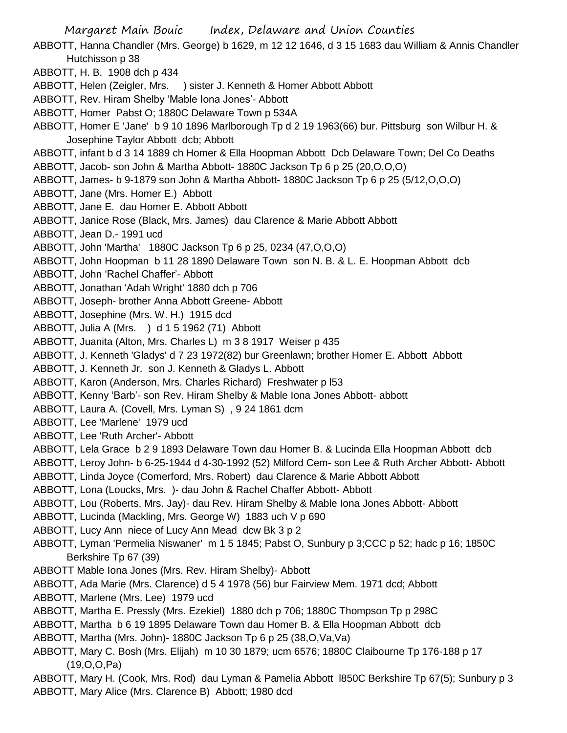ABBOTT, Hanna Chandler (Mrs. George) b 1629, m 12 12 1646, d 3 15 1683 dau William & Annis Chandler Hutchisson p 38

ABBOTT, H. B. 1908 dch p 434

- ABBOTT, Helen (Zeigler, Mrs. ) sister J. Kenneth & Homer Abbott Abbott
- ABBOTT, Rev. Hiram Shelby 'Mable Iona Jones'- Abbott
- ABBOTT, Homer Pabst O; 1880C Delaware Town p 534A
- ABBOTT, Homer E 'Jane' b 9 10 1896 Marlborough Tp d 2 19 1963(66) bur. Pittsburg son Wilbur H. & Josephine Taylor Abbott dcb; Abbott
- ABBOTT, infant b d 3 14 1889 ch Homer & Ella Hoopman Abbott Dcb Delaware Town; Del Co Deaths ABBOTT, Jacob- son John & Martha Abbott- 1880C Jackson Tp 6 p 25 (20,O,O,O)
- ABBOTT, James- b 9-1879 son John & Martha Abbott- 1880C Jackson Tp 6 p 25 (5/12,O,O,O)
- ABBOTT, Jane (Mrs. Homer E.) Abbott
- ABBOTT, Jane E. dau Homer E. Abbott Abbott
- ABBOTT, Janice Rose (Black, Mrs. James) dau Clarence & Marie Abbott Abbott
- ABBOTT, Jean D.- 1991 ucd
- ABBOTT, John 'Martha' 1880C Jackson Tp 6 p 25, 0234 (47,O,O,O)
- ABBOTT, John Hoopman b 11 28 1890 Delaware Town son N. B. & L. E. Hoopman Abbott dcb
- ABBOTT, John 'Rachel Chaffer'- Abbott
- ABBOTT, Jonathan 'Adah Wright' 1880 dch p 706
- ABBOTT, Joseph- brother Anna Abbott Greene- Abbott
- ABBOTT, Josephine (Mrs. W. H.) 1915 dcd
- ABBOTT, Julia A (Mrs. ) d 1 5 1962 (71) Abbott
- ABBOTT, Juanita (Alton, Mrs. Charles L) m 3 8 1917 Weiser p 435
- ABBOTT, J. Kenneth 'Gladys' d 7 23 1972(82) bur Greenlawn; brother Homer E. Abbott Abbott
- ABBOTT, J. Kenneth Jr. son J. Kenneth & Gladys L. Abbott
- ABBOTT, Karon (Anderson, Mrs. Charles Richard) Freshwater p l53
- ABBOTT, Kenny 'Barb'- son Rev. Hiram Shelby & Mable Iona Jones Abbott- abbott
- ABBOTT, Laura A. (Covell, Mrs. Lyman S) , 9 24 1861 dcm
- ABBOTT, Lee 'Marlene' 1979 ucd
- ABBOTT, Lee 'Ruth Archer'- Abbott
- ABBOTT, Lela Grace b 2 9 1893 Delaware Town dau Homer B. & Lucinda Ella Hoopman Abbott dcb
- ABBOTT, Leroy John- b 6-25-1944 d 4-30-1992 (52) Milford Cem- son Lee & Ruth Archer Abbott- Abbott
- ABBOTT, Linda Joyce (Comerford, Mrs. Robert) dau Clarence & Marie Abbott Abbott
- ABBOTT, Lona (Loucks, Mrs. )- dau John & Rachel Chaffer Abbott- Abbott
- ABBOTT, Lou (Roberts, Mrs. Jay)- dau Rev. Hiram Shelby & Mable Iona Jones Abbott- Abbott
- ABBOTT, Lucinda (Mackling, Mrs. George W) 1883 uch V p 690
- ABBOTT, Lucy Ann niece of Lucy Ann Mead dcw Bk 3 p 2
- ABBOTT, Lyman 'Permelia Niswaner' m 1 5 1845; Pabst O, Sunbury p 3;CCC p 52; hadc p 16; 1850C Berkshire Tp 67 (39)
- ABBOTT Mable Iona Jones (Mrs. Rev. Hiram Shelby)- Abbott
- ABBOTT, Ada Marie (Mrs. Clarence) d 5 4 1978 (56) bur Fairview Mem. 1971 dcd; Abbott
- ABBOTT, Marlene (Mrs. Lee) 1979 ucd
- ABBOTT, Martha E. Pressly (Mrs. Ezekiel) 1880 dch p 706; 1880C Thompson Tp p 298C
- ABBOTT, Martha b 6 19 1895 Delaware Town dau Homer B. & Ella Hoopman Abbott dcb
- ABBOTT, Martha (Mrs. John)- 1880C Jackson Tp 6 p 25 (38,O,Va,Va)
- ABBOTT, Mary C. Bosh (Mrs. Elijah) m 10 30 1879; ucm 6576; 1880C Claibourne Tp 176-188 p 17 (19,O,O,Pa)
- ABBOTT, Mary H. (Cook, Mrs. Rod) dau Lyman & Pamelia Abbott l850C Berkshire Tp 67(5); Sunbury p 3 ABBOTT, Mary Alice (Mrs. Clarence B) Abbott; 1980 dcd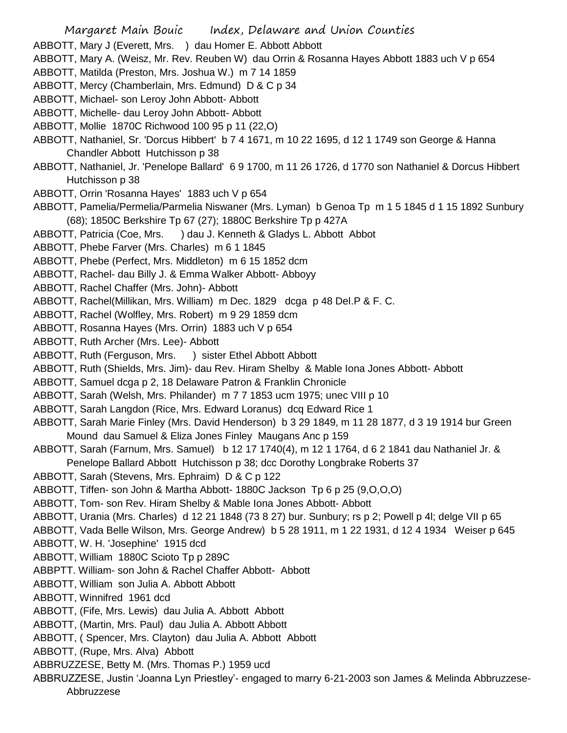- ABBOTT, Mary J (Everett, Mrs. ) dau Homer E. Abbott Abbott
- ABBOTT, Mary A. (Weisz, Mr. Rev. Reuben W) dau Orrin & Rosanna Hayes Abbott 1883 uch V p 654
- ABBOTT, Matilda (Preston, Mrs. Joshua W.) m 7 14 1859
- ABBOTT, Mercy (Chamberlain, Mrs. Edmund) D & C p 34
- ABBOTT, Michael- son Leroy John Abbott- Abbott
- ABBOTT, Michelle- dau Leroy John Abbott- Abbott
- ABBOTT, Mollie 1870C Richwood 100 95 p 11 (22,O)
- ABBOTT, Nathaniel, Sr. 'Dorcus Hibbert' b 7 4 1671, m 10 22 1695, d 12 1 1749 son George & Hanna Chandler Abbott Hutchisson p 38
- ABBOTT, Nathaniel, Jr. 'Penelope Ballard' 6 9 1700, m 11 26 1726, d 1770 son Nathaniel & Dorcus Hibbert Hutchisson p 38
- ABBOTT, Orrin 'Rosanna Hayes' 1883 uch V p 654
- ABBOTT, Pamelia/Permelia/Parmelia Niswaner (Mrs. Lyman) b Genoa Tp m 1 5 1845 d 1 15 1892 Sunbury (68); 1850C Berkshire Tp 67 (27); 1880C Berkshire Tp p 427A
- ABBOTT, Patricia (Coe, Mrs. ) dau J. Kenneth & Gladys L. Abbott Abbot
- ABBOTT, Phebe Farver (Mrs. Charles) m 6 1 1845
- ABBOTT, Phebe (Perfect, Mrs. Middleton) m 6 15 1852 dcm
- ABBOTT, Rachel- dau Billy J. & Emma Walker Abbott- Abboyy
- ABBOTT, Rachel Chaffer (Mrs. John)- Abbott
- ABBOTT, Rachel(Millikan, Mrs. William) m Dec. 1829 dcga p 48 Del.P & F. C.
- ABBOTT, Rachel (Wolfley, Mrs. Robert) m 9 29 1859 dcm
- ABBOTT, Rosanna Hayes (Mrs. Orrin) 1883 uch V p 654
- ABBOTT, Ruth Archer (Mrs. Lee)- Abbott
- ABBOTT, Ruth (Ferguson, Mrs. ) sister Ethel Abbott Abbott
- ABBOTT, Ruth (Shields, Mrs. Jim)- dau Rev. Hiram Shelby & Mable Iona Jones Abbott- Abbott
- ABBOTT, Samuel dcga p 2, 18 Delaware Patron & Franklin Chronicle
- ABBOTT, Sarah (Welsh, Mrs. Philander) m 7 7 1853 ucm 1975; unec VIII p 10
- ABBOTT, Sarah Langdon (Rice, Mrs. Edward Loranus) dcq Edward Rice 1
- ABBOTT, Sarah Marie Finley (Mrs. David Henderson) b 3 29 1849, m 11 28 1877, d 3 19 1914 bur Green Mound dau Samuel & Eliza Jones Finley Maugans Anc p 159
- ABBOTT, Sarah (Farnum, Mrs. Samuel) b 12 17 1740(4), m 12 1 1764, d 6 2 1841 dau Nathaniel Jr. & Penelope Ballard Abbott Hutchisson p 38; dcc Dorothy Longbrake Roberts 37
- ABBOTT, Sarah (Stevens, Mrs. Ephraim) D & C p 122
- ABBOTT, Tiffen- son John & Martha Abbott- 1880C Jackson Tp 6 p 25 (9,O,O,O)
- ABBOTT, Tom- son Rev. Hiram Shelby & Mable Iona Jones Abbott- Abbott
- ABBOTT, Urania (Mrs. Charles) d 12 21 1848 (73 8 27) bur. Sunbury; rs p 2; Powell p 4l; delge VII p 65
- ABBOTT, Vada Belle Wilson, Mrs. George Andrew) b 5 28 1911, m 1 22 1931, d 12 4 1934 Weiser p 645
- ABBOTT, W. H. 'Josephine' 1915 dcd
- ABBOTT, William 1880C Scioto Tp p 289C
- ABBPTT. William- son John & Rachel Chaffer Abbott- Abbott
- ABBOTT, William son Julia A. Abbott Abbott
- ABBOTT, Winnifred 1961 dcd
- ABBOTT, (Fife, Mrs. Lewis) dau Julia A. Abbott Abbott
- ABBOTT, (Martin, Mrs. Paul) dau Julia A. Abbott Abbott
- ABBOTT, ( Spencer, Mrs. Clayton) dau Julia A. Abbott Abbott
- ABBOTT, (Rupe, Mrs. Alva) Abbott
- ABBRUZZESE, Betty M. (Mrs. Thomas P.) 1959 ucd
- ABBRUZZESE, Justin 'Joanna Lyn Priestley'- engaged to marry 6-21-2003 son James & Melinda Abbruzzese-Abbruzzese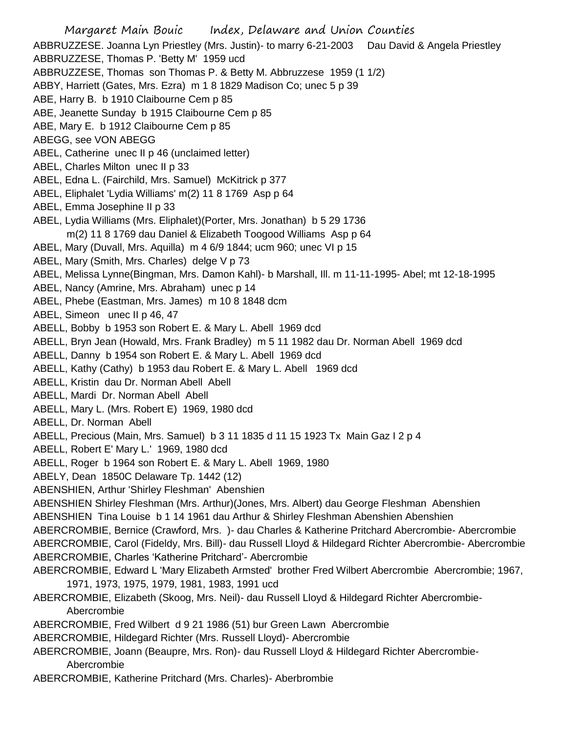Margaret Main Bouic Index, Delaware and Union Counties ABBRUZZESE. Joanna Lyn Priestley (Mrs. Justin)- to marry 6-21-2003 Dau David & Angela Priestley ABBRUZZESE, Thomas P. 'Betty M' 1959 ucd ABBRUZZESE, Thomas son Thomas P. & Betty M. Abbruzzese 1959 (1 1/2) ABBY, Harriett (Gates, Mrs. Ezra) m 1 8 1829 Madison Co; unec 5 p 39 ABE, Harry B. b 1910 Claibourne Cem p 85 ABE, Jeanette Sunday b 1915 Claibourne Cem p 85 ABE, Mary E. b 1912 Claibourne Cem p 85 ABEGG, see VON ABEGG ABEL, Catherine unec II p 46 (unclaimed letter) ABEL, Charles Milton unec II p 33 ABEL, Edna L. (Fairchild, Mrs. Samuel) McKitrick p 377 ABEL, Eliphalet 'Lydia Williams' m(2) 11 8 1769 Asp p 64 ABEL, Emma Josephine II p 33 ABEL, Lydia Williams (Mrs. Eliphalet)(Porter, Mrs. Jonathan) b 5 29 1736 m(2) 11 8 1769 dau Daniel & Elizabeth Toogood Williams Asp p 64 ABEL, Mary (Duvall, Mrs. Aquilla) m 4 6/9 1844; ucm 960; unec VI p 15 ABEL, Mary (Smith, Mrs. Charles) delge V p 73 ABEL, Melissa Lynne(Bingman, Mrs. Damon Kahl)- b Marshall, Ill. m 11-11-1995- Abel; mt 12-18-1995 ABEL, Nancy (Amrine, Mrs. Abraham) unec p 14 ABEL, Phebe (Eastman, Mrs. James) m 10 8 1848 dcm ABEL, Simeon unec II p 46, 47 ABELL, Bobby b 1953 son Robert E. & Mary L. Abell 1969 dcd ABELL, Bryn Jean (Howald, Mrs. Frank Bradley) m 5 11 1982 dau Dr. Norman Abell 1969 dcd ABELL, Danny b 1954 son Robert E. & Mary L. Abell 1969 dcd ABELL, Kathy (Cathy) b 1953 dau Robert E. & Mary L. Abell 1969 dcd ABELL, Kristin dau Dr. Norman Abell Abell ABELL, Mardi Dr. Norman Abell Abell ABELL, Mary L. (Mrs. Robert E) 1969, 1980 dcd ABELL, Dr. Norman Abell ABELL, Precious (Main, Mrs. Samuel) b 3 11 1835 d 11 15 1923 Tx Main Gaz I 2 p 4 ABELL, Robert E' Mary L.' 1969, 1980 dcd ABELL, Roger b 1964 son Robert E. & Mary L. Abell 1969, 1980 ABELY, Dean 1850C Delaware Tp. 1442 (12) ABENSHIEN, Arthur 'Shirley Fleshman' Abenshien ABENSHIEN Shirley Fleshman (Mrs. Arthur)(Jones, Mrs. Albert) dau George Fleshman Abenshien ABENSHIEN Tina Louise b 1 14 1961 dau Arthur & Shirley Fleshman Abenshien Abenshien ABERCROMBIE, Bernice (Crawford, Mrs. )- dau Charles & Katherine Pritchard Abercrombie- Abercrombie ABERCROMBIE, Carol (Fideldy, Mrs. Bill)- dau Russell Lloyd & Hildegard Richter Abercrombie- Abercrombie ABERCROMBIE, Charles 'Katherine Pritchard'- Abercrombie ABERCROMBIE, Edward L 'Mary Elizabeth Armsted' brother Fred Wilbert Abercrombie Abercrombie; 1967, 1971, 1973, 1975, 1979, 1981, 1983, 1991 ucd ABERCROMBIE, Elizabeth (Skoog, Mrs. Neil)- dau Russell Lloyd & Hildegard Richter Abercrombie-Abercrombie ABERCROMBIE, Fred Wilbert d 9 21 1986 (51) bur Green Lawn Abercrombie ABERCROMBIE, Hildegard Richter (Mrs. Russell Lloyd)- Abercrombie ABERCROMBIE, Joann (Beaupre, Mrs. Ron)- dau Russell Lloyd & Hildegard Richter Abercrombie-Abercrombie ABERCROMBIE, Katherine Pritchard (Mrs. Charles)- Aberbrombie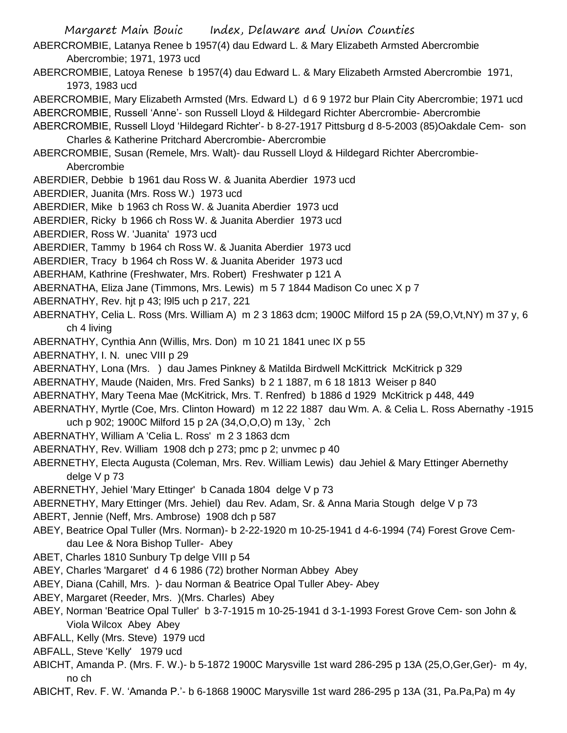Margaret Main Bouic Index, Delaware and Union Counties ABERCROMBIE, Latanya Renee b 1957(4) dau Edward L. & Mary Elizabeth Armsted Abercrombie Abercrombie; 1971, 1973 ucd ABERCROMBIE, Latoya Renese b 1957(4) dau Edward L. & Mary Elizabeth Armsted Abercrombie 1971, 1973, 1983 ucd ABERCROMBIE, Mary Elizabeth Armsted (Mrs. Edward L) d 6 9 1972 bur Plain City Abercrombie; 1971 ucd ABERCROMBIE, Russell 'Anne'- son Russell Lloyd & Hildegard Richter Abercrombie- Abercrombie ABERCROMBIE, Russell Lloyd 'Hildegard Richter'- b 8-27-1917 Pittsburg d 8-5-2003 (85)Oakdale Cem- son Charles & Katherine Pritchard Abercrombie- Abercrombie ABERCROMBIE, Susan (Remele, Mrs. Walt)- dau Russell Lloyd & Hildegard Richter Abercrombie-Abercrombie ABERDIER, Debbie b 1961 dau Ross W. & Juanita Aberdier 1973 ucd ABERDIER, Juanita (Mrs. Ross W.) 1973 ucd ABERDIER, Mike b 1963 ch Ross W. & Juanita Aberdier 1973 ucd ABERDIER, Ricky b 1966 ch Ross W. & Juanita Aberdier 1973 ucd ABERDIER, Ross W. 'Juanita' 1973 ucd ABERDIER, Tammy b 1964 ch Ross W. & Juanita Aberdier 1973 ucd ABERDIER, Tracy b 1964 ch Ross W. & Juanita Aberider 1973 ucd ABERHAM, Kathrine (Freshwater, Mrs. Robert) Freshwater p 121 A ABERNATHA, Eliza Jane (Timmons, Mrs. Lewis) m 5 7 1844 Madison Co unec X p 7 ABERNATHY, Rev. hjt p 43; l9l5 uch p 217, 221 ABERNATHY, Celia L. Ross (Mrs. William A) m 2 3 1863 dcm; 1900C Milford 15 p 2A (59,O,Vt,NY) m 37 y, 6 ch 4 living ABERNATHY, Cynthia Ann (Willis, Mrs. Don) m 10 21 1841 unec IX p 55 ABERNATHY, I. N. unec VIII p 29 ABERNATHY, Lona (Mrs. ) dau James Pinkney & Matilda Birdwell McKittrick McKitrick p 329 ABERNATHY, Maude (Naiden, Mrs. Fred Sanks) b 2 1 1887, m 6 18 1813 Weiser p 840 ABERNATHY, Mary Teena Mae (McKitrick, Mrs. T. Renfred) b 1886 d 1929 McKitrick p 448, 449 ABERNATHY, Myrtle (Coe, Mrs. Clinton Howard) m 12 22 1887 dau Wm. A. & Celia L. Ross Abernathy -1915 uch p 902; 1900C Milford 15 p 2A (34,O,O,O) m 13y, ` 2ch ABERNATHY, William A 'Celia L. Ross' m 2 3 1863 dcm ABERNATHY, Rev. William 1908 dch p 273; pmc p 2; unvmec p 40 ABERNETHY, Electa Augusta (Coleman, Mrs. Rev. William Lewis) dau Jehiel & Mary Ettinger Abernethy delge V p 73 ABERNETHY, Jehiel 'Mary Ettinger' b Canada 1804 delge V p 73 ABERNETHY, Mary Ettinger (Mrs. Jehiel) dau Rev. Adam, Sr. & Anna Maria Stough delge V p 73 ABERT, Jennie (Neff, Mrs. Ambrose) 1908 dch p 587 ABEY, Beatrice Opal Tuller (Mrs. Norman)- b 2-22-1920 m 10-25-1941 d 4-6-1994 (74) Forest Grove Cemdau Lee & Nora Bishop Tuller- Abey ABET, Charles 1810 Sunbury Tp delge VIII p 54 ABEY, Charles 'Margaret' d 4 6 1986 (72) brother Norman Abbey Abey ABEY, Diana (Cahill, Mrs. )- dau Norman & Beatrice Opal Tuller Abey- Abey ABEY, Margaret (Reeder, Mrs. )(Mrs. Charles) Abey ABEY, Norman 'Beatrice Opal Tuller' b 3-7-1915 m 10-25-1941 d 3-1-1993 Forest Grove Cem- son John & Viola Wilcox Abey Abey ABFALL, Kelly (Mrs. Steve) 1979 ucd ABFALL, Steve 'Kelly' 1979 ucd

- ABICHT, Amanda P. (Mrs. F. W.)- b 5-1872 1900C Marysville 1st ward 286-295 p 13A (25,O,Ger,Ger)- m 4y, no ch
- ABICHT, Rev. F. W. 'Amanda P.'- b 6-1868 1900C Marysville 1st ward 286-295 p 13A (31, Pa.Pa,Pa) m 4y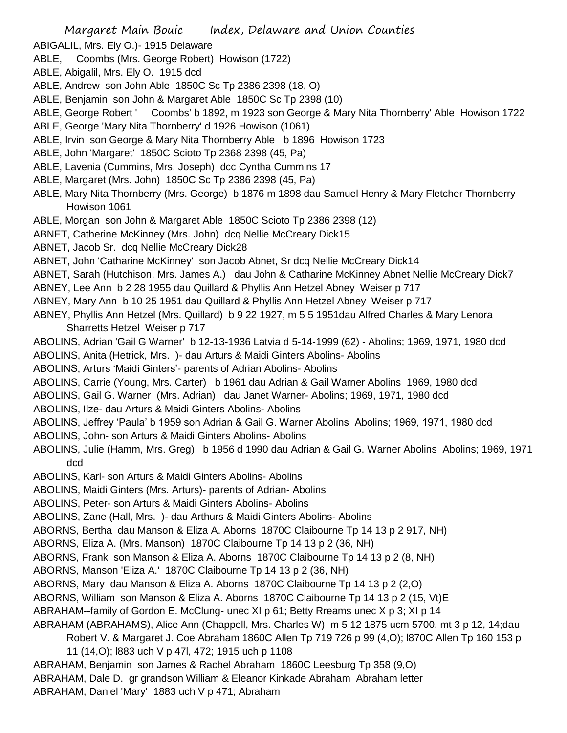- ABIGALIL, Mrs. Ely O.)- 1915 Delaware
- ABLE, Coombs (Mrs. George Robert) Howison (1722)
- ABLE, Abigalil, Mrs. Ely O. 1915 dcd
- ABLE, Andrew son John Able 1850C Sc Tp 2386 2398 (18, O)
- ABLE, Benjamin son John & Margaret Able 1850C Sc Tp 2398 (10)
- ABLE, George Robert ' Coombs' b 1892, m 1923 son George & Mary Nita Thornberry' Able Howison 1722
- ABLE, George 'Mary Nita Thornberry' d 1926 Howison (1061)
- ABLE, Irvin son George & Mary Nita Thornberry Able b 1896 Howison 1723
- ABLE, John 'Margaret' 1850C Scioto Tp 2368 2398 (45, Pa)
- ABLE, Lavenia (Cummins, Mrs. Joseph) dcc Cyntha Cummins 17
- ABLE, Margaret (Mrs. John) 1850C Sc Tp 2386 2398 (45, Pa)
- ABLE, Mary Nita Thornberry (Mrs. George) b 1876 m 1898 dau Samuel Henry & Mary Fletcher Thornberry Howison 1061
- ABLE, Morgan son John & Margaret Able 1850C Scioto Tp 2386 2398 (12)
- ABNET, Catherine McKinney (Mrs. John) dcq Nellie McCreary Dick15
- ABNET, Jacob Sr. dcq Nellie McCreary Dick28
- ABNET, John 'Catharine McKinney' son Jacob Abnet, Sr dcq Nellie McCreary Dick14
- ABNET, Sarah (Hutchison, Mrs. James A.) dau John & Catharine McKinney Abnet Nellie McCreary Dick7
- ABNEY, Lee Ann b 2 28 1955 dau Quillard & Phyllis Ann Hetzel Abney Weiser p 717
- ABNEY, Mary Ann b 10 25 1951 dau Quillard & Phyllis Ann Hetzel Abney Weiser p 717
- ABNEY, Phyllis Ann Hetzel (Mrs. Quillard) b 9 22 1927, m 5 5 1951dau Alfred Charles & Mary Lenora Sharretts Hetzel Weiser p 717
- ABOLINS, Adrian 'Gail G Warner' b 12-13-1936 Latvia d 5-14-1999 (62) Abolins; 1969, 1971, 1980 dcd
- ABOLINS, Anita (Hetrick, Mrs. )- dau Arturs & Maidi Ginters Abolins- Abolins
- ABOLINS, Arturs 'Maidi Ginters'- parents of Adrian Abolins- Abolins
- ABOLINS, Carrie (Young, Mrs. Carter) b 1961 dau Adrian & Gail Warner Abolins 1969, 1980 dcd
- ABOLINS, Gail G. Warner (Mrs. Adrian) dau Janet Warner- Abolins; 1969, 1971, 1980 dcd
- ABOLINS, Ilze- dau Arturs & Maidi Ginters Abolins- Abolins
- ABOLINS, Jeffrey 'Paula' b 1959 son Adrian & Gail G. Warner Abolins Abolins; 1969, 1971, 1980 dcd
- ABOLINS, John- son Arturs & Maidi Ginters Abolins- Abolins
- ABOLINS, Julie (Hamm, Mrs. Greg) b 1956 d 1990 dau Adrian & Gail G. Warner Abolins Abolins; 1969, 1971 dcd
- ABOLINS, Karl- son Arturs & Maidi Ginters Abolins- Abolins
- ABOLINS, Maidi Ginters (Mrs. Arturs)- parents of Adrian- Abolins
- ABOLINS, Peter- son Arturs & Maidi Ginters Abolins- Abolins
- ABOLINS, Zane (Hall, Mrs. )- dau Arthurs & Maidi Ginters Abolins- Abolins
- ABORNS, Bertha dau Manson & Eliza A. Aborns 1870C Claibourne Tp 14 13 p 2 917, NH)
- ABORNS, Eliza A. (Mrs. Manson) 1870C Claibourne Tp 14 13 p 2 (36, NH)
- ABORNS, Frank son Manson & Eliza A. Aborns 1870C Claibourne Tp 14 13 p 2 (8, NH)
- ABORNS, Manson 'Eliza A.' 1870C Claibourne Tp 14 13 p 2 (36, NH)
- ABORNS, Mary dau Manson & Eliza A. Aborns 1870C Claibourne Tp 14 13 p 2 (2,O)
- ABORNS, William son Manson & Eliza A. Aborns 1870C Claibourne Tp 14 13 p 2 (15, Vt)E
- ABRAHAM--family of Gordon E. McClung- unec XI p 61; Betty Rreams unec X p 3; XI p 14
- ABRAHAM (ABRAHAMS), Alice Ann (Chappell, Mrs. Charles W) m 5 12 1875 ucm 5700, mt 3 p 12, 14;dau
	- Robert V. & Margaret J. Coe Abraham 1860C Allen Tp 719 726 p 99 (4,O); l870C Allen Tp 160 153 p
		- 11 (14,O); l883 uch V p 47l, 472; 1915 uch p 1108
- ABRAHAM, Benjamin son James & Rachel Abraham 1860C Leesburg Tp 358 (9,O)
- ABRAHAM, Dale D. gr grandson William & Eleanor Kinkade Abraham Abraham letter
- ABRAHAM, Daniel 'Mary' 1883 uch V p 471; Abraham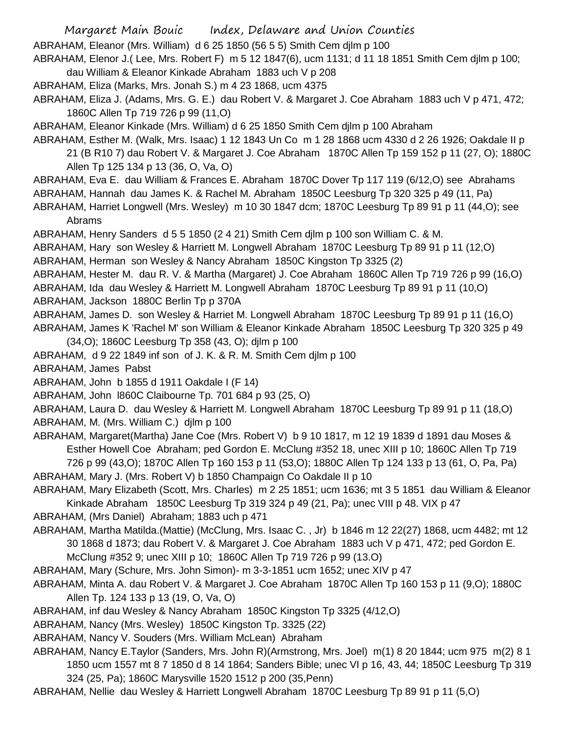ABRAHAM, Eleanor (Mrs. William) d 6 25 1850 (56 5 5) Smith Cem djlm p 100

ABRAHAM, Elenor J.( Lee, Mrs. Robert F) m 5 12 1847(6), ucm 1131; d 11 18 1851 Smith Cem djlm p 100; dau William & Eleanor Kinkade Abraham 1883 uch V p 208

ABRAHAM, Eliza (Marks, Mrs. Jonah S.) m 4 23 1868, ucm 4375

ABRAHAM, Eliza J. (Adams, Mrs. G. E.) dau Robert V. & Margaret J. Coe Abraham 1883 uch V p 471, 472; 1860C Allen Tp 719 726 p 99 (11,O)

ABRAHAM, Eleanor Kinkade (Mrs. William) d 6 25 1850 Smith Cem djlm p 100 Abraham

ABRAHAM, Esther M. (Walk, Mrs. Isaac) 1 12 1843 Un Co m 1 28 1868 ucm 4330 d 2 26 1926; Oakdale II p 21 (B R10 7) dau Robert V. & Margaret J. Coe Abraham 1870C Allen Tp 159 152 p 11 (27, O); 1880C Allen Tp 125 134 p 13 (36, O, Va, O)

ABRAHAM, Eva E. dau William & Frances E. Abraham 1870C Dover Tp 117 119 (6/12,O) see Abrahams

ABRAHAM, Hannah dau James K. & Rachel M. Abraham 1850C Leesburg Tp 320 325 p 49 (11, Pa)

ABRAHAM, Harriet Longwell (Mrs. Wesley) m 10 30 1847 dcm; 1870C Leesburg Tp 89 91 p 11 (44,O); see Abrams

ABRAHAM, Henry Sanders d 5 5 1850 (2 4 21) Smith Cem djlm p 100 son William C. & M.

ABRAHAM, Hary son Wesley & Harriett M. Longwell Abraham 1870C Leesburg Tp 89 91 p 11 (12,O)

ABRAHAM, Herman son Wesley & Nancy Abraham 1850C Kingston Tp 3325 (2)

ABRAHAM, Hester M. dau R. V. & Martha (Margaret) J. Coe Abraham 1860C Allen Tp 719 726 p 99 (16,O) ABRAHAM, Ida dau Wesley & Harriett M. Longwell Abraham 1870C Leesburg Tp 89 91 p 11 (10,O) ABRAHAM, Jackson 1880C Berlin Tp p 370A

ABRAHAM, James D. son Wesley & Harriet M. Longwell Abraham 1870C Leesburg Tp 89 91 p 11 (16,O)

ABRAHAM, James K 'Rachel M' son William & Eleanor Kinkade Abraham 1850C Leesburg Tp 320 325 p 49 (34,O); 1860C Leesburg Tp 358 (43, O); djlm p 100

ABRAHAM, d 9 22 1849 inf son of J. K. & R. M. Smith Cem djlm p 100

ABRAHAM, James Pabst

ABRAHAM, John b 1855 d 1911 Oakdale I (F 14)

ABRAHAM, John l860C Claibourne Tp. 701 684 p 93 (25, O)

ABRAHAM, Laura D. dau Wesley & Harriett M. Longwell Abraham 1870C Leesburg Tp 89 91 p 11 (18,O) ABRAHAM, M. (Mrs. William C.) djlm p 100

ABRAHAM, Margaret(Martha) Jane Coe (Mrs. Robert V) b 9 10 1817, m 12 19 1839 d 1891 dau Moses & Esther Howell Coe Abraham; ped Gordon E. McClung #352 18, unec XIII p 10; 1860C Allen Tp 719 726 p 99 (43,O); 1870C Allen Tp 160 153 p 11 (53,O); 1880C Allen Tp 124 133 p 13 (61, O, Pa, Pa)

ABRAHAM, Mary J. (Mrs. Robert V) b 1850 Champaign Co Oakdale II p 10

ABRAHAM, Mary Elizabeth (Scott, Mrs. Charles) m 2 25 1851; ucm 1636; mt 3 5 1851 dau William & Eleanor Kinkade Abraham 1850C Leesburg Tp 319 324 p 49 (21, Pa); unec VIII p 48. VIX p 47

ABRAHAM, (Mrs Daniel) Abraham; 1883 uch p 471

ABRAHAM, Martha Matilda.(Mattie) (McClung, Mrs. Isaac C. , Jr) b 1846 m 12 22(27) 1868, ucm 4482; mt 12 30 1868 d 1873; dau Robert V. & Margaret J. Coe Abraham 1883 uch V p 471, 472; ped Gordon E.

McClung #352 9; unec XIII p 10; 1860C Allen Tp 719 726 p 99 (13.O)

ABRAHAM, Mary (Schure, Mrs. John Simon)- m 3-3-1851 ucm 1652; unec XIV p 47

- ABRAHAM, Minta A. dau Robert V. & Margaret J. Coe Abraham 1870C Allen Tp 160 153 p 11 (9,O); 1880C Allen Tp. 124 133 p 13 (19, O, Va, O)
- ABRAHAM, inf dau Wesley & Nancy Abraham 1850C Kingston Tp 3325 (4/12,O)

ABRAHAM, Nancy (Mrs. Wesley) 1850C Kingston Tp. 3325 (22)

ABRAHAM, Nancy V. Souders (Mrs. William McLean) Abraham

ABRAHAM, Nancy E.Taylor (Sanders, Mrs. John R)(Armstrong, Mrs. Joel) m(1) 8 20 1844; ucm 975 m(2) 8 1 1850 ucm 1557 mt 8 7 1850 d 8 14 1864; Sanders Bible; unec VI p 16, 43, 44; 1850C Leesburg Tp 319 324 (25, Pa); 1860C Marysville 1520 1512 p 200 (35,Penn)

ABRAHAM, Nellie dau Wesley & Harriett Longwell Abraham 1870C Leesburg Tp 89 91 p 11 (5,O)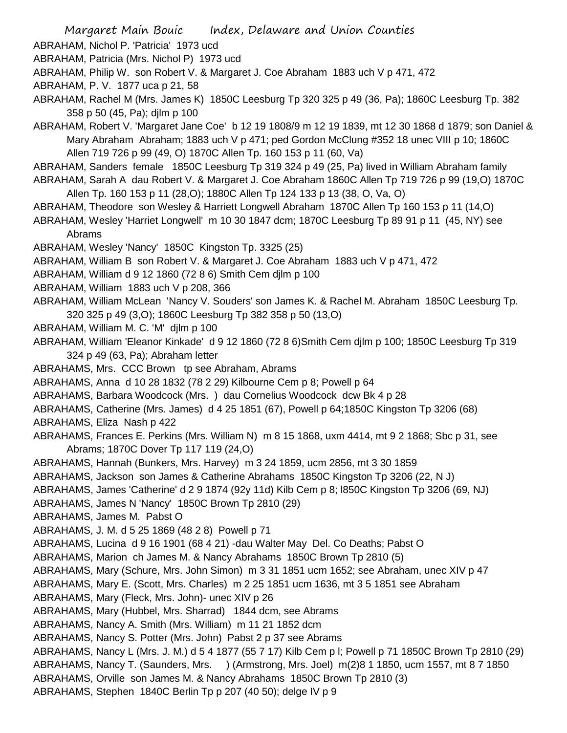- ABRAHAM, Nichol P. 'Patricia' 1973 ucd
- ABRAHAM, Patricia (Mrs. Nichol P) 1973 ucd
- ABRAHAM, Philip W. son Robert V. & Margaret J. Coe Abraham 1883 uch V p 471, 472
- ABRAHAM, P. V. 1877 uca p 21, 58
- ABRAHAM, Rachel M (Mrs. James K) 1850C Leesburg Tp 320 325 p 49 (36, Pa); 1860C Leesburg Tp. 382 358 p 50 (45, Pa); djlm p 100
- ABRAHAM, Robert V. 'Margaret Jane Coe' b 12 19 1808/9 m 12 19 1839, mt 12 30 1868 d 1879; son Daniel & Mary Abraham Abraham; 1883 uch V p 471; ped Gordon McClung #352 18 unec VIII p 10; 1860C Allen 719 726 p 99 (49, O) 1870C Allen Tp. 160 153 p 11 (60, Va)
- ABRAHAM, Sanders female 1850C Leesburg Tp 319 324 p 49 (25, Pa) lived in William Abraham family ABRAHAM, Sarah A dau Robert V. & Margaret J. Coe Abraham 1860C Allen Tp 719 726 p 99 (19,O) 1870C
- Allen Tp. 160 153 p 11 (28,O); 1880C Allen Tp 124 133 p 13 (38, O, Va, O)
- ABRAHAM, Theodore son Wesley & Harriett Longwell Abraham 1870C Allen Tp 160 153 p 11 (14,O)
- ABRAHAM, Wesley 'Harriet Longwell' m 10 30 1847 dcm; 1870C Leesburg Tp 89 91 p 11 (45, NY) see Abrams
- ABRAHAM, Wesley 'Nancy' 1850C Kingston Tp. 3325 (25)
- ABRAHAM, William B son Robert V. & Margaret J. Coe Abraham 1883 uch V p 471, 472
- ABRAHAM, William d 9 12 1860 (72 8 6) Smith Cem djlm p 100
- ABRAHAM, William 1883 uch V p 208, 366
- ABRAHAM, William McLean 'Nancy V. Souders' son James K. & Rachel M. Abraham 1850C Leesburg Tp. 320 325 p 49 (3,O); 1860C Leesburg Tp 382 358 p 50 (13,O)
- ABRAHAM, William M. C. 'M' djlm p 100
- ABRAHAM, William 'Eleanor Kinkade' d 9 12 1860 (72 8 6)Smith Cem djlm p 100; 1850C Leesburg Tp 319 324 p 49 (63, Pa); Abraham letter
- ABRAHAMS, Mrs. CCC Brown tp see Abraham, Abrams
- ABRAHAMS, Anna d 10 28 1832 (78 2 29) Kilbourne Cem p 8; Powell p 64
- ABRAHAMS, Barbara Woodcock (Mrs. ) dau Cornelius Woodcock dcw Bk 4 p 28
- ABRAHAMS, Catherine (Mrs. James) d 4 25 1851 (67), Powell p 64;1850C Kingston Tp 3206 (68)
- ABRAHAMS, Eliza Nash p 422
- ABRAHAMS, Frances E. Perkins (Mrs. William N) m 8 15 1868, uxm 4414, mt 9 2 1868; Sbc p 31, see Abrams; 1870C Dover Tp 117 119 (24,O)
- ABRAHAMS, Hannah (Bunkers, Mrs. Harvey) m 3 24 1859, ucm 2856, mt 3 30 1859
- ABRAHAMS, Jackson son James & Catherine Abrahams 1850C Kingston Tp 3206 (22, N J)
- ABRAHAMS, James 'Catherine' d 2 9 1874 (92y 11d) Kilb Cem p 8; l850C Kingston Tp 3206 (69, NJ)
- ABRAHAMS, James N 'Nancy' 1850C Brown Tp 2810 (29)
- ABRAHAMS, James M. Pabst O
- ABRAHAMS, J. M. d 5 25 1869 (48 2 8) Powell p 71
- ABRAHAMS, Lucina d 9 16 1901 (68 4 21) -dau Walter May Del. Co Deaths; Pabst O
- ABRAHAMS, Marion ch James M. & Nancy Abrahams 1850C Brown Tp 2810 (5)
- ABRAHAMS, Mary (Schure, Mrs. John Simon) m 3 31 1851 ucm 1652; see Abraham, unec XIV p 47
- ABRAHAMS, Mary E. (Scott, Mrs. Charles) m 2 25 1851 ucm 1636, mt 3 5 1851 see Abraham
- ABRAHAMS, Mary (Fleck, Mrs. John)- unec XIV p 26
- ABRAHAMS, Mary (Hubbel, Mrs. Sharrad) 1844 dcm, see Abrams
- ABRAHAMS, Nancy A. Smith (Mrs. William) m 11 21 1852 dcm
- ABRAHAMS, Nancy S. Potter (Mrs. John) Pabst 2 p 37 see Abrams
- ABRAHAMS, Nancy L (Mrs. J. M.) d 5 4 1877 (55 7 17) Kilb Cem p l; Powell p 71 1850C Brown Tp 2810 (29) ABRAHAMS, Nancy T. (Saunders, Mrs. ) (Armstrong, Mrs. Joel) m(2)8 1 1850, ucm 1557, mt 8 7 1850 ABRAHAMS, Orville son James M. & Nancy Abrahams 1850C Brown Tp 2810 (3)
- ABRAHAMS, Stephen 1840C Berlin Tp p 207 (40 50); delge IV p 9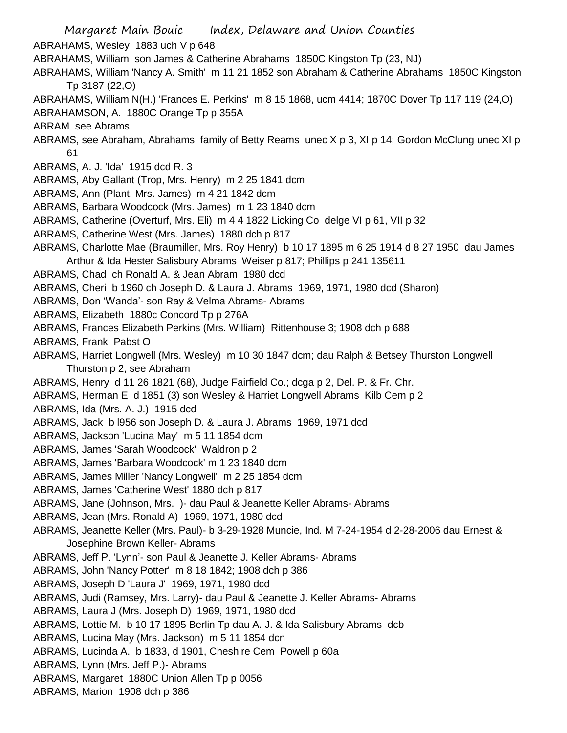Margaret Main Bouic Index, Delaware and Union Counties ABRAHAMS, Wesley 1883 uch V p 648 ABRAHAMS, William son James & Catherine Abrahams 1850C Kingston Tp (23, NJ) ABRAHAMS, William 'Nancy A. Smith' m 11 21 1852 son Abraham & Catherine Abrahams 1850C Kingston Tp 3187 (22,O) ABRAHAMS, William N(H.) 'Frances E. Perkins' m 8 15 1868, ucm 4414; 1870C Dover Tp 117 119 (24,O) ABRAHAMSON, A. 1880C Orange Tp p 355A ABRAM see Abrams ABRAMS, see Abraham, Abrahams family of Betty Reams unec X p 3, XI p 14; Gordon McClung unec XI p 61 ABRAMS, A. J. 'Ida' 1915 dcd R. 3 ABRAMS, Aby Gallant (Trop, Mrs. Henry) m 2 25 1841 dcm ABRAMS, Ann (Plant, Mrs. James) m 4 21 1842 dcm ABRAMS, Barbara Woodcock (Mrs. James) m 1 23 1840 dcm ABRAMS, Catherine (Overturf, Mrs. Eli) m 4 4 1822 Licking Co delge VI p 61, VII p 32 ABRAMS, Catherine West (Mrs. James) 1880 dch p 817 ABRAMS, Charlotte Mae (Braumiller, Mrs. Roy Henry) b 10 17 1895 m 6 25 1914 d 8 27 1950 dau James Arthur & Ida Hester Salisbury Abrams Weiser p 817; Phillips p 241 135611 ABRAMS, Chad ch Ronald A. & Jean Abram 1980 dcd ABRAMS, Cheri b 1960 ch Joseph D. & Laura J. Abrams 1969, 1971, 1980 dcd (Sharon) ABRAMS, Don 'Wanda'- son Ray & Velma Abrams- Abrams ABRAMS, Elizabeth 1880c Concord Tp p 276A ABRAMS, Frances Elizabeth Perkins (Mrs. William) Rittenhouse 3; 1908 dch p 688 ABRAMS, Frank Pabst O ABRAMS, Harriet Longwell (Mrs. Wesley) m 10 30 1847 dcm; dau Ralph & Betsey Thurston Longwell Thurston p 2, see Abraham ABRAMS, Henry d 11 26 1821 (68), Judge Fairfield Co.; dcga p 2, Del. P. & Fr. Chr. ABRAMS, Herman E d 1851 (3) son Wesley & Harriet Longwell Abrams Kilb Cem p 2 ABRAMS, Ida (Mrs. A. J.) 1915 dcd ABRAMS, Jack b l956 son Joseph D. & Laura J. Abrams 1969, 1971 dcd ABRAMS, Jackson 'Lucina May' m 5 11 1854 dcm ABRAMS, James 'Sarah Woodcock' Waldron p 2 ABRAMS, James 'Barbara Woodcock' m 1 23 1840 dcm ABRAMS, James Miller 'Nancy Longwell' m 2 25 1854 dcm ABRAMS, James 'Catherine West' 1880 dch p 817 ABRAMS, Jane (Johnson, Mrs. )- dau Paul & Jeanette Keller Abrams- Abrams ABRAMS, Jean (Mrs. Ronald A) 1969, 1971, 1980 dcd ABRAMS, Jeanette Keller (Mrs. Paul)- b 3-29-1928 Muncie, Ind. M 7-24-1954 d 2-28-2006 dau Ernest & Josephine Brown Keller- Abrams ABRAMS, Jeff P. 'Lynn'- son Paul & Jeanette J. Keller Abrams- Abrams ABRAMS, John 'Nancy Potter' m 8 18 1842; 1908 dch p 386 ABRAMS, Joseph D 'Laura J' 1969, 1971, 1980 dcd ABRAMS, Judi (Ramsey, Mrs. Larry)- dau Paul & Jeanette J. Keller Abrams- Abrams ABRAMS, Laura J (Mrs. Joseph D) 1969, 1971, 1980 dcd ABRAMS, Lottie M. b 10 17 1895 Berlin Tp dau A. J. & Ida Salisbury Abrams dcb ABRAMS, Lucina May (Mrs. Jackson) m 5 11 1854 dcn ABRAMS, Lucinda A. b 1833, d 1901, Cheshire Cem Powell p 60a ABRAMS, Lynn (Mrs. Jeff P.)- Abrams ABRAMS, Margaret 1880C Union Allen Tp p 0056

ABRAMS, Marion 1908 dch p 386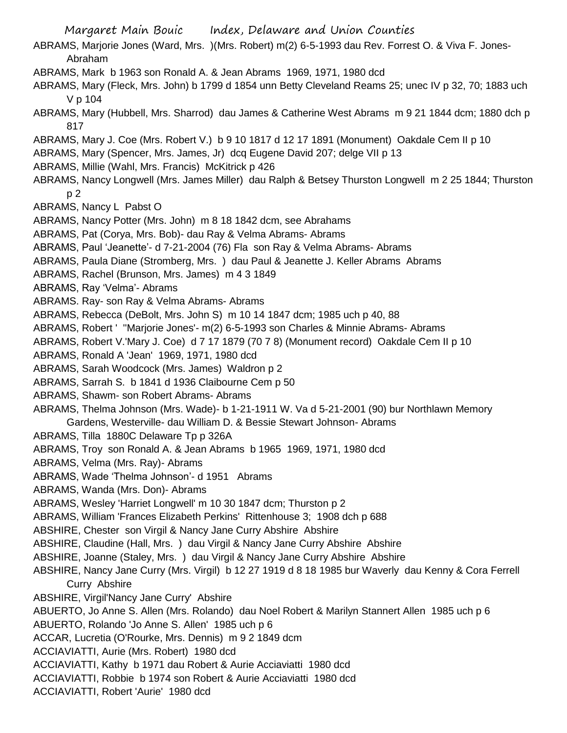Margaret Main Bouic Index, Delaware and Union Counties ABRAMS, Marjorie Jones (Ward, Mrs. )(Mrs. Robert) m(2) 6-5-1993 dau Rev. Forrest O. & Viva F. Jones-Abraham ABRAMS, Mark b 1963 son Ronald A. & Jean Abrams 1969, 1971, 1980 dcd ABRAMS, Mary (Fleck, Mrs. John) b 1799 d 1854 unn Betty Cleveland Reams 25; unec IV p 32, 70; 1883 uch V p 104 ABRAMS, Mary (Hubbell, Mrs. Sharrod) dau James & Catherine West Abrams m 9 21 1844 dcm; 1880 dch p 817 ABRAMS, Mary J. Coe (Mrs. Robert V.) b 9 10 1817 d 12 17 1891 (Monument) Oakdale Cem II p 10 ABRAMS, Mary (Spencer, Mrs. James, Jr) dcq Eugene David 207; delge VII p 13 ABRAMS, Millie (Wahl, Mrs. Francis) McKitrick p 426 ABRAMS, Nancy Longwell (Mrs. James Miller) dau Ralph & Betsey Thurston Longwell m 2 25 1844; Thurston p 2 ABRAMS, Nancy L Pabst O ABRAMS, Nancy Potter (Mrs. John) m 8 18 1842 dcm, see Abrahams ABRAMS, Pat (Corya, Mrs. Bob)- dau Ray & Velma Abrams- Abrams ABRAMS, Paul 'Jeanette'- d 7-21-2004 (76) Fla son Ray & Velma Abrams- Abrams ABRAMS, Paula Diane (Stromberg, Mrs. ) dau Paul & Jeanette J. Keller Abrams Abrams ABRAMS, Rachel (Brunson, Mrs. James) m 4 3 1849 ABRAMS, Ray 'Velma'- Abrams ABRAMS. Ray- son Ray & Velma Abrams- Abrams ABRAMS, Rebecca (DeBolt, Mrs. John S) m 10 14 1847 dcm; 1985 uch p 40, 88 ABRAMS, Robert ' ''Marjorie Jones'- m(2) 6-5-1993 son Charles & Minnie Abrams- Abrams ABRAMS, Robert V.'Mary J. Coe) d 7 17 1879 (70 7 8) (Monument record) Oakdale Cem II p 10 ABRAMS, Ronald A 'Jean' 1969, 1971, 1980 dcd ABRAMS, Sarah Woodcock (Mrs. James) Waldron p 2 ABRAMS, Sarrah S. b 1841 d 1936 Claibourne Cem p 50 ABRAMS, Shawm- son Robert Abrams- Abrams ABRAMS, Thelma Johnson (Mrs. Wade)- b 1-21-1911 W. Va d 5-21-2001 (90) bur Northlawn Memory Gardens, Westerville- dau William D. & Bessie Stewart Johnson- Abrams ABRAMS, Tilla 1880C Delaware Tp p 326A ABRAMS, Troy son Ronald A. & Jean Abrams b 1965 1969, 1971, 1980 dcd ABRAMS, Velma (Mrs. Ray)- Abrams ABRAMS, Wade 'Thelma Johnson'- d 1951 Abrams ABRAMS, Wanda (Mrs. Don)- Abrams ABRAMS, Wesley 'Harriet Longwell' m 10 30 1847 dcm; Thurston p 2 ABRAMS, William 'Frances Elizabeth Perkins' Rittenhouse 3; 1908 dch p 688 ABSHIRE, Chester son Virgil & Nancy Jane Curry Abshire Abshire ABSHIRE, Claudine (Hall, Mrs. ) dau Virgil & Nancy Jane Curry Abshire Abshire ABSHIRE, Joanne (Staley, Mrs. ) dau Virgil & Nancy Jane Curry Abshire Abshire ABSHIRE, Nancy Jane Curry (Mrs. Virgil) b 12 27 1919 d 8 18 1985 bur Waverly dau Kenny & Cora Ferrell Curry Abshire ABSHIRE, Virgil'Nancy Jane Curry' Abshire ABUERTO, Jo Anne S. Allen (Mrs. Rolando) dau Noel Robert & Marilyn Stannert Allen 1985 uch p 6 ABUERTO, Rolando 'Jo Anne S. Allen' 1985 uch p 6 ACCAR, Lucretia (O'Rourke, Mrs. Dennis) m 9 2 1849 dcm ACCIAVIATTI, Aurie (Mrs. Robert) 1980 dcd ACCIAVIATTI, Kathy b 1971 dau Robert & Aurie Acciaviatti 1980 dcd ACCIAVIATTI, Robbie b 1974 son Robert & Aurie Acciaviatti 1980 dcd ACCIAVIATTI, Robert 'Aurie' 1980 dcd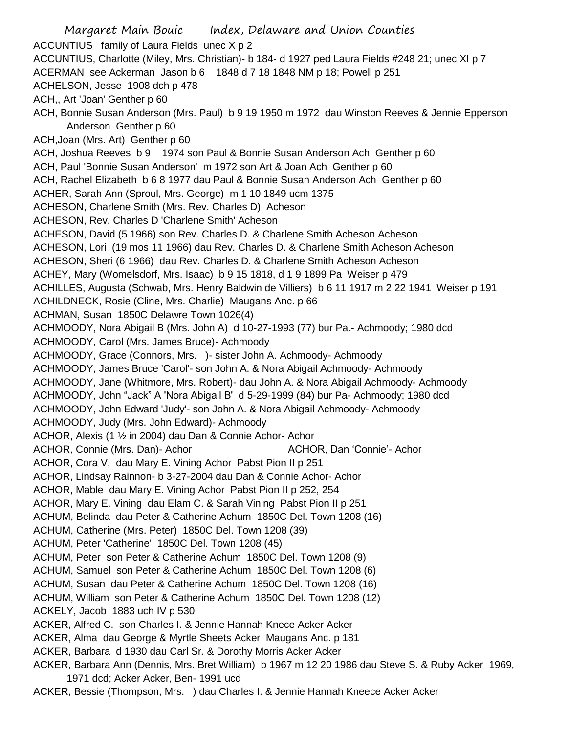Margaret Main Bouic Index, Delaware and Union Counties ACCUNTIUS family of Laura Fields unec X p 2 ACCUNTIUS, Charlotte (Miley, Mrs. Christian)- b 184- d 1927 ped Laura Fields #248 21; unec XI p 7 ACERMAN see Ackerman Jason b 6 1848 d 7 18 1848 NM p 18; Powell p 251 ACHELSON, Jesse 1908 dch p 478 ACH,, Art 'Joan' Genther p 60 ACH, Bonnie Susan Anderson (Mrs. Paul) b 9 19 1950 m 1972 dau Winston Reeves & Jennie Epperson Anderson Genther p 60 ACH,Joan (Mrs. Art) Genther p 60 ACH, Joshua Reeves b 9 1974 son Paul & Bonnie Susan Anderson Ach Genther p 60 ACH, Paul 'Bonnie Susan Anderson' m 1972 son Art & Joan Ach Genther p 60 ACH, Rachel Elizabeth b 6 8 1977 dau Paul & Bonnie Susan Anderson Ach Genther p 60 ACHER, Sarah Ann (Sproul, Mrs. George) m 1 10 1849 ucm 1375 ACHESON, Charlene Smith (Mrs. Rev. Charles D) Acheson ACHESON, Rev. Charles D 'Charlene Smith' Acheson ACHESON, David (5 1966) son Rev. Charles D. & Charlene Smith Acheson Acheson ACHESON, Lori (19 mos 11 1966) dau Rev. Charles D. & Charlene Smith Acheson Acheson ACHESON, Sheri (6 1966) dau Rev. Charles D. & Charlene Smith Acheson Acheson ACHEY, Mary (Womelsdorf, Mrs. Isaac) b 9 15 1818, d 1 9 1899 Pa Weiser p 479 ACHILLES, Augusta (Schwab, Mrs. Henry Baldwin de Villiers) b 6 11 1917 m 2 22 1941 Weiser p 191 ACHILDNECK, Rosie (Cline, Mrs. Charlie) Maugans Anc. p 66 ACHMAN, Susan 1850C Delawre Town 1026(4) ACHMOODY, Nora Abigail B (Mrs. John A) d 10-27-1993 (77) bur Pa.- Achmoody; 1980 dcd ACHMOODY, Carol (Mrs. James Bruce)- Achmoody ACHMOODY, Grace (Connors, Mrs. )- sister John A. Achmoody- Achmoody ACHMOODY, James Bruce 'Carol'- son John A. & Nora Abigail Achmoody- Achmoody ACHMOODY, Jane (Whitmore, Mrs. Robert)- dau John A. & Nora Abigail Achmoody- Achmoody ACHMOODY, John "Jack" A 'Nora Abigail B' d 5-29-1999 (84) bur Pa- Achmoody; 1980 dcd ACHMOODY, John Edward 'Judy'- son John A. & Nora Abigail Achmoody- Achmoody ACHMOODY, Judy (Mrs. John Edward)- Achmoody ACHOR, Alexis (1 ½ in 2004) dau Dan & Connie Achor- Achor ACHOR, Connie (Mrs. Dan)- Achor **ACHOR, Dan 'Connie'- Achor** ACHOR, Cora V. dau Mary E. Vining Achor Pabst Pion II p 251 ACHOR, Lindsay Rainnon- b 3-27-2004 dau Dan & Connie Achor- Achor ACHOR, Mable dau Mary E. Vining Achor Pabst Pion II p 252, 254 ACHOR, Mary E. Vining dau Elam C. & Sarah Vining Pabst Pion II p 251 ACHUM, Belinda dau Peter & Catherine Achum 1850C Del. Town 1208 (16) ACHUM, Catherine (Mrs. Peter) 1850C Del. Town 1208 (39) ACHUM, Peter 'Catherine' 1850C Del. Town 1208 (45) ACHUM, Peter son Peter & Catherine Achum 1850C Del. Town 1208 (9) ACHUM, Samuel son Peter & Catherine Achum 1850C Del. Town 1208 (6) ACHUM, Susan dau Peter & Catherine Achum 1850C Del. Town 1208 (16) ACHUM, William son Peter & Catherine Achum 1850C Del. Town 1208 (12) ACKELY, Jacob 1883 uch IV p 530 ACKER, Alfred C. son Charles I. & Jennie Hannah Knece Acker Acker ACKER, Alma dau George & Myrtle Sheets Acker Maugans Anc. p 181 ACKER, Barbara d 1930 dau Carl Sr. & Dorothy Morris Acker Acker ACKER, Barbara Ann (Dennis, Mrs. Bret William) b 1967 m 12 20 1986 dau Steve S. & Ruby Acker 1969, 1971 dcd; Acker Acker, Ben- 1991 ucd

ACKER, Bessie (Thompson, Mrs. ) dau Charles I. & Jennie Hannah Kneece Acker Acker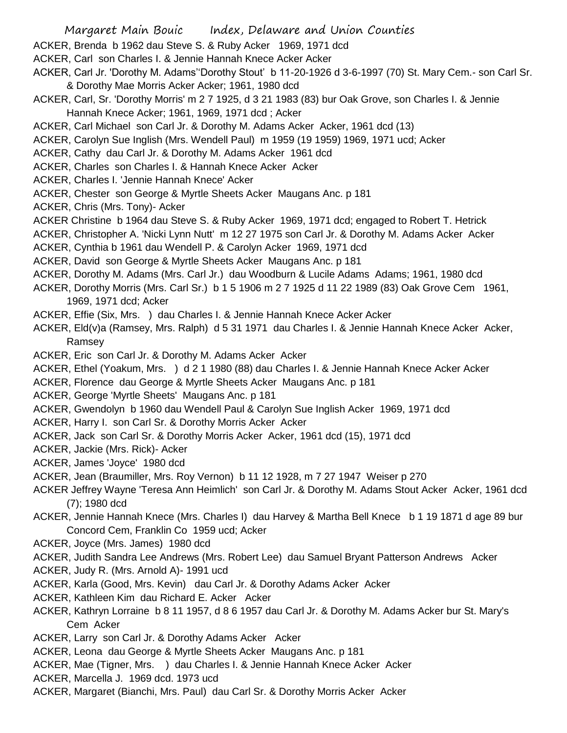- Margaret Main Bouic Index, Delaware and Union Counties
- ACKER, Brenda b 1962 dau Steve S. & Ruby Acker 1969, 1971 dcd
- ACKER, Carl son Charles I. & Jennie Hannah Knece Acker Acker
- ACKER, Carl Jr. 'Dorothy M. Adams''Dorothy Stout' b 11-20-1926 d 3-6-1997 (70) St. Mary Cem.- son Carl Sr. & Dorothy Mae Morris Acker Acker; 1961, 1980 dcd
- ACKER, Carl, Sr. 'Dorothy Morris' m 2 7 1925, d 3 21 1983 (83) bur Oak Grove, son Charles I. & Jennie Hannah Knece Acker; 1961, 1969, 1971 dcd ; Acker
- ACKER, Carl Michael son Carl Jr. & Dorothy M. Adams Acker Acker, 1961 dcd (13)
- ACKER, Carolyn Sue Inglish (Mrs. Wendell Paul) m 1959 (19 1959) 1969, 1971 ucd; Acker
- ACKER, Cathy dau Carl Jr. & Dorothy M. Adams Acker 1961 dcd
- ACKER, Charles son Charles I. & Hannah Knece Acker Acker
- ACKER, Charles I. 'Jennie Hannah Knece' Acker
- ACKER, Chester son George & Myrtle Sheets Acker Maugans Anc. p 181
- ACKER, Chris (Mrs. Tony)- Acker
- ACKER Christine b 1964 dau Steve S. & Ruby Acker 1969, 1971 dcd; engaged to Robert T. Hetrick
- ACKER, Christopher A. 'Nicki Lynn Nutt' m 12 27 1975 son Carl Jr. & Dorothy M. Adams Acker Acker
- ACKER, Cynthia b 1961 dau Wendell P. & Carolyn Acker 1969, 1971 dcd
- ACKER, David son George & Myrtle Sheets Acker Maugans Anc. p 181
- ACKER, Dorothy M. Adams (Mrs. Carl Jr.) dau Woodburn & Lucile Adams Adams; 1961, 1980 dcd
- ACKER, Dorothy Morris (Mrs. Carl Sr.) b 1 5 1906 m 2 7 1925 d 11 22 1989 (83) Oak Grove Cem 1961, 1969, 1971 dcd; Acker
- ACKER, Effie (Six, Mrs. ) dau Charles I. & Jennie Hannah Knece Acker Acker
- ACKER, Eld(v)a (Ramsey, Mrs. Ralph) d 5 31 1971 dau Charles I. & Jennie Hannah Knece Acker Acker, Ramsey
- ACKER, Eric son Carl Jr. & Dorothy M. Adams Acker Acker
- ACKER, Ethel (Yoakum, Mrs. ) d 2 1 1980 (88) dau Charles I. & Jennie Hannah Knece Acker Acker
- ACKER, Florence dau George & Myrtle Sheets Acker Maugans Anc. p 181
- ACKER, George 'Myrtle Sheets' Maugans Anc. p 181
- ACKER, Gwendolyn b 1960 dau Wendell Paul & Carolyn Sue Inglish Acker 1969, 1971 dcd
- ACKER, Harry I. son Carl Sr. & Dorothy Morris Acker Acker
- ACKER, Jack son Carl Sr. & Dorothy Morris Acker Acker, 1961 dcd (15), 1971 dcd
- ACKER, Jackie (Mrs. Rick)- Acker
- ACKER, James 'Joyce' 1980 dcd
- ACKER, Jean (Braumiller, Mrs. Roy Vernon) b 11 12 1928, m 7 27 1947 Weiser p 270
- ACKER Jeffrey Wayne 'Teresa Ann Heimlich' son Carl Jr. & Dorothy M. Adams Stout Acker Acker, 1961 dcd (7); 1980 dcd
- ACKER, Jennie Hannah Knece (Mrs. Charles I) dau Harvey & Martha Bell Knece b 1 19 1871 d age 89 bur Concord Cem, Franklin Co 1959 ucd; Acker
- ACKER, Joyce (Mrs. James) 1980 dcd
- ACKER, Judith Sandra Lee Andrews (Mrs. Robert Lee) dau Samuel Bryant Patterson Andrews Acker
- ACKER, Judy R. (Mrs. Arnold A)- 1991 ucd
- ACKER, Karla (Good, Mrs. Kevin) dau Carl Jr. & Dorothy Adams Acker Acker
- ACKER, Kathleen Kim dau Richard E. Acker Acker
- ACKER, Kathryn Lorraine b 8 11 1957, d 8 6 1957 dau Carl Jr. & Dorothy M. Adams Acker bur St. Mary's Cem Acker
- ACKER, Larry son Carl Jr. & Dorothy Adams Acker Acker
- ACKER, Leona dau George & Myrtle Sheets Acker Maugans Anc. p 181
- ACKER, Mae (Tigner, Mrs. ) dau Charles I. & Jennie Hannah Knece Acker Acker
- ACKER, Marcella J. 1969 dcd. 1973 ucd
- ACKER, Margaret (Bianchi, Mrs. Paul) dau Carl Sr. & Dorothy Morris Acker Acker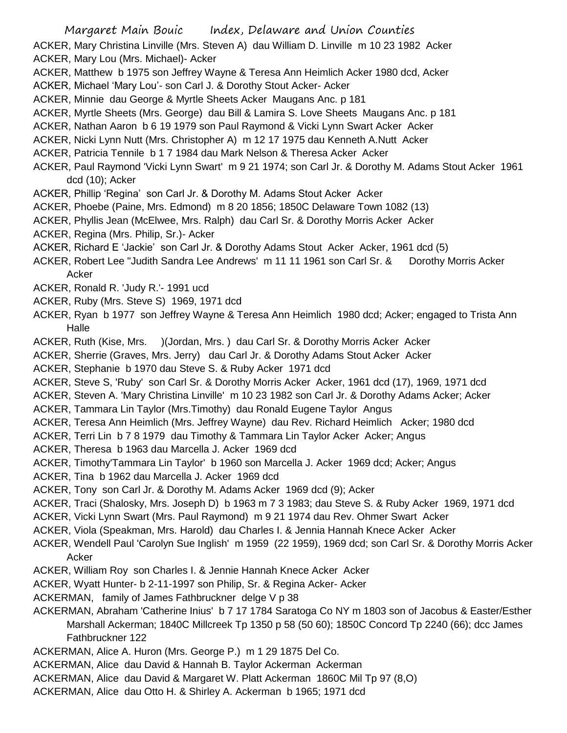- Margaret Main Bouic Index, Delaware and Union Counties ACKER, Mary Christina Linville (Mrs. Steven A) dau William D. Linville m 10 23 1982 Acker ACKER, Mary Lou (Mrs. Michael)- Acker
- ACKER, Matthew b 1975 son Jeffrey Wayne & Teresa Ann Heimlich Acker 1980 dcd, Acker
- ACKER, Michael 'Mary Lou'- son Carl J. & Dorothy Stout Acker- Acker
- ACKER, Minnie dau George & Myrtle Sheets Acker Maugans Anc. p 181
- ACKER, Myrtle Sheets (Mrs. George) dau Bill & Lamira S. Love Sheets Maugans Anc. p 181
- ACKER, Nathan Aaron b 6 19 1979 son Paul Raymond & Vicki Lynn Swart Acker Acker
- ACKER, Nicki Lynn Nutt (Mrs. Christopher A) m 12 17 1975 dau Kenneth A.Nutt Acker
- ACKER, Patricia Tennile b 1 7 1984 dau Mark Nelson & Theresa Acker Acker
- ACKER, Paul Raymond 'Vicki Lynn Swart' m 9 21 1974; son Carl Jr. & Dorothy M. Adams Stout Acker 1961 dcd (10); Acker
- ACKER, Phillip 'Regina' son Carl Jr. & Dorothy M. Adams Stout Acker Acker
- ACKER, Phoebe (Paine, Mrs. Edmond) m 8 20 1856; 1850C Delaware Town 1082 (13)
- ACKER, Phyllis Jean (McElwee, Mrs. Ralph) dau Carl Sr. & Dorothy Morris Acker Acker
- ACKER, Regina (Mrs. Philip, Sr.)- Acker
- ACKER, Richard E 'Jackie' son Carl Jr. & Dorothy Adams Stout Acker Acker, 1961 dcd (5)
- ACKER, Robert Lee "Judith Sandra Lee Andrews' m 11 11 1961 son Carl Sr. & Dorothy Morris Acker Acker
- ACKER, Ronald R. 'Judy R.'- 1991 ucd
- ACKER, Ruby (Mrs. Steve S) 1969, 1971 dcd
- ACKER, Ryan b 1977 son Jeffrey Wayne & Teresa Ann Heimlich 1980 dcd; Acker; engaged to Trista Ann Halle
- ACKER, Ruth (Kise, Mrs. )(Jordan, Mrs. ) dau Carl Sr. & Dorothy Morris Acker Acker
- ACKER, Sherrie (Graves, Mrs. Jerry) dau Carl Jr. & Dorothy Adams Stout Acker Acker
- ACKER, Stephanie b 1970 dau Steve S. & Ruby Acker 1971 dcd
- ACKER, Steve S, 'Ruby' son Carl Sr. & Dorothy Morris Acker Acker, 1961 dcd (17), 1969, 1971 dcd
- ACKER, Steven A. 'Mary Christina Linville' m 10 23 1982 son Carl Jr. & Dorothy Adams Acker; Acker
- ACKER, Tammara Lin Taylor (Mrs.Timothy) dau Ronald Eugene Taylor Angus
- ACKER, Teresa Ann Heimlich (Mrs. Jeffrey Wayne) dau Rev. Richard Heimlich Acker; 1980 dcd
- ACKER, Terri Lin b 7 8 1979 dau Timothy & Tammara Lin Taylor Acker Acker; Angus
- ACKER, Theresa b 1963 dau Marcella J. Acker 1969 dcd
- ACKER, Timothy'Tammara Lin Taylor' b 1960 son Marcella J. Acker 1969 dcd; Acker; Angus
- ACKER, Tina b 1962 dau Marcella J. Acker 1969 dcd
- ACKER, Tony son Carl Jr. & Dorothy M. Adams Acker 1969 dcd (9); Acker
- ACKER, Traci (Shalosky, Mrs. Joseph D) b 1963 m 7 3 1983; dau Steve S. & Ruby Acker 1969, 1971 dcd
- ACKER, Vicki Lynn Swart (Mrs. Paul Raymond) m 9 21 1974 dau Rev. Ohmer Swart Acker
- ACKER, Viola (Speakman, Mrs. Harold) dau Charles I. & Jennia Hannah Knece Acker Acker
- ACKER, Wendell Paul 'Carolyn Sue Inglish' m 1959 (22 1959), 1969 dcd; son Carl Sr. & Dorothy Morris Acker Acker
- ACKER, William Roy son Charles I. & Jennie Hannah Knece Acker Acker
- ACKER, Wyatt Hunter- b 2-11-1997 son Philip, Sr. & Regina Acker- Acker
- ACKERMAN, family of James Fathbruckner delge V p 38
- ACKERMAN, Abraham 'Catherine Inius' b 7 17 1784 Saratoga Co NY m 1803 son of Jacobus & Easter/Esther Marshall Ackerman; 1840C Millcreek Tp 1350 p 58 (50 60); 1850C Concord Tp 2240 (66); dcc James Fathbruckner 122
- ACKERMAN, Alice A. Huron (Mrs. George P.) m 1 29 1875 Del Co.
- ACKERMAN, Alice dau David & Hannah B. Taylor Ackerman Ackerman
- ACKERMAN, Alice dau David & Margaret W. Platt Ackerman 1860C Mil Tp 97 (8,O)
- ACKERMAN, Alice dau Otto H. & Shirley A. Ackerman b 1965; 1971 dcd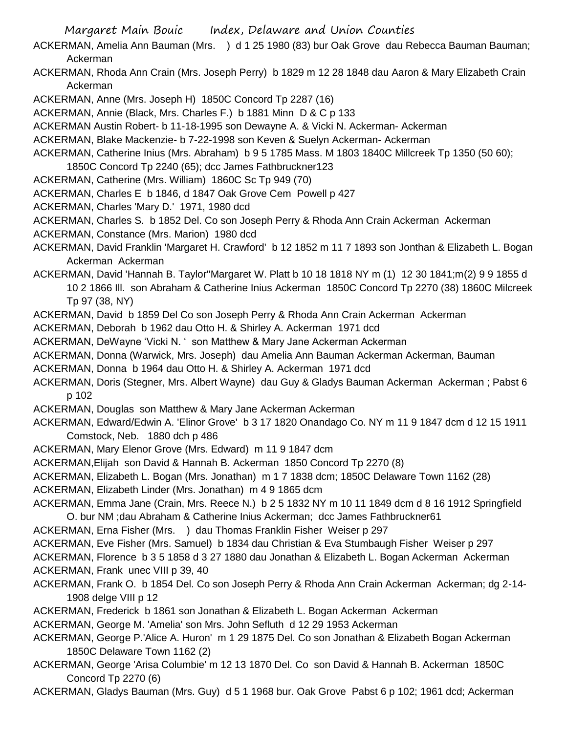- ACKERMAN, Amelia Ann Bauman (Mrs. ) d 1 25 1980 (83) bur Oak Grove dau Rebecca Bauman Bauman; Ackerman
- ACKERMAN, Rhoda Ann Crain (Mrs. Joseph Perry) b 1829 m 12 28 1848 dau Aaron & Mary Elizabeth Crain Ackerman

ACKERMAN, Anne (Mrs. Joseph H) 1850C Concord Tp 2287 (16)

ACKERMAN, Annie (Black, Mrs. Charles F.) b 1881 Minn D & C p 133

ACKERMAN Austin Robert- b 11-18-1995 son Dewayne A. & Vicki N. Ackerman- Ackerman

ACKERMAN, Blake Mackenzie- b 7-22-1998 son Keven & Suelyn Ackerman- Ackerman

- ACKERMAN, Catherine Inius (Mrs. Abraham) b 9 5 1785 Mass. M 1803 1840C Millcreek Tp 1350 (50 60); 1850C Concord Tp 2240 (65); dcc James Fathbruckner123
- ACKERMAN, Catherine (Mrs. William) 1860C Sc Tp 949 (70)
- ACKERMAN, Charles E b 1846, d 1847 Oak Grove Cem Powell p 427

ACKERMAN, Charles 'Mary D.' 1971, 1980 dcd

ACKERMAN, Charles S. b 1852 Del. Co son Joseph Perry & Rhoda Ann Crain Ackerman Ackerman

ACKERMAN, Constance (Mrs. Marion) 1980 dcd

ACKERMAN, David Franklin 'Margaret H. Crawford' b 12 1852 m 11 7 1893 son Jonthan & Elizabeth L. Bogan Ackerman Ackerman

ACKERMAN, David 'Hannah B. Taylor''Margaret W. Platt b 10 18 1818 NY m (1) 12 30 1841;m(2) 9 9 1855 d 10 2 1866 Ill. son Abraham & Catherine Inius Ackerman 1850C Concord Tp 2270 (38) 1860C Milcreek Tp 97 (38, NY)

ACKERMAN, David b 1859 Del Co son Joseph Perry & Rhoda Ann Crain Ackerman Ackerman

ACKERMAN, Deborah b 1962 dau Otto H. & Shirley A. Ackerman 1971 dcd

ACKERMAN, DeWayne 'Vicki N. ' son Matthew & Mary Jane Ackerman Ackerman

ACKERMAN, Donna (Warwick, Mrs. Joseph) dau Amelia Ann Bauman Ackerman Ackerman, Bauman

ACKERMAN, Donna b 1964 dau Otto H. & Shirley A. Ackerman 1971 dcd

ACKERMAN, Doris (Stegner, Mrs. Albert Wayne) dau Guy & Gladys Bauman Ackerman Ackerman ; Pabst 6 p 102

ACKERMAN, Douglas son Matthew & Mary Jane Ackerman Ackerman

- ACKERMAN, Edward/Edwin A. 'Elinor Grove' b 3 17 1820 Onandago Co. NY m 11 9 1847 dcm d 12 15 1911 Comstock, Neb. 1880 dch p 486
- ACKERMAN, Mary Elenor Grove (Mrs. Edward) m 11 9 1847 dcm
- ACKERMAN,Elijah son David & Hannah B. Ackerman 1850 Concord Tp 2270 (8)

ACKERMAN, Elizabeth L. Bogan (Mrs. Jonathan) m 1 7 1838 dcm; 1850C Delaware Town 1162 (28)

ACKERMAN, Elizabeth Linder (Mrs. Jonathan) m 4 9 1865 dcm

ACKERMAN, Emma Jane (Crain, Mrs. Reece N.) b 2 5 1832 NY m 10 11 1849 dcm d 8 16 1912 Springfield O. bur NM ;dau Abraham & Catherine Inius Ackerman; dcc James Fathbruckner61

ACKERMAN, Erna Fisher (Mrs. ) dau Thomas Franklin Fisher Weiser p 297

ACKERMAN, Eve Fisher (Mrs. Samuel) b 1834 dau Christian & Eva Stumbaugh Fisher Weiser p 297

ACKERMAN, Florence b 3 5 1858 d 3 27 1880 dau Jonathan & Elizabeth L. Bogan Ackerman Ackerman

ACKERMAN, Frank unec VIII p 39, 40

- ACKERMAN, Frank O. b 1854 Del. Co son Joseph Perry & Rhoda Ann Crain Ackerman Ackerman; dg 2-14- 1908 delge VIII p 12
- ACKERMAN, Frederick b 1861 son Jonathan & Elizabeth L. Bogan Ackerman Ackerman

ACKERMAN, George M. 'Amelia' son Mrs. John Sefluth d 12 29 1953 Ackerman

ACKERMAN, George P.'Alice A. Huron' m 1 29 1875 Del. Co son Jonathan & Elizabeth Bogan Ackerman 1850C Delaware Town 1162 (2)

ACKERMAN, George 'Arisa Columbie' m 12 13 1870 Del. Co son David & Hannah B. Ackerman 1850C Concord Tp 2270 (6)

ACKERMAN, Gladys Bauman (Mrs. Guy) d 5 1 1968 bur. Oak Grove Pabst 6 p 102; 1961 dcd; Ackerman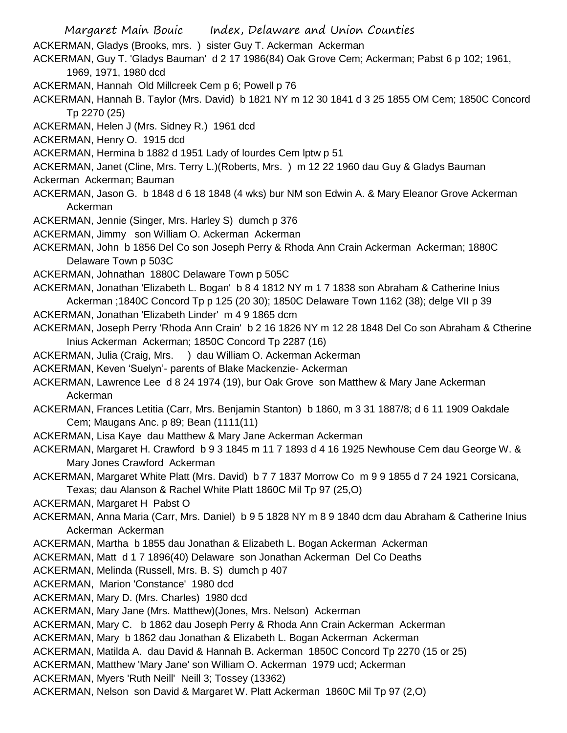Margaret Main Bouic Index, Delaware and Union Counties ACKERMAN, Gladys (Brooks, mrs. ) sister Guy T. Ackerman Ackerman ACKERMAN, Guy T. 'Gladys Bauman' d 2 17 1986(84) Oak Grove Cem; Ackerman; Pabst 6 p 102; 1961, 1969, 1971, 1980 dcd ACKERMAN, Hannah Old Millcreek Cem p 6; Powell p 76 ACKERMAN, Hannah B. Taylor (Mrs. David) b 1821 NY m 12 30 1841 d 3 25 1855 OM Cem; 1850C Concord Tp 2270 (25) ACKERMAN, Helen J (Mrs. Sidney R.) 1961 dcd ACKERMAN, Henry O. 1915 dcd ACKERMAN, Hermina b 1882 d 1951 Lady of lourdes Cem lptw p 51 ACKERMAN, Janet (Cline, Mrs. Terry L.)(Roberts, Mrs. ) m 12 22 1960 dau Guy & Gladys Bauman Ackerman Ackerman; Bauman ACKERMAN, Jason G. b 1848 d 6 18 1848 (4 wks) bur NM son Edwin A. & Mary Eleanor Grove Ackerman Ackerman ACKERMAN, Jennie (Singer, Mrs. Harley S) dumch p 376 ACKERMAN, Jimmy son William O. Ackerman Ackerman ACKERMAN, John b 1856 Del Co son Joseph Perry & Rhoda Ann Crain Ackerman Ackerman; 1880C Delaware Town p 503C ACKERMAN, Johnathan 1880C Delaware Town p 505C ACKERMAN, Jonathan 'Elizabeth L. Bogan' b 8 4 1812 NY m 1 7 1838 son Abraham & Catherine Inius Ackerman ;1840C Concord Tp p 125 (20 30); 1850C Delaware Town 1162 (38); delge VII p 39 ACKERMAN, Jonathan 'Elizabeth Linder' m 4 9 1865 dcm ACKERMAN, Joseph Perry 'Rhoda Ann Crain' b 2 16 1826 NY m 12 28 1848 Del Co son Abraham & Ctherine Inius Ackerman Ackerman; 1850C Concord Tp 2287 (16) ACKERMAN, Julia (Craig, Mrs. ) dau William O. Ackerman Ackerman ACKERMAN, Keven 'Suelyn'- parents of Blake Mackenzie- Ackerman ACKERMAN, Lawrence Lee d 8 24 1974 (19), bur Oak Grove son Matthew & Mary Jane Ackerman Ackerman ACKERMAN, Frances Letitia (Carr, Mrs. Benjamin Stanton) b 1860, m 3 31 1887/8; d 6 11 1909 Oakdale Cem; Maugans Anc. p 89; Bean (1111(11) ACKERMAN, Lisa Kaye dau Matthew & Mary Jane Ackerman Ackerman ACKERMAN, Margaret H. Crawford b 9 3 1845 m 11 7 1893 d 4 16 1925 Newhouse Cem dau George W. & Mary Jones Crawford Ackerman ACKERMAN, Margaret White Platt (Mrs. David) b 7 7 1837 Morrow Co m 9 9 1855 d 7 24 1921 Corsicana, Texas; dau Alanson & Rachel White Platt 1860C Mil Tp 97 (25,O) ACKERMAN, Margaret H Pabst O ACKERMAN, Anna Maria (Carr, Mrs. Daniel) b 9 5 1828 NY m 8 9 1840 dcm dau Abraham & Catherine Inius Ackerman Ackerman ACKERMAN, Martha b 1855 dau Jonathan & Elizabeth L. Bogan Ackerman Ackerman ACKERMAN, Matt d 1 7 1896(40) Delaware son Jonathan Ackerman Del Co Deaths ACKERMAN, Melinda (Russell, Mrs. B. S) dumch p 407 ACKERMAN, Marion 'Constance' 1980 dcd ACKERMAN, Mary D. (Mrs. Charles) 1980 dcd ACKERMAN, Mary Jane (Mrs. Matthew)(Jones, Mrs. Nelson) Ackerman ACKERMAN, Mary C. b 1862 dau Joseph Perry & Rhoda Ann Crain Ackerman Ackerman ACKERMAN, Mary b 1862 dau Jonathan & Elizabeth L. Bogan Ackerman Ackerman ACKERMAN, Matilda A. dau David & Hannah B. Ackerman 1850C Concord Tp 2270 (15 or 25) ACKERMAN, Matthew 'Mary Jane' son William O. Ackerman 1979 ucd; Ackerman ACKERMAN, Myers 'Ruth Neill' Neill 3; Tossey (13362) ACKERMAN, Nelson son David & Margaret W. Platt Ackerman 1860C Mil Tp 97 (2,O)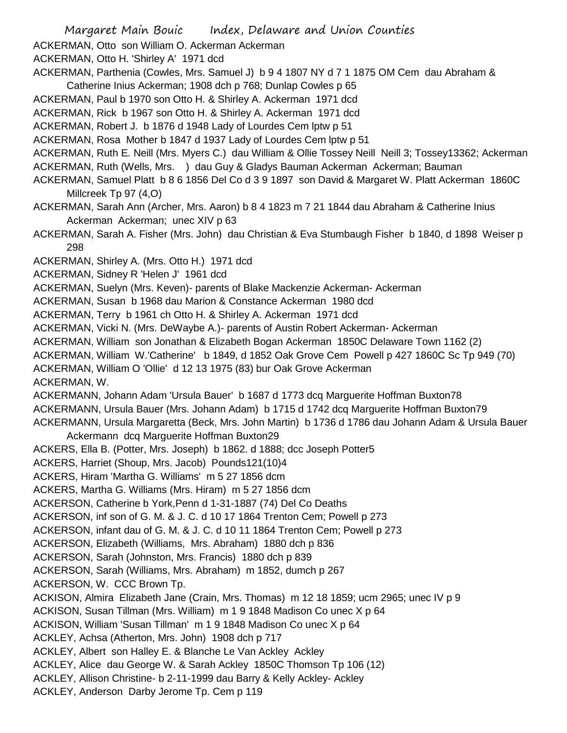Margaret Main Bouic Index, Delaware and Union Counties ACKERMAN, Otto son William O. Ackerman Ackerman ACKERMAN, Otto H. 'Shirley A' 1971 dcd ACKERMAN, Parthenia (Cowles, Mrs. Samuel J) b 9 4 1807 NY d 7 1 1875 OM Cem dau Abraham & Catherine Inius Ackerman; 1908 dch p 768; Dunlap Cowles p 65 ACKERMAN, Paul b 1970 son Otto H. & Shirley A. Ackerman 1971 dcd ACKERMAN, Rick b 1967 son Otto H. & Shirley A. Ackerman 1971 dcd ACKERMAN, Robert J. b 1876 d 1948 Lady of Lourdes Cem lptw p 51 ACKERMAN, Rosa Mother b 1847 d 1937 Lady of Lourdes Cem lptw p 51 ACKERMAN, Ruth E. Neill (Mrs. Myers C.) dau William & Ollie Tossey Neill Neill 3; Tossey13362; Ackerman ACKERMAN, Ruth (Wells, Mrs. ) dau Guy & Gladys Bauman Ackerman Ackerman; Bauman ACKERMAN, Samuel Platt b 8 6 1856 Del Co d 3 9 1897 son David & Margaret W. Platt Ackerman 1860C Millcreek Tp 97 (4,O) ACKERMAN, Sarah Ann (Archer, Mrs. Aaron) b 8 4 1823 m 7 21 1844 dau Abraham & Catherine Inius Ackerman Ackerman; unec XIV p 63 ACKERMAN, Sarah A. Fisher (Mrs. John) dau Christian & Eva Stumbaugh Fisher b 1840, d 1898 Weiser p 298 ACKERMAN, Shirley A. (Mrs. Otto H.) 1971 dcd ACKERMAN, Sidney R 'Helen J' 1961 dcd ACKERMAN, Suelyn (Mrs. Keven)- parents of Blake Mackenzie Ackerman- Ackerman ACKERMAN, Susan b 1968 dau Marion & Constance Ackerman 1980 dcd ACKERMAN, Terry b 1961 ch Otto H. & Shirley A. Ackerman 1971 dcd ACKERMAN, Vicki N. (Mrs. DeWaybe A.)- parents of Austin Robert Ackerman- Ackerman ACKERMAN, William son Jonathan & Elizabeth Bogan Ackerman 1850C Delaware Town 1162 (2) ACKERMAN, William W.'Catherine' b 1849, d 1852 Oak Grove Cem Powell p 427 1860C Sc Tp 949 (70) ACKERMAN, William O 'Ollie' d 12 13 1975 (83) bur Oak Grove Ackerman

ACKERMAN, W.

ACKERMANN, Johann Adam 'Ursula Bauer' b 1687 d 1773 dcq Marguerite Hoffman Buxton78 ACKERMANN, Ursula Bauer (Mrs. Johann Adam) b 1715 d 1742 dcq Marguerite Hoffman Buxton79 ACKERMANN, Ursula Margaretta (Beck, Mrs. John Martin) b 1736 d 1786 dau Johann Adam & Ursula Bauer Ackermann dcq Marguerite Hoffman Buxton29

ACKERS, Ella B. (Potter, Mrs. Joseph) b 1862. d 1888; dcc Joseph Potter5

ACKERS, Harriet (Shoup, Mrs. Jacob) Pounds121(10)4

ACKERS, Hiram 'Martha G. Williams' m 5 27 1856 dcm

ACKERS, Martha G. Williams (Mrs. Hiram) m 5 27 1856 dcm

ACKERSON, Catherine b York,Penn d 1-31-1887 (74) Del Co Deaths

ACKERSON, inf son of G. M. & J. C. d 10 17 1864 Trenton Cem; Powell p 273

ACKERSON, infant dau of G. M. & J. C. d 10 11 1864 Trenton Cem; Powell p 273

ACKERSON, Elizabeth (Williams, Mrs. Abraham) 1880 dch p 836

ACKERSON, Sarah (Johnston, Mrs. Francis) 1880 dch p 839

ACKERSON, Sarah (Williams, Mrs. Abraham) m 1852, dumch p 267

ACKERSON, W. CCC Brown Tp.

ACKISON, Almira Elizabeth Jane (Crain, Mrs. Thomas) m 12 18 1859; ucm 2965; unec IV p 9

ACKISON, Susan Tillman (Mrs. William) m 1 9 1848 Madison Co unec X p 64

ACKISON, William 'Susan Tillman' m 1 9 1848 Madison Co unec X p 64

ACKLEY, Achsa (Atherton, Mrs. John) 1908 dch p 717

ACKLEY, Albert son Halley E. & Blanche Le Van Ackley Ackley

ACKLEY, Alice dau George W. & Sarah Ackley 1850C Thomson Tp 106 (12)

ACKLEY, Allison Christine- b 2-11-1999 dau Barry & Kelly Ackley- Ackley

ACKLEY, Anderson Darby Jerome Tp. Cem p 119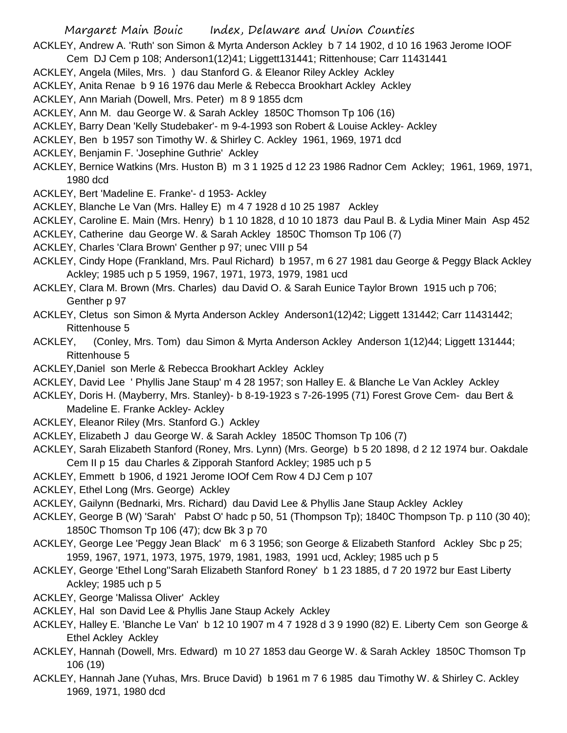ACKLEY, Andrew A. 'Ruth' son Simon & Myrta Anderson Ackley b 7 14 1902, d 10 16 1963 Jerome IOOF

- Cem DJ Cem p 108; Anderson1(12)41; Liggett131441; Rittenhouse; Carr 11431441
- ACKLEY, Angela (Miles, Mrs. ) dau Stanford G. & Eleanor Riley Ackley Ackley
- ACKLEY, Anita Renae b 9 16 1976 dau Merle & Rebecca Brookhart Ackley Ackley

ACKLEY, Ann Mariah (Dowell, Mrs. Peter) m 8 9 1855 dcm

- ACKLEY, Ann M. dau George W. & Sarah Ackley 1850C Thomson Tp 106 (16)
- ACKLEY, Barry Dean 'Kelly Studebaker'- m 9-4-1993 son Robert & Louise Ackley- Ackley
- ACKLEY, Ben b 1957 son Timothy W. & Shirley C. Ackley 1961, 1969, 1971 dcd
- ACKLEY, Benjamin F. 'Josephine Guthrie' Ackley
- ACKLEY, Bernice Watkins (Mrs. Huston B) m 3 1 1925 d 12 23 1986 Radnor Cem Ackley; 1961, 1969, 1971, 1980 dcd
- ACKLEY, Bert 'Madeline E. Franke'- d 1953- Ackley
- ACKLEY, Blanche Le Van (Mrs. Halley E) m 4 7 1928 d 10 25 1987 Ackley
- ACKLEY, Caroline E. Main (Mrs. Henry) b 1 10 1828, d 10 10 1873 dau Paul B. & Lydia Miner Main Asp 452
- ACKLEY, Catherine dau George W. & Sarah Ackley 1850C Thomson Tp 106 (7)
- ACKLEY, Charles 'Clara Brown' Genther p 97; unec VIII p 54
- ACKLEY, Cindy Hope (Frankland, Mrs. Paul Richard) b 1957, m 6 27 1981 dau George & Peggy Black Ackley Ackley; 1985 uch p 5 1959, 1967, 1971, 1973, 1979, 1981 ucd
- ACKLEY, Clara M. Brown (Mrs. Charles) dau David O. & Sarah Eunice Taylor Brown 1915 uch p 706; Genther p 97
- ACKLEY, Cletus son Simon & Myrta Anderson Ackley Anderson1(12)42; Liggett 131442; Carr 11431442; Rittenhouse 5
- ACKLEY, (Conley, Mrs. Tom) dau Simon & Myrta Anderson Ackley Anderson 1(12)44; Liggett 131444; Rittenhouse 5
- ACKLEY,Daniel son Merle & Rebecca Brookhart Ackley Ackley
- ACKLEY, David Lee ' Phyllis Jane Staup' m 4 28 1957; son Halley E. & Blanche Le Van Ackley Ackley
- ACKLEY, Doris H. (Mayberry, Mrs. Stanley)- b 8-19-1923 s 7-26-1995 (71) Forest Grove Cem- dau Bert & Madeline E. Franke Ackley- Ackley
- ACKLEY, Eleanor Riley (Mrs. Stanford G.) Ackley
- ACKLEY, Elizabeth J dau George W. & Sarah Ackley 1850C Thomson Tp 106 (7)
- ACKLEY, Sarah Elizabeth Stanford (Roney, Mrs. Lynn) (Mrs. George) b 5 20 1898, d 2 12 1974 bur. Oakdale Cem II p 15 dau Charles & Zipporah Stanford Ackley; 1985 uch p 5
- ACKLEY, Emmett b 1906, d 1921 Jerome IOOf Cem Row 4 DJ Cem p 107
- ACKLEY, Ethel Long (Mrs. George) Ackley
- ACKLEY, Gailynn (Bednarki, Mrs. Richard) dau David Lee & Phyllis Jane Staup Ackley Ackley
- ACKLEY, George B (W) 'Sarah' Pabst O' hadc p 50, 51 (Thompson Tp); 1840C Thompson Tp. p 110 (30 40); 1850C Thomson Tp 106 (47); dcw Bk 3 p 70
- ACKLEY, George Lee 'Peggy Jean Black' m 6 3 1956; son George & Elizabeth Stanford Ackley Sbc p 25; 1959, 1967, 1971, 1973, 1975, 1979, 1981, 1983, 1991 ucd, Ackley; 1985 uch p 5
- ACKLEY, George 'Ethel Long''Sarah Elizabeth Stanford Roney' b 1 23 1885, d 7 20 1972 bur East Liberty Ackley; 1985 uch p 5
- ACKLEY, George 'Malissa Oliver' Ackley
- ACKLEY, Hal son David Lee & Phyllis Jane Staup Ackely Ackley
- ACKLEY, Halley E. 'Blanche Le Van' b 12 10 1907 m 4 7 1928 d 3 9 1990 (82) E. Liberty Cem son George & Ethel Ackley Ackley
- ACKLEY, Hannah (Dowell, Mrs. Edward) m 10 27 1853 dau George W. & Sarah Ackley 1850C Thomson Tp 106 (19)
- ACKLEY, Hannah Jane (Yuhas, Mrs. Bruce David) b 1961 m 7 6 1985 dau Timothy W. & Shirley C. Ackley 1969, 1971, 1980 dcd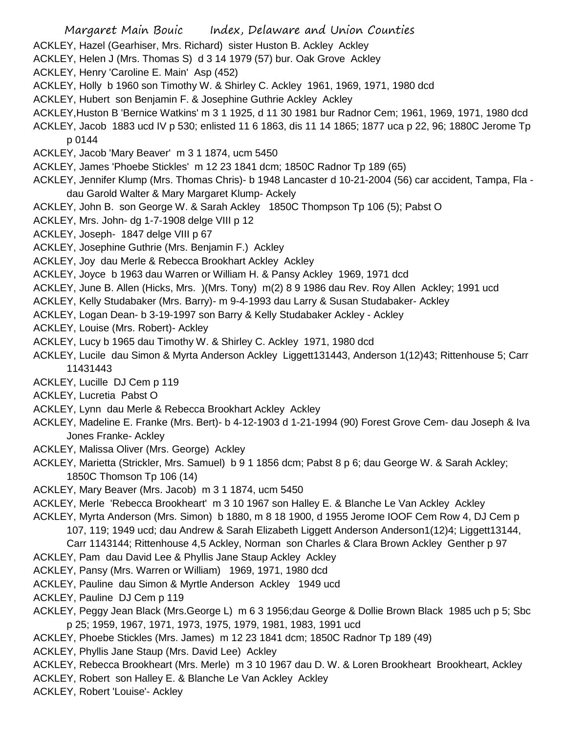- Margaret Main Bouic Index, Delaware and Union Counties
- ACKLEY, Hazel (Gearhiser, Mrs. Richard) sister Huston B. Ackley Ackley
- ACKLEY, Helen J (Mrs. Thomas S) d 3 14 1979 (57) bur. Oak Grove Ackley
- ACKLEY, Henry 'Caroline E. Main' Asp (452)
- ACKLEY, Holly b 1960 son Timothy W. & Shirley C. Ackley 1961, 1969, 1971, 1980 dcd
- ACKLEY, Hubert son Benjamin F. & Josephine Guthrie Ackley Ackley
- ACKLEY,Huston B 'Bernice Watkins' m 3 1 1925, d 11 30 1981 bur Radnor Cem; 1961, 1969, 1971, 1980 dcd
- ACKLEY, Jacob 1883 ucd IV p 530; enlisted 11 6 1863, dis 11 14 1865; 1877 uca p 22, 96; 1880C Jerome Tp p 0144
- ACKLEY, Jacob 'Mary Beaver' m 3 1 1874, ucm 5450
- ACKLEY, James 'Phoebe Stickles' m 12 23 1841 dcm; 1850C Radnor Tp 189 (65)
- ACKLEY, Jennifer Klump (Mrs. Thomas Chris)- b 1948 Lancaster d 10-21-2004 (56) car accident, Tampa, Fla dau Garold Walter & Mary Margaret Klump- Ackely
- ACKLEY, John B. son George W. & Sarah Ackley 1850C Thompson Tp 106 (5); Pabst O
- ACKLEY, Mrs. John- dg 1-7-1908 delge VIII p 12
- ACKLEY, Joseph- 1847 delge VIII p 67
- ACKLEY, Josephine Guthrie (Mrs. Benjamin F.) Ackley
- ACKLEY, Joy dau Merle & Rebecca Brookhart Ackley Ackley
- ACKLEY, Joyce b 1963 dau Warren or William H. & Pansy Ackley 1969, 1971 dcd
- ACKLEY, June B. Allen (Hicks, Mrs. )(Mrs. Tony) m(2) 8 9 1986 dau Rev. Roy Allen Ackley; 1991 ucd
- ACKLEY, Kelly Studabaker (Mrs. Barry)- m 9-4-1993 dau Larry & Susan Studabaker- Ackley
- ACKLEY, Logan Dean- b 3-19-1997 son Barry & Kelly Studabaker Ackley Ackley
- ACKLEY, Louise (Mrs. Robert)- Ackley
- ACKLEY, Lucy b 1965 dau Timothy W. & Shirley C. Ackley 1971, 1980 dcd
- ACKLEY, Lucile dau Simon & Myrta Anderson Ackley Liggett131443, Anderson 1(12)43; Rittenhouse 5; Carr 11431443
- ACKLEY, Lucille DJ Cem p 119
- ACKLEY, Lucretia Pabst O
- ACKLEY, Lynn dau Merle & Rebecca Brookhart Ackley Ackley
- ACKLEY, Madeline E. Franke (Mrs. Bert)- b 4-12-1903 d 1-21-1994 (90) Forest Grove Cem- dau Joseph & Iva Jones Franke- Ackley
- ACKLEY, Malissa Oliver (Mrs. George) Ackley
- ACKLEY, Marietta (Strickler, Mrs. Samuel) b 9 1 1856 dcm; Pabst 8 p 6; dau George W. & Sarah Ackley; 1850C Thomson Tp 106 (14)
- ACKLEY, Mary Beaver (Mrs. Jacob) m 3 1 1874, ucm 5450
- ACKLEY, Merle 'Rebecca Brookheart' m 3 10 1967 son Halley E. & Blanche Le Van Ackley Ackley
- ACKLEY, Myrta Anderson (Mrs. Simon) b 1880, m 8 18 1900, d 1955 Jerome IOOF Cem Row 4, DJ Cem p 107, 119; 1949 ucd; dau Andrew & Sarah Elizabeth Liggett Anderson Anderson1(12)4; Liggett13144, Carr 1143144; Rittenhouse 4,5 Ackley, Norman son Charles & Clara Brown Ackley Genther p 97
- ACKLEY, Pam dau David Lee & Phyllis Jane Staup Ackley Ackley
- ACKLEY, Pansy (Mrs. Warren or William) 1969, 1971, 1980 dcd
- ACKLEY, Pauline dau Simon & Myrtle Anderson Ackley 1949 ucd
- ACKLEY, Pauline DJ Cem p 119
- ACKLEY, Peggy Jean Black (Mrs.George L) m 6 3 1956;dau George & Dollie Brown Black 1985 uch p 5; Sbc p 25; 1959, 1967, 1971, 1973, 1975, 1979, 1981, 1983, 1991 ucd
- ACKLEY, Phoebe Stickles (Mrs. James) m 12 23 1841 dcm; 1850C Radnor Tp 189 (49)
- ACKLEY, Phyllis Jane Staup (Mrs. David Lee) Ackley
- ACKLEY, Rebecca Brookheart (Mrs. Merle) m 3 10 1967 dau D. W. & Loren Brookheart Brookheart, Ackley
- ACKLEY, Robert son Halley E. & Blanche Le Van Ackley Ackley
- ACKLEY, Robert 'Louise'- Ackley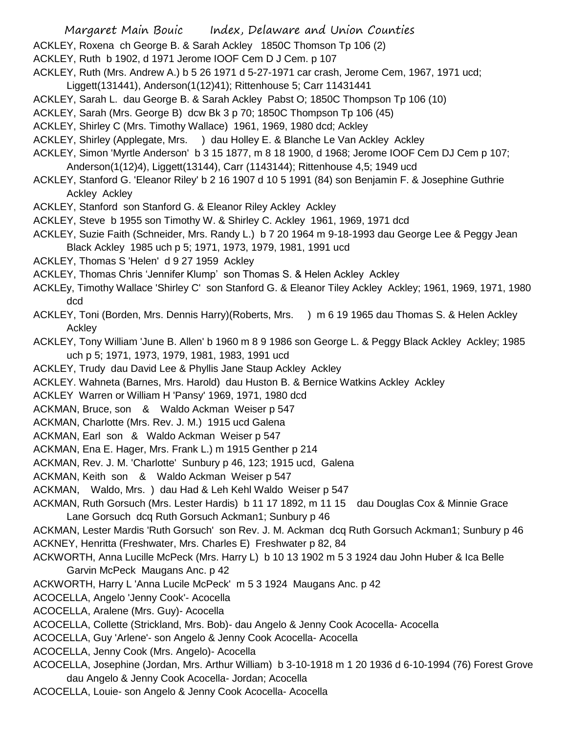- Margaret Main Bouic Index, Delaware and Union Counties
- ACKLEY, Roxena ch George B. & Sarah Ackley 1850C Thomson Tp 106 (2)
- ACKLEY, Ruth b 1902, d 1971 Jerome IOOF Cem D J Cem. p 107
- ACKLEY, Ruth (Mrs. Andrew A.) b 5 26 1971 d 5-27-1971 car crash, Jerome Cem, 1967, 1971 ucd;
- Liggett(131441), Anderson(1(12)41); Rittenhouse 5; Carr 11431441
- ACKLEY, Sarah L. dau George B. & Sarah Ackley Pabst O; 1850C Thompson Tp 106 (10)
- ACKLEY, Sarah (Mrs. George B) dcw Bk 3 p 70; 1850C Thompson Tp 106 (45)
- ACKLEY, Shirley C (Mrs. Timothy Wallace) 1961, 1969, 1980 dcd; Ackley
- ACKLEY, Shirley (Applegate, Mrs. ) dau Holley E. & Blanche Le Van Ackley Ackley
- ACKLEY, Simon 'Myrtle Anderson' b 3 15 1877, m 8 18 1900, d 1968; Jerome IOOF Cem DJ Cem p 107; Anderson(1(12)4), Liggett(13144), Carr (1143144); Rittenhouse 4,5; 1949 ucd
- ACKLEY, Stanford G. 'Eleanor Riley' b 2 16 1907 d 10 5 1991 (84) son Benjamin F. & Josephine Guthrie Ackley Ackley
- ACKLEY, Stanford son Stanford G. & Eleanor Riley Ackley Ackley
- ACKLEY, Steve b 1955 son Timothy W. & Shirley C. Ackley 1961, 1969, 1971 dcd
- ACKLEY, Suzie Faith (Schneider, Mrs. Randy L.) b 7 20 1964 m 9-18-1993 dau George Lee & Peggy Jean Black Ackley 1985 uch p 5; 1971, 1973, 1979, 1981, 1991 ucd
- ACKLEY, Thomas S 'Helen' d 9 27 1959 Ackley
- ACKLEY, Thomas Chris 'Jennifer Klump' son Thomas S. & Helen Ackley Ackley
- ACKLEy, Timothy Wallace 'Shirley C' son Stanford G. & Eleanor Tiley Ackley Ackley; 1961, 1969, 1971, 1980 dcd
- ACKLEY, Toni (Borden, Mrs. Dennis Harry)(Roberts, Mrs. ) m 6 19 1965 dau Thomas S. & Helen Ackley **Ackley**
- ACKLEY, Tony William 'June B. Allen' b 1960 m 8 9 1986 son George L. & Peggy Black Ackley Ackley; 1985 uch p 5; 1971, 1973, 1979, 1981, 1983, 1991 ucd
- ACKLEY, Trudy dau David Lee & Phyllis Jane Staup Ackley Ackley
- ACKLEY. Wahneta (Barnes, Mrs. Harold) dau Huston B. & Bernice Watkins Ackley Ackley
- ACKLEY Warren or William H 'Pansy' 1969, 1971, 1980 dcd
- ACKMAN, Bruce, son & Waldo Ackman Weiser p 547
- ACKMAN, Charlotte (Mrs. Rev. J. M.) 1915 ucd Galena
- ACKMAN, Earl son & Waldo Ackman Weiser p 547
- ACKMAN, Ena E. Hager, Mrs. Frank L.) m 1915 Genther p 214
- ACKMAN, Rev. J. M. 'Charlotte' Sunbury p 46, 123; 1915 ucd, Galena
- ACKMAN, Keith son & Waldo Ackman Weiser p 547
- ACKMAN, Waldo, Mrs. ) dau Had & Leh Kehl Waldo Weiser p 547
- ACKMAN, Ruth Gorsuch (Mrs. Lester Hardis) b 11 17 1892, m 11 15 dau Douglas Cox & Minnie Grace Lane Gorsuch dcq Ruth Gorsuch Ackman1; Sunbury p 46
- ACKMAN, Lester Mardis 'Ruth Gorsuch' son Rev. J. M. Ackman dcq Ruth Gorsuch Ackman1; Sunbury p 46 ACKNEY, Henritta (Freshwater, Mrs. Charles E) Freshwater p 82, 84
- ACKWORTH, Anna Lucille McPeck (Mrs. Harry L) b 10 13 1902 m 5 3 1924 dau John Huber & Ica Belle Garvin McPeck Maugans Anc. p 42
- ACKWORTH, Harry L 'Anna Lucile McPeck' m 5 3 1924 Maugans Anc. p 42
- ACOCELLA, Angelo 'Jenny Cook'- Acocella
- ACOCELLA, Aralene (Mrs. Guy)- Acocella
- ACOCELLA, Collette (Strickland, Mrs. Bob)- dau Angelo & Jenny Cook Acocella- Acocella
- ACOCELLA, Guy 'Arlene'- son Angelo & Jenny Cook Acocella- Acocella
- ACOCELLA, Jenny Cook (Mrs. Angelo)- Acocella
- ACOCELLA, Josephine (Jordan, Mrs. Arthur William) b 3-10-1918 m 1 20 1936 d 6-10-1994 (76) Forest Grove dau Angelo & Jenny Cook Acocella- Jordan; Acocella
- ACOCELLA, Louie- son Angelo & Jenny Cook Acocella- Acocella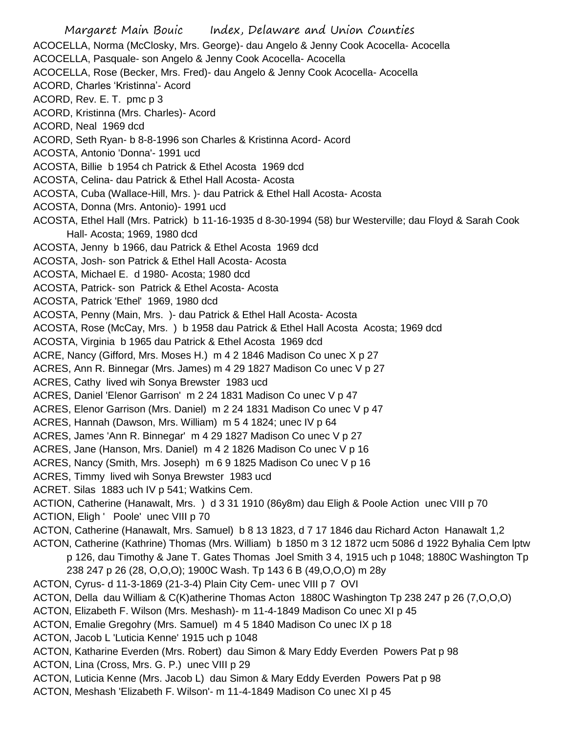Margaret Main Bouic Index, Delaware and Union Counties ACOCELLA, Norma (McClosky, Mrs. George)- dau Angelo & Jenny Cook Acocella- Acocella ACOCELLA, Pasquale- son Angelo & Jenny Cook Acocella- Acocella ACOCELLA, Rose (Becker, Mrs. Fred)- dau Angelo & Jenny Cook Acocella- Acocella ACORD, Charles 'Kristinna'- Acord ACORD, Rev. E. T. pmc p 3 ACORD, Kristinna (Mrs. Charles)- Acord ACORD, Neal 1969 dcd ACORD, Seth Ryan- b 8-8-1996 son Charles & Kristinna Acord- Acord ACOSTA, Antonio 'Donna'- 1991 ucd ACOSTA, Billie b 1954 ch Patrick & Ethel Acosta 1969 dcd ACOSTA, Celina- dau Patrick & Ethel Hall Acosta- Acosta ACOSTA, Cuba (Wallace-Hill, Mrs. )- dau Patrick & Ethel Hall Acosta- Acosta ACOSTA, Donna (Mrs. Antonio)- 1991 ucd ACOSTA, Ethel Hall (Mrs. Patrick) b 11-16-1935 d 8-30-1994 (58) bur Westerville; dau Floyd & Sarah Cook Hall- Acosta; 1969, 1980 dcd ACOSTA, Jenny b 1966, dau Patrick & Ethel Acosta 1969 dcd ACOSTA, Josh- son Patrick & Ethel Hall Acosta- Acosta ACOSTA, Michael E. d 1980- Acosta; 1980 dcd ACOSTA, Patrick- son Patrick & Ethel Acosta- Acosta ACOSTA, Patrick 'Ethel' 1969, 1980 dcd ACOSTA, Penny (Main, Mrs. )- dau Patrick & Ethel Hall Acosta- Acosta ACOSTA, Rose (McCay, Mrs. ) b 1958 dau Patrick & Ethel Hall Acosta Acosta; 1969 dcd ACOSTA, Virginia b 1965 dau Patrick & Ethel Acosta 1969 dcd ACRE, Nancy (Gifford, Mrs. Moses H.) m 4 2 1846 Madison Co unec X p 27 ACRES, Ann R. Binnegar (Mrs. James) m 4 29 1827 Madison Co unec V p 27 ACRES, Cathy lived wih Sonya Brewster 1983 ucd ACRES, Daniel 'Elenor Garrison' m 2 24 1831 Madison Co unec V p 47 ACRES, Elenor Garrison (Mrs. Daniel) m 2 24 1831 Madison Co unec V p 47 ACRES, Hannah (Dawson, Mrs. William) m 5 4 1824; unec IV p 64 ACRES, James 'Ann R. Binnegar' m 4 29 1827 Madison Co unec V p 27 ACRES, Jane (Hanson, Mrs. Daniel) m 4 2 1826 Madison Co unec V p 16 ACRES, Nancy (Smith, Mrs. Joseph) m 6 9 1825 Madison Co unec V p 16 ACRES, Timmy lived wih Sonya Brewster 1983 ucd ACRET. Silas 1883 uch IV p 541; Watkins Cem. ACTION, Catherine (Hanawalt, Mrs. ) d 3 31 1910 (86y8m) dau Eligh & Poole Action unec VIII p 70 ACTION, Eligh ' Poole' unec VIII p 70 ACTON, Catherine (Hanawalt, Mrs. Samuel) b 8 13 1823, d 7 17 1846 dau Richard Acton Hanawalt 1,2 ACTON, Catherine (Kathrine) Thomas (Mrs. William) b 1850 m 3 12 1872 ucm 5086 d 1922 Byhalia Cem lptw p 126, dau Timothy & Jane T. Gates Thomas Joel Smith 3 4, 1915 uch p 1048; 1880C Washington Tp 238 247 p 26 (28, O,O,O); 1900C Wash. Tp 143 6 B (49,O,O,O) m 28y ACTON, Cyrus- d 11-3-1869 (21-3-4) Plain City Cem- unec VIII p 7 OVI ACTON, Della dau William & C(K)atherine Thomas Acton 1880C Washington Tp 238 247 p 26 (7,O,O,O) ACTON, Elizabeth F. Wilson (Mrs. Meshash)- m 11-4-1849 Madison Co unec XI p 45 ACTON, Emalie Gregohry (Mrs. Samuel) m 4 5 1840 Madison Co unec IX p 18 ACTON, Jacob L 'Luticia Kenne' 1915 uch p 1048 ACTON, Katharine Everden (Mrs. Robert) dau Simon & Mary Eddy Everden Powers Pat p 98 ACTON, Lina (Cross, Mrs. G. P.) unec VIII p 29 ACTON, Luticia Kenne (Mrs. Jacob L) dau Simon & Mary Eddy Everden Powers Pat p 98 ACTON, Meshash 'Elizabeth F. Wilson'- m 11-4-1849 Madison Co unec XI p 45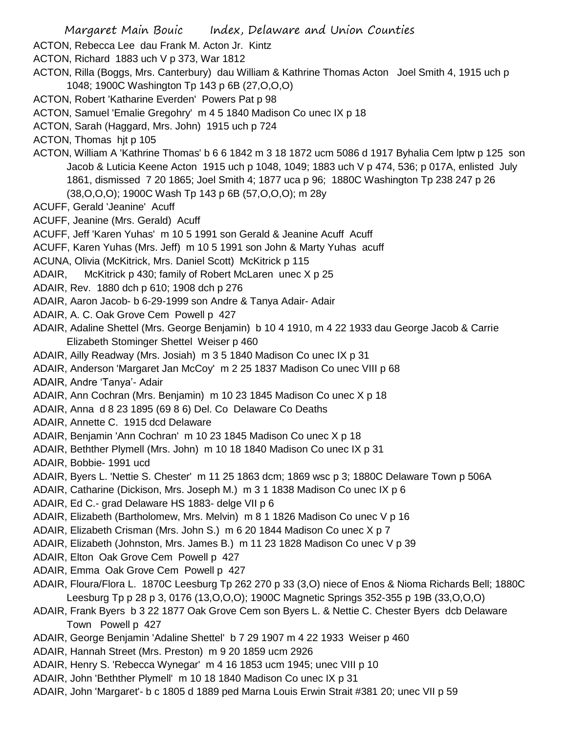Margaret Main Bouic Index, Delaware and Union Counties ACTON, Rebecca Lee dau Frank M. Acton Jr. Kintz ACTON, Richard 1883 uch V p 373, War 1812 ACTON, Rilla (Boggs, Mrs. Canterbury) dau William & Kathrine Thomas Acton Joel Smith 4, 1915 uch p 1048; 1900C Washington Tp 143 p 6B (27,O,O,O) ACTON, Robert 'Katharine Everden' Powers Pat p 98 ACTON, Samuel 'Emalie Gregohry' m 4 5 1840 Madison Co unec IX p 18 ACTON, Sarah (Haggard, Mrs. John) 1915 uch p 724 ACTON, Thomas hjt p 105 ACTON, William A 'Kathrine Thomas' b 6 6 1842 m 3 18 1872 ucm 5086 d 1917 Byhalia Cem lptw p 125 son Jacob & Luticia Keene Acton 1915 uch p 1048, 1049; 1883 uch V p 474, 536; p 017A, enlisted July 1861, dismissed 7 20 1865; Joel Smith 4; 1877 uca p 96; 1880C Washington Tp 238 247 p 26 (38,O,O,O); 1900C Wash Tp 143 p 6B (57,O,O,O); m 28y ACUFF, Gerald 'Jeanine' Acuff ACUFF, Jeanine (Mrs. Gerald) Acuff ACUFF, Jeff 'Karen Yuhas' m 10 5 1991 son Gerald & Jeanine Acuff Acuff ACUFF, Karen Yuhas (Mrs. Jeff) m 10 5 1991 son John & Marty Yuhas acuff ACUNA, Olivia (McKitrick, Mrs. Daniel Scott) McKitrick p 115 ADAIR, McKitrick p 430; family of Robert McLaren unec X p 25 ADAIR, Rev. 1880 dch p 610; 1908 dch p 276 ADAIR, Aaron Jacob- b 6-29-1999 son Andre & Tanya Adair- Adair ADAIR, A. C. Oak Grove Cem Powell p 427 ADAIR, Adaline Shettel (Mrs. George Benjamin) b 10 4 1910, m 4 22 1933 dau George Jacob & Carrie Elizabeth Stominger Shettel Weiser p 460 ADAIR, Ailly Readway (Mrs. Josiah) m 3 5 1840 Madison Co unec IX p 31 ADAIR, Anderson 'Margaret Jan McCoy' m 2 25 1837 Madison Co unec VIII p 68 ADAIR, Andre 'Tanya'- Adair ADAIR, Ann Cochran (Mrs. Benjamin) m 10 23 1845 Madison Co unec X p 18 ADAIR, Anna d 8 23 1895 (69 8 6) Del. Co Delaware Co Deaths ADAIR, Annette C. 1915 dcd Delaware ADAIR, Benjamin 'Ann Cochran' m 10 23 1845 Madison Co unec X p 18 ADAIR, Bethther Plymell (Mrs. John) m 10 18 1840 Madison Co unec IX p 31 ADAIR, Bobbie- 1991 ucd ADAIR, Byers L. 'Nettie S. Chester' m 11 25 1863 dcm; 1869 wsc p 3; 1880C Delaware Town p 506A ADAIR, Catharine (Dickison, Mrs. Joseph M.) m 3 1 1838 Madison Co unec IX p 6 ADAIR, Ed C.- grad Delaware HS 1883- delge VII p 6 ADAIR, Elizabeth (Bartholomew, Mrs. Melvin) m 8 1 1826 Madison Co unec V p 16 ADAIR, Elizabeth Crisman (Mrs. John S.) m 6 20 1844 Madison Co unec X p 7 ADAIR, Elizabeth (Johnston, Mrs. James B.) m 11 23 1828 Madison Co unec V p 39 ADAIR, Elton Oak Grove Cem Powell p 427 ADAIR, Emma Oak Grove Cem Powell p 427 ADAIR, Floura/Flora L. 1870C Leesburg Tp 262 270 p 33 (3,O) niece of Enos & Nioma Richards Bell; 1880C Leesburg Tp p 28 p 3, 0176 (13,O,O,O); 1900C Magnetic Springs 352-355 p 19B (33,O,O,O) ADAIR, Frank Byers b 3 22 1877 Oak Grove Cem son Byers L. & Nettie C. Chester Byers dcb Delaware Town Powell p 427 ADAIR, George Benjamin 'Adaline Shettel' b 7 29 1907 m 4 22 1933 Weiser p 460 ADAIR, Hannah Street (Mrs. Preston) m 9 20 1859 ucm 2926 ADAIR, Henry S. 'Rebecca Wynegar' m 4 16 1853 ucm 1945; unec VIII p 10 ADAIR, John 'Bethther Plymell' m 10 18 1840 Madison Co unec IX p 31 ADAIR, John 'Margaret'- b c 1805 d 1889 ped Marna Louis Erwin Strait #381 20; unec VII p 59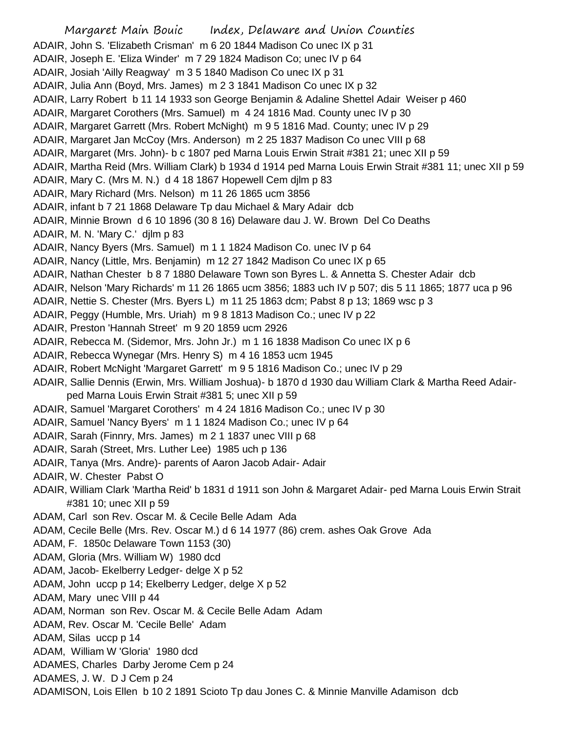Margaret Main Bouic Index, Delaware and Union Counties ADAIR, John S. 'Elizabeth Crisman' m 6 20 1844 Madison Co unec IX p 31 ADAIR, Joseph E. 'Eliza Winder' m 7 29 1824 Madison Co; unec IV p 64 ADAIR, Josiah 'Ailly Reagway' m 3 5 1840 Madison Co unec IX p 31 ADAIR, Julia Ann (Boyd, Mrs. James) m 2 3 1841 Madison Co unec IX p 32 ADAIR, Larry Robert b 11 14 1933 son George Benjamin & Adaline Shettel Adair Weiser p 460 ADAIR, Margaret Corothers (Mrs. Samuel) m 4 24 1816 Mad. County unec IV p 30 ADAIR, Margaret Garrett (Mrs. Robert McNight) m 9 5 1816 Mad. County; unec IV p 29 ADAIR, Margaret Jan McCoy (Mrs. Anderson) m 2 25 1837 Madison Co unec VIII p 68 ADAIR, Margaret (Mrs. John)- b c 1807 ped Marna Louis Erwin Strait #381 21; unec XII p 59 ADAIR, Martha Reid (Mrs. William Clark) b 1934 d 1914 ped Marna Louis Erwin Strait #381 11; unec XII p 59 ADAIR, Mary C. (Mrs M. N.) d 4 18 1867 Hopewell Cem djlm p 83 ADAIR, Mary Richard (Mrs. Nelson) m 11 26 1865 ucm 3856 ADAIR, infant b 7 21 1868 Delaware Tp dau Michael & Mary Adair dcb ADAIR, Minnie Brown d 6 10 1896 (30 8 16) Delaware dau J. W. Brown Del Co Deaths ADAIR, M. N. 'Mary C.' djlm p 83 ADAIR, Nancy Byers (Mrs. Samuel) m 1 1 1824 Madison Co. unec IV p 64 ADAIR, Nancy (Little, Mrs. Benjamin) m 12 27 1842 Madison Co unec IX p 65 ADAIR, Nathan Chester b 8 7 1880 Delaware Town son Byres L. & Annetta S. Chester Adair dcb ADAIR, Nelson 'Mary Richards' m 11 26 1865 ucm 3856; 1883 uch IV p 507; dis 5 11 1865; 1877 uca p 96 ADAIR, Nettie S. Chester (Mrs. Byers L) m 11 25 1863 dcm; Pabst 8 p 13; 1869 wsc p 3 ADAIR, Peggy (Humble, Mrs. Uriah) m 9 8 1813 Madison Co.; unec IV p 22 ADAIR, Preston 'Hannah Street' m 9 20 1859 ucm 2926 ADAIR, Rebecca M. (Sidemor, Mrs. John Jr.) m 1 16 1838 Madison Co unec IX p 6 ADAIR, Rebecca Wynegar (Mrs. Henry S) m 4 16 1853 ucm 1945 ADAIR, Robert McNight 'Margaret Garrett' m 9 5 1816 Madison Co.; unec IV p 29 ADAIR, Sallie Dennis (Erwin, Mrs. William Joshua)- b 1870 d 1930 dau William Clark & Martha Reed Adairped Marna Louis Erwin Strait #381 5; unec XII p 59 ADAIR, Samuel 'Margaret Corothers' m 4 24 1816 Madison Co.; unec IV p 30 ADAIR, Samuel 'Nancy Byers' m 1 1 1824 Madison Co.; unec IV p 64 ADAIR, Sarah (Finnry, Mrs. James) m 2 1 1837 unec VIII p 68 ADAIR, Sarah (Street, Mrs. Luther Lee) 1985 uch p 136 ADAIR, Tanya (Mrs. Andre)- parents of Aaron Jacob Adair- Adair ADAIR, W. Chester Pabst O ADAIR, William Clark 'Martha Reid' b 1831 d 1911 son John & Margaret Adair- ped Marna Louis Erwin Strait #381 10; unec XII p 59 ADAM, Carl son Rev. Oscar M. & Cecile Belle Adam Ada ADAM, Cecile Belle (Mrs. Rev. Oscar M.) d 6 14 1977 (86) crem. ashes Oak Grove Ada ADAM, F. 1850c Delaware Town 1153 (30) ADAM, Gloria (Mrs. William W) 1980 dcd ADAM, Jacob- Ekelberry Ledger- delge X p 52 ADAM, John uccp p 14; Ekelberry Ledger, delge X p 52 ADAM, Mary unec VIII p 44 ADAM, Norman son Rev. Oscar M. & Cecile Belle Adam Adam ADAM, Rev. Oscar M. 'Cecile Belle' Adam ADAM, Silas uccp p 14 ADAM, William W 'Gloria' 1980 dcd ADAMES, Charles Darby Jerome Cem p 24 ADAMES, J. W. D J Cem p 24 ADAMISON, Lois Ellen b 10 2 1891 Scioto Tp dau Jones C. & Minnie Manville Adamison dcb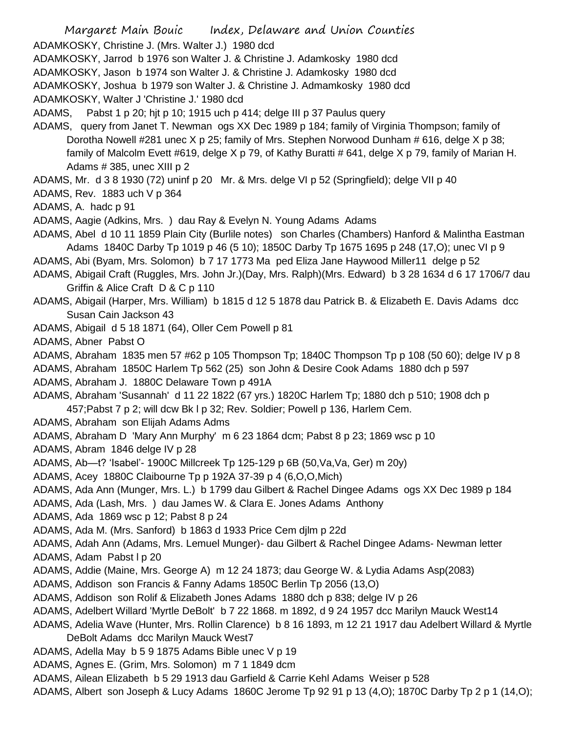Margaret Main Bouic Index, Delaware and Union Counties ADAMKOSKY, Christine J. (Mrs. Walter J.) 1980 dcd ADAMKOSKY, Jarrod b 1976 son Walter J. & Christine J. Adamkosky 1980 dcd ADAMKOSKY, Jason b 1974 son Walter J. & Christine J. Adamkosky 1980 dcd ADAMKOSKY, Joshua b 1979 son Walter J. & Christine J. Admamkosky 1980 dcd ADAMKOSKY, Walter J 'Christine J.' 1980 dcd ADAMS, Pabst 1 p 20; hjt p 10; 1915 uch p 414; delge III p 37 Paulus query ADAMS, query from Janet T. Newman ogs XX Dec 1989 p 184; family of Virginia Thompson; family of Dorotha Nowell #281 unec X p 25; family of Mrs. Stephen Norwood Dunham # 616, delge X p 38; family of Malcolm Evett #619, delge X p 79, of Kathy Buratti # 641, delge X p 79, family of Marian H. Adams # 385, unec XIII p 2 ADAMS, Mr. d 3 8 1930 (72) uninf p 20 Mr. & Mrs. delge VI p 52 (Springfield); delge VII p 40 ADAMS, Rev. 1883 uch V p 364 ADAMS, A. hadc p 91 ADAMS, Aagie (Adkins, Mrs. ) dau Ray & Evelyn N. Young Adams Adams ADAMS, Abel d 10 11 1859 Plain City (Burlile notes) son Charles (Chambers) Hanford & Malintha Eastman Adams 1840C Darby Tp 1019 p 46 (5 10); 1850C Darby Tp 1675 1695 p 248 (17,O); unec VI p 9 ADAMS, Abi (Byam, Mrs. Solomon) b 7 17 1773 Ma ped Eliza Jane Haywood Miller11 delge p 52 ADAMS, Abigail Craft (Ruggles, Mrs. John Jr.)(Day, Mrs. Ralph)(Mrs. Edward) b 3 28 1634 d 6 17 1706/7 dau Griffin & Alice Craft D & C p 110 ADAMS, Abigail (Harper, Mrs. William) b 1815 d 12 5 1878 dau Patrick B. & Elizabeth E. Davis Adams dcc Susan Cain Jackson 43 ADAMS, Abigail d 5 18 1871 (64), Oller Cem Powell p 81 ADAMS, Abner Pabst O ADAMS, Abraham 1835 men 57 #62 p 105 Thompson Tp; 1840C Thompson Tp p 108 (50 60); delge IV p 8 ADAMS, Abraham 1850C Harlem Tp 562 (25) son John & Desire Cook Adams 1880 dch p 597 ADAMS, Abraham J. 1880C Delaware Town p 491A ADAMS, Abraham 'Susannah' d 11 22 1822 (67 yrs.) 1820C Harlem Tp; 1880 dch p 510; 1908 dch p 457;Pabst 7 p 2; will dcw Bk l p 32; Rev. Soldier; Powell p 136, Harlem Cem. ADAMS, Abraham son Elijah Adams Adms ADAMS, Abraham D 'Mary Ann Murphy' m 6 23 1864 dcm; Pabst 8 p 23; 1869 wsc p 10 ADAMS, Abram 1846 delge IV p 28 ADAMS, Ab—t? 'Isabel'- 1900C Millcreek Tp 125-129 p 6B (50,Va,Va, Ger) m 20y) ADAMS, Acey 1880C Claibourne Tp p 192A 37-39 p 4 (6,O,O,Mich) ADAMS, Ada Ann (Munger, Mrs. L.) b 1799 dau Gilbert & Rachel Dingee Adams ogs XX Dec 1989 p 184 ADAMS, Ada (Lash, Mrs. ) dau James W. & Clara E. Jones Adams Anthony ADAMS, Ada 1869 wsc p 12; Pabst 8 p 24 ADAMS, Ada M. (Mrs. Sanford) b 1863 d 1933 Price Cem djlm p 22d ADAMS, Adah Ann (Adams, Mrs. Lemuel Munger)- dau Gilbert & Rachel Dingee Adams- Newman letter ADAMS, Adam Pabst I p 20 ADAMS, Addie (Maine, Mrs. George A) m 12 24 1873; dau George W. & Lydia Adams Asp(2083) ADAMS, Addison son Francis & Fanny Adams 1850C Berlin Tp 2056 (13,O) ADAMS, Addison son Rolif & Elizabeth Jones Adams 1880 dch p 838; delge IV p 26 ADAMS, Adelbert Willard 'Myrtle DeBolt' b 7 22 1868. m 1892, d 9 24 1957 dcc Marilyn Mauck West14 ADAMS, Adelia Wave (Hunter, Mrs. Rollin Clarence) b 8 16 1893, m 12 21 1917 dau Adelbert Willard & Myrtle DeBolt Adams dcc Marilyn Mauck West7 ADAMS, Adella May b 5 9 1875 Adams Bible unec V p 19 ADAMS, Agnes E. (Grim, Mrs. Solomon) m 7 1 1849 dcm ADAMS, Ailean Elizabeth b 5 29 1913 dau Garfield & Carrie Kehl Adams Weiser p 528 ADAMS, Albert son Joseph & Lucy Adams 1860C Jerome Tp 92 91 p 13 (4,O); 1870C Darby Tp 2 p 1 (14,O);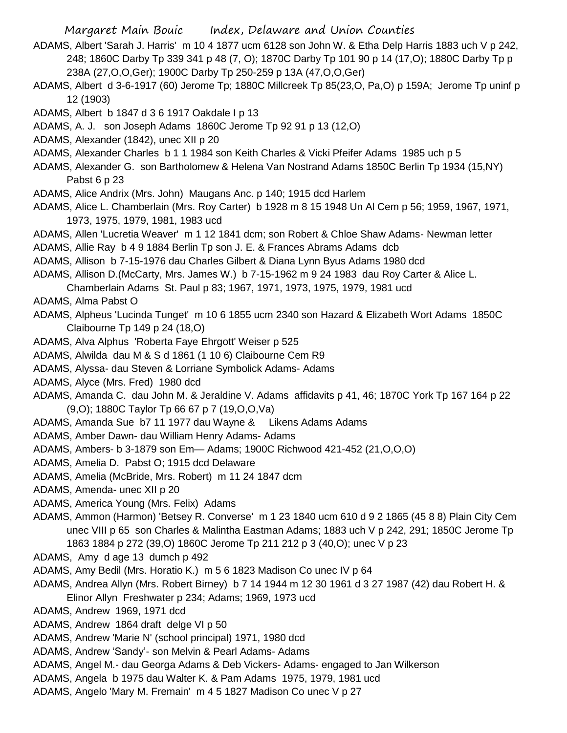- ADAMS, Albert 'Sarah J. Harris' m 10 4 1877 ucm 6128 son John W. & Etha Delp Harris 1883 uch V p 242, 248; 1860C Darby Tp 339 341 p 48 (7, O); 1870C Darby Tp 101 90 p 14 (17,O); 1880C Darby Tp p 238A (27,O,O,Ger); 1900C Darby Tp 250-259 p 13A (47,O,O,Ger)
- ADAMS, Albert d 3-6-1917 (60) Jerome Tp; 1880C Millcreek Tp 85(23,O, Pa,O) p 159A; Jerome Tp uninf p 12 (1903)
- ADAMS, Albert b 1847 d 3 6 1917 Oakdale I p 13
- ADAMS, A. J. son Joseph Adams 1860C Jerome Tp 92 91 p 13 (12,O)
- ADAMS, Alexander (1842), unec XII p 20
- ADAMS, Alexander Charles b 1 1 1984 son Keith Charles & Vicki Pfeifer Adams 1985 uch p 5
- ADAMS, Alexander G. son Bartholomew & Helena Van Nostrand Adams 1850C Berlin Tp 1934 (15,NY) Pabst 6 p 23
- ADAMS, Alice Andrix (Mrs. John) Maugans Anc. p 140; 1915 dcd Harlem
- ADAMS, Alice L. Chamberlain (Mrs. Roy Carter) b 1928 m 8 15 1948 Un Al Cem p 56; 1959, 1967, 1971, 1973, 1975, 1979, 1981, 1983 ucd
- ADAMS, Allen 'Lucretia Weaver' m 1 12 1841 dcm; son Robert & Chloe Shaw Adams- Newman letter
- ADAMS, Allie Ray b 4 9 1884 Berlin Tp son J. E. & Frances Abrams Adams dcb
- ADAMS, Allison b 7-15-1976 dau Charles Gilbert & Diana Lynn Byus Adams 1980 dcd
- ADAMS, Allison D.(McCarty, Mrs. James W.) b 7-15-1962 m 9 24 1983 dau Roy Carter & Alice L.
- Chamberlain Adams St. Paul p 83; 1967, 1971, 1973, 1975, 1979, 1981 ucd
- ADAMS, Alma Pabst O
- ADAMS, Alpheus 'Lucinda Tunget' m 10 6 1855 ucm 2340 son Hazard & Elizabeth Wort Adams 1850C Claibourne Tp 149 p 24 (18,O)
- ADAMS, Alva Alphus 'Roberta Faye Ehrgott' Weiser p 525
- ADAMS, Alwilda dau M & S d 1861 (1 10 6) Claibourne Cem R9
- ADAMS, Alyssa- dau Steven & Lorriane Symbolick Adams- Adams
- ADAMS, Alyce (Mrs. Fred) 1980 dcd
- ADAMS, Amanda C. dau John M. & Jeraldine V. Adams affidavits p 41, 46; 1870C York Tp 167 164 p 22 (9,O); 1880C Taylor Tp 66 67 p 7 (19,O,O,Va)
- ADAMS, Amanda Sue b7 11 1977 dau Wayne & Likens Adams Adams
- ADAMS, Amber Dawn- dau William Henry Adams- Adams
- ADAMS, Ambers- b 3-1879 son Em— Adams; 1900C Richwood 421-452 (21,O,O,O)
- ADAMS, Amelia D. Pabst O; 1915 dcd Delaware
- ADAMS, Amelia (McBride, Mrs. Robert) m 11 24 1847 dcm
- ADAMS, Amenda- unec XII p 20
- ADAMS, America Young (Mrs. Felix) Adams
- ADAMS, Ammon (Harmon) 'Betsey R. Converse' m 1 23 1840 ucm 610 d 9 2 1865 (45 8 8) Plain City Cem unec VIII p 65 son Charles & Malintha Eastman Adams; 1883 uch V p 242, 291; 1850C Jerome Tp 1863 1884 p 272 (39,O) 1860C Jerome Tp 211 212 p 3 (40,O); unec V p 23
- ADAMS, Amy d age 13 dumch p 492
- ADAMS, Amy Bedil (Mrs. Horatio K.) m 5 6 1823 Madison Co unec IV p 64
- ADAMS, Andrea Allyn (Mrs. Robert Birney) b 7 14 1944 m 12 30 1961 d 3 27 1987 (42) dau Robert H. & Elinor Allyn Freshwater p 234; Adams; 1969, 1973 ucd
- ADAMS, Andrew 1969, 1971 dcd
- ADAMS, Andrew 1864 draft delge VI p 50
- ADAMS, Andrew 'Marie N' (school principal) 1971, 1980 dcd
- ADAMS, Andrew 'Sandy'- son Melvin & Pearl Adams- Adams
- ADAMS, Angel M.- dau Georga Adams & Deb Vickers- Adams- engaged to Jan Wilkerson
- ADAMS, Angela b 1975 dau Walter K. & Pam Adams 1975, 1979, 1981 ucd
- ADAMS, Angelo 'Mary M. Fremain' m 4 5 1827 Madison Co unec V p 27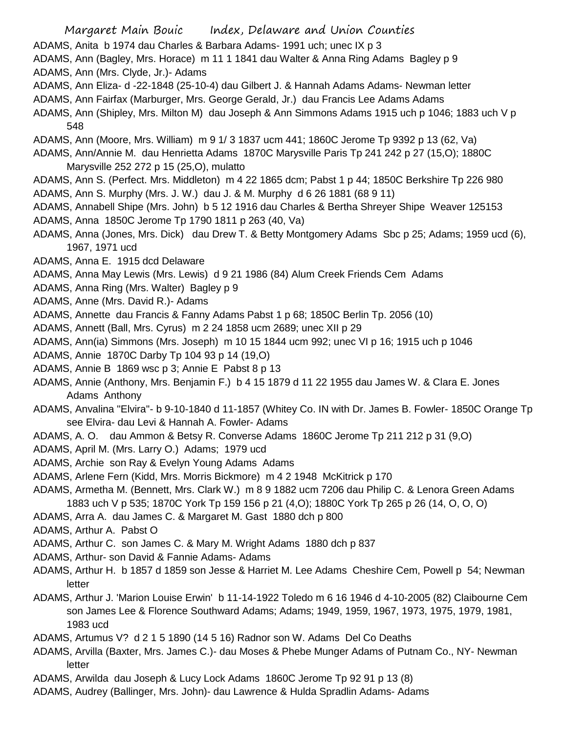- Margaret Main Bouic Index, Delaware and Union Counties
- ADAMS, Anita b 1974 dau Charles & Barbara Adams- 1991 uch; unec IX p 3
- ADAMS, Ann (Bagley, Mrs. Horace) m 11 1 1841 dau Walter & Anna Ring Adams Bagley p 9 ADAMS, Ann (Mrs. Clyde, Jr.)- Adams
- ADAMS, Ann Eliza- d -22-1848 (25-10-4) dau Gilbert J. & Hannah Adams Adams- Newman letter
- ADAMS, Ann Fairfax (Marburger, Mrs. George Gerald, Jr.) dau Francis Lee Adams Adams
- ADAMS, Ann (Shipley, Mrs. Milton M) dau Joseph & Ann Simmons Adams 1915 uch p 1046; 1883 uch V p 548
- ADAMS, Ann (Moore, Mrs. William) m 9 1/ 3 1837 ucm 441; 1860C Jerome Tp 9392 p 13 (62, Va)
- ADAMS, Ann/Annie M. dau Henrietta Adams 1870C Marysville Paris Tp 241 242 p 27 (15,O); 1880C Marysville 252 272 p 15 (25,O), mulatto
- ADAMS, Ann S. (Perfect. Mrs. Middleton) m 4 22 1865 dcm; Pabst 1 p 44; 1850C Berkshire Tp 226 980
- ADAMS, Ann S. Murphy (Mrs. J. W.) dau J. & M. Murphy d 6 26 1881 (68 9 11)
- ADAMS, Annabell Shipe (Mrs. John) b 5 12 1916 dau Charles & Bertha Shreyer Shipe Weaver 125153 ADAMS, Anna 1850C Jerome Tp 1790 1811 p 263 (40, Va)
- ADAMS, Anna (Jones, Mrs. Dick) dau Drew T. & Betty Montgomery Adams Sbc p 25; Adams; 1959 ucd (6), 1967, 1971 ucd
- ADAMS, Anna E. 1915 dcd Delaware
- ADAMS, Anna May Lewis (Mrs. Lewis) d 9 21 1986 (84) Alum Creek Friends Cem Adams
- ADAMS, Anna Ring (Mrs. Walter) Bagley p 9
- ADAMS, Anne (Mrs. David R.)- Adams
- ADAMS, Annette dau Francis & Fanny Adams Pabst 1 p 68; 1850C Berlin Tp. 2056 (10)
- ADAMS, Annett (Ball, Mrs. Cyrus) m 2 24 1858 ucm 2689; unec XII p 29
- ADAMS, Ann(ia) Simmons (Mrs. Joseph) m 10 15 1844 ucm 992; unec VI p 16; 1915 uch p 1046
- ADAMS, Annie 1870C Darby Tp 104 93 p 14 (19,O)
- ADAMS, Annie B 1869 wsc p 3; Annie E Pabst 8 p 13
- ADAMS, Annie (Anthony, Mrs. Benjamin F.) b 4 15 1879 d 11 22 1955 dau James W. & Clara E. Jones Adams Anthony
- ADAMS, Anvalina "Elvira"- b 9-10-1840 d 11-1857 (Whitey Co. IN with Dr. James B. Fowler- 1850C Orange Tp see Elvira- dau Levi & Hannah A. Fowler- Adams
- ADAMS, A. O. dau Ammon & Betsy R. Converse Adams 1860C Jerome Tp 211 212 p 31 (9,O)
- ADAMS, April M. (Mrs. Larry O.) Adams; 1979 ucd
- ADAMS, Archie son Ray & Evelyn Young Adams Adams
- ADAMS, Arlene Fern (Kidd, Mrs. Morris Bickmore) m 4 2 1948 McKitrick p 170
- ADAMS, Armetha M. (Bennett, Mrs. Clark W.) m 8 9 1882 ucm 7206 dau Philip C. & Lenora Green Adams 1883 uch V p 535; 1870C York Tp 159 156 p 21 (4,O); 1880C York Tp 265 p 26 (14, O, O, O)
- ADAMS, Arra A. dau James C. & Margaret M. Gast 1880 dch p 800
- ADAMS, Arthur A. Pabst O
- ADAMS, Arthur C. son James C. & Mary M. Wright Adams 1880 dch p 837
- ADAMS, Arthur- son David & Fannie Adams- Adams
- ADAMS, Arthur H. b 1857 d 1859 son Jesse & Harriet M. Lee Adams Cheshire Cem, Powell p 54; Newman letter
- ADAMS, Arthur J. 'Marion Louise Erwin' b 11-14-1922 Toledo m 6 16 1946 d 4-10-2005 (82) Claibourne Cem son James Lee & Florence Southward Adams; Adams; 1949, 1959, 1967, 1973, 1975, 1979, 1981, 1983 ucd
- ADAMS, Artumus V? d 2 1 5 1890 (14 5 16) Radnor son W. Adams Del Co Deaths
- ADAMS, Arvilla (Baxter, Mrs. James C.)- dau Moses & Phebe Munger Adams of Putnam Co., NY- Newman letter
- ADAMS, Arwilda dau Joseph & Lucy Lock Adams 1860C Jerome Tp 92 91 p 13 (8)
- ADAMS, Audrey (Ballinger, Mrs. John)- dau Lawrence & Hulda Spradlin Adams- Adams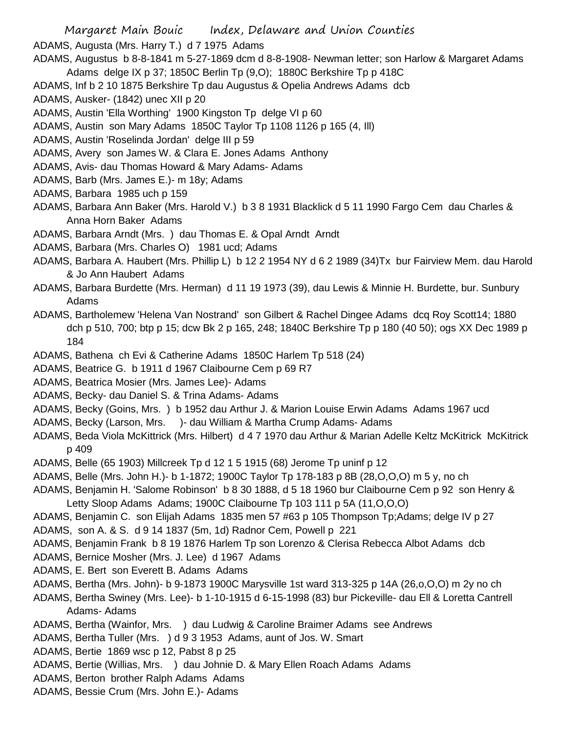Margaret Main Bouic Index, Delaware and Union Counties ADAMS, Augusta (Mrs. Harry T.) d 7 1975 Adams ADAMS, Augustus b 8-8-1841 m 5-27-1869 dcm d 8-8-1908- Newman letter; son Harlow & Margaret Adams

- Adams delge IX p 37; 1850C Berlin Tp (9,O); 1880C Berkshire Tp p 418C
- ADAMS, Inf b 2 10 1875 Berkshire Tp dau Augustus & Opelia Andrews Adams dcb
- ADAMS, Ausker- (1842) unec XII p 20
- ADAMS, Austin 'Ella Worthing' 1900 Kingston Tp delge VI p 60
- ADAMS, Austin son Mary Adams 1850C Taylor Tp 1108 1126 p 165 (4, Ill)
- ADAMS, Austin 'Roselinda Jordan' delge III p 59
- ADAMS, Avery son James W. & Clara E. Jones Adams Anthony
- ADAMS, Avis- dau Thomas Howard & Mary Adams- Adams
- ADAMS, Barb (Mrs. James E.)- m 18y; Adams
- ADAMS, Barbara 1985 uch p 159
- ADAMS, Barbara Ann Baker (Mrs. Harold V.) b 3 8 1931 Blacklick d 5 11 1990 Fargo Cem dau Charles & Anna Horn Baker Adams
- ADAMS, Barbara Arndt (Mrs. ) dau Thomas E. & Opal Arndt Arndt
- ADAMS, Barbara (Mrs. Charles O) 1981 ucd; Adams
- ADAMS, Barbara A. Haubert (Mrs. Phillip L) b 12 2 1954 NY d 6 2 1989 (34)Tx bur Fairview Mem. dau Harold & Jo Ann Haubert Adams
- ADAMS, Barbara Burdette (Mrs. Herman) d 11 19 1973 (39), dau Lewis & Minnie H. Burdette, bur. Sunbury Adams
- ADAMS, Bartholemew 'Helena Van Nostrand' son Gilbert & Rachel Dingee Adams dcq Roy Scott14; 1880 dch p 510, 700; btp p 15; dcw Bk 2 p 165, 248; 1840C Berkshire Tp p 180 (40 50); ogs XX Dec 1989 p 184
- ADAMS, Bathena ch Evi & Catherine Adams 1850C Harlem Tp 518 (24)
- ADAMS, Beatrice G. b 1911 d 1967 Claibourne Cem p 69 R7
- ADAMS, Beatrica Mosier (Mrs. James Lee)- Adams
- ADAMS, Becky- dau Daniel S. & Trina Adams- Adams
- ADAMS, Becky (Goins, Mrs. ) b 1952 dau Arthur J. & Marion Louise Erwin Adams Adams 1967 ucd
- ADAMS, Becky (Larson, Mrs. )- dau William & Martha Crump Adams- Adams
- ADAMS, Beda Viola McKittrick (Mrs. Hilbert) d 4 7 1970 dau Arthur & Marian Adelle Keltz McKitrick McKitrick p 409
- ADAMS, Belle (65 1903) Millcreek Tp d 12 1 5 1915 (68) Jerome Tp uninf p 12
- ADAMS, Belle (Mrs. John H.)- b 1-1872; 1900C Taylor Tp 178-183 p 8B (28,O,O,O) m 5 y, no ch
- ADAMS, Benjamin H. 'Salome Robinson' b 8 30 1888, d 5 18 1960 bur Claibourne Cem p 92 son Henry & Letty Sloop Adams Adams; 1900C Claibourne Tp 103 111 p 5A (11,O,O,O)
- ADAMS, Benjamin C. son Elijah Adams 1835 men 57 #63 p 105 Thompson Tp;Adams; delge IV p 27
- ADAMS, son A. & S. d 9 14 1837 (5m, 1d) Radnor Cem, Powell p 221
- ADAMS, Benjamin Frank b 8 19 1876 Harlem Tp son Lorenzo & Clerisa Rebecca Albot Adams dcb
- ADAMS, Bernice Mosher (Mrs. J. Lee) d 1967 Adams
- ADAMS, E. Bert son Everett B. Adams Adams
- ADAMS, Bertha (Mrs. John)- b 9-1873 1900C Marysville 1st ward 313-325 p 14A (26,o,O,O) m 2y no ch
- ADAMS, Bertha Swiney (Mrs. Lee)- b 1-10-1915 d 6-15-1998 (83) bur Pickeville- dau Ell & Loretta Cantrell Adams- Adams
- ADAMS, Bertha (Wainfor, Mrs. ) dau Ludwig & Caroline Braimer Adams see Andrews
- ADAMS, Bertha Tuller (Mrs. ) d 9 3 1953 Adams, aunt of Jos. W. Smart
- ADAMS, Bertie 1869 wsc p 12, Pabst 8 p 25
- ADAMS, Bertie (Willias, Mrs. ) dau Johnie D. & Mary Ellen Roach Adams Adams
- ADAMS, Berton brother Ralph Adams Adams
- ADAMS, Bessie Crum (Mrs. John E.)- Adams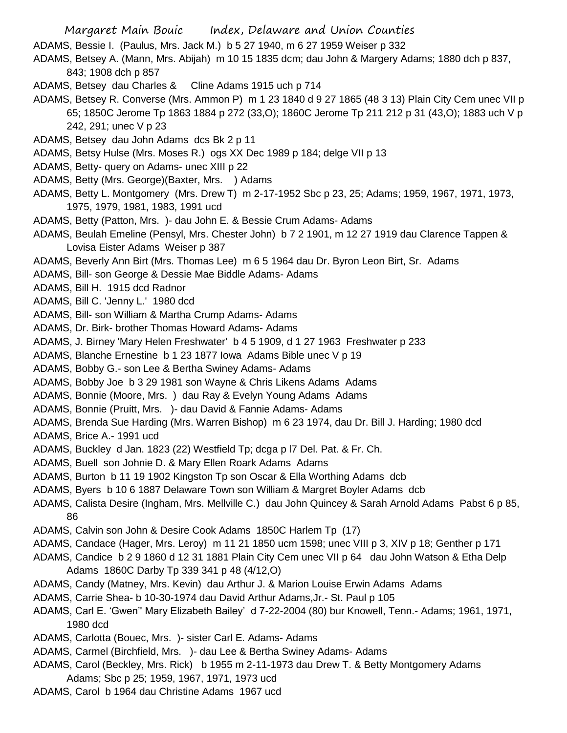- Margaret Main Bouic Index, Delaware and Union Counties
- ADAMS, Bessie I. (Paulus, Mrs. Jack M.) b 5 27 1940, m 6 27 1959 Weiser p 332
- ADAMS, Betsey A. (Mann, Mrs. Abijah) m 10 15 1835 dcm; dau John & Margery Adams; 1880 dch p 837, 843; 1908 dch p 857
- ADAMS, Betsey dau Charles & Cline Adams 1915 uch p 714
- ADAMS, Betsey R. Converse (Mrs. Ammon P) m 1 23 1840 d 9 27 1865 (48 3 13) Plain City Cem unec VII p 65; 1850C Jerome Tp 1863 1884 p 272 (33,O); 1860C Jerome Tp 211 212 p 31 (43,O); 1883 uch V p 242, 291; unec V p 23
- ADAMS, Betsey dau John Adams dcs Bk 2 p 11
- ADAMS, Betsy Hulse (Mrs. Moses R.) ogs XX Dec 1989 p 184; delge VII p 13
- ADAMS, Betty- query on Adams- unec XIII p 22
- ADAMS, Betty (Mrs. George)(Baxter, Mrs. ) Adams
- ADAMS, Betty L. Montgomery (Mrs. Drew T) m 2-17-1952 Sbc p 23, 25; Adams; 1959, 1967, 1971, 1973, 1975, 1979, 1981, 1983, 1991 ucd
- ADAMS, Betty (Patton, Mrs. )- dau John E. & Bessie Crum Adams- Adams
- ADAMS, Beulah Emeline (Pensyl, Mrs. Chester John) b 7 2 1901, m 12 27 1919 dau Clarence Tappen & Lovisa Eister Adams Weiser p 387
- ADAMS, Beverly Ann Birt (Mrs. Thomas Lee) m 6 5 1964 dau Dr. Byron Leon Birt, Sr. Adams
- ADAMS, Bill- son George & Dessie Mae Biddle Adams- Adams
- ADAMS, Bill H. 1915 dcd Radnor
- ADAMS, Bill C. 'Jenny L.' 1980 dcd
- ADAMS, Bill- son William & Martha Crump Adams- Adams
- ADAMS, Dr. Birk- brother Thomas Howard Adams- Adams
- ADAMS, J. Birney 'Mary Helen Freshwater' b 4 5 1909, d 1 27 1963 Freshwater p 233
- ADAMS, Blanche Ernestine b 1 23 1877 Iowa Adams Bible unec V p 19
- ADAMS, Bobby G.- son Lee & Bertha Swiney Adams- Adams
- ADAMS, Bobby Joe b 3 29 1981 son Wayne & Chris Likens Adams Adams
- ADAMS, Bonnie (Moore, Mrs. ) dau Ray & Evelyn Young Adams Adams
- ADAMS, Bonnie (Pruitt, Mrs. )- dau David & Fannie Adams- Adams
- ADAMS, Brenda Sue Harding (Mrs. Warren Bishop) m 6 23 1974, dau Dr. Bill J. Harding; 1980 dcd
- ADAMS, Brice A.- 1991 ucd
- ADAMS, Buckley d Jan. 1823 (22) Westfield Tp; dcga p l7 Del. Pat. & Fr. Ch.
- ADAMS, Buell son Johnie D. & Mary Ellen Roark Adams Adams
- ADAMS, Burton b 11 19 1902 Kingston Tp son Oscar & Ella Worthing Adams dcb
- ADAMS, Byers b 10 6 1887 Delaware Town son William & Margret Boyler Adams dcb
- ADAMS, Calista Desire (Ingham, Mrs. Mellville C.) dau John Quincey & Sarah Arnold Adams Pabst 6 p 85, 86
- ADAMS, Calvin son John & Desire Cook Adams 1850C Harlem Tp (17)
- ADAMS, Candace (Hager, Mrs. Leroy) m 11 21 1850 ucm 1598; unec VIII p 3, XIV p 18; Genther p 171
- ADAMS, Candice b 2 9 1860 d 12 31 1881 Plain City Cem unec VII p 64 dau John Watson & Etha Delp Adams 1860C Darby Tp 339 341 p 48 (4/12,O)
- ADAMS, Candy (Matney, Mrs. Kevin) dau Arthur J. & Marion Louise Erwin Adams Adams
- ADAMS, Carrie Shea- b 10-30-1974 dau David Arthur Adams,Jr.- St. Paul p 105
- ADAMS, Carl E. 'Gwen'' Mary Elizabeth Bailey' d 7-22-2004 (80) bur Knowell, Tenn.- Adams; 1961, 1971, 1980 dcd
- ADAMS, Carlotta (Bouec, Mrs. )- sister Carl E. Adams- Adams
- ADAMS, Carmel (Birchfield, Mrs. )- dau Lee & Bertha Swiney Adams- Adams
- ADAMS, Carol (Beckley, Mrs. Rick) b 1955 m 2-11-1973 dau Drew T. & Betty Montgomery Adams Adams; Sbc p 25; 1959, 1967, 1971, 1973 ucd
- ADAMS, Carol b 1964 dau Christine Adams 1967 ucd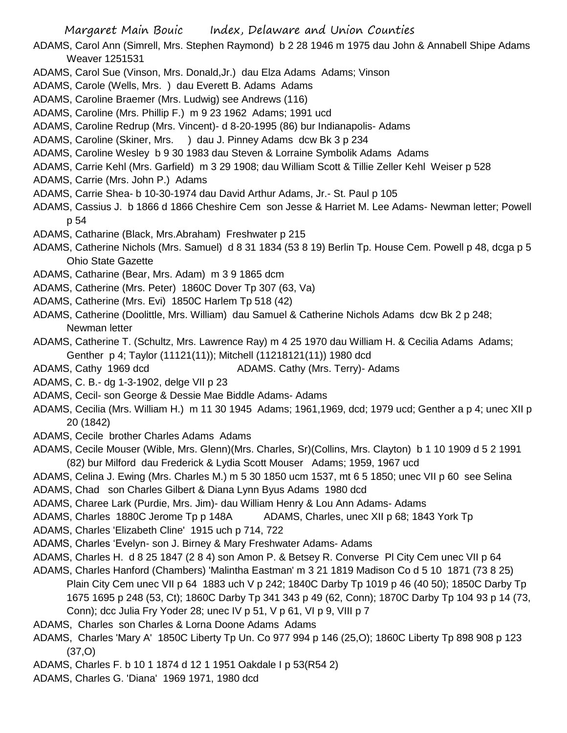- ADAMS, Carol Ann (Simrell, Mrs. Stephen Raymond) b 2 28 1946 m 1975 dau John & Annabell Shipe Adams Weaver 1251531
- ADAMS, Carol Sue (Vinson, Mrs. Donald,Jr.) dau Elza Adams Adams; Vinson
- ADAMS, Carole (Wells, Mrs. ) dau Everett B. Adams Adams
- ADAMS, Caroline Braemer (Mrs. Ludwig) see Andrews (116)
- ADAMS, Caroline (Mrs. Phillip F.) m 9 23 1962 Adams; 1991 ucd
- ADAMS, Caroline Redrup (Mrs. Vincent)- d 8-20-1995 (86) bur Indianapolis- Adams
- ADAMS, Caroline (Skiner, Mrs. ) dau J. Pinney Adams dcw Bk 3 p 234
- ADAMS, Caroline Wesley b 9 30 1983 dau Steven & Lorraine Symbolik Adams Adams
- ADAMS, Carrie Kehl (Mrs. Garfield) m 3 29 1908; dau William Scott & Tillie Zeller Kehl Weiser p 528
- ADAMS, Carrie (Mrs. John P.) Adams
- ADAMS, Carrie Shea- b 10-30-1974 dau David Arthur Adams, Jr.- St. Paul p 105
- ADAMS, Cassius J. b 1866 d 1866 Cheshire Cem son Jesse & Harriet M. Lee Adams- Newman letter; Powell p 54
- ADAMS, Catharine (Black, Mrs.Abraham) Freshwater p 215
- ADAMS, Catherine Nichols (Mrs. Samuel) d 8 31 1834 (53 8 19) Berlin Tp. House Cem. Powell p 48, dcga p 5 Ohio State Gazette
- ADAMS, Catharine (Bear, Mrs. Adam) m 3 9 1865 dcm
- ADAMS, Catherine (Mrs. Peter) 1860C Dover Tp 307 (63, Va)
- ADAMS, Catherine (Mrs. Evi) 1850C Harlem Tp 518 (42)
- ADAMS, Catherine (Doolittle, Mrs. William) dau Samuel & Catherine Nichols Adams dcw Bk 2 p 248; Newman letter
- ADAMS, Catherine T. (Schultz, Mrs. Lawrence Ray) m 4 25 1970 dau William H. & Cecilia Adams Adams; Genther p 4; Taylor (11121(11)); Mitchell (11218121(11)) 1980 dcd
- ADAMS, Cathy 1969 dcd ADAMS. Cathy (Mrs. Terry)- Adams
- ADAMS, C. B.- dg 1-3-1902, delge VII p 23
- ADAMS, Cecil- son George & Dessie Mae Biddle Adams- Adams
- ADAMS, Cecilia (Mrs. William H.) m 11 30 1945 Adams; 1961,1969, dcd; 1979 ucd; Genther a p 4; unec XII p 20 (1842)
- ADAMS, Cecile brother Charles Adams Adams
- ADAMS, Cecile Mouser (Wible, Mrs. Glenn)(Mrs. Charles, Sr)(Collins, Mrs. Clayton) b 1 10 1909 d 5 2 1991 (82) bur Milford dau Frederick & Lydia Scott Mouser Adams; 1959, 1967 ucd
- ADAMS, Celina J. Ewing (Mrs. Charles M.) m 5 30 1850 ucm 1537, mt 6 5 1850; unec VII p 60 see Selina
- ADAMS, Chad son Charles Gilbert & Diana Lynn Byus Adams 1980 dcd
- ADAMS, Charee Lark (Purdie, Mrs. Jim)- dau William Henry & Lou Ann Adams- Adams
- ADAMS, Charles 1880C Jerome Tp p 148A ADAMS, Charles, unec XII p 68; 1843 York Tp
- ADAMS, Charles 'Elizabeth Cline' 1915 uch p 714, 722
- ADAMS, Charles 'Evelyn- son J. Birney & Mary Freshwater Adams- Adams
- ADAMS, Charles H. d 8 25 1847 (2 8 4) son Amon P. & Betsey R. Converse Pl City Cem unec VII p 64
- ADAMS, Charles Hanford (Chambers) 'Malintha Eastman' m 3 21 1819 Madison Co d 5 10 1871 (73 8 25) Plain City Cem unec VII p 64 1883 uch V p 242; 1840C Darby Tp 1019 p 46 (40 50); 1850C Darby Tp 1675 1695 p 248 (53, Ct); 1860C Darby Tp 341 343 p 49 (62, Conn); 1870C Darby Tp 104 93 p 14 (73, Conn); dcc Julia Fry Yoder 28; unec IV p 51, V p 61, VI p 9, VIII p 7
- ADAMS, Charles son Charles & Lorna Doone Adams Adams
- ADAMS, Charles 'Mary A' 1850C Liberty Tp Un. Co 977 994 p 146 (25,O); 1860C Liberty Tp 898 908 p 123 (37,O)
- ADAMS, Charles F. b 10 1 1874 d 12 1 1951 Oakdale I p 53(R54 2)
- ADAMS, Charles G. 'Diana' 1969 1971, 1980 dcd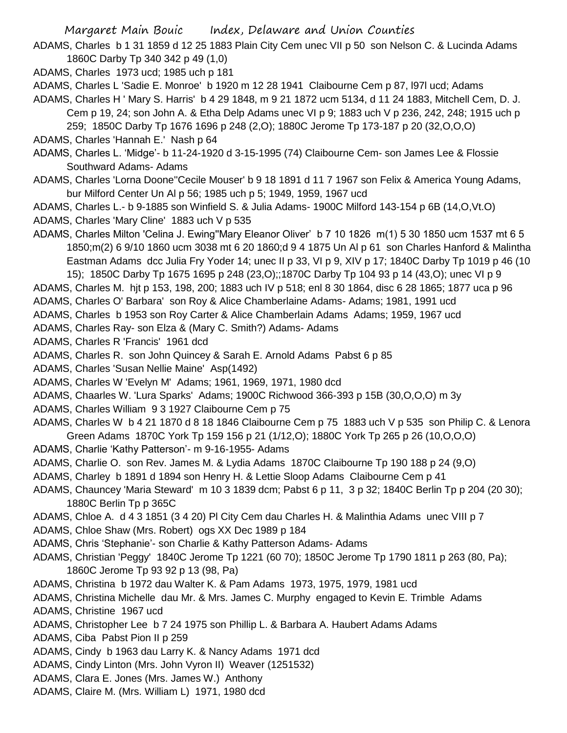ADAMS, Charles b 1 31 1859 d 12 25 1883 Plain City Cem unec VII p 50 son Nelson C. & Lucinda Adams 1860C Darby Tp 340 342 p 49 (1,0)

ADAMS, Charles 1973 ucd; 1985 uch p 181

ADAMS, Charles L 'Sadie E. Monroe' b 1920 m 12 28 1941 Claibourne Cem p 87, l97l ucd; Adams

- ADAMS, Charles H ' Mary S. Harris' b 4 29 1848, m 9 21 1872 ucm 5134, d 11 24 1883, Mitchell Cem, D. J. Cem p 19, 24; son John A. & Etha Delp Adams unec VI p 9; 1883 uch V p 236, 242, 248; 1915 uch p 259; 1850C Darby Tp 1676 1696 p 248 (2,O); 1880C Jerome Tp 173-187 p 20 (32,O,O,O)
- ADAMS, Charles 'Hannah E.' Nash p 64
- ADAMS, Charles L. 'Midge'- b 11-24-1920 d 3-15-1995 (74) Claibourne Cem- son James Lee & Flossie Southward Adams- Adams
- ADAMS, Charles 'Lorna Doone''Cecile Mouser' b 9 18 1891 d 11 7 1967 son Felix & America Young Adams, bur Milford Center Un Al p 56; 1985 uch p 5; 1949, 1959, 1967 ucd

ADAMS, Charles L.- b 9-1885 son Winfield S. & Julia Adams- 1900C Milford 143-154 p 6B (14,O,Vt.O) ADAMS, Charles 'Mary Cline' 1883 uch V p 535

ADAMS, Charles Milton 'Celina J. Ewing''Mary Eleanor Oliver' b 7 10 1826 m(1) 5 30 1850 ucm 1537 mt 6 5 1850;m(2) 6 9/10 1860 ucm 3038 mt 6 20 1860;d 9 4 1875 Un Al p 61 son Charles Hanford & Malintha Eastman Adams dcc Julia Fry Yoder 14; unec II p 33, VI p 9, XIV p 17; 1840C Darby Tp 1019 p 46 (10 15); 1850C Darby Tp 1675 1695 p 248 (23,O);;1870C Darby Tp 104 93 p 14 (43,O); unec VI p 9

ADAMS, Charles M. hjt p 153, 198, 200; 1883 uch IV p 518; enl 8 30 1864, disc 6 28 1865; 1877 uca p 96

ADAMS, Charles O' Barbara' son Roy & Alice Chamberlaine Adams- Adams; 1981, 1991 ucd

ADAMS, Charles b 1953 son Roy Carter & Alice Chamberlain Adams Adams; 1959, 1967 ucd

ADAMS, Charles Ray- son Elza & (Mary C. Smith?) Adams- Adams

ADAMS, Charles R 'Francis' 1961 dcd

ADAMS, Charles R. son John Quincey & Sarah E. Arnold Adams Pabst 6 p 85

ADAMS, Charles 'Susan Nellie Maine' Asp(1492)

- ADAMS, Charles W 'Evelyn M' Adams; 1961, 1969, 1971, 1980 dcd
- ADAMS, Chaarles W. 'Lura Sparks' Adams; 1900C Richwood 366-393 p 15B (30,O,O,O) m 3y

ADAMS, Charles William 9 3 1927 Claibourne Cem p 75

- ADAMS, Charles W b 4 21 1870 d 8 18 1846 Claibourne Cem p 75 1883 uch V p 535 son Philip C. & Lenora Green Adams 1870C York Tp 159 156 p 21 (1/12,O); 1880C York Tp 265 p 26 (10,O,O,O)
- ADAMS, Charlie 'Kathy Patterson'- m 9-16-1955- Adams
- ADAMS, Charlie O. son Rev. James M. & Lydia Adams 1870C Claibourne Tp 190 188 p 24 (9,O)
- ADAMS, Charley b 1891 d 1894 son Henry H. & Lettie Sloop Adams Claibourne Cem p 41
- ADAMS, Chauncey 'Maria Steward' m 10 3 1839 dcm; Pabst 6 p 11, 3 p 32; 1840C Berlin Tp p 204 (20 30); 1880C Berlin Tp p 365C
- ADAMS, Chloe A. d 4 3 1851 (3 4 20) Pl City Cem dau Charles H. & Malinthia Adams unec VIII p 7
- ADAMS, Chloe Shaw (Mrs. Robert) ogs XX Dec 1989 p 184
- ADAMS, Chris 'Stephanie'- son Charlie & Kathy Patterson Adams- Adams
- ADAMS, Christian 'Peggy' 1840C Jerome Tp 1221 (60 70); 1850C Jerome Tp 1790 1811 p 263 (80, Pa); 1860C Jerome Tp 93 92 p 13 (98, Pa)
- ADAMS, Christina b 1972 dau Walter K. & Pam Adams 1973, 1975, 1979, 1981 ucd
- ADAMS, Christina Michelle dau Mr. & Mrs. James C. Murphy engaged to Kevin E. Trimble Adams
- ADAMS, Christine 1967 ucd
- ADAMS, Christopher Lee b 7 24 1975 son Phillip L. & Barbara A. Haubert Adams Adams

ADAMS, Ciba Pabst Pion II p 259

- ADAMS, Cindy b 1963 dau Larry K. & Nancy Adams 1971 dcd
- ADAMS, Cindy Linton (Mrs. John Vyron II) Weaver (1251532)
- ADAMS, Clara E. Jones (Mrs. James W.) Anthony
- ADAMS, Claire M. (Mrs. William L) 1971, 1980 dcd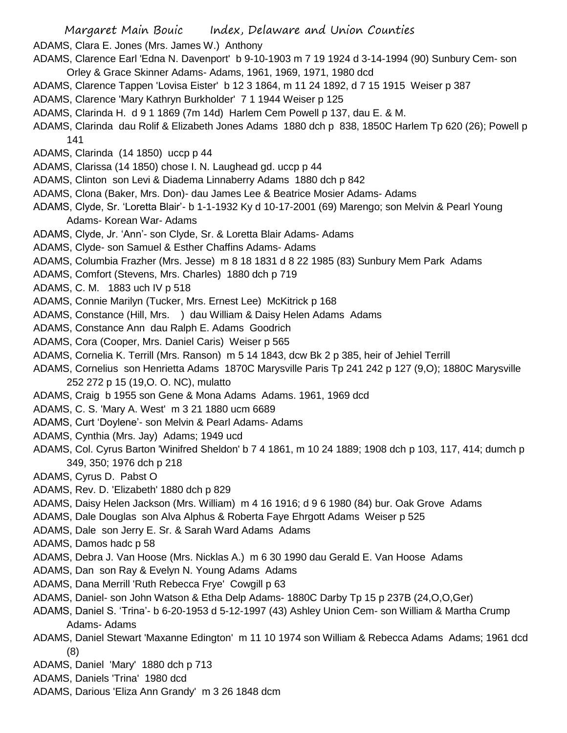ADAMS, Clara E. Jones (Mrs. James W.) Anthony

- ADAMS, Clarence Earl 'Edna N. Davenport' b 9-10-1903 m 7 19 1924 d 3-14-1994 (90) Sunbury Cem- son Orley & Grace Skinner Adams- Adams, 1961, 1969, 1971, 1980 dcd
- ADAMS, Clarence Tappen 'Lovisa Eister' b 12 3 1864, m 11 24 1892, d 7 15 1915 Weiser p 387
- ADAMS, Clarence 'Mary Kathryn Burkholder' 7 1 1944 Weiser p 125
- ADAMS, Clarinda H. d 9 1 1869 (7m 14d) Harlem Cem Powell p 137, dau E. & M.
- ADAMS, Clarinda dau Rolif & Elizabeth Jones Adams 1880 dch p 838, 1850C Harlem Tp 620 (26); Powell p 141
- ADAMS, Clarinda (14 1850) uccp p 44
- ADAMS, Clarissa (14 1850) chose I. N. Laughead gd. uccp p 44
- ADAMS, Clinton son Levi & Diadema Linnaberry Adams 1880 dch p 842
- ADAMS, Clona (Baker, Mrs. Don)- dau James Lee & Beatrice Mosier Adams- Adams
- ADAMS, Clyde, Sr. 'Loretta Blair'- b 1-1-1932 Ky d 10-17-2001 (69) Marengo; son Melvin & Pearl Young Adams- Korean War- Adams
- ADAMS, Clyde, Jr. 'Ann'- son Clyde, Sr. & Loretta Blair Adams- Adams
- ADAMS, Clyde- son Samuel & Esther Chaffins Adams- Adams
- ADAMS, Columbia Frazher (Mrs. Jesse) m 8 18 1831 d 8 22 1985 (83) Sunbury Mem Park Adams
- ADAMS, Comfort (Stevens, Mrs. Charles) 1880 dch p 719
- ADAMS, C. M. 1883 uch IV p 518
- ADAMS, Connie Marilyn (Tucker, Mrs. Ernest Lee) McKitrick p 168
- ADAMS, Constance (Hill, Mrs. ) dau William & Daisy Helen Adams Adams
- ADAMS, Constance Ann dau Ralph E. Adams Goodrich
- ADAMS, Cora (Cooper, Mrs. Daniel Caris) Weiser p 565
- ADAMS, Cornelia K. Terrill (Mrs. Ranson) m 5 14 1843, dcw Bk 2 p 385, heir of Jehiel Terrill
- ADAMS, Cornelius son Henrietta Adams 1870C Marysville Paris Tp 241 242 p 127 (9,O); 1880C Marysville 252 272 p 15 (19,O. O. NC), mulatto
- ADAMS, Craig b 1955 son Gene & Mona Adams Adams. 1961, 1969 dcd
- ADAMS, C. S. 'Mary A. West' m 3 21 1880 ucm 6689
- ADAMS, Curt 'Doylene'- son Melvin & Pearl Adams- Adams
- ADAMS, Cynthia (Mrs. Jay) Adams; 1949 ucd
- ADAMS, Col. Cyrus Barton 'Winifred Sheldon' b 7 4 1861, m 10 24 1889; 1908 dch p 103, 117, 414; dumch p 349, 350; 1976 dch p 218
- ADAMS, Cyrus D. Pabst O
- ADAMS, Rev. D. 'Elizabeth' 1880 dch p 829
- ADAMS, Daisy Helen Jackson (Mrs. William) m 4 16 1916; d 9 6 1980 (84) bur. Oak Grove Adams
- ADAMS, Dale Douglas son Alva Alphus & Roberta Faye Ehrgott Adams Weiser p 525
- ADAMS, Dale son Jerry E. Sr. & Sarah Ward Adams Adams
- ADAMS, Damos hadc p 58
- ADAMS, Debra J. Van Hoose (Mrs. Nicklas A.) m 6 30 1990 dau Gerald E. Van Hoose Adams
- ADAMS, Dan son Ray & Evelyn N. Young Adams Adams
- ADAMS, Dana Merrill 'Ruth Rebecca Frye' Cowgill p 63
- ADAMS, Daniel- son John Watson & Etha Delp Adams- 1880C Darby Tp 15 p 237B (24,O,O,Ger)
- ADAMS, Daniel S. 'Trina'- b 6-20-1953 d 5-12-1997 (43) Ashley Union Cem- son William & Martha Crump Adams- Adams
- ADAMS, Daniel Stewart 'Maxanne Edington' m 11 10 1974 son William & Rebecca Adams Adams; 1961 dcd (8)
- ADAMS, Daniel 'Mary' 1880 dch p 713
- ADAMS, Daniels 'Trina' 1980 dcd
- ADAMS, Darious 'Eliza Ann Grandy' m 3 26 1848 dcm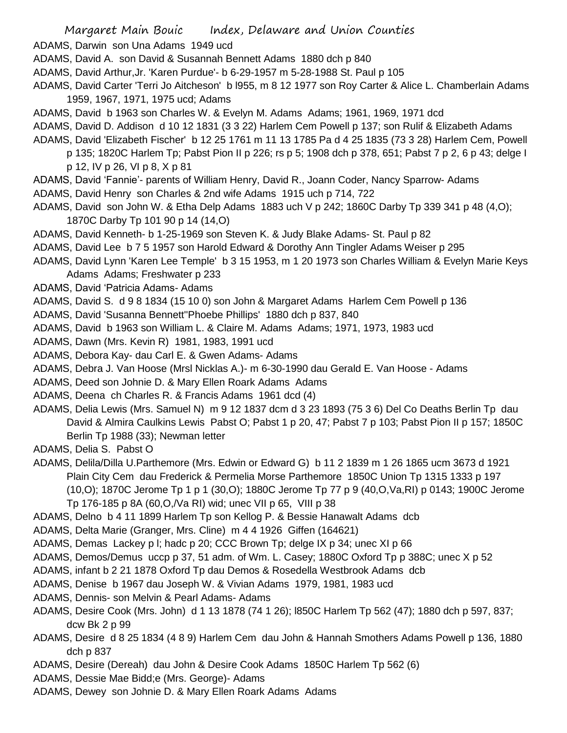- ADAMS, Darwin son Una Adams 1949 ucd
- ADAMS, David A. son David & Susannah Bennett Adams 1880 dch p 840
- ADAMS, David Arthur,Jr. 'Karen Purdue'- b 6-29-1957 m 5-28-1988 St. Paul p 105
- ADAMS, David Carter 'Terri Jo Aitcheson' b l955, m 8 12 1977 son Roy Carter & Alice L. Chamberlain Adams 1959, 1967, 1971, 1975 ucd; Adams
- ADAMS, David b 1963 son Charles W. & Evelyn M. Adams Adams; 1961, 1969, 1971 dcd
- ADAMS, David D. Addison d 10 12 1831 (3 3 22) Harlem Cem Powell p 137; son Rulif & Elizabeth Adams
- ADAMS, David 'Elizabeth Fischer' b 12 25 1761 m 11 13 1785 Pa d 4 25 1835 (73 3 28) Harlem Cem, Powell
	- p 135; 1820C Harlem Tp; Pabst Pion II p 226; rs p 5; 1908 dch p 378, 651; Pabst 7 p 2, 6 p 43; delge I p 12, IV p 26, VI p 8, X p 81
- ADAMS, David 'Fannie'- parents of William Henry, David R., Joann Coder, Nancy Sparrow- Adams
- ADAMS, David Henry son Charles & 2nd wife Adams 1915 uch p 714, 722
- ADAMS, David son John W. & Etha Delp Adams 1883 uch V p 242; 1860C Darby Tp 339 341 p 48 (4,O); 1870C Darby Tp 101 90 p 14 (14,O)
- ADAMS, David Kenneth- b 1-25-1969 son Steven K. & Judy Blake Adams- St. Paul p 82
- ADAMS, David Lee b 7 5 1957 son Harold Edward & Dorothy Ann Tingler Adams Weiser p 295
- ADAMS, David Lynn 'Karen Lee Temple' b 3 15 1953, m 1 20 1973 son Charles William & Evelyn Marie Keys Adams Adams; Freshwater p 233
- ADAMS, David 'Patricia Adams- Adams
- ADAMS, David S. d 9 8 1834 (15 10 0) son John & Margaret Adams Harlem Cem Powell p 136
- ADAMS, David 'Susanna Bennett''Phoebe Phillips' 1880 dch p 837, 840
- ADAMS, David b 1963 son William L. & Claire M. Adams Adams; 1971, 1973, 1983 ucd
- ADAMS, Dawn (Mrs. Kevin R) 1981, 1983, 1991 ucd
- ADAMS, Debora Kay- dau Carl E. & Gwen Adams- Adams
- ADAMS, Debra J. Van Hoose (Mrsl Nicklas A.)- m 6-30-1990 dau Gerald E. Van Hoose Adams
- ADAMS, Deed son Johnie D. & Mary Ellen Roark Adams Adams
- ADAMS, Deena ch Charles R. & Francis Adams 1961 dcd (4)
- ADAMS, Delia Lewis (Mrs. Samuel N) m 9 12 1837 dcm d 3 23 1893 (75 3 6) Del Co Deaths Berlin Tp dau David & Almira Caulkins Lewis Pabst O; Pabst 1 p 20, 47; Pabst 7 p 103; Pabst Pion II p 157; 1850C Berlin Tp 1988 (33); Newman letter
- ADAMS, Delia S. Pabst O
- ADAMS, Delila/Dilla U.Parthemore (Mrs. Edwin or Edward G) b 11 2 1839 m 1 26 1865 ucm 3673 d 1921 Plain City Cem dau Frederick & Permelia Morse Parthemore 1850C Union Tp 1315 1333 p 197 (10,O); 1870C Jerome Tp 1 p 1 (30,O); 1880C Jerome Tp 77 p 9 (40,O,Va,RI) p 0143; 1900C Jerome Tp 176-185 p 8A (60,O,/Va RI) wid; unec VII p 65, VIII p 38
- ADAMS, Delno b 4 11 1899 Harlem Tp son Kellog P. & Bessie Hanawalt Adams dcb
- ADAMS, Delta Marie (Granger, Mrs. Cline) m 4 4 1926 Giffen (164621)
- ADAMS, Demas Lackey p l; hadc p 20; CCC Brown Tp; delge IX p 34; unec XI p 66
- ADAMS, Demos/Demus uccp p 37, 51 adm. of Wm. L. Casey; 1880C Oxford Tp p 388C; unec X p 52
- ADAMS, infant b 2 21 1878 Oxford Tp dau Demos & Rosedella Westbrook Adams dcb
- ADAMS, Denise b 1967 dau Joseph W. & Vivian Adams 1979, 1981, 1983 ucd
- ADAMS, Dennis- son Melvin & Pearl Adams- Adams
- ADAMS, Desire Cook (Mrs. John) d 1 13 1878 (74 1 26); l850C Harlem Tp 562 (47); 1880 dch p 597, 837; dcw Bk 2 p 99
- ADAMS, Desire d 8 25 1834 (4 8 9) Harlem Cem dau John & Hannah Smothers Adams Powell p 136, 1880 dch p 837
- ADAMS, Desire (Dereah) dau John & Desire Cook Adams 1850C Harlem Tp 562 (6)
- ADAMS, Dessie Mae Bidd;e (Mrs. George)- Adams
- ADAMS, Dewey son Johnie D. & Mary Ellen Roark Adams Adams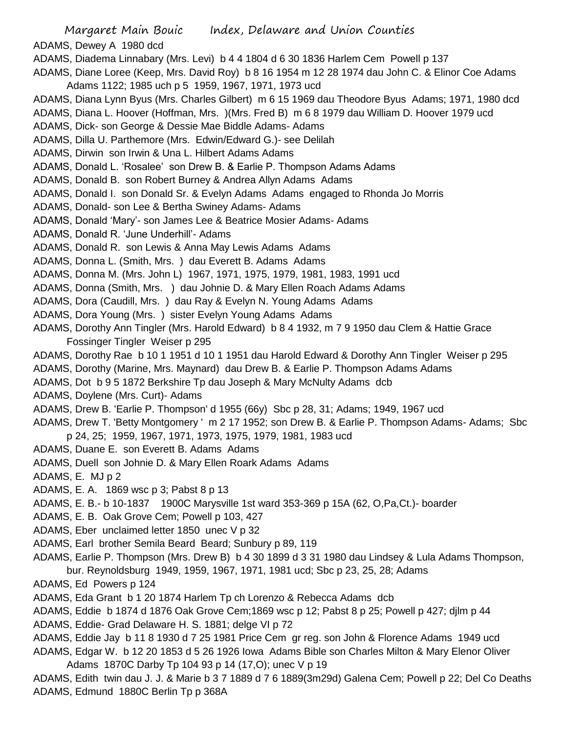- Margaret Main Bouic Index, Delaware and Union Counties
- ADAMS, Dewey A 1980 dcd
- ADAMS, Diadema Linnabary (Mrs. Levi) b 4 4 1804 d 6 30 1836 Harlem Cem Powell p 137
- ADAMS, Diane Loree (Keep, Mrs. David Roy) b 8 16 1954 m 12 28 1974 dau John C. & Elinor Coe Adams Adams 1122; 1985 uch p 5 1959, 1967, 1971, 1973 ucd
- ADAMS, Diana Lynn Byus (Mrs. Charles Gilbert) m 6 15 1969 dau Theodore Byus Adams; 1971, 1980 dcd
- ADAMS, Diana L. Hoover (Hoffman, Mrs. )(Mrs. Fred B) m 6 8 1979 dau William D. Hoover 1979 ucd
- ADAMS, Dick- son George & Dessie Mae Biddle Adams- Adams
- ADAMS, Dilla U. Parthemore (Mrs. Edwin/Edward G.)- see Delilah
- ADAMS, Dirwin son Irwin & Una L. Hilbert Adams Adams
- ADAMS, Donald L. 'Rosalee' son Drew B. & Earlie P. Thompson Adams Adams
- ADAMS, Donald B. son Robert Burney & Andrea Allyn Adams Adams
- ADAMS, Donald I. son Donald Sr. & Evelyn Adams Adams engaged to Rhonda Jo Morris
- ADAMS, Donald- son Lee & Bertha Swiney Adams- Adams
- ADAMS, Donald 'Mary'- son James Lee & Beatrice Mosier Adams- Adams
- ADAMS, Donald R. 'June Underhill'- Adams
- ADAMS, Donald R. son Lewis & Anna May Lewis Adams Adams
- ADAMS, Donna L. (Smith, Mrs. ) dau Everett B. Adams Adams
- ADAMS, Donna M. (Mrs. John L) 1967, 1971, 1975, 1979, 1981, 1983, 1991 ucd
- ADAMS, Donna (Smith, Mrs. ) dau Johnie D. & Mary Ellen Roach Adams Adams
- ADAMS, Dora (Caudill, Mrs. ) dau Ray & Evelyn N. Young Adams Adams
- ADAMS, Dora Young (Mrs. ) sister Evelyn Young Adams Adams
- ADAMS, Dorothy Ann Tingler (Mrs. Harold Edward) b 8 4 1932, m 7 9 1950 dau Clem & Hattie Grace Fossinger Tingler Weiser p 295
- ADAMS, Dorothy Rae b 10 1 1951 d 10 1 1951 dau Harold Edward & Dorothy Ann Tingler Weiser p 295
- ADAMS, Dorothy (Marine, Mrs. Maynard) dau Drew B. & Earlie P. Thompson Adams Adams
- ADAMS, Dot b 9 5 1872 Berkshire Tp dau Joseph & Mary McNulty Adams dcb
- ADAMS, Doylene (Mrs. Curt)- Adams
- ADAMS, Drew B. 'Earlie P. Thompson' d 1955 (66y) Sbc p 28, 31; Adams; 1949, 1967 ucd
- ADAMS, Drew T. 'Betty Montgomery ' m 2 17 1952; son Drew B. & Earlie P. Thompson Adams- Adams; Sbc p 24, 25; 1959, 1967, 1971, 1973, 1975, 1979, 1981, 1983 ucd
- ADAMS, Duane E. son Everett B. Adams Adams
- ADAMS, Duell son Johnie D. & Mary Ellen Roark Adams Adams
- ADAMS, E. MJ p 2
- ADAMS, E. A. 1869 wsc p 3; Pabst 8 p 13
- ADAMS, E. B.- b 10-1837 1900C Marysville 1st ward 353-369 p 15A (62, O,Pa,Ct.)- boarder
- ADAMS, E. B. Oak Grove Cem; Powell p 103, 427
- ADAMS, Eber unclaimed letter 1850 unec V p 32
- ADAMS, Earl brother Semila Beard Beard; Sunbury p 89, 119
- ADAMS, Earlie P. Thompson (Mrs. Drew B) b 4 30 1899 d 3 31 1980 dau Lindsey & Lula Adams Thompson,
	- bur. Reynoldsburg 1949, 1959, 1967, 1971, 1981 ucd; Sbc p 23, 25, 28; Adams
- ADAMS, Ed Powers p 124
- ADAMS, Eda Grant b 1 20 1874 Harlem Tp ch Lorenzo & Rebecca Adams dcb
- ADAMS, Eddie b 1874 d 1876 Oak Grove Cem;1869 wsc p 12; Pabst 8 p 25; Powell p 427; djlm p 44
- ADAMS, Eddie- Grad Delaware H. S. 1881; delge VI p 72
- ADAMS, Eddie Jay b 11 8 1930 d 7 25 1981 Price Cem gr reg. son John & Florence Adams 1949 ucd ADAMS, Edgar W. b 12 20 1853 d 5 26 1926 Iowa Adams Bible son Charles Milton & Mary Elenor Oliver
- Adams 1870C Darby Tp 104 93 p 14 (17,O); unec V p 19
- ADAMS, Edith twin dau J. J. & Marie b 3 7 1889 d 7 6 1889(3m29d) Galena Cem; Powell p 22; Del Co Deaths ADAMS, Edmund 1880C Berlin Tp p 368A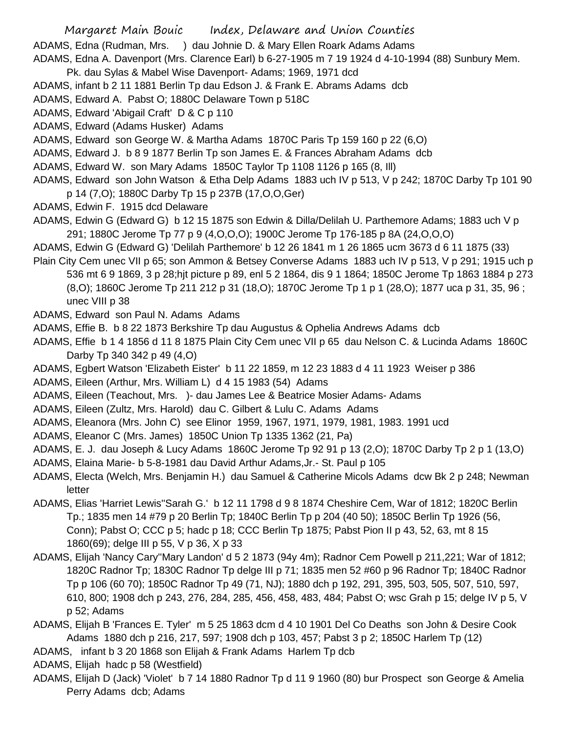- Margaret Main Bouic Index, Delaware and Union Counties
- ADAMS, Edna (Rudman, Mrs. ) dau Johnie D. & Mary Ellen Roark Adams Adams
- ADAMS, Edna A. Davenport (Mrs. Clarence Earl) b 6-27-1905 m 7 19 1924 d 4-10-1994 (88) Sunbury Mem. Pk. dau Sylas & Mabel Wise Davenport- Adams; 1969, 1971 dcd
- ADAMS, infant b 2 11 1881 Berlin Tp dau Edson J. & Frank E. Abrams Adams dcb
- ADAMS, Edward A. Pabst O; 1880C Delaware Town p 518C
- ADAMS, Edward 'Abigail Craft' D & C p 110
- ADAMS, Edward (Adams Husker) Adams
- ADAMS, Edward son George W. & Martha Adams 1870C Paris Tp 159 160 p 22 (6,O)
- ADAMS, Edward J. b 8 9 1877 Berlin Tp son James E. & Frances Abraham Adams dcb
- ADAMS, Edward W. son Mary Adams 1850C Taylor Tp 1108 1126 p 165 (8, Ill)
- ADAMS, Edward son John Watson & Etha Delp Adams 1883 uch IV p 513, V p 242; 1870C Darby Tp 101 90 p 14 (7,O); 1880C Darby Tp 15 p 237B (17,O,O,Ger)
- ADAMS, Edwin F. 1915 dcd Delaware
- ADAMS, Edwin G (Edward G) b 12 15 1875 son Edwin & Dilla/Delilah U. Parthemore Adams; 1883 uch V p 291; 1880C Jerome Tp 77 p 9 (4,O,O,O); 1900C Jerome Tp 176-185 p 8A (24,O,O,O)
- ADAMS, Edwin G (Edward G) 'Delilah Parthemore' b 12 26 1841 m 1 26 1865 ucm 3673 d 6 11 1875 (33)
- Plain City Cem unec VII p 65; son Ammon & Betsey Converse Adams 1883 uch IV p 513, V p 291; 1915 uch p 536 mt 6 9 1869, 3 p 28;hjt picture p 89, enl 5 2 1864, dis 9 1 1864; 1850C Jerome Tp 1863 1884 p 273 (8,O); 1860C Jerome Tp 211 212 p 31 (18,O); 1870C Jerome Tp 1 p 1 (28,O); 1877 uca p 31, 35, 96 ; unec VIII p 38
- ADAMS, Edward son Paul N. Adams Adams
- ADAMS, Effie B. b 8 22 1873 Berkshire Tp dau Augustus & Ophelia Andrews Adams dcb
- ADAMS, Effie b 1 4 1856 d 11 8 1875 Plain City Cem unec VII p 65 dau Nelson C. & Lucinda Adams 1860C Darby Tp 340 342 p 49 (4,O)
- ADAMS, Egbert Watson 'Elizabeth Eister' b 11 22 1859, m 12 23 1883 d 4 11 1923 Weiser p 386
- ADAMS, Eileen (Arthur, Mrs. William L) d 4 15 1983 (54) Adams
- ADAMS, Eileen (Teachout, Mrs. )- dau James Lee & Beatrice Mosier Adams- Adams
- ADAMS, Eileen (Zultz, Mrs. Harold) dau C. Gilbert & Lulu C. Adams Adams
- ADAMS, Eleanora (Mrs. John C) see Elinor 1959, 1967, 1971, 1979, 1981, 1983. 1991 ucd
- ADAMS, Eleanor C (Mrs. James) 1850C Union Tp 1335 1362 (21, Pa)
- ADAMS, E. J. dau Joseph & Lucy Adams 1860C Jerome Tp 92 91 p 13 (2,O); 1870C Darby Tp 2 p 1 (13,O)
- ADAMS, Elaina Marie- b 5-8-1981 dau David Arthur Adams,Jr.- St. Paul p 105
- ADAMS, Electa (Welch, Mrs. Benjamin H.) dau Samuel & Catherine Micols Adams dcw Bk 2 p 248; Newman letter
- ADAMS, Elias 'Harriet Lewis''Sarah G.' b 12 11 1798 d 9 8 1874 Cheshire Cem, War of 1812; 1820C Berlin Tp.; 1835 men 14 #79 p 20 Berlin Tp; 1840C Berlin Tp p 204 (40 50); 1850C Berlin Tp 1926 (56, Conn); Pabst O; CCC p 5; hadc p 18; CCC Berlin Tp 1875; Pabst Pion II p 43, 52, 63, mt 8 15 1860(69); delge III p 55, V p 36, X p 33
- ADAMS, Elijah 'Nancy Cary''Mary Landon' d 5 2 1873 (94y 4m); Radnor Cem Powell p 211,221; War of 1812; 1820C Radnor Tp; 1830C Radnor Tp delge III p 71; 1835 men 52 #60 p 96 Radnor Tp; 1840C Radnor Tp p 106 (60 70); 1850C Radnor Tp 49 (71, NJ); 1880 dch p 192, 291, 395, 503, 505, 507, 510, 597, 610, 800; 1908 dch p 243, 276, 284, 285, 456, 458, 483, 484; Pabst O; wsc Grah p 15; delge IV p 5, V p 52; Adams
- ADAMS, Elijah B 'Frances E. Tyler' m 5 25 1863 dcm d 4 10 1901 Del Co Deaths son John & Desire Cook Adams 1880 dch p 216, 217, 597; 1908 dch p 103, 457; Pabst 3 p 2; 1850C Harlem Tp (12)
- ADAMS, infant b 3 20 1868 son Elijah & Frank Adams Harlem Tp dcb
- ADAMS, Elijah hadc p 58 (Westfield)
- ADAMS, Elijah D (Jack) 'Violet' b 7 14 1880 Radnor Tp d 11 9 1960 (80) bur Prospect son George & Amelia Perry Adams dcb; Adams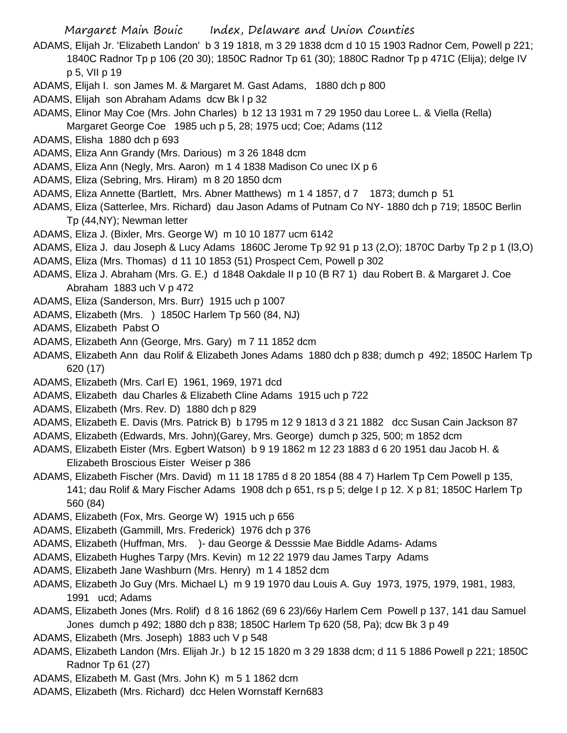- ADAMS, Elijah Jr. 'Elizabeth Landon' b 3 19 1818, m 3 29 1838 dcm d 10 15 1903 Radnor Cem, Powell p 221; 1840C Radnor Tp p 106 (20 30); 1850C Radnor Tp 61 (30); 1880C Radnor Tp p 471C (Elija); delge IV p 5, VII p 19
- ADAMS, Elijah I. son James M. & Margaret M. Gast Adams, 1880 dch p 800
- ADAMS, Elijah son Abraham Adams dcw Bk l p 32
- ADAMS, Elinor May Coe (Mrs. John Charles) b 12 13 1931 m 7 29 1950 dau Loree L. & Viella (Rella) Margaret George Coe 1985 uch p 5, 28; 1975 ucd; Coe; Adams (112
- ADAMS, Elisha 1880 dch p 693
- ADAMS, Eliza Ann Grandy (Mrs. Darious) m 3 26 1848 dcm
- ADAMS, Eliza Ann (Negly, Mrs. Aaron) m 1 4 1838 Madison Co unec IX p 6
- ADAMS, Eliza (Sebring, Mrs. Hiram) m 8 20 1850 dcm
- ADAMS, Eliza Annette (Bartlett, Mrs. Abner Matthews) m 1 4 1857, d 7 1873; dumch p 51
- ADAMS, Eliza (Satterlee, Mrs. Richard) dau Jason Adams of Putnam Co NY- 1880 dch p 719; 1850C Berlin Tp (44,NY); Newman letter
- ADAMS, Eliza J. (Bixler, Mrs. George W) m 10 10 1877 ucm 6142
- ADAMS, Eliza J. dau Joseph & Lucy Adams 1860C Jerome Tp 92 91 p 13 (2,O); 1870C Darby Tp 2 p 1 (l3,O)
- ADAMS, Eliza (Mrs. Thomas) d 11 10 1853 (51) Prospect Cem, Powell p 302
- ADAMS, Eliza J. Abraham (Mrs. G. E.) d 1848 Oakdale II p 10 (B R7 1) dau Robert B. & Margaret J. Coe Abraham 1883 uch V p 472
- ADAMS, Eliza (Sanderson, Mrs. Burr) 1915 uch p 1007
- ADAMS, Elizabeth (Mrs. ) 1850C Harlem Tp 560 (84, NJ)
- ADAMS, Elizabeth Pabst O
- ADAMS, Elizabeth Ann (George, Mrs. Gary) m 7 11 1852 dcm
- ADAMS, Elizabeth Ann dau Rolif & Elizabeth Jones Adams 1880 dch p 838; dumch p 492; 1850C Harlem Tp 620 (17)
- ADAMS, Elizabeth (Mrs. Carl E) 1961, 1969, 1971 dcd
- ADAMS, Elizabeth dau Charles & Elizabeth Cline Adams 1915 uch p 722
- ADAMS, Elizabeth (Mrs. Rev. D) 1880 dch p 829
- ADAMS, Elizabeth E. Davis (Mrs. Patrick B) b 1795 m 12 9 1813 d 3 21 1882 dcc Susan Cain Jackson 87
- ADAMS, Elizabeth (Edwards, Mrs. John)(Garey, Mrs. George) dumch p 325, 500; m 1852 dcm
- ADAMS, Elizabeth Eister (Mrs. Egbert Watson) b 9 19 1862 m 12 23 1883 d 6 20 1951 dau Jacob H. & Elizabeth Broscious Eister Weiser p 386
- ADAMS, Elizabeth Fischer (Mrs. David) m 11 18 1785 d 8 20 1854 (88 4 7) Harlem Tp Cem Powell p 135, 141; dau Rolif & Mary Fischer Adams 1908 dch p 651, rs p 5; delge I p 12. X p 81; 1850C Harlem Tp 560 (84)
- ADAMS, Elizabeth (Fox, Mrs. George W) 1915 uch p 656
- ADAMS, Elizabeth (Gammill, Mrs. Frederick) 1976 dch p 376
- ADAMS, Elizabeth (Huffman, Mrs. )- dau George & Desssie Mae Biddle Adams- Adams
- ADAMS, Elizabeth Hughes Tarpy (Mrs. Kevin) m 12 22 1979 dau James Tarpy Adams
- ADAMS, Elizabeth Jane Washburn (Mrs. Henry) m 1 4 1852 dcm
- ADAMS, Elizabeth Jo Guy (Mrs. Michael L) m 9 19 1970 dau Louis A. Guy 1973, 1975, 1979, 1981, 1983, 1991 ucd; Adams
- ADAMS, Elizabeth Jones (Mrs. Rolif) d 8 16 1862 (69 6 23)/66y Harlem Cem Powell p 137, 141 dau Samuel Jones dumch p 492; 1880 dch p 838; 1850C Harlem Tp 620 (58, Pa); dcw Bk 3 p 49
- ADAMS, Elizabeth (Mrs. Joseph) 1883 uch V p 548
- ADAMS, Elizabeth Landon (Mrs. Elijah Jr.) b 12 15 1820 m 3 29 1838 dcm; d 11 5 1886 Powell p 221; 1850C Radnor Tp 61 (27)
- ADAMS, Elizabeth M. Gast (Mrs. John K) m 5 1 1862 dcm
- ADAMS, Elizabeth (Mrs. Richard) dcc Helen Wornstaff Kern683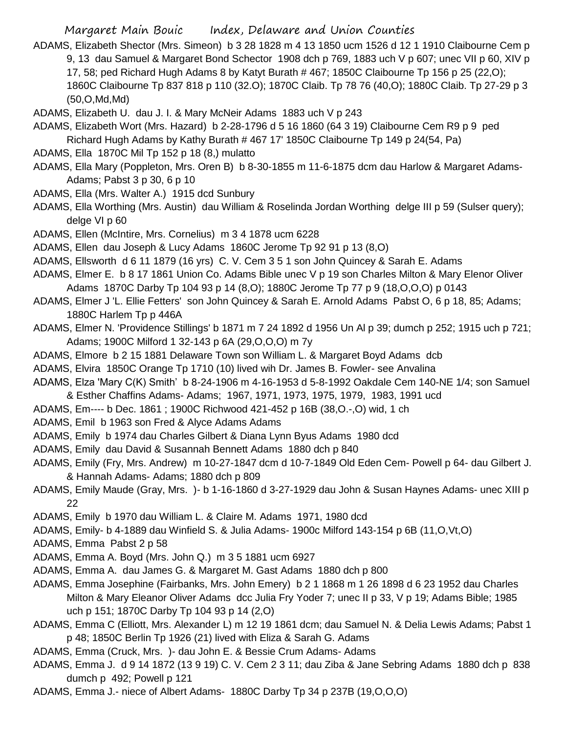- ADAMS, Elizabeth Shector (Mrs. Simeon) b 3 28 1828 m 4 13 1850 ucm 1526 d 12 1 1910 Claibourne Cem p 9, 13 dau Samuel & Margaret Bond Schector 1908 dch p 769, 1883 uch V p 607; unec VII p 60, XIV p 17, 58; ped Richard Hugh Adams 8 by Katyt Burath # 467; 1850C Claibourne Tp 156 p 25 (22,O); 1860C Claibourne Tp 837 818 p 110 (32.O); 1870C Claib. Tp 78 76 (40,O); 1880C Claib. Tp 27-29 p 3 (50,O,Md,Md)
- ADAMS, Elizabeth U. dau J. I. & Mary McNeir Adams 1883 uch V p 243
- ADAMS, Elizabeth Wort (Mrs. Hazard) b 2-28-1796 d 5 16 1860 (64 3 19) Claibourne Cem R9 p 9 ped Richard Hugh Adams by Kathy Burath # 467 17' 1850C Claibourne Tp 149 p 24(54, Pa)
- ADAMS, Ella 1870C Mil Tp 152 p 18 (8,) mulatto
- ADAMS, Ella Mary (Poppleton, Mrs. Oren B) b 8-30-1855 m 11-6-1875 dcm dau Harlow & Margaret Adams-Adams; Pabst 3 p 30, 6 p 10
- ADAMS, Ella (Mrs. Walter A.) 1915 dcd Sunbury
- ADAMS, Ella Worthing (Mrs. Austin) dau William & Roselinda Jordan Worthing delge III p 59 (Sulser query); delge VI p 60
- ADAMS, Ellen (McIntire, Mrs. Cornelius) m 3 4 1878 ucm 6228
- ADAMS, Ellen dau Joseph & Lucy Adams 1860C Jerome Tp 92 91 p 13 (8,O)
- ADAMS, Ellsworth d 6 11 1879 (16 yrs) C. V. Cem 3 5 1 son John Quincey & Sarah E. Adams
- ADAMS, Elmer E. b 8 17 1861 Union Co. Adams Bible unec V p 19 son Charles Milton & Mary Elenor Oliver Adams 1870C Darby Tp 104 93 p 14 (8,O); 1880C Jerome Tp 77 p 9 (18,O,O,O) p 0143
- ADAMS, Elmer J 'L. Ellie Fetters' son John Quincey & Sarah E. Arnold Adams Pabst O, 6 p 18, 85; Adams; 1880C Harlem Tp p 446A
- ADAMS, Elmer N. 'Providence Stillings' b 1871 m 7 24 1892 d 1956 Un Al p 39; dumch p 252; 1915 uch p 721; Adams; 1900C Milford 1 32-143 p 6A (29,O,O,O) m 7y
- ADAMS, Elmore b 2 15 1881 Delaware Town son William L. & Margaret Boyd Adams dcb
- ADAMS, Elvira 1850C Orange Tp 1710 (10) lived wih Dr. James B. Fowler- see Anvalina
- ADAMS, Elza 'Mary C(K) Smith' b 8-24-1906 m 4-16-1953 d 5-8-1992 Oakdale Cem 140-NE 1/4; son Samuel & Esther Chaffins Adams- Adams; 1967, 1971, 1973, 1975, 1979, 1983, 1991 ucd
- ADAMS, Em---- b Dec. 1861 ; 1900C Richwood 421-452 p 16B (38,O.-,O) wid, 1 ch
- ADAMS, Emil b 1963 son Fred & Alyce Adams Adams
- ADAMS, Emily b 1974 dau Charles Gilbert & Diana Lynn Byus Adams 1980 dcd
- ADAMS, Emily dau David & Susannah Bennett Adams 1880 dch p 840
- ADAMS, Emily (Fry, Mrs. Andrew) m 10-27-1847 dcm d 10-7-1849 Old Eden Cem- Powell p 64- dau Gilbert J. & Hannah Adams- Adams; 1880 dch p 809
- ADAMS, Emily Maude (Gray, Mrs. )- b 1-16-1860 d 3-27-1929 dau John & Susan Haynes Adams- unec XIII p 22
- ADAMS, Emily b 1970 dau William L. & Claire M. Adams 1971, 1980 dcd
- ADAMS, Emily- b 4-1889 dau Winfield S. & Julia Adams- 1900c Milford 143-154 p 6B (11,O,Vt,O)
- ADAMS, Emma Pabst 2 p 58
- ADAMS, Emma A. Boyd (Mrs. John Q.) m 3 5 1881 ucm 6927
- ADAMS, Emma A. dau James G. & Margaret M. Gast Adams 1880 dch p 800
- ADAMS, Emma Josephine (Fairbanks, Mrs. John Emery) b 2 1 1868 m 1 26 1898 d 6 23 1952 dau Charles Milton & Mary Eleanor Oliver Adams dcc Julia Fry Yoder 7; unec II p 33, V p 19; Adams Bible; 1985 uch p 151; 1870C Darby Tp 104 93 p 14 (2,O)
- ADAMS, Emma C (Elliott, Mrs. Alexander L) m 12 19 1861 dcm; dau Samuel N. & Delia Lewis Adams; Pabst 1 p 48; 1850C Berlin Tp 1926 (21) lived with Eliza & Sarah G. Adams
- ADAMS, Emma (Cruck, Mrs. )- dau John E. & Bessie Crum Adams- Adams
- ADAMS, Emma J. d 9 14 1872 (13 9 19) C. V. Cem 2 3 11; dau Ziba & Jane Sebring Adams 1880 dch p 838 dumch p 492; Powell p 121
- ADAMS, Emma J.- niece of Albert Adams- 1880C Darby Tp 34 p 237B (19,O,O,O)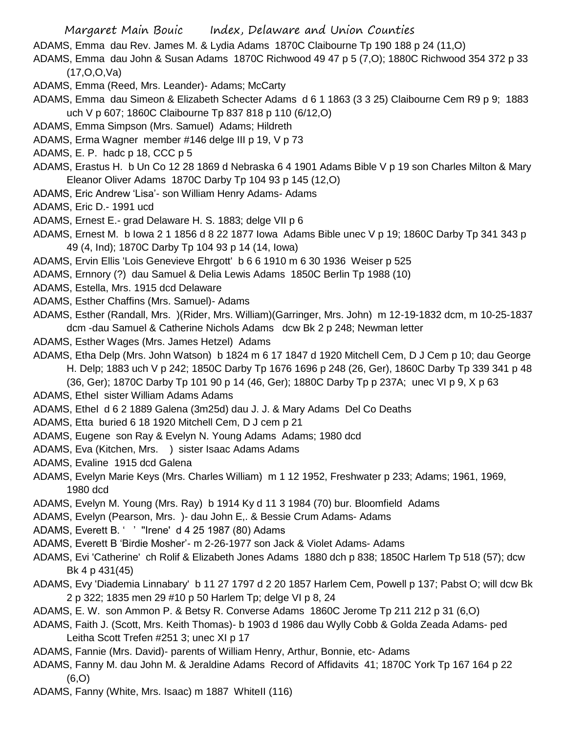ADAMS, Emma dau Rev. James M. & Lydia Adams 1870C Claibourne Tp 190 188 p 24 (11,O)

ADAMS, Emma dau John & Susan Adams 1870C Richwood 49 47 p 5 (7,O); 1880C Richwood 354 372 p 33 (17,O,O,Va)

- ADAMS, Emma (Reed, Mrs. Leander)- Adams; McCarty
- ADAMS, Emma dau Simeon & Elizabeth Schecter Adams d 6 1 1863 (3 3 25) Claibourne Cem R9 p 9; 1883 uch V p 607; 1860C Claibourne Tp 837 818 p 110 (6/12,O)
- ADAMS, Emma Simpson (Mrs. Samuel) Adams; Hildreth
- ADAMS, Erma Wagner member #146 delge III p 19, V p 73
- ADAMS, E. P. hadc p 18, CCC p 5
- ADAMS, Erastus H. b Un Co 12 28 1869 d Nebraska 6 4 1901 Adams Bible V p 19 son Charles Milton & Mary Eleanor Oliver Adams 1870C Darby Tp 104 93 p 145 (12,O)
- ADAMS, Eric Andrew 'Lisa'- son William Henry Adams- Adams
- ADAMS, Eric D.- 1991 ucd
- ADAMS, Ernest E.- grad Delaware H. S. 1883; delge VII p 6
- ADAMS, Ernest M. b Iowa 2 1 1856 d 8 22 1877 Iowa Adams Bible unec V p 19; 1860C Darby Tp 341 343 p 49 (4, Ind); 1870C Darby Tp 104 93 p 14 (14, Iowa)
- ADAMS, Ervin Ellis 'Lois Genevieve Ehrgott' b 6 6 1910 m 6 30 1936 Weiser p 525
- ADAMS, Ernnory (?) dau Samuel & Delia Lewis Adams 1850C Berlin Tp 1988 (10)
- ADAMS, Estella, Mrs. 1915 dcd Delaware
- ADAMS, Esther Chaffins (Mrs. Samuel)- Adams
- ADAMS, Esther (Randall, Mrs. )(Rider, Mrs. William)(Garringer, Mrs. John) m 12-19-1832 dcm, m 10-25-1837 dcm -dau Samuel & Catherine Nichols Adams dcw Bk 2 p 248; Newman letter
- ADAMS, Esther Wages (Mrs. James Hetzel) Adams
- ADAMS, Etha Delp (Mrs. John Watson) b 1824 m 6 17 1847 d 1920 Mitchell Cem, D J Cem p 10; dau George H. Delp; 1883 uch V p 242; 1850C Darby Tp 1676 1696 p 248 (26, Ger), 1860C Darby Tp 339 341 p 48

(36, Ger); 1870C Darby Tp 101 90 p 14 (46, Ger); 1880C Darby Tp p 237A; unec VI p 9, X p 63

- ADAMS, Ethel sister William Adams Adams
- ADAMS, Ethel d 6 2 1889 Galena (3m25d) dau J. J. & Mary Adams Del Co Deaths
- ADAMS, Etta buried 6 18 1920 Mitchell Cem, D J cem p 21
- ADAMS, Eugene son Ray & Evelyn N. Young Adams Adams; 1980 dcd
- ADAMS, Eva (Kitchen, Mrs. ) sister Isaac Adams Adams
- ADAMS, Evaline 1915 dcd Galena
- ADAMS, Evelyn Marie Keys (Mrs. Charles William) m 1 12 1952, Freshwater p 233; Adams; 1961, 1969, 1980 dcd
- ADAMS, Evelyn M. Young (Mrs. Ray) b 1914 Ky d 11 3 1984 (70) bur. Bloomfield Adams
- ADAMS, Evelyn (Pearson, Mrs. )- dau John E,. & Bessie Crum Adams- Adams
- ADAMS, Everett B. ' ' ''Irene' d 4 25 1987 (80) Adams
- ADAMS, Everett B 'Birdie Mosher'- m 2-26-1977 son Jack & Violet Adams- Adams
- ADAMS, Evi 'Catherine' ch Rolif & Elizabeth Jones Adams 1880 dch p 838; 1850C Harlem Tp 518 (57); dcw Bk 4 p 431(45)
- ADAMS, Evy 'Diademia Linnabary' b 11 27 1797 d 2 20 1857 Harlem Cem, Powell p 137; Pabst O; will dcw Bk 2 p 322; 1835 men 29 #10 p 50 Harlem Tp; delge VI p 8, 24
- ADAMS, E. W. son Ammon P. & Betsy R. Converse Adams 1860C Jerome Tp 211 212 p 31 (6,O)
- ADAMS, Faith J. (Scott, Mrs. Keith Thomas)- b 1903 d 1986 dau Wylly Cobb & Golda Zeada Adams- ped Leitha Scott Trefen #251 3; unec XI p 17
- ADAMS, Fannie (Mrs. David)- parents of William Henry, Arthur, Bonnie, etc- Adams
- ADAMS, Fanny M. dau John M. & Jeraldine Adams Record of Affidavits 41; 1870C York Tp 167 164 p 22 (6,O)
- ADAMS, Fanny (White, Mrs. Isaac) m 1887 WhiteII (116)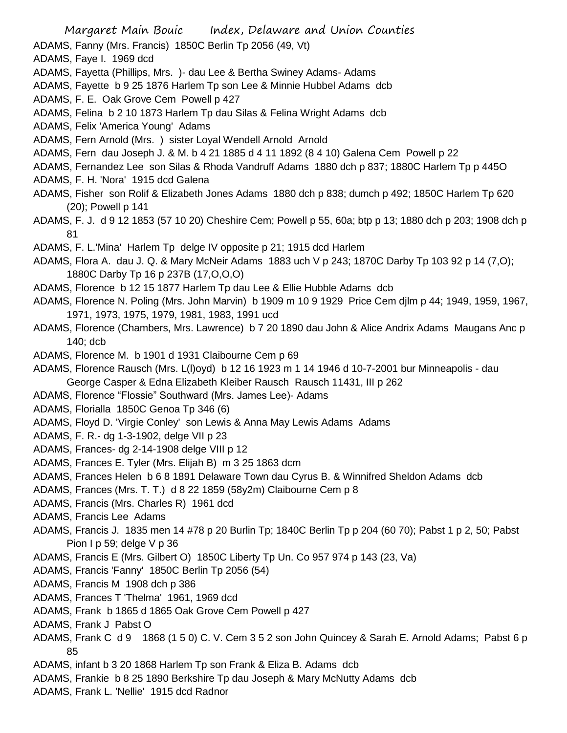Margaret Main Bouic Index, Delaware and Union Counties ADAMS, Fanny (Mrs. Francis) 1850C Berlin Tp 2056 (49, Vt) ADAMS, Faye I. 1969 dcd ADAMS, Fayetta (Phillips, Mrs. )- dau Lee & Bertha Swiney Adams- Adams ADAMS, Fayette b 9 25 1876 Harlem Tp son Lee & Minnie Hubbel Adams dcb ADAMS, F. E. Oak Grove Cem Powell p 427 ADAMS, Felina b 2 10 1873 Harlem Tp dau Silas & Felina Wright Adams dcb ADAMS, Felix 'America Young' Adams ADAMS, Fern Arnold (Mrs. ) sister Loyal Wendell Arnold Arnold ADAMS, Fern dau Joseph J. & M. b 4 21 1885 d 4 11 1892 (8 4 10) Galena Cem Powell p 22 ADAMS, Fernandez Lee son Silas & Rhoda Vandruff Adams 1880 dch p 837; 1880C Harlem Tp p 445O ADAMS, F. H. 'Nora' 1915 dcd Galena ADAMS, Fisher son Rolif & Elizabeth Jones Adams 1880 dch p 838; dumch p 492; 1850C Harlem Tp 620 (20); Powell p 141 ADAMS, F. J. d 9 12 1853 (57 10 20) Cheshire Cem; Powell p 55, 60a; btp p 13; 1880 dch p 203; 1908 dch p 81 ADAMS, F. L.'Mina' Harlem Tp delge IV opposite p 21; 1915 dcd Harlem ADAMS, Flora A. dau J. Q. & Mary McNeir Adams 1883 uch V p 243; 1870C Darby Tp 103 92 p 14 (7,O); 1880C Darby Tp 16 p 237B (17,O,O,O) ADAMS, Florence b 12 15 1877 Harlem Tp dau Lee & Ellie Hubble Adams dcb ADAMS, Florence N. Poling (Mrs. John Marvin) b 1909 m 10 9 1929 Price Cem djlm p 44; 1949, 1959, 1967, 1971, 1973, 1975, 1979, 1981, 1983, 1991 ucd ADAMS, Florence (Chambers, Mrs. Lawrence) b 7 20 1890 dau John & Alice Andrix Adams Maugans Anc p 140; dcb ADAMS, Florence M. b 1901 d 1931 Claibourne Cem p 69 ADAMS, Florence Rausch (Mrs. L(l)oyd) b 12 16 1923 m 1 14 1946 d 10-7-2001 bur Minneapolis - dau George Casper & Edna Elizabeth Kleiber Rausch Rausch 11431, III p 262 ADAMS, Florence "Flossie" Southward (Mrs. James Lee)- Adams ADAMS, Florialla 1850C Genoa Tp 346 (6) ADAMS, Floyd D. 'Virgie Conley' son Lewis & Anna May Lewis Adams Adams ADAMS, F. R.- dg 1-3-1902, delge VII p 23 ADAMS, Frances- dg 2-14-1908 delge VIII p 12 ADAMS, Frances E. Tyler (Mrs. Elijah B) m 3 25 1863 dcm ADAMS, Frances Helen b 6 8 1891 Delaware Town dau Cyrus B. & Winnifred Sheldon Adams dcb ADAMS, Frances (Mrs. T. T.) d 8 22 1859 (58y2m) Claibourne Cem p 8 ADAMS, Francis (Mrs. Charles R) 1961 dcd ADAMS, Francis Lee Adams ADAMS, Francis J. 1835 men 14 #78 p 20 Burlin Tp; 1840C Berlin Tp p 204 (60 70); Pabst 1 p 2, 50; Pabst Pion I p 59; delge V p 36 ADAMS, Francis E (Mrs. Gilbert O) 1850C Liberty Tp Un. Co 957 974 p 143 (23, Va) ADAMS, Francis 'Fanny' 1850C Berlin Tp 2056 (54) ADAMS, Francis M 1908 dch p 386 ADAMS, Frances T 'Thelma' 1961, 1969 dcd ADAMS, Frank b 1865 d 1865 Oak Grove Cem Powell p 427 ADAMS, Frank J Pabst O ADAMS, Frank C d 9 1868 (1 5 0) C. V. Cem 3 5 2 son John Quincey & Sarah E. Arnold Adams; Pabst 6 p 85 ADAMS, infant b 3 20 1868 Harlem Tp son Frank & Eliza B. Adams dcb ADAMS, Frankie b 8 25 1890 Berkshire Tp dau Joseph & Mary McNutty Adams dcb ADAMS, Frank L. 'Nellie' 1915 dcd Radnor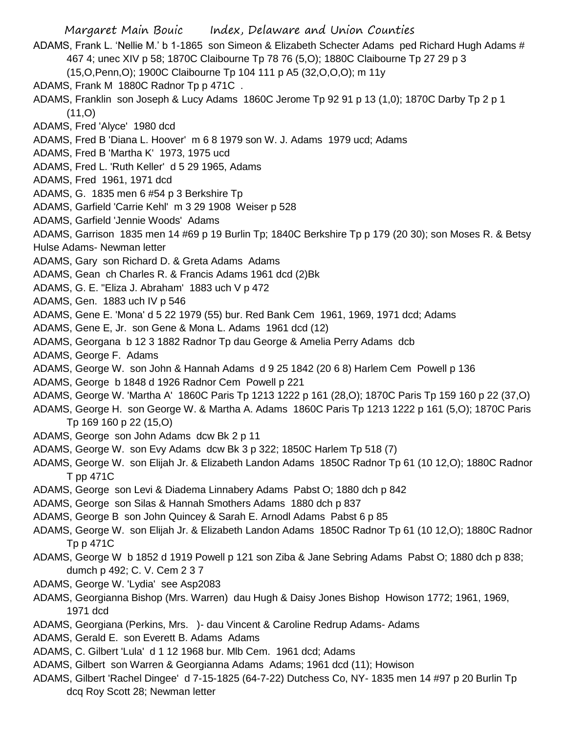Margaret Main Bouic Index, Delaware and Union Counties ADAMS, Frank L. 'Nellie M.' b 1-1865 son Simeon & Elizabeth Schecter Adams ped Richard Hugh Adams # 467 4; unec XIV p 58; 1870C Claibourne Tp 78 76 (5,O); 1880C Claibourne Tp 27 29 p 3 (15,O,Penn,O); 1900C Claibourne Tp 104 111 p A5 (32,O,O,O); m 11y ADAMS, Frank M 1880C Radnor Tp p 471C . ADAMS, Franklin son Joseph & Lucy Adams 1860C Jerome Tp 92 91 p 13 (1,0); 1870C Darby Tp 2 p 1  $(11,0)$ ADAMS, Fred 'Alyce' 1980 dcd ADAMS, Fred B 'Diana L. Hoover' m 6 8 1979 son W. J. Adams 1979 ucd; Adams ADAMS, Fred B 'Martha K' 1973, 1975 ucd ADAMS, Fred L. 'Ruth Keller' d 5 29 1965, Adams ADAMS, Fred 1961, 1971 dcd ADAMS, G. 1835 men 6 #54 p 3 Berkshire Tp ADAMS, Garfield 'Carrie Kehl' m 3 29 1908 Weiser p 528 ADAMS, Garfield 'Jennie Woods' Adams ADAMS, Garrison 1835 men 14 #69 p 19 Burlin Tp; 1840C Berkshire Tp p 179 (20 30); son Moses R. & Betsy Hulse Adams- Newman letter ADAMS, Gary son Richard D. & Greta Adams Adams ADAMS, Gean ch Charles R. & Francis Adams 1961 dcd (2)Bk ADAMS, G. E. "Eliza J. Abraham' 1883 uch V p 472 ADAMS, Gen. 1883 uch IV p 546 ADAMS, Gene E. 'Mona' d 5 22 1979 (55) bur. Red Bank Cem 1961, 1969, 1971 dcd; Adams ADAMS, Gene E, Jr. son Gene & Mona L. Adams 1961 dcd (12) ADAMS, Georgana b 12 3 1882 Radnor Tp dau George & Amelia Perry Adams dcb ADAMS, George F. Adams ADAMS, George W. son John & Hannah Adams d 9 25 1842 (20 6 8) Harlem Cem Powell p 136 ADAMS, George b 1848 d 1926 Radnor Cem Powell p 221 ADAMS, George W. 'Martha A' 1860C Paris Tp 1213 1222 p 161 (28,O); 1870C Paris Tp 159 160 p 22 (37,O) ADAMS, George H. son George W. & Martha A. Adams 1860C Paris Tp 1213 1222 p 161 (5,O); 1870C Paris Tp 169 160 p 22 (15,O) ADAMS, George son John Adams dcw Bk 2 p 11 ADAMS, George W. son Evy Adams dcw Bk 3 p 322; 1850C Harlem Tp 518 (7) ADAMS, George W. son Elijah Jr. & Elizabeth Landon Adams 1850C Radnor Tp 61 (10 12,O); 1880C Radnor T pp 471C ADAMS, George son Levi & Diadema Linnabery Adams Pabst O; 1880 dch p 842 ADAMS, George son Silas & Hannah Smothers Adams 1880 dch p 837 ADAMS, George B son John Quincey & Sarah E. Arnodl Adams Pabst 6 p 85 ADAMS, George W. son Elijah Jr. & Elizabeth Landon Adams 1850C Radnor Tp 61 (10 12,O); 1880C Radnor Tp p 471C ADAMS, George W b 1852 d 1919 Powell p 121 son Ziba & Jane Sebring Adams Pabst O; 1880 dch p 838; dumch p 492; C. V. Cem 2 3 7 ADAMS, George W. 'Lydia' see Asp2083 ADAMS, Georgianna Bishop (Mrs. Warren) dau Hugh & Daisy Jones Bishop Howison 1772; 1961, 1969, 1971 dcd ADAMS, Georgiana (Perkins, Mrs. )- dau Vincent & Caroline Redrup Adams- Adams ADAMS, Gerald E. son Everett B. Adams Adams ADAMS, C. Gilbert 'Lula' d 1 12 1968 bur. Mlb Cem. 1961 dcd; Adams ADAMS, Gilbert son Warren & Georgianna Adams Adams; 1961 dcd (11); Howison ADAMS, Gilbert 'Rachel Dingee' d 7-15-1825 (64-7-22) Dutchess Co, NY- 1835 men 14 #97 p 20 Burlin Tp dcq Roy Scott 28; Newman letter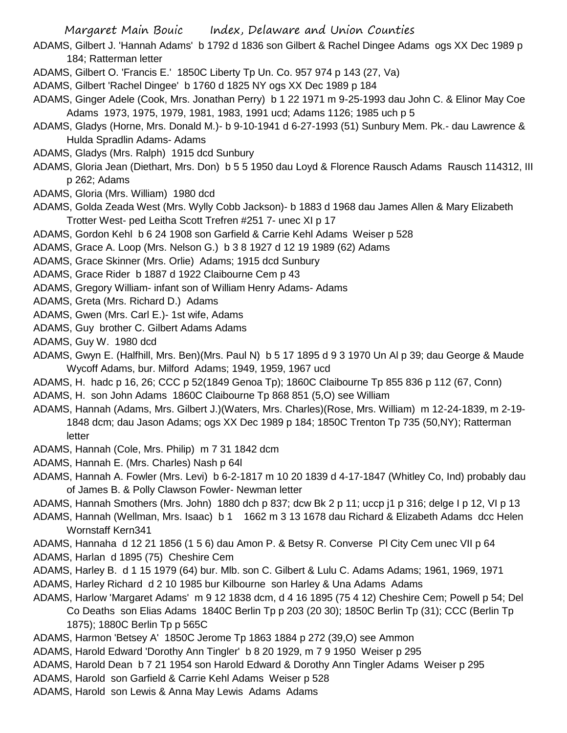- Margaret Main Bouic Index, Delaware and Union Counties
- ADAMS, Gilbert J. 'Hannah Adams' b 1792 d 1836 son Gilbert & Rachel Dingee Adams ogs XX Dec 1989 p 184; Ratterman letter
- ADAMS, Gilbert O. 'Francis E.' 1850C Liberty Tp Un. Co. 957 974 p 143 (27, Va)
- ADAMS, Gilbert 'Rachel Dingee' b 1760 d 1825 NY ogs XX Dec 1989 p 184
- ADAMS, Ginger Adele (Cook, Mrs. Jonathan Perry) b 1 22 1971 m 9-25-1993 dau John C. & Elinor May Coe Adams 1973, 1975, 1979, 1981, 1983, 1991 ucd; Adams 1126; 1985 uch p 5
- ADAMS, Gladys (Horne, Mrs. Donald M.)- b 9-10-1941 d 6-27-1993 (51) Sunbury Mem. Pk.- dau Lawrence & Hulda Spradlin Adams- Adams
- ADAMS, Gladys (Mrs. Ralph) 1915 dcd Sunbury
- ADAMS, Gloria Jean (Diethart, Mrs. Don) b 5 5 1950 dau Loyd & Florence Rausch Adams Rausch 114312, III p 262; Adams
- ADAMS, Gloria (Mrs. William) 1980 dcd
- ADAMS, Golda Zeada West (Mrs. Wylly Cobb Jackson)- b 1883 d 1968 dau James Allen & Mary Elizabeth Trotter West- ped Leitha Scott Trefren #251 7- unec XI p 17
- ADAMS, Gordon Kehl b 6 24 1908 son Garfield & Carrie Kehl Adams Weiser p 528
- ADAMS, Grace A. Loop (Mrs. Nelson G.) b 3 8 1927 d 12 19 1989 (62) Adams
- ADAMS, Grace Skinner (Mrs. Orlie) Adams; 1915 dcd Sunbury
- ADAMS, Grace Rider b 1887 d 1922 Claibourne Cem p 43
- ADAMS, Gregory William- infant son of William Henry Adams- Adams
- ADAMS, Greta (Mrs. Richard D.) Adams
- ADAMS, Gwen (Mrs. Carl E.)- 1st wife, Adams
- ADAMS, Guy brother C. Gilbert Adams Adams
- ADAMS, Guy W. 1980 dcd
- ADAMS, Gwyn E. (Halfhill, Mrs. Ben)(Mrs. Paul N) b 5 17 1895 d 9 3 1970 Un Al p 39; dau George & Maude Wycoff Adams, bur. Milford Adams; 1949, 1959, 1967 ucd
- ADAMS, H. hadc p 16, 26; CCC p 52(1849 Genoa Tp); 1860C Claibourne Tp 855 836 p 112 (67, Conn) ADAMS, H. son John Adams 1860C Claibourne Tp 868 851 (5,O) see William
- ADAMS, Hannah (Adams, Mrs. Gilbert J.)(Waters, Mrs. Charles)(Rose, Mrs. William) m 12-24-1839, m 2-19- 1848 dcm; dau Jason Adams; ogs XX Dec 1989 p 184; 1850C Trenton Tp 735 (50,NY); Ratterman letter
- ADAMS, Hannah (Cole, Mrs. Philip) m 7 31 1842 dcm
- ADAMS, Hannah E. (Mrs. Charles) Nash p 64l
- ADAMS, Hannah A. Fowler (Mrs. Levi) b 6-2-1817 m 10 20 1839 d 4-17-1847 (Whitley Co, Ind) probably dau of James B. & Polly Clawson Fowler- Newman letter
- ADAMS, Hannah Smothers (Mrs. John) 1880 dch p 837; dcw Bk 2 p 11; uccp j1 p 316; delge I p 12, VI p 13
- ADAMS, Hannah (Wellman, Mrs. Isaac) b 1 1662 m 3 13 1678 dau Richard & Elizabeth Adams dcc Helen Wornstaff Kern341
- ADAMS, Hannaha d 12 21 1856 (1 5 6) dau Amon P. & Betsy R. Converse Pl City Cem unec VII p 64
- ADAMS, Harlan d 1895 (75) Cheshire Cem
- ADAMS, Harley B. d 1 15 1979 (64) bur. Mlb. son C. Gilbert & Lulu C. Adams Adams; 1961, 1969, 1971
- ADAMS, Harley Richard d 2 10 1985 bur Kilbourne son Harley & Una Adams Adams
- ADAMS, Harlow 'Margaret Adams' m 9 12 1838 dcm, d 4 16 1895 (75 4 12) Cheshire Cem; Powell p 54; Del Co Deaths son Elias Adams 1840C Berlin Tp p 203 (20 30); 1850C Berlin Tp (31); CCC (Berlin Tp 1875); 1880C Berlin Tp p 565C
- ADAMS, Harmon 'Betsey A' 1850C Jerome Tp 1863 1884 p 272 (39,O) see Ammon
- ADAMS, Harold Edward 'Dorothy Ann Tingler' b 8 20 1929, m 7 9 1950 Weiser p 295
- ADAMS, Harold Dean b 7 21 1954 son Harold Edward & Dorothy Ann Tingler Adams Weiser p 295
- ADAMS, Harold son Garfield & Carrie Kehl Adams Weiser p 528
- ADAMS, Harold son Lewis & Anna May Lewis Adams Adams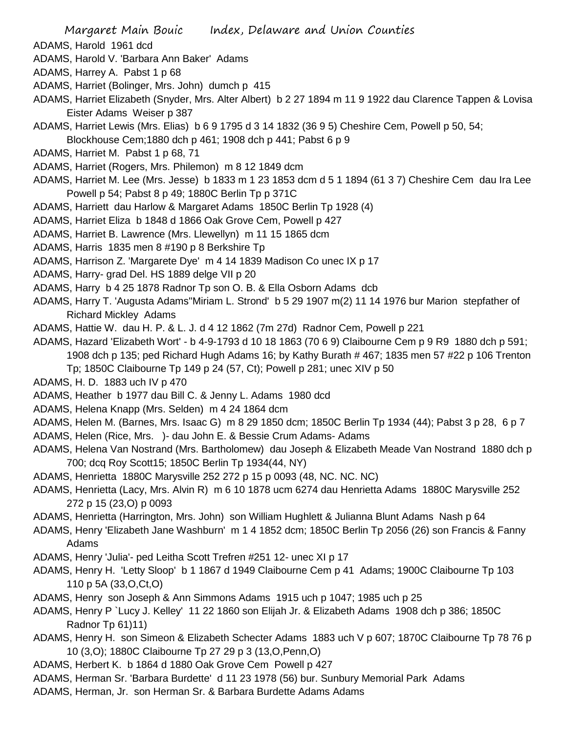- ADAMS, Harold 1961 dcd
- ADAMS, Harold V. 'Barbara Ann Baker' Adams
- ADAMS, Harrey A. Pabst 1 p 68
- ADAMS, Harriet (Bolinger, Mrs. John) dumch p 415
- ADAMS, Harriet Elizabeth (Snyder, Mrs. Alter Albert) b 2 27 1894 m 11 9 1922 dau Clarence Tappen & Lovisa Eister Adams Weiser p 387
- ADAMS, Harriet Lewis (Mrs. Elias) b 6 9 1795 d 3 14 1832 (36 9 5) Cheshire Cem, Powell p 50, 54; Blockhouse Cem;1880 dch p 461; 1908 dch p 441; Pabst 6 p 9
- ADAMS, Harriet M. Pabst 1 p 68, 71
- ADAMS, Harriet (Rogers, Mrs. Philemon) m 8 12 1849 dcm
- ADAMS, Harriet M. Lee (Mrs. Jesse) b 1833 m 1 23 1853 dcm d 5 1 1894 (61 3 7) Cheshire Cem dau Ira Lee Powell p 54; Pabst 8 p 49; 1880C Berlin Tp p 371C
- ADAMS, Harriett dau Harlow & Margaret Adams 1850C Berlin Tp 1928 (4)
- ADAMS, Harriet Eliza b 1848 d 1866 Oak Grove Cem, Powell p 427
- ADAMS, Harriet B. Lawrence (Mrs. Llewellyn) m 11 15 1865 dcm
- ADAMS, Harris 1835 men 8 #190 p 8 Berkshire Tp
- ADAMS, Harrison Z. 'Margarete Dye' m 4 14 1839 Madison Co unec IX p 17
- ADAMS, Harry- grad Del. HS 1889 delge VII p 20
- ADAMS, Harry b 4 25 1878 Radnor Tp son O. B. & Ella Osborn Adams dcb
- ADAMS, Harry T. 'Augusta Adams''Miriam L. Strond' b 5 29 1907 m(2) 11 14 1976 bur Marion stepfather of Richard Mickley Adams
- ADAMS, Hattie W. dau H. P. & L. J. d 4 12 1862 (7m 27d) Radnor Cem, Powell p 221
- ADAMS, Hazard 'Elizabeth Wort' b 4-9-1793 d 10 18 1863 (70 6 9) Claibourne Cem p 9 R9 1880 dch p 591; 1908 dch p 135; ped Richard Hugh Adams 16; by Kathy Burath # 467; 1835 men 57 #22 p 106 Trenton Tp; 1850C Claibourne Tp 149 p 24 (57, Ct); Powell p 281; unec XIV p 50
- ADAMS, H. D. 1883 uch IV p 470
- ADAMS, Heather b 1977 dau Bill C. & Jenny L. Adams 1980 dcd
- ADAMS, Helena Knapp (Mrs. Selden) m 4 24 1864 dcm
- ADAMS, Helen M. (Barnes, Mrs. Isaac G) m 8 29 1850 dcm; 1850C Berlin Tp 1934 (44); Pabst 3 p 28, 6 p 7
- ADAMS, Helen (Rice, Mrs. )- dau John E. & Bessie Crum Adams- Adams
- ADAMS, Helena Van Nostrand (Mrs. Bartholomew) dau Joseph & Elizabeth Meade Van Nostrand 1880 dch p 700; dcq Roy Scott15; 1850C Berlin Tp 1934(44, NY)
- ADAMS, Henrietta 1880C Marysville 252 272 p 15 p 0093 (48, NC. NC. NC)
- ADAMS, Henrietta (Lacy, Mrs. Alvin R) m 6 10 1878 ucm 6274 dau Henrietta Adams 1880C Marysville 252 272 p 15 (23,O) p 0093
- ADAMS, Henrietta (Harrington, Mrs. John) son William Hughlett & Julianna Blunt Adams Nash p 64
- ADAMS, Henry 'Elizabeth Jane Washburn' m 1 4 1852 dcm; 1850C Berlin Tp 2056 (26) son Francis & Fanny Adams
- ADAMS, Henry 'Julia'- ped Leitha Scott Trefren #251 12- unec XI p 17
- ADAMS, Henry H. 'Letty Sloop' b 1 1867 d 1949 Claibourne Cem p 41 Adams; 1900C Claibourne Tp 103 110 p 5A (33,O,Ct,O)
- ADAMS, Henry son Joseph & Ann Simmons Adams 1915 uch p 1047; 1985 uch p 25
- ADAMS, Henry P `Lucy J. Kelley' 11 22 1860 son Elijah Jr. & Elizabeth Adams 1908 dch p 386; 1850C Radnor Tp 61)11)
- ADAMS, Henry H. son Simeon & Elizabeth Schecter Adams 1883 uch V p 607; 1870C Claibourne Tp 78 76 p 10 (3,O); 1880C Claibourne Tp 27 29 p 3 (13,O,Penn,O)
- ADAMS, Herbert K. b 1864 d 1880 Oak Grove Cem Powell p 427
- ADAMS, Herman Sr. 'Barbara Burdette' d 11 23 1978 (56) bur. Sunbury Memorial Park Adams
- ADAMS, Herman, Jr. son Herman Sr. & Barbara Burdette Adams Adams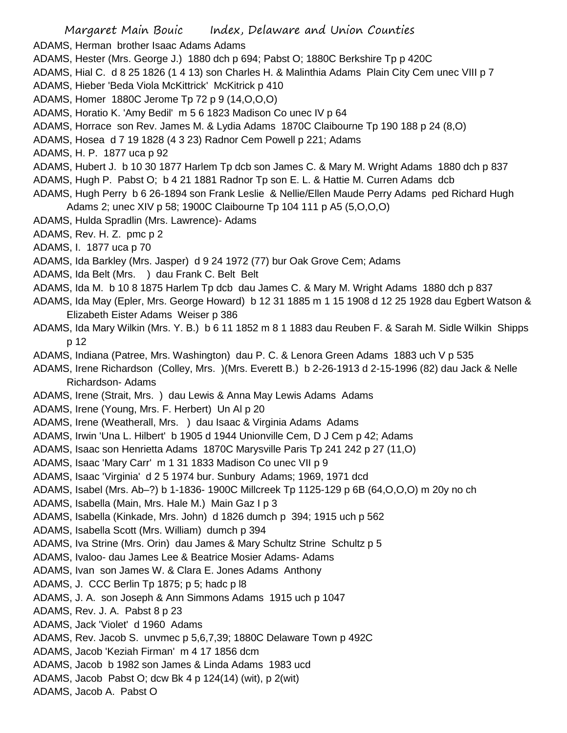Margaret Main Bouic Index, Delaware and Union Counties ADAMS, Herman brother Isaac Adams Adams ADAMS, Hester (Mrs. George J.) 1880 dch p 694; Pabst O; 1880C Berkshire Tp p 420C ADAMS, Hial C. d 8 25 1826 (1 4 13) son Charles H. & Malinthia Adams Plain City Cem unec VIII p 7 ADAMS, Hieber 'Beda Viola McKittrick' McKitrick p 410 ADAMS, Homer 1880C Jerome Tp 72 p 9 (14,O,O,O) ADAMS, Horatio K. 'Amy Bedil' m 5 6 1823 Madison Co unec IV p 64 ADAMS, Horrace son Rev. James M. & Lydia Adams 1870C Claibourne Tp 190 188 p 24 (8,O) ADAMS, Hosea d 7 19 1828 (4 3 23) Radnor Cem Powell p 221; Adams ADAMS, H. P. 1877 uca p 92 ADAMS, Hubert J. b 10 30 1877 Harlem Tp dcb son James C. & Mary M. Wright Adams 1880 dch p 837 ADAMS, Hugh P. Pabst O; b 4 21 1881 Radnor Tp son E. L. & Hattie M. Curren Adams dcb ADAMS, Hugh Perry b 6 26-1894 son Frank Leslie & Nellie/Ellen Maude Perry Adams ped Richard Hugh Adams 2; unec XIV p 58; 1900C Claibourne Tp 104 111 p A5 (5,O,O,O) ADAMS, Hulda Spradlin (Mrs. Lawrence)- Adams ADAMS, Rev. H. Z. pmc p 2 ADAMS, I. 1877 uca p 70 ADAMS, Ida Barkley (Mrs. Jasper) d 9 24 1972 (77) bur Oak Grove Cem; Adams ADAMS, Ida Belt (Mrs. ) dau Frank C. Belt Belt ADAMS, Ida M. b 10 8 1875 Harlem Tp dcb dau James C. & Mary M. Wright Adams 1880 dch p 837 ADAMS, Ida May (Epler, Mrs. George Howard) b 12 31 1885 m 1 15 1908 d 12 25 1928 dau Egbert Watson & Elizabeth Eister Adams Weiser p 386 ADAMS, Ida Mary Wilkin (Mrs. Y. B.) b 6 11 1852 m 8 1 1883 dau Reuben F. & Sarah M. Sidle Wilkin Shipps p 12 ADAMS, Indiana (Patree, Mrs. Washington) dau P. C. & Lenora Green Adams 1883 uch V p 535 ADAMS, Irene Richardson (Colley, Mrs. )(Mrs. Everett B.) b 2-26-1913 d 2-15-1996 (82) dau Jack & Nelle Richardson- Adams ADAMS, Irene (Strait, Mrs. ) dau Lewis & Anna May Lewis Adams Adams ADAMS, Irene (Young, Mrs. F. Herbert) Un Al p 20 ADAMS, Irene (Weatherall, Mrs. ) dau Isaac & Virginia Adams Adams ADAMS, Irwin 'Una L. Hilbert' b 1905 d 1944 Unionville Cem, D J Cem p 42; Adams ADAMS, Isaac son Henrietta Adams 1870C Marysville Paris Tp 241 242 p 27 (11,O) ADAMS, Isaac 'Mary Carr' m 1 31 1833 Madison Co unec VII p 9 ADAMS, Isaac 'Virginia' d 2 5 1974 bur. Sunbury Adams; 1969, 1971 dcd ADAMS, Isabel (Mrs. Ab–?) b 1-1836- 1900C Millcreek Tp 1125-129 p 6B (64,O,O,O) m 20y no ch ADAMS, Isabella (Main, Mrs. Hale M.) Main Gaz I p 3 ADAMS, Isabella (Kinkade, Mrs. John) d 1826 dumch p 394; 1915 uch p 562 ADAMS, Isabella Scott (Mrs. William) dumch p 394 ADAMS, Iva Strine (Mrs. Orin) dau James & Mary Schultz Strine Schultz p 5 ADAMS, Ivaloo- dau James Lee & Beatrice Mosier Adams- Adams ADAMS, Ivan son James W. & Clara E. Jones Adams Anthony ADAMS, J. CCC Berlin Tp 1875; p 5; hadc p l8 ADAMS, J. A. son Joseph & Ann Simmons Adams 1915 uch p 1047 ADAMS, Rev. J. A. Pabst 8 p 23 ADAMS, Jack 'Violet' d 1960 Adams ADAMS, Rev. Jacob S. unvmec p 5,6,7,39; 1880C Delaware Town p 492C ADAMS, Jacob 'Keziah Firman' m 4 17 1856 dcm ADAMS, Jacob b 1982 son James & Linda Adams 1983 ucd ADAMS, Jacob Pabst O; dcw Bk 4 p 124(14) (wit), p 2(wit) ADAMS, Jacob A. Pabst O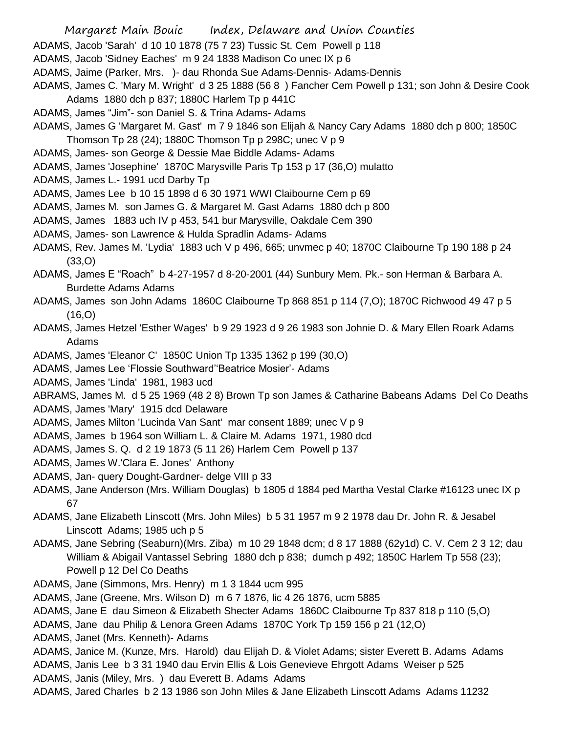- Margaret Main Bouic Index, Delaware and Union Counties
- ADAMS, Jacob 'Sarah' d 10 10 1878 (75 7 23) Tussic St. Cem Powell p 118
- ADAMS, Jacob 'Sidney Eaches' m 9 24 1838 Madison Co unec IX p 6
- ADAMS, Jaime (Parker, Mrs. )- dau Rhonda Sue Adams-Dennis- Adams-Dennis
- ADAMS, James C. 'Mary M. Wright' d 3 25 1888 (56 8 ) Fancher Cem Powell p 131; son John & Desire Cook Adams 1880 dch p 837; 1880C Harlem Tp p 441C
- ADAMS, James "Jim"- son Daniel S. & Trina Adams- Adams
- ADAMS, James G 'Margaret M. Gast' m 7 9 1846 son Elijah & Nancy Cary Adams 1880 dch p 800; 1850C Thomson Tp 28 (24); 1880C Thomson Tp p 298C; unec V p 9
- ADAMS, James- son George & Dessie Mae Biddle Adams- Adams
- ADAMS, James 'Josephine' 1870C Marysville Paris Tp 153 p 17 (36,O) mulatto
- ADAMS, James L.- 1991 ucd Darby Tp
- ADAMS, James Lee b 10 15 1898 d 6 30 1971 WWI Claibourne Cem p 69
- ADAMS, James M. son James G. & Margaret M. Gast Adams 1880 dch p 800
- ADAMS, James 1883 uch IV p 453, 541 bur Marysville, Oakdale Cem 390
- ADAMS, James- son Lawrence & Hulda Spradlin Adams- Adams
- ADAMS, Rev. James M. 'Lydia' 1883 uch V p 496, 665; unvmec p 40; 1870C Claibourne Tp 190 188 p 24 (33,O)
- ADAMS, James E "Roach" b 4-27-1957 d 8-20-2001 (44) Sunbury Mem. Pk.- son Herman & Barbara A. Burdette Adams Adams
- ADAMS, James son John Adams 1860C Claibourne Tp 868 851 p 114 (7,O); 1870C Richwood 49 47 p 5  $(16, 0)$
- ADAMS, James Hetzel 'Esther Wages' b 9 29 1923 d 9 26 1983 son Johnie D. & Mary Ellen Roark Adams Adams
- ADAMS, James 'Eleanor C' 1850C Union Tp 1335 1362 p 199 (30,O)
- ADAMS, James Lee 'Flossie Southward''Beatrice Mosier'- Adams
- ADAMS, James 'Linda' 1981, 1983 ucd
- ABRAMS, James M. d 5 25 1969 (48 2 8) Brown Tp son James & Catharine Babeans Adams Del Co Deaths ADAMS, James 'Mary' 1915 dcd Delaware
- ADAMS, James Milton 'Lucinda Van Sant' mar consent 1889; unec V p 9
- ADAMS, James b 1964 son William L. & Claire M. Adams 1971, 1980 dcd
- ADAMS, James S. Q. d 2 19 1873 (5 11 26) Harlem Cem Powell p 137
- ADAMS, James W.'Clara E. Jones' Anthony
- ADAMS, Jan- query Dought-Gardner- delge VIII p 33
- ADAMS, Jane Anderson (Mrs. William Douglas) b 1805 d 1884 ped Martha Vestal Clarke #16123 unec IX p 67
- ADAMS, Jane Elizabeth Linscott (Mrs. John Miles) b 5 31 1957 m 9 2 1978 dau Dr. John R. & Jesabel Linscott Adams; 1985 uch p 5
- ADAMS, Jane Sebring (Seaburn)(Mrs. Ziba) m 10 29 1848 dcm; d 8 17 1888 (62y1d) C. V. Cem 2 3 12; dau William & Abigail Vantassel Sebring 1880 dch p 838; dumch p 492; 1850C Harlem Tp 558 (23); Powell p 12 Del Co Deaths
- ADAMS, Jane (Simmons, Mrs. Henry) m 1 3 1844 ucm 995
- ADAMS, Jane (Greene, Mrs. Wilson D) m 6 7 1876, lic 4 26 1876, ucm 5885
- ADAMS, Jane E dau Simeon & Elizabeth Shecter Adams 1860C Claibourne Tp 837 818 p 110 (5,O)
- ADAMS, Jane dau Philip & Lenora Green Adams 1870C York Tp 159 156 p 21 (12,O)
- ADAMS, Janet (Mrs. Kenneth)- Adams
- ADAMS, Janice M. (Kunze, Mrs. Harold) dau Elijah D. & Violet Adams; sister Everett B. Adams Adams
- ADAMS, Janis Lee b 3 31 1940 dau Ervin Ellis & Lois Genevieve Ehrgott Adams Weiser p 525
- ADAMS, Janis (Miley, Mrs. ) dau Everett B. Adams Adams
- ADAMS, Jared Charles b 2 13 1986 son John Miles & Jane Elizabeth Linscott Adams Adams 11232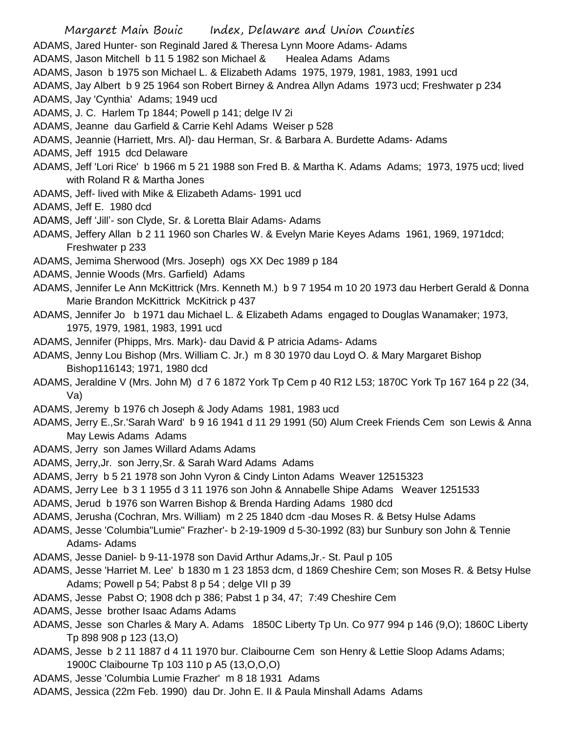- Margaret Main Bouic Index, Delaware and Union Counties ADAMS, Jared Hunter- son Reginald Jared & Theresa Lynn Moore Adams- Adams ADAMS, Jason Mitchell b 11 5 1982 son Michael & Healea Adams Adams ADAMS, Jason b 1975 son Michael L. & Elizabeth Adams 1975, 1979, 1981, 1983, 1991 ucd ADAMS, Jay Albert b 9 25 1964 son Robert Birney & Andrea Allyn Adams 1973 ucd; Freshwater p 234 ADAMS, Jay 'Cynthia' Adams; 1949 ucd ADAMS, J. C. Harlem Tp 1844; Powell p 141; delge IV 2i ADAMS, Jeanne dau Garfield & Carrie Kehl Adams Weiser p 528 ADAMS, Jeannie (Harriett, Mrs. Al)- dau Herman, Sr. & Barbara A. Burdette Adams- Adams ADAMS, Jeff 1915 dcd Delaware ADAMS, Jeff 'Lori Rice' b 1966 m 5 21 1988 son Fred B. & Martha K. Adams Adams; 1973, 1975 ucd; lived with Roland R & Martha Jones ADAMS, Jeff- lived with Mike & Elizabeth Adams- 1991 ucd ADAMS, Jeff E. 1980 dcd ADAMS, Jeff 'Jill'- son Clyde, Sr. & Loretta Blair Adams- Adams ADAMS, Jeffery Allan b 2 11 1960 son Charles W. & Evelyn Marie Keyes Adams 1961, 1969, 1971dcd; Freshwater p 233 ADAMS, Jemima Sherwood (Mrs. Joseph) ogs XX Dec 1989 p 184 ADAMS, Jennie Woods (Mrs. Garfield) Adams ADAMS, Jennifer Le Ann McKittrick (Mrs. Kenneth M.) b 9 7 1954 m 10 20 1973 dau Herbert Gerald & Donna Marie Brandon McKittrick McKitrick p 437 ADAMS, Jennifer Jo b 1971 dau Michael L. & Elizabeth Adams engaged to Douglas Wanamaker; 1973, 1975, 1979, 1981, 1983, 1991 ucd ADAMS, Jennifer (Phipps, Mrs. Mark)- dau David & P atricia Adams- Adams ADAMS, Jenny Lou Bishop (Mrs. William C. Jr.) m 8 30 1970 dau Loyd O. & Mary Margaret Bishop Bishop116143; 1971, 1980 dcd ADAMS, Jeraldine V (Mrs. John M) d 7 6 1872 York Tp Cem p 40 R12 L53; 1870C York Tp 167 164 p 22 (34, Va) ADAMS, Jeremy b 1976 ch Joseph & Jody Adams 1981, 1983 ucd ADAMS, Jerry E.,Sr.'Sarah Ward' b 9 16 1941 d 11 29 1991 (50) Alum Creek Friends Cem son Lewis & Anna May Lewis Adams Adams ADAMS, Jerry son James Willard Adams Adams ADAMS, Jerry,Jr. son Jerry,Sr. & Sarah Ward Adams Adams ADAMS, Jerry b 5 21 1978 son John Vyron & Cindy Linton Adams Weaver 12515323 ADAMS, Jerry Lee b 3 1 1955 d 3 11 1976 son John & Annabelle Shipe Adams Weaver 1251533 ADAMS, Jerud b 1976 son Warren Bishop & Brenda Harding Adams 1980 dcd ADAMS, Jerusha (Cochran, Mrs. William) m 2 25 1840 dcm -dau Moses R. & Betsy Hulse Adams ADAMS, Jesse 'Columbia"Lumie" Frazher'- b 2-19-1909 d 5-30-1992 (83) bur Sunbury son John & Tennie Adams- Adams ADAMS, Jesse Daniel- b 9-11-1978 son David Arthur Adams,Jr.- St. Paul p 105 ADAMS, Jesse 'Harriet M. Lee' b 1830 m 1 23 1853 dcm, d 1869 Cheshire Cem; son Moses R. & Betsy Hulse Adams; Powell p 54; Pabst 8 p 54 ; delge VII p 39 ADAMS, Jesse Pabst O; 1908 dch p 386; Pabst 1 p 34, 47; 7:49 Cheshire Cem ADAMS, Jesse brother Isaac Adams Adams ADAMS, Jesse son Charles & Mary A. Adams 1850C Liberty Tp Un. Co 977 994 p 146 (9,O); 1860C Liberty Tp 898 908 p 123 (13,O) ADAMS, Jesse b 2 11 1887 d 4 11 1970 bur. Claibourne Cem son Henry & Lettie Sloop Adams Adams; 1900C Claibourne Tp 103 110 p A5 (13,O,O,O)
- ADAMS, Jesse 'Columbia Lumie Frazher' m 8 18 1931 Adams
- ADAMS, Jessica (22m Feb. 1990) dau Dr. John E. II & Paula Minshall Adams Adams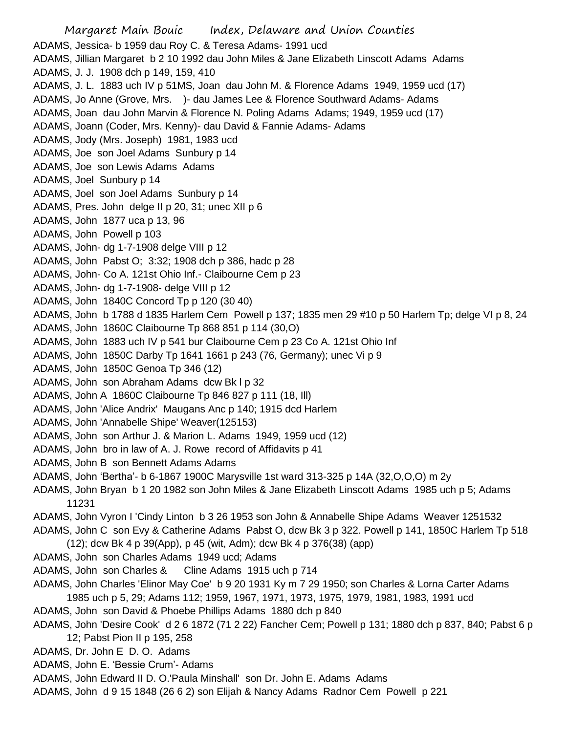Margaret Main Bouic Index, Delaware and Union Counties ADAMS, Jessica- b 1959 dau Roy C. & Teresa Adams- 1991 ucd ADAMS, Jillian Margaret b 2 10 1992 dau John Miles & Jane Elizabeth Linscott Adams Adams ADAMS, J. J. 1908 dch p 149, 159, 410 ADAMS, J. L. 1883 uch IV p 51MS, Joan dau John M. & Florence Adams 1949, 1959 ucd (17) ADAMS, Jo Anne (Grove, Mrs. )- dau James Lee & Florence Southward Adams- Adams ADAMS, Joan dau John Marvin & Florence N. Poling Adams Adams; 1949, 1959 ucd (17) ADAMS, Joann (Coder, Mrs. Kenny)- dau David & Fannie Adams- Adams ADAMS, Jody (Mrs. Joseph) 1981, 1983 ucd ADAMS, Joe son Joel Adams Sunbury p 14 ADAMS, Joe son Lewis Adams Adams ADAMS, Joel Sunbury p 14 ADAMS, Joel son Joel Adams Sunbury p 14 ADAMS, Pres. John delge II p 20, 31; unec XII p 6 ADAMS, John 1877 uca p 13, 96 ADAMS, John Powell p 103 ADAMS, John- dg 1-7-1908 delge VIII p 12 ADAMS, John Pabst O; 3:32; 1908 dch p 386, hadc p 28 ADAMS, John- Co A. 121st Ohio Inf.- Claibourne Cem p 23 ADAMS, John- dg 1-7-1908- delge VIII p 12 ADAMS, John 1840C Concord Tp p 120 (30 40) ADAMS, John b 1788 d 1835 Harlem Cem Powell p 137; 1835 men 29 #10 p 50 Harlem Tp; delge VI p 8, 24 ADAMS, John 1860C Claibourne Tp 868 851 p 114 (30,O) ADAMS, John 1883 uch IV p 541 bur Claibourne Cem p 23 Co A. 121st Ohio Inf ADAMS, John 1850C Darby Tp 1641 1661 p 243 (76, Germany); unec Vi p 9 ADAMS, John 1850C Genoa Tp 346 (12) ADAMS, John son Abraham Adams dcw Bk l p 32 ADAMS, John A 1860C Claibourne Tp 846 827 p 111 (18, Ill) ADAMS, John 'Alice Andrix' Maugans Anc p 140; 1915 dcd Harlem ADAMS, John 'Annabelle Shipe' Weaver(125153) ADAMS, John son Arthur J. & Marion L. Adams 1949, 1959 ucd (12) ADAMS, John bro in law of A. J. Rowe record of Affidavits p 41 ADAMS, John B son Bennett Adams Adams ADAMS, John 'Bertha'- b 6-1867 1900C Marysville 1st ward 313-325 p 14A (32,O,O,O) m 2y ADAMS, John Bryan b 1 20 1982 son John Miles & Jane Elizabeth Linscott Adams 1985 uch p 5; Adams 11231 ADAMS, John Vyron I 'Cindy Linton b 3 26 1953 son John & Annabelle Shipe Adams Weaver 1251532 ADAMS, John C son Evy & Catherine Adams Pabst O, dcw Bk 3 p 322. Powell p 141, 1850C Harlem Tp 518 (12); dcw Bk 4 p 39(App), p 45 (wit, Adm); dcw Bk 4 p 376(38) (app) ADAMS, John son Charles Adams 1949 ucd; Adams ADAMS, John son Charles & Cline Adams 1915 uch p 714 ADAMS, John Charles 'Elinor May Coe' b 9 20 1931 Ky m 7 29 1950; son Charles & Lorna Carter Adams 1985 uch p 5, 29; Adams 112; 1959, 1967, 1971, 1973, 1975, 1979, 1981, 1983, 1991 ucd ADAMS, John son David & Phoebe Phillips Adams 1880 dch p 840 ADAMS, John 'Desire Cook' d 2 6 1872 (71 2 22) Fancher Cem; Powell p 131; 1880 dch p 837, 840; Pabst 6 p 12; Pabst Pion II p 195, 258 ADAMS, Dr. John E D. O. Adams ADAMS, John E. 'Bessie Crum'- Adams ADAMS, John Edward II D. O.'Paula Minshall' son Dr. John E. Adams Adams

ADAMS, John d 9 15 1848 (26 6 2) son Elijah & Nancy Adams Radnor Cem Powell p 221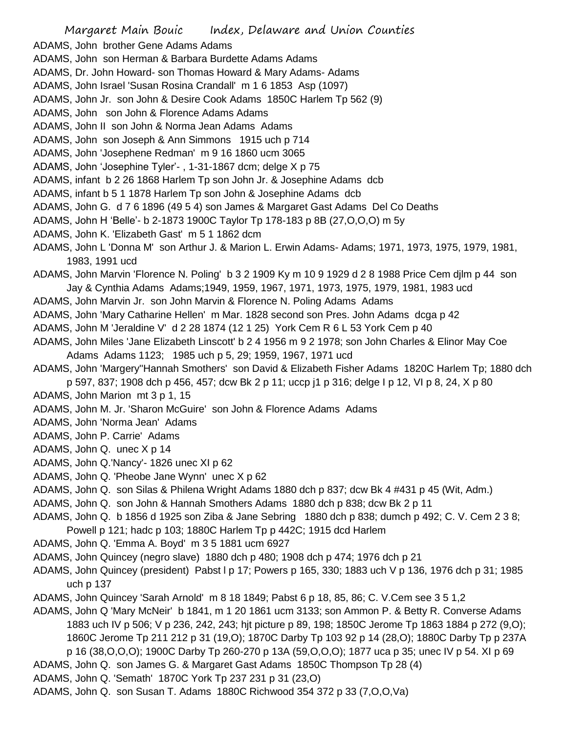ADAMS, John brother Gene Adams Adams

- ADAMS, John son Herman & Barbara Burdette Adams Adams
- ADAMS, Dr. John Howard- son Thomas Howard & Mary Adams- Adams
- ADAMS, John Israel 'Susan Rosina Crandall' m 1 6 1853 Asp (1097)
- ADAMS, John Jr. son John & Desire Cook Adams 1850C Harlem Tp 562 (9)
- ADAMS, John son John & Florence Adams Adams
- ADAMS, John II son John & Norma Jean Adams Adams
- ADAMS, John son Joseph & Ann Simmons 1915 uch p 714
- ADAMS, John 'Josephene Redman' m 9 16 1860 ucm 3065
- ADAMS, John 'Josephine Tyler'- , 1-31-1867 dcm; delge X p 75
- ADAMS, infant b 2 26 1868 Harlem Tp son John Jr. & Josephine Adams dcb
- ADAMS, infant b 5 1 1878 Harlem Tp son John & Josephine Adams dcb
- ADAMS, John G. d 7 6 1896 (49 5 4) son James & Margaret Gast Adams Del Co Deaths
- ADAMS, John H 'Belle'- b 2-1873 1900C Taylor Tp 178-183 p 8B (27,O,O,O) m 5y
- ADAMS, John K. 'Elizabeth Gast' m 5 1 1862 dcm
- ADAMS, John L 'Donna M' son Arthur J. & Marion L. Erwin Adams- Adams; 1971, 1973, 1975, 1979, 1981, 1983, 1991 ucd
- ADAMS, John Marvin 'Florence N. Poling' b 3 2 1909 Ky m 10 9 1929 d 2 8 1988 Price Cem djlm p 44 son Jay & Cynthia Adams Adams;1949, 1959, 1967, 1971, 1973, 1975, 1979, 1981, 1983 ucd
- ADAMS, John Marvin Jr. son John Marvin & Florence N. Poling Adams Adams
- ADAMS, John 'Mary Catharine Hellen' m Mar. 1828 second son Pres. John Adams dcga p 42
- ADAMS, John M 'Jeraldine V' d 2 28 1874 (12 1 25) York Cem R 6 L 53 York Cem p 40
- ADAMS, John Miles 'Jane Elizabeth Linscott' b 2 4 1956 m 9 2 1978; son John Charles & Elinor May Coe Adams Adams 1123; 1985 uch p 5, 29; 1959, 1967, 1971 ucd
- ADAMS, John 'Margery''Hannah Smothers' son David & Elizabeth Fisher Adams 1820C Harlem Tp; 1880 dch
	- p 597, 837; 1908 dch p 456, 457; dcw Bk 2 p 11; uccp j1 p 316; delge I p 12, VI p 8, 24, X p 80
- ADAMS, John Marion mt 3 p 1, 15
- ADAMS, John M. Jr. 'Sharon McGuire' son John & Florence Adams Adams
- ADAMS, John 'Norma Jean' Adams
- ADAMS, John P. Carrie' Adams
- ADAMS, John Q. unec X p 14
- ADAMS, John Q.'Nancy'- 1826 unec XI p 62
- ADAMS, John Q. 'Pheobe Jane Wynn' unec X p 62
- ADAMS, John Q. son Silas & Philena Wright Adams 1880 dch p 837; dcw Bk 4 #431 p 45 (Wit, Adm.)
- ADAMS, John Q. son John & Hannah Smothers Adams 1880 dch p 838; dcw Bk 2 p 11
- ADAMS, John Q. b 1856 d 1925 son Ziba & Jane Sebring 1880 dch p 838; dumch p 492; C. V. Cem 2 3 8; Powell p 121; hadc p 103; 1880C Harlem Tp p 442C; 1915 dcd Harlem
- ADAMS, John Q. 'Emma A. Boyd' m 3 5 1881 ucm 6927
- ADAMS, John Quincey (negro slave) 1880 dch p 480; 1908 dch p 474; 1976 dch p 21
- ADAMS, John Quincey (president) Pabst l p 17; Powers p 165, 330; 1883 uch V p 136, 1976 dch p 31; 1985 uch p 137
- ADAMS, John Quincey 'Sarah Arnold' m 8 18 1849; Pabst 6 p 18, 85, 86; C. V.Cem see 3 5 1,2
- ADAMS, John Q 'Mary McNeir' b 1841, m 1 20 1861 ucm 3133; son Ammon P. & Betty R. Converse Adams 1883 uch IV p 506; V p 236, 242, 243; hjt picture p 89, 198; 1850C Jerome Tp 1863 1884 p 272 (9,O); 1860C Jerome Tp 211 212 p 31 (19,O); 1870C Darby Tp 103 92 p 14 (28,O); 1880C Darby Tp p 237A p 16 (38,O,O,O); 1900C Darby Tp 260-270 p 13A (59,O,O,O); 1877 uca p 35; unec IV p 54. XI p 69
- ADAMS, John Q. son James G. & Margaret Gast Adams 1850C Thompson Tp 28 (4)
- ADAMS, John Q. 'Semath' 1870C York Tp 237 231 p 31 (23,O)
- ADAMS, John Q. son Susan T. Adams 1880C Richwood 354 372 p 33 (7,O,O,Va)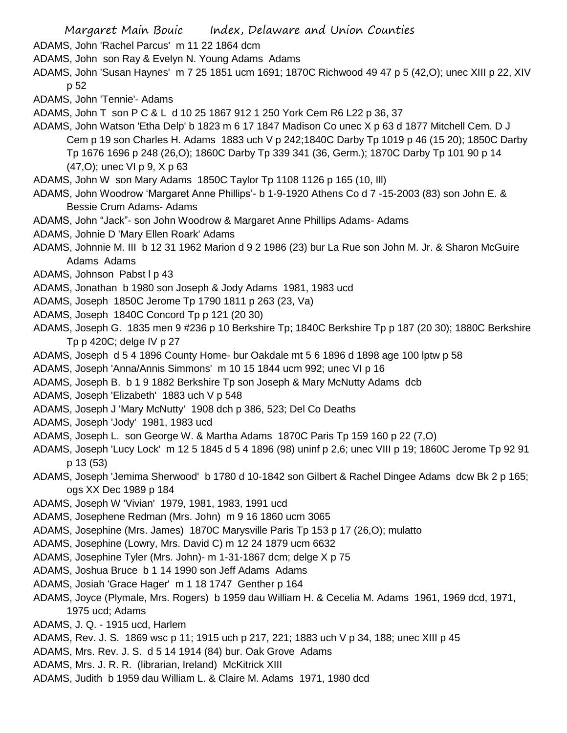Margaret Main Bouic Index, Delaware and Union Counties ADAMS, John 'Rachel Parcus' m 11 22 1864 dcm ADAMS, John son Ray & Evelyn N. Young Adams Adams ADAMS, John 'Susan Haynes' m 7 25 1851 ucm 1691; 1870C Richwood 49 47 p 5 (42,O); unec XIII p 22, XIV p 52 ADAMS, John 'Tennie'- Adams ADAMS, John T son P C & L d 10 25 1867 912 1 250 York Cem R6 L22 p 36, 37 ADAMS, John Watson 'Etha Delp' b 1823 m 6 17 1847 Madison Co unec X p 63 d 1877 Mitchell Cem. D J Cem p 19 son Charles H. Adams 1883 uch V p 242;1840C Darby Tp 1019 p 46 (15 20); 1850C Darby Tp 1676 1696 p 248 (26,O); 1860C Darby Tp 339 341 (36, Germ.); 1870C Darby Tp 101 90 p 14 (47,O); unec VI p 9, X p 63 ADAMS, John W son Mary Adams 1850C Taylor Tp 1108 1126 p 165 (10, Ill) ADAMS, John Woodrow 'Margaret Anne Phillips'- b 1-9-1920 Athens Co d 7 -15-2003 (83) son John E. & Bessie Crum Adams- Adams ADAMS, John "Jack"- son John Woodrow & Margaret Anne Phillips Adams- Adams ADAMS, Johnie D 'Mary Ellen Roark' Adams ADAMS, Johnnie M. III b 12 31 1962 Marion d 9 2 1986 (23) bur La Rue son John M. Jr. & Sharon McGuire Adams Adams ADAMS, Johnson Pabst I p 43 ADAMS, Jonathan b 1980 son Joseph & Jody Adams 1981, 1983 ucd ADAMS, Joseph 1850C Jerome Tp 1790 1811 p 263 (23, Va) ADAMS, Joseph 1840C Concord Tp p 121 (20 30) ADAMS, Joseph G. 1835 men 9 #236 p 10 Berkshire Tp; 1840C Berkshire Tp p 187 (20 30); 1880C Berkshire Tp p 420C; delge IV p 27 ADAMS, Joseph d 5 4 1896 County Home- bur Oakdale mt 5 6 1896 d 1898 age 100 lptw p 58 ADAMS, Joseph 'Anna/Annis Simmons' m 10 15 1844 ucm 992; unec VI p 16 ADAMS, Joseph B. b 1 9 1882 Berkshire Tp son Joseph & Mary McNutty Adams dcb ADAMS, Joseph 'Elizabeth' 1883 uch V p 548 ADAMS, Joseph J 'Mary McNutty' 1908 dch p 386, 523; Del Co Deaths ADAMS, Joseph 'Jody' 1981, 1983 ucd ADAMS, Joseph L. son George W. & Martha Adams 1870C Paris Tp 159 160 p 22 (7,O) ADAMS, Joseph 'Lucy Lock' m 12 5 1845 d 5 4 1896 (98) uninf p 2,6; unec VIII p 19; 1860C Jerome Tp 92 91 p 13 (53) ADAMS, Joseph 'Jemima Sherwood' b 1780 d 10-1842 son Gilbert & Rachel Dingee Adams dcw Bk 2 p 165; ogs XX Dec 1989 p 184 ADAMS, Joseph W 'Vivian' 1979, 1981, 1983, 1991 ucd ADAMS, Josephene Redman (Mrs. John) m 9 16 1860 ucm 3065 ADAMS, Josephine (Mrs. James) 1870C Marysville Paris Tp 153 p 17 (26,O); mulatto ADAMS, Josephine (Lowry, Mrs. David C) m 12 24 1879 ucm 6632 ADAMS, Josephine Tyler (Mrs. John)- m 1-31-1867 dcm; delge X p 75 ADAMS, Joshua Bruce b 1 14 1990 son Jeff Adams Adams ADAMS, Josiah 'Grace Hager' m 1 18 1747 Genther p 164 ADAMS, Joyce (Plymale, Mrs. Rogers) b 1959 dau William H. & Cecelia M. Adams 1961, 1969 dcd, 1971, 1975 ucd; Adams ADAMS, J. Q. - 1915 ucd, Harlem ADAMS, Rev. J. S. 1869 wsc p 11; 1915 uch p 217, 221; 1883 uch V p 34, 188; unec XIII p 45 ADAMS, Mrs. Rev. J. S. d 5 14 1914 (84) bur. Oak Grove Adams

- ADAMS, Mrs. J. R. R. (librarian, Ireland) McKitrick XIII
- ADAMS, Judith b 1959 dau William L. & Claire M. Adams 1971, 1980 dcd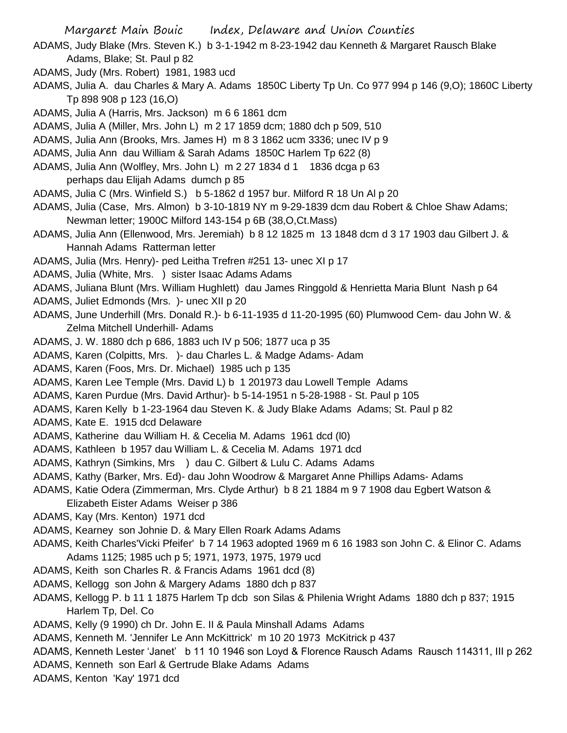- Margaret Main Bouic Index, Delaware and Union Counties
- ADAMS, Judy Blake (Mrs. Steven K.) b 3-1-1942 m 8-23-1942 dau Kenneth & Margaret Rausch Blake Adams, Blake; St. Paul p 82
- ADAMS, Judy (Mrs. Robert) 1981, 1983 ucd
- ADAMS, Julia A. dau Charles & Mary A. Adams 1850C Liberty Tp Un. Co 977 994 p 146 (9,O); 1860C Liberty Tp 898 908 p 123 (16,O)
- ADAMS, Julia A (Harris, Mrs. Jackson) m 6 6 1861 dcm
- ADAMS, Julia A (Miller, Mrs. John L) m 2 17 1859 dcm; 1880 dch p 509, 510
- ADAMS, Julia Ann (Brooks, Mrs. James H) m 8 3 1862 ucm 3336; unec IV p 9
- ADAMS, Julia Ann dau William & Sarah Adams 1850C Harlem Tp 622 (8)
- ADAMS, Julia Ann (Wolfley, Mrs. John L) m 2 27 1834 d 1 1836 dcga p 63
	- perhaps dau Elijah Adams dumch p 85
- ADAMS, Julia C (Mrs. Winfield S.) b 5-1862 d 1957 bur. Milford R 18 Un Al p 20
- ADAMS, Julia (Case, Mrs. Almon) b 3-10-1819 NY m 9-29-1839 dcm dau Robert & Chloe Shaw Adams; Newman letter; 1900C Milford 143-154 p 6B (38,O,Ct.Mass)
- ADAMS, Julia Ann (Ellenwood, Mrs. Jeremiah) b 8 12 1825 m 13 1848 dcm d 3 17 1903 dau Gilbert J. & Hannah Adams Ratterman letter
- ADAMS, Julia (Mrs. Henry)- ped Leitha Trefren #251 13- unec XI p 17
- ADAMS, Julia (White, Mrs. ) sister Isaac Adams Adams
- ADAMS, Juliana Blunt (Mrs. William Hughlett) dau James Ringgold & Henrietta Maria Blunt Nash p 64
- ADAMS, Juliet Edmonds (Mrs. )- unec XII p 20
- ADAMS, June Underhill (Mrs. Donald R.)- b 6-11-1935 d 11-20-1995 (60) Plumwood Cem- dau John W. & Zelma Mitchell Underhill- Adams
- ADAMS, J. W. 1880 dch p 686, 1883 uch IV p 506; 1877 uca p 35
- ADAMS, Karen (Colpitts, Mrs. )- dau Charles L. & Madge Adams- Adam
- ADAMS, Karen (Foos, Mrs. Dr. Michael) 1985 uch p 135
- ADAMS, Karen Lee Temple (Mrs. David L) b 1 201973 dau Lowell Temple Adams
- ADAMS, Karen Purdue (Mrs. David Arthur)- b 5-14-1951 n 5-28-1988 St. Paul p 105
- ADAMS, Karen Kelly b 1-23-1964 dau Steven K. & Judy Blake Adams Adams; St. Paul p 82
- ADAMS, Kate E. 1915 dcd Delaware
- ADAMS, Katherine dau William H. & Cecelia M. Adams 1961 dcd (l0)
- ADAMS, Kathleen b 1957 dau William L. & Cecelia M. Adams 1971 dcd
- ADAMS, Kathryn (Simkins, Mrs ) dau C. Gilbert & Lulu C. Adams Adams
- ADAMS, Kathy (Barker, Mrs. Ed)- dau John Woodrow & Margaret Anne Phillips Adams- Adams
- ADAMS, Katie Odera (Zimmerman, Mrs. Clyde Arthur) b 8 21 1884 m 9 7 1908 dau Egbert Watson &
	- Elizabeth Eister Adams Weiser p 386
- ADAMS, Kay (Mrs. Kenton) 1971 dcd
- ADAMS, Kearney son Johnie D. & Mary Ellen Roark Adams Adams
- ADAMS, Keith Charles'Vicki Pfeifer' b 7 14 1963 adopted 1969 m 6 16 1983 son John C. & Elinor C. Adams Adams 1125; 1985 uch p 5; 1971, 1973, 1975, 1979 ucd
- ADAMS, Keith son Charles R. & Francis Adams 1961 dcd (8)
- ADAMS, Kellogg son John & Margery Adams 1880 dch p 837
- ADAMS, Kellogg P. b 11 1 1875 Harlem Tp dcb son Silas & Philenia Wright Adams 1880 dch p 837; 1915 Harlem Tp, Del. Co
- ADAMS, Kelly (9 1990) ch Dr. John E. II & Paula Minshall Adams Adams
- ADAMS, Kenneth M. 'Jennifer Le Ann McKittrick' m 10 20 1973 McKitrick p 437
- ADAMS, Kenneth Lester 'Janet' b 11 10 1946 son Loyd & Florence Rausch Adams Rausch 114311, III p 262
- ADAMS, Kenneth son Earl & Gertrude Blake Adams Adams
- ADAMS, Kenton 'Kay' 1971 dcd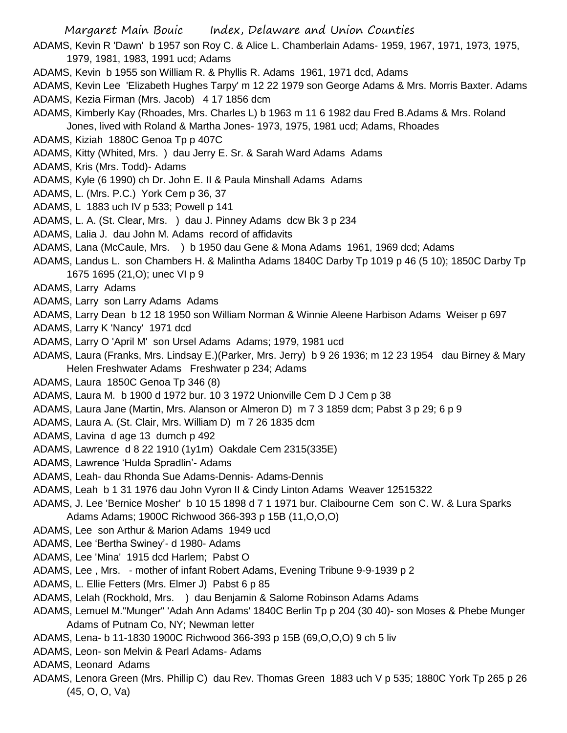ADAMS, Kevin R 'Dawn' b 1957 son Roy C. & Alice L. Chamberlain Adams- 1959, 1967, 1971, 1973, 1975, 1979, 1981, 1983, 1991 ucd; Adams

ADAMS, Kevin b 1955 son William R. & Phyllis R. Adams 1961, 1971 dcd, Adams

ADAMS, Kevin Lee 'Elizabeth Hughes Tarpy' m 12 22 1979 son George Adams & Mrs. Morris Baxter. Adams ADAMS, Kezia Firman (Mrs. Jacob) 4 17 1856 dcm

ADAMS, Kimberly Kay (Rhoades, Mrs. Charles L) b 1963 m 11 6 1982 dau Fred B.Adams & Mrs. Roland Jones, lived with Roland & Martha Jones- 1973, 1975, 1981 ucd; Adams, Rhoades

ADAMS, Kiziah 1880C Genoa Tp p 407C

- ADAMS, Kitty (Whited, Mrs. ) dau Jerry E. Sr. & Sarah Ward Adams Adams
- ADAMS, Kris (Mrs. Todd)- Adams
- ADAMS, Kyle (6 1990) ch Dr. John E. II & Paula Minshall Adams Adams
- ADAMS, L. (Mrs. P.C.) York Cem p 36, 37
- ADAMS, L 1883 uch IV p 533; Powell p 141
- ADAMS, L. A. (St. Clear, Mrs. ) dau J. Pinney Adams dcw Bk 3 p 234
- ADAMS, Lalia J. dau John M. Adams record of affidavits
- ADAMS, Lana (McCaule, Mrs. ) b 1950 dau Gene & Mona Adams 1961, 1969 dcd; Adams
- ADAMS, Landus L. son Chambers H. & Malintha Adams 1840C Darby Tp 1019 p 46 (5 10); 1850C Darby Tp 1675 1695 (21,O); unec VI p 9
- ADAMS, Larry Adams
- ADAMS, Larry son Larry Adams Adams
- ADAMS, Larry Dean b 12 18 1950 son William Norman & Winnie Aleene Harbison Adams Weiser p 697
- ADAMS, Larry K 'Nancy' 1971 dcd
- ADAMS, Larry O 'April M' son Ursel Adams Adams; 1979, 1981 ucd
- ADAMS, Laura (Franks, Mrs. Lindsay E.)(Parker, Mrs. Jerry) b 9 26 1936; m 12 23 1954 dau Birney & Mary Helen Freshwater Adams Freshwater p 234; Adams
- ADAMS, Laura 1850C Genoa Tp 346 (8)
- ADAMS, Laura M. b 1900 d 1972 bur. 10 3 1972 Unionville Cem D J Cem p 38
- ADAMS, Laura Jane (Martin, Mrs. Alanson or Almeron D) m 7 3 1859 dcm; Pabst 3 p 29; 6 p 9
- ADAMS, Laura A. (St. Clair, Mrs. William D) m 7 26 1835 dcm
- ADAMS, Lavina d age 13 dumch p 492
- ADAMS, Lawrence d 8 22 1910 (1y1m) Oakdale Cem 2315(335E)
- ADAMS, Lawrence 'Hulda Spradlin'- Adams
- ADAMS, Leah- dau Rhonda Sue Adams-Dennis- Adams-Dennis
- ADAMS, Leah b 1 31 1976 dau John Vyron II & Cindy Linton Adams Weaver 12515322
- ADAMS, J. Lee 'Bernice Mosher' b 10 15 1898 d 7 1 1971 bur. Claibourne Cem son C. W. & Lura Sparks Adams Adams; 1900C Richwood 366-393 p 15B (11,O,O,O)
- ADAMS, Lee son Arthur & Marion Adams 1949 ucd
- 
- ADAMS, Lee 'Bertha Swiney'- d 1980- Adams
- ADAMS, Lee 'Mina' 1915 dcd Harlem; Pabst O
- ADAMS, Lee , Mrs. mother of infant Robert Adams, Evening Tribune 9-9-1939 p 2
- ADAMS, L. Ellie Fetters (Mrs. Elmer J) Pabst 6 p 85
- ADAMS, Lelah (Rockhold, Mrs. ) dau Benjamin & Salome Robinson Adams Adams
- ADAMS, Lemuel M."Munger" 'Adah Ann Adams' 1840C Berlin Tp p 204 (30 40)- son Moses & Phebe Munger Adams of Putnam Co, NY; Newman letter
- ADAMS, Lena- b 11-1830 1900C Richwood 366-393 p 15B (69,O,O,O) 9 ch 5 liv
- ADAMS, Leon- son Melvin & Pearl Adams- Adams
- ADAMS, Leonard Adams
- ADAMS, Lenora Green (Mrs. Phillip C) dau Rev. Thomas Green 1883 uch V p 535; 1880C York Tp 265 p 26 (45, O, O, Va)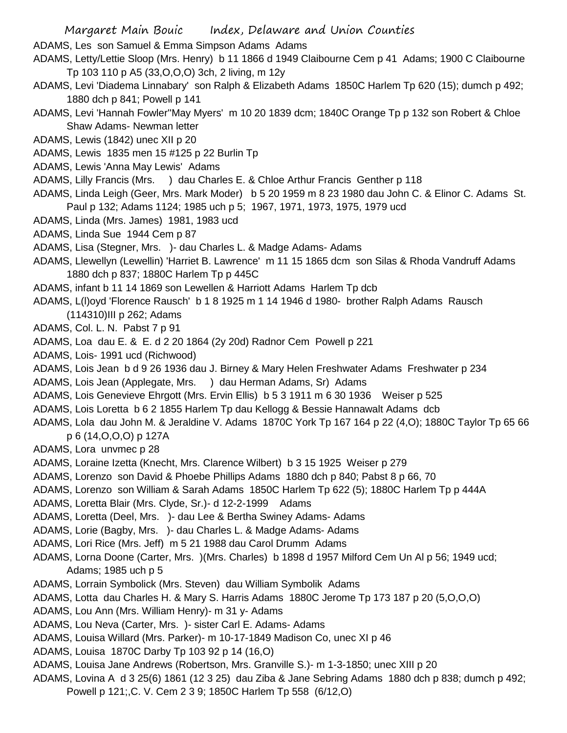ADAMS, Les son Samuel & Emma Simpson Adams Adams

- ADAMS, Letty/Lettie Sloop (Mrs. Henry) b 11 1866 d 1949 Claibourne Cem p 41 Adams; 1900 C Claibourne Tp 103 110 p A5 (33,O,O,O) 3ch, 2 living, m 12y
- ADAMS, Levi 'Diadema Linnabary' son Ralph & Elizabeth Adams 1850C Harlem Tp 620 (15); dumch p 492; 1880 dch p 841; Powell p 141
- ADAMS, Levi 'Hannah Fowler''May Myers' m 10 20 1839 dcm; 1840C Orange Tp p 132 son Robert & Chloe Shaw Adams- Newman letter
- ADAMS, Lewis (1842) unec XII p 20
- ADAMS, Lewis 1835 men 15 #125 p 22 Burlin Tp
- ADAMS, Lewis 'Anna May Lewis' Adams
- ADAMS, Lilly Francis (Mrs. ) dau Charles E. & Chloe Arthur Francis Genther p 118
- ADAMS, Linda Leigh (Geer, Mrs. Mark Moder) b 5 20 1959 m 8 23 1980 dau John C. & Elinor C. Adams St. Paul p 132; Adams 1124; 1985 uch p 5; 1967, 1971, 1973, 1975, 1979 ucd
- ADAMS, Linda (Mrs. James) 1981, 1983 ucd
- ADAMS, Linda Sue 1944 Cem p 87
- ADAMS, Lisa (Stegner, Mrs. )- dau Charles L. & Madge Adams- Adams
- ADAMS, Llewellyn (Lewellin) 'Harriet B. Lawrence' m 11 15 1865 dcm son Silas & Rhoda Vandruff Adams 1880 dch p 837; 1880C Harlem Tp p 445C
- ADAMS, infant b 11 14 1869 son Lewellen & Harriott Adams Harlem Tp dcb
- ADAMS, L(l)oyd 'Florence Rausch' b 1 8 1925 m 1 14 1946 d 1980- brother Ralph Adams Rausch
- (114310)III p 262; Adams
- ADAMS, Col. L. N. Pabst 7 p 91
- ADAMS, Loa dau E. & E. d 2 20 1864 (2y 20d) Radnor Cem Powell p 221
- ADAMS, Lois- 1991 ucd (Richwood)
- ADAMS, Lois Jean b d 9 26 1936 dau J. Birney & Mary Helen Freshwater Adams Freshwater p 234
- ADAMS, Lois Jean (Applegate, Mrs. ) dau Herman Adams, Sr) Adams
- ADAMS, Lois Genevieve Ehrgott (Mrs. Ervin Ellis) b 5 3 1911 m 6 30 1936 Weiser p 525
- ADAMS, Lois Loretta b 6 2 1855 Harlem Tp dau Kellogg & Bessie Hannawalt Adams dcb
- ADAMS, Lola dau John M. & Jeraldine V. Adams 1870C York Tp 167 164 p 22 (4,O); 1880C Taylor Tp 65 66 p 6 (14,O,O,O) p 127A
- ADAMS, Lora unvmec p 28
- ADAMS, Loraine Izetta (Knecht, Mrs. Clarence Wilbert) b 3 15 1925 Weiser p 279
- ADAMS, Lorenzo son David & Phoebe Phillips Adams 1880 dch p 840; Pabst 8 p 66, 70
- ADAMS, Lorenzo son William & Sarah Adams 1850C Harlem Tp 622 (5); 1880C Harlem Tp p 444A
- ADAMS, Loretta Blair (Mrs. Clyde, Sr.)- d 12-2-1999 Adams
- ADAMS, Loretta (Deel, Mrs. )- dau Lee & Bertha Swiney Adams- Adams
- ADAMS, Lorie (Bagby, Mrs. )- dau Charles L. & Madge Adams- Adams
- ADAMS, Lori Rice (Mrs. Jeff) m 5 21 1988 dau Carol Drumm Adams
- ADAMS, Lorna Doone (Carter, Mrs. )(Mrs. Charles) b 1898 d 1957 Milford Cem Un Al p 56; 1949 ucd; Adams; 1985 uch p 5
- ADAMS, Lorrain Symbolick (Mrs. Steven) dau William Symbolik Adams
- ADAMS, Lotta dau Charles H. & Mary S. Harris Adams 1880C Jerome Tp 173 187 p 20 (5,O,O,O)
- ADAMS, Lou Ann (Mrs. William Henry)- m 31 y- Adams
- ADAMS, Lou Neva (Carter, Mrs. )- sister Carl E. Adams- Adams
- ADAMS, Louisa Willard (Mrs. Parker)- m 10-17-1849 Madison Co, unec XI p 46
- ADAMS, Louisa 1870C Darby Tp 103 92 p 14 (16,O)
- ADAMS, Louisa Jane Andrews (Robertson, Mrs. Granville S.)- m 1-3-1850; unec XIII p 20
- ADAMS, Lovina A d 3 25(6) 1861 (12 3 25) dau Ziba & Jane Sebring Adams 1880 dch p 838; dumch p 492;
	- Powell p 121;,C. V. Cem 2 3 9; 1850C Harlem Tp 558 (6/12,O)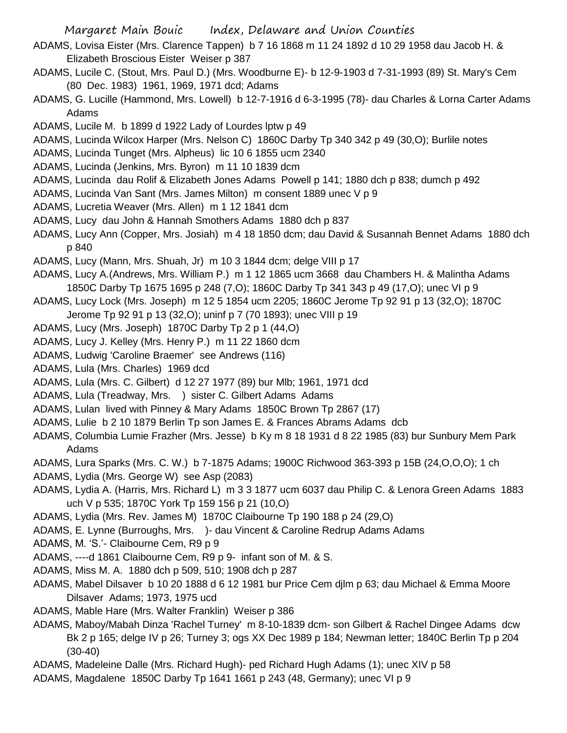- ADAMS, Lovisa Eister (Mrs. Clarence Tappen) b 7 16 1868 m 11 24 1892 d 10 29 1958 dau Jacob H. & Elizabeth Broscious Eister Weiser p 387
- ADAMS, Lucile C. (Stout, Mrs. Paul D.) (Mrs. Woodburne E)- b 12-9-1903 d 7-31-1993 (89) St. Mary's Cem (80 Dec. 1983) 1961, 1969, 1971 dcd; Adams
- ADAMS, G. Lucille (Hammond, Mrs. Lowell) b 12-7-1916 d 6-3-1995 (78)- dau Charles & Lorna Carter Adams Adams
- ADAMS, Lucile M. b 1899 d 1922 Lady of Lourdes lptw p 49
- ADAMS, Lucinda Wilcox Harper (Mrs. Nelson C) 1860C Darby Tp 340 342 p 49 (30,O); Burlile notes
- ADAMS, Lucinda Tunget (Mrs. Alpheus) lic 10 6 1855 ucm 2340
- ADAMS, Lucinda (Jenkins, Mrs. Byron) m 11 10 1839 dcm
- ADAMS, Lucinda dau Rolif & Elizabeth Jones Adams Powell p 141; 1880 dch p 838; dumch p 492
- ADAMS, Lucinda Van Sant (Mrs. James Milton) m consent 1889 unec V p 9
- ADAMS, Lucretia Weaver (Mrs. Allen) m 1 12 1841 dcm
- ADAMS, Lucy dau John & Hannah Smothers Adams 1880 dch p 837
- ADAMS, Lucy Ann (Copper, Mrs. Josiah) m 4 18 1850 dcm; dau David & Susannah Bennet Adams 1880 dch p 840
- ADAMS, Lucy (Mann, Mrs. Shuah, Jr) m 10 3 1844 dcm; delge VIII p 17
- ADAMS, Lucy A.(Andrews, Mrs. William P.) m 1 12 1865 ucm 3668 dau Chambers H. & Malintha Adams 1850C Darby Tp 1675 1695 p 248 (7,O); 1860C Darby Tp 341 343 p 49 (17,O); unec VI p 9
- ADAMS, Lucy Lock (Mrs. Joseph) m 12 5 1854 ucm 2205; 1860C Jerome Tp 92 91 p 13 (32,O); 1870C
- Jerome Tp 92 91 p 13 (32,O); uninf p 7 (70 1893); unec VIII p 19
- ADAMS, Lucy (Mrs. Joseph) 1870C Darby Tp 2 p 1 (44,O)
- ADAMS, Lucy J. Kelley (Mrs. Henry P.) m 11 22 1860 dcm
- ADAMS, Ludwig 'Caroline Braemer' see Andrews (116)
- ADAMS, Lula (Mrs. Charles) 1969 dcd
- ADAMS, Lula (Mrs. C. Gilbert) d 12 27 1977 (89) bur Mlb; 1961, 1971 dcd
- ADAMS, Lula (Treadway, Mrs. ) sister C. Gilbert Adams Adams
- ADAMS, Lulan lived with Pinney & Mary Adams 1850C Brown Tp 2867 (17)
- ADAMS, Lulie b 2 10 1879 Berlin Tp son James E. & Frances Abrams Adams dcb
- ADAMS, Columbia Lumie Frazher (Mrs. Jesse) b Ky m 8 18 1931 d 8 22 1985 (83) bur Sunbury Mem Park Adams
- ADAMS, Lura Sparks (Mrs. C. W.) b 7-1875 Adams; 1900C Richwood 363-393 p 15B (24,O,O,O); 1 ch
- ADAMS, Lydia (Mrs. George W) see Asp (2083)
- ADAMS, Lydia A. (Harris, Mrs. Richard L) m 3 3 1877 ucm 6037 dau Philip C. & Lenora Green Adams 1883 uch V p 535; 1870C York Tp 159 156 p 21 (10,O)
- ADAMS, Lydia (Mrs. Rev. James M) 1870C Claibourne Tp 190 188 p 24 (29,O)
- ADAMS, E. Lynne (Burroughs, Mrs. )- dau Vincent & Caroline Redrup Adams Adams
- ADAMS, M. 'S.'- Claibourne Cem, R9 p 9
- ADAMS, ----d 1861 Claibourne Cem, R9 p 9- infant son of M. & S.
- ADAMS, Miss M. A. 1880 dch p 509, 510; 1908 dch p 287
- ADAMS, Mabel Dilsaver b 10 20 1888 d 6 12 1981 bur Price Cem djlm p 63; dau Michael & Emma Moore Dilsaver Adams; 1973, 1975 ucd
- ADAMS, Mable Hare (Mrs. Walter Franklin) Weiser p 386
- ADAMS, Maboy/Mabah Dinza 'Rachel Turney' m 8-10-1839 dcm- son Gilbert & Rachel Dingee Adams dcw Bk 2 p 165; delge IV p 26; Turney 3; ogs XX Dec 1989 p 184; Newman letter; 1840C Berlin Tp p 204 (30-40)
- ADAMS, Madeleine Dalle (Mrs. Richard Hugh)- ped Richard Hugh Adams (1); unec XIV p 58
- ADAMS, Magdalene 1850C Darby Tp 1641 1661 p 243 (48, Germany); unec VI p 9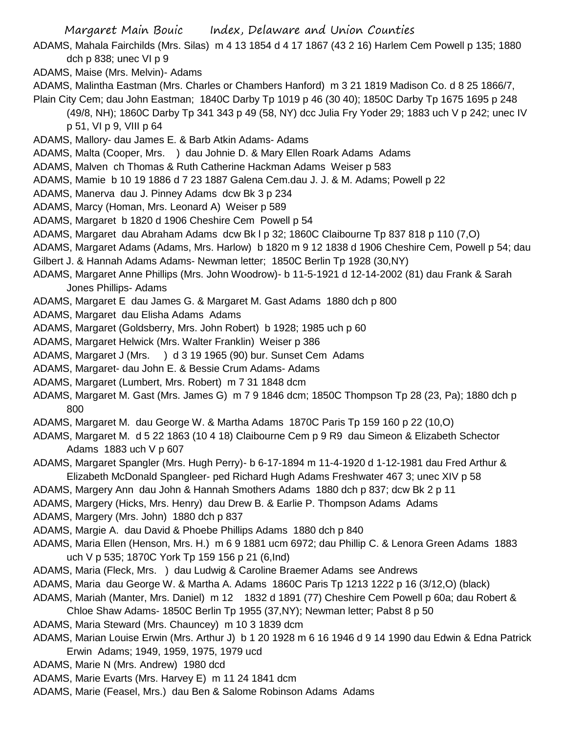ADAMS, Mahala Fairchilds (Mrs. Silas) m 4 13 1854 d 4 17 1867 (43 2 16) Harlem Cem Powell p 135; 1880 dch p 838; unec VI p 9

- ADAMS, Maise (Mrs. Melvin)- Adams
- ADAMS, Malintha Eastman (Mrs. Charles or Chambers Hanford) m 3 21 1819 Madison Co. d 8 25 1866/7, Plain City Cem; dau John Eastman; 1840C Darby Tp 1019 p 46 (30 40); 1850C Darby Tp 1675 1695 p 248
	- (49/8, NH); 1860C Darby Tp 341 343 p 49 (58, NY) dcc Julia Fry Yoder 29; 1883 uch V p 242; unec IV p 51, VI p 9, VIII p 64
- ADAMS, Mallory- dau James E. & Barb Atkin Adams- Adams
- ADAMS, Malta (Cooper, Mrs. ) dau Johnie D. & Mary Ellen Roark Adams Adams
- ADAMS, Malven ch Thomas & Ruth Catherine Hackman Adams Weiser p 583
- ADAMS, Mamie b 10 19 1886 d 7 23 1887 Galena Cem.dau J. J. & M. Adams; Powell p 22
- ADAMS, Manerva dau J. Pinney Adams dcw Bk 3 p 234
- ADAMS, Marcy (Homan, Mrs. Leonard A) Weiser p 589
- ADAMS, Margaret b 1820 d 1906 Cheshire Cem Powell p 54
- ADAMS, Margaret dau Abraham Adams dcw Bk l p 32; 1860C Claibourne Tp 837 818 p 110 (7,O)
- ADAMS, Margaret Adams (Adams, Mrs. Harlow) b 1820 m 9 12 1838 d 1906 Cheshire Cem, Powell p 54; dau
- Gilbert J. & Hannah Adams Adams- Newman letter; 1850C Berlin Tp 1928 (30,NY)
- ADAMS, Margaret Anne Phillips (Mrs. John Woodrow)- b 11-5-1921 d 12-14-2002 (81) dau Frank & Sarah Jones Phillips- Adams
- ADAMS, Margaret E dau James G. & Margaret M. Gast Adams 1880 dch p 800
- ADAMS, Margaret dau Elisha Adams Adams
- ADAMS, Margaret (Goldsberry, Mrs. John Robert) b 1928; 1985 uch p 60
- ADAMS, Margaret Helwick (Mrs. Walter Franklin) Weiser p 386
- ADAMS, Margaret J (Mrs. ) d 3 19 1965 (90) bur. Sunset Cem Adams
- ADAMS, Margaret- dau John E. & Bessie Crum Adams- Adams
- ADAMS, Margaret (Lumbert, Mrs. Robert) m 7 31 1848 dcm
- ADAMS, Margaret M. Gast (Mrs. James G) m 7 9 1846 dcm; 1850C Thompson Tp 28 (23, Pa); 1880 dch p 800
- ADAMS, Margaret M. dau George W. & Martha Adams 1870C Paris Tp 159 160 p 22 (10,O)
- ADAMS, Margaret M. d 5 22 1863 (10 4 18) Claibourne Cem p 9 R9 dau Simeon & Elizabeth Schector Adams 1883 uch V p 607
- ADAMS, Margaret Spangler (Mrs. Hugh Perry)- b 6-17-1894 m 11-4-1920 d 1-12-1981 dau Fred Arthur & Elizabeth McDonald Spangleer- ped Richard Hugh Adams Freshwater 467 3; unec XIV p 58
- ADAMS, Margery Ann dau John & Hannah Smothers Adams 1880 dch p 837; dcw Bk 2 p 11
- ADAMS, Margery (Hicks, Mrs. Henry) dau Drew B. & Earlie P. Thompson Adams Adams
- ADAMS, Margery (Mrs. John) 1880 dch p 837
- ADAMS, Margie A. dau David & Phoebe Phillips Adams 1880 dch p 840
- ADAMS, Maria Ellen (Henson, Mrs. H.) m 6 9 1881 ucm 6972; dau Phillip C. & Lenora Green Adams 1883 uch V p 535; 1870C York Tp 159 156 p 21 (6,Ind)
- ADAMS, Maria (Fleck, Mrs. ) dau Ludwig & Caroline Braemer Adams see Andrews
- ADAMS, Maria dau George W. & Martha A. Adams 1860C Paris Tp 1213 1222 p 16 (3/12,O) (black)
- ADAMS, Mariah (Manter, Mrs. Daniel) m 12 1832 d 1891 (77) Cheshire Cem Powell p 60a; dau Robert & Chloe Shaw Adams- 1850C Berlin Tp 1955 (37,NY); Newman letter; Pabst 8 p 50
- ADAMS, Maria Steward (Mrs. Chauncey) m 10 3 1839 dcm
- ADAMS, Marian Louise Erwin (Mrs. Arthur J) b 1 20 1928 m 6 16 1946 d 9 14 1990 dau Edwin & Edna Patrick Erwin Adams; 1949, 1959, 1975, 1979 ucd
- ADAMS, Marie N (Mrs. Andrew) 1980 dcd
- ADAMS, Marie Evarts (Mrs. Harvey E) m 11 24 1841 dcm
- ADAMS, Marie (Feasel, Mrs.) dau Ben & Salome Robinson Adams Adams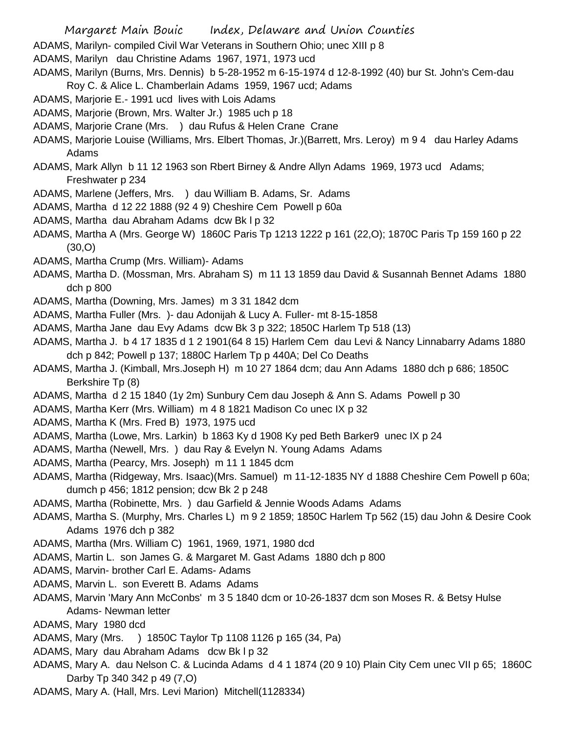- Margaret Main Bouic Index, Delaware and Union Counties
- ADAMS, Marilyn- compiled Civil War Veterans in Southern Ohio; unec XIII p 8
- ADAMS, Marilyn dau Christine Adams 1967, 1971, 1973 ucd
- ADAMS, Marilyn (Burns, Mrs. Dennis) b 5-28-1952 m 6-15-1974 d 12-8-1992 (40) bur St. John's Cem-dau
- Roy C. & Alice L. Chamberlain Adams 1959, 1967 ucd; Adams
- ADAMS, Marjorie E.- 1991 ucd lives with Lois Adams
- ADAMS, Marjorie (Brown, Mrs. Walter Jr.) 1985 uch p 18
- ADAMS, Marjorie Crane (Mrs. ) dau Rufus & Helen Crane Crane
- ADAMS, Marjorie Louise (Williams, Mrs. Elbert Thomas, Jr.)(Barrett, Mrs. Leroy) m 9 4 dau Harley Adams Adams
- ADAMS, Mark Allyn b 11 12 1963 son Rbert Birney & Andre Allyn Adams 1969, 1973 ucd Adams; Freshwater p 234
- ADAMS, Marlene (Jeffers, Mrs. ) dau William B. Adams, Sr. Adams
- ADAMS, Martha d 12 22 1888 (92 4 9) Cheshire Cem Powell p 60a
- ADAMS, Martha dau Abraham Adams dcw Bk l p 32
- ADAMS, Martha A (Mrs. George W) 1860C Paris Tp 1213 1222 p 161 (22,O); 1870C Paris Tp 159 160 p 22 (30,O)
- ADAMS, Martha Crump (Mrs. William)- Adams
- ADAMS, Martha D. (Mossman, Mrs. Abraham S) m 11 13 1859 dau David & Susannah Bennet Adams 1880 dch p 800
- ADAMS, Martha (Downing, Mrs. James) m 3 31 1842 dcm
- ADAMS, Martha Fuller (Mrs. )- dau Adonijah & Lucy A. Fuller- mt 8-15-1858
- ADAMS, Martha Jane dau Evy Adams dcw Bk 3 p 322; 1850C Harlem Tp 518 (13)
- ADAMS, Martha J. b 4 17 1835 d 1 2 1901(64 8 15) Harlem Cem dau Levi & Nancy Linnabarry Adams 1880 dch p 842; Powell p 137; 1880C Harlem Tp p 440A; Del Co Deaths
- ADAMS, Martha J. (Kimball, Mrs.Joseph H) m 10 27 1864 dcm; dau Ann Adams 1880 dch p 686; 1850C Berkshire Tp (8)
- ADAMS, Martha d 2 15 1840 (1y 2m) Sunbury Cem dau Joseph & Ann S. Adams Powell p 30
- ADAMS, Martha Kerr (Mrs. William) m 4 8 1821 Madison Co unec IX p 32
- ADAMS, Martha K (Mrs. Fred B) 1973, 1975 ucd
- ADAMS, Martha (Lowe, Mrs. Larkin) b 1863 Ky d 1908 Ky ped Beth Barker9 unec IX p 24
- ADAMS, Martha (Newell, Mrs. ) dau Ray & Evelyn N. Young Adams Adams
- ADAMS, Martha (Pearcy, Mrs. Joseph) m 11 1 1845 dcm
- ADAMS, Martha (Ridgeway, Mrs. Isaac)(Mrs. Samuel) m 11-12-1835 NY d 1888 Cheshire Cem Powell p 60a; dumch p 456; 1812 pension; dcw Bk 2 p 248
- ADAMS, Martha (Robinette, Mrs. ) dau Garfield & Jennie Woods Adams Adams
- ADAMS, Martha S. (Murphy, Mrs. Charles L) m 9 2 1859; 1850C Harlem Tp 562 (15) dau John & Desire Cook Adams 1976 dch p 382
- ADAMS, Martha (Mrs. William C) 1961, 1969, 1971, 1980 dcd
- ADAMS, Martin L. son James G. & Margaret M. Gast Adams 1880 dch p 800
- ADAMS, Marvin- brother Carl E. Adams- Adams
- ADAMS, Marvin L. son Everett B. Adams Adams
- ADAMS, Marvin 'Mary Ann McConbs' m 3 5 1840 dcm or 10-26-1837 dcm son Moses R. & Betsy Hulse Adams- Newman letter
- ADAMS, Mary 1980 dcd
- ADAMS, Mary (Mrs. ) 1850C Taylor Tp 1108 1126 p 165 (34, Pa)
- ADAMS, Mary dau Abraham Adams dcw Bk l p 32
- ADAMS, Mary A. dau Nelson C. & Lucinda Adams d 4 1 1874 (20 9 10) Plain City Cem unec VII p 65; 1860C Darby Tp 340 342 p 49 (7,O)
- ADAMS, Mary A. (Hall, Mrs. Levi Marion) Mitchell(1128334)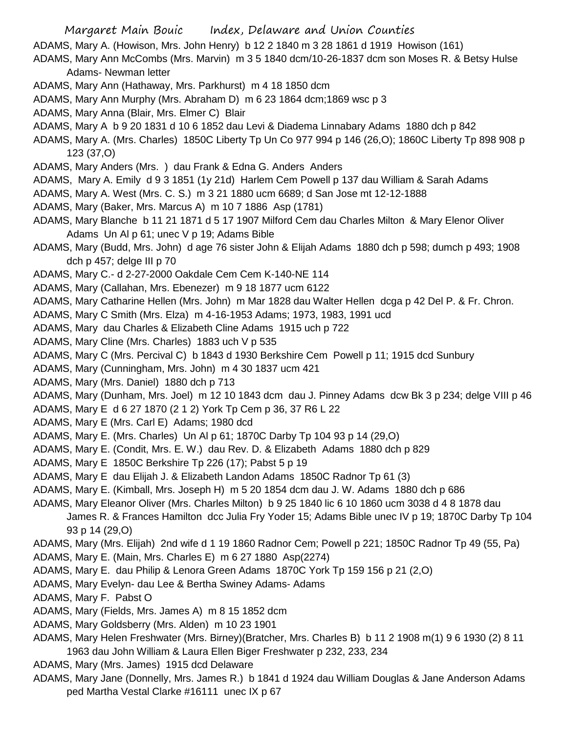ADAMS, Mary A. (Howison, Mrs. John Henry) b 12 2 1840 m 3 28 1861 d 1919 Howison (161)

- ADAMS, Mary Ann McCombs (Mrs. Marvin) m 3 5 1840 dcm/10-26-1837 dcm son Moses R. & Betsy Hulse Adams- Newman letter
- ADAMS, Mary Ann (Hathaway, Mrs. Parkhurst) m 4 18 1850 dcm
- ADAMS, Mary Ann Murphy (Mrs. Abraham D) m 6 23 1864 dcm;1869 wsc p 3
- ADAMS, Mary Anna (Blair, Mrs. Elmer C) Blair
- ADAMS, Mary A b 9 20 1831 d 10 6 1852 dau Levi & Diadema Linnabary Adams 1880 dch p 842
- ADAMS, Mary A. (Mrs. Charles) 1850C Liberty Tp Un Co 977 994 p 146 (26,O); 1860C Liberty Tp 898 908 p 123 (37,O)
- ADAMS, Mary Anders (Mrs. ) dau Frank & Edna G. Anders Anders
- ADAMS, Mary A. Emily d 9 3 1851 (1y 21d) Harlem Cem Powell p 137 dau William & Sarah Adams
- ADAMS, Mary A. West (Mrs. C. S.) m 3 21 1880 ucm 6689; d San Jose mt 12-12-1888
- ADAMS, Mary (Baker, Mrs. Marcus A) m 10 7 1886 Asp (1781)
- ADAMS, Mary Blanche b 11 21 1871 d 5 17 1907 Milford Cem dau Charles Milton & Mary Elenor Oliver Adams Un Al p 61; unec V p 19; Adams Bible
- ADAMS, Mary (Budd, Mrs. John) d age 76 sister John & Elijah Adams 1880 dch p 598; dumch p 493; 1908 dch p 457; delge III p 70
- ADAMS, Mary C.- d 2-27-2000 Oakdale Cem Cem K-140-NE 114
- ADAMS, Mary (Callahan, Mrs. Ebenezer) m 9 18 1877 ucm 6122
- ADAMS, Mary Catharine Hellen (Mrs. John) m Mar 1828 dau Walter Hellen dcga p 42 Del P. & Fr. Chron.
- ADAMS, Mary C Smith (Mrs. Elza) m 4-16-1953 Adams; 1973, 1983, 1991 ucd
- ADAMS, Mary dau Charles & Elizabeth Cline Adams 1915 uch p 722
- ADAMS, Mary Cline (Mrs. Charles) 1883 uch V p 535
- ADAMS, Mary C (Mrs. Percival C) b 1843 d 1930 Berkshire Cem Powell p 11; 1915 dcd Sunbury
- ADAMS, Mary (Cunningham, Mrs. John) m 4 30 1837 ucm 421
- ADAMS, Mary (Mrs. Daniel) 1880 dch p 713
- ADAMS, Mary (Dunham, Mrs. Joel) m 12 10 1843 dcm dau J. Pinney Adams dcw Bk 3 p 234; delge VIII p 46
- ADAMS, Mary E d 6 27 1870 (2 1 2) York Tp Cem p 36, 37 R6 L 22
- ADAMS, Mary E (Mrs. Carl E) Adams; 1980 dcd
- ADAMS, Mary E. (Mrs. Charles) Un Al p 61; 1870C Darby Tp 104 93 p 14 (29,O)
- ADAMS, Mary E. (Condit, Mrs. E. W.) dau Rev. D. & Elizabeth Adams 1880 dch p 829
- ADAMS, Mary E 1850C Berkshire Tp 226 (17); Pabst 5 p 19
- ADAMS, Mary E dau Elijah J. & Elizabeth Landon Adams 1850C Radnor Tp 61 (3)
- ADAMS, Mary E. (Kimball, Mrs. Joseph H) m 5 20 1854 dcm dau J. W. Adams 1880 dch p 686
- ADAMS, Mary Eleanor Oliver (Mrs. Charles Milton) b 9 25 1840 lic 6 10 1860 ucm 3038 d 4 8 1878 dau James R. & Frances Hamilton dcc Julia Fry Yoder 15; Adams Bible unec IV p 19; 1870C Darby Tp 104 93 p 14 (29,O)
- ADAMS, Mary (Mrs. Elijah) 2nd wife d 1 19 1860 Radnor Cem; Powell p 221; 1850C Radnor Tp 49 (55, Pa)
- ADAMS, Mary E. (Main, Mrs. Charles E) m 6 27 1880 Asp(2274)
- ADAMS, Mary E. dau Philip & Lenora Green Adams 1870C York Tp 159 156 p 21 (2,O)
- ADAMS, Mary Evelyn- dau Lee & Bertha Swiney Adams- Adams
- ADAMS, Mary F. Pabst O
- ADAMS, Mary (Fields, Mrs. James A) m 8 15 1852 dcm
- ADAMS, Mary Goldsberry (Mrs. Alden) m 10 23 1901
- ADAMS, Mary Helen Freshwater (Mrs. Birney)(Bratcher, Mrs. Charles B) b 11 2 1908 m(1) 9 6 1930 (2) 8 11 1963 dau John William & Laura Ellen Biger Freshwater p 232, 233, 234
- ADAMS, Mary (Mrs. James) 1915 dcd Delaware
- ADAMS, Mary Jane (Donnelly, Mrs. James R.) b 1841 d 1924 dau William Douglas & Jane Anderson Adams ped Martha Vestal Clarke #16111 unec IX p 67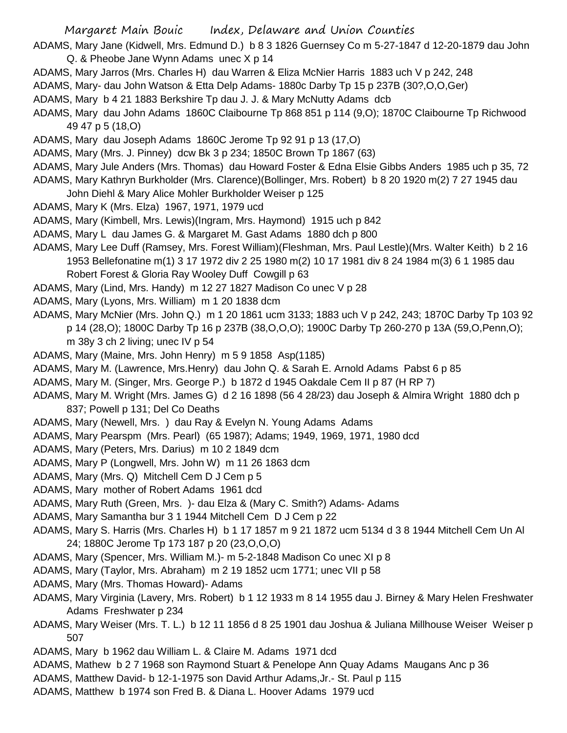- ADAMS, Mary Jane (Kidwell, Mrs. Edmund D.) b 8 3 1826 Guernsey Co m 5-27-1847 d 12-20-1879 dau John Q. & Pheobe Jane Wynn Adams unec X p 14
- ADAMS, Mary Jarros (Mrs. Charles H) dau Warren & Eliza McNier Harris 1883 uch V p 242, 248
- ADAMS, Mary- dau John Watson & Etta Delp Adams- 1880c Darby Tp 15 p 237B (30?,O,O,Ger)
- ADAMS, Mary b 4 21 1883 Berkshire Tp dau J. J. & Mary McNutty Adams dcb
- ADAMS, Mary dau John Adams 1860C Claibourne Tp 868 851 p 114 (9,O); 1870C Claibourne Tp Richwood 49 47 p 5 (18,O)
- ADAMS, Mary dau Joseph Adams 1860C Jerome Tp 92 91 p 13 (17,O)
- ADAMS, Mary (Mrs. J. Pinney) dcw Bk 3 p 234; 1850C Brown Tp 1867 (63)
- ADAMS, Mary Jule Anders (Mrs. Thomas) dau Howard Foster & Edna Elsie Gibbs Anders 1985 uch p 35, 72
- ADAMS, Mary Kathryn Burkholder (Mrs. Clarence)(Bollinger, Mrs. Robert) b 8 20 1920 m(2) 7 27 1945 dau
- John Diehl & Mary Alice Mohler Burkholder Weiser p 125
- ADAMS, Mary K (Mrs. Elza) 1967, 1971, 1979 ucd
- ADAMS, Mary (Kimbell, Mrs. Lewis)(Ingram, Mrs. Haymond) 1915 uch p 842
- ADAMS, Mary L dau James G. & Margaret M. Gast Adams 1880 dch p 800
- ADAMS, Mary Lee Duff (Ramsey, Mrs. Forest William)(Fleshman, Mrs. Paul Lestle)(Mrs. Walter Keith) b 2 16 1953 Bellefonatine m(1) 3 17 1972 div 2 25 1980 m(2) 10 17 1981 div 8 24 1984 m(3) 6 1 1985 dau Robert Forest & Gloria Ray Wooley Duff Cowgill p 63
- ADAMS, Mary (Lind, Mrs. Handy) m 12 27 1827 Madison Co unec V p 28
- ADAMS, Mary (Lyons, Mrs. William) m 1 20 1838 dcm
- ADAMS, Mary McNier (Mrs. John Q.) m 1 20 1861 ucm 3133; 1883 uch V p 242, 243; 1870C Darby Tp 103 92 p 14 (28,O); 1800C Darby Tp 16 p 237B (38,O,O,O); 1900C Darby Tp 260-270 p 13A (59,O,Penn,O); m 38y 3 ch 2 living; unec IV p 54
- ADAMS, Mary (Maine, Mrs. John Henry) m 5 9 1858 Asp(1185)
- ADAMS, Mary M. (Lawrence, Mrs.Henry) dau John Q. & Sarah E. Arnold Adams Pabst 6 p 85
- ADAMS, Mary M. (Singer, Mrs. George P.) b 1872 d 1945 Oakdale Cem II p 87 (H RP 7)
- ADAMS, Mary M. Wright (Mrs. James G) d 2 16 1898 (56 4 28/23) dau Joseph & Almira Wright 1880 dch p 837; Powell p 131; Del Co Deaths
- ADAMS, Mary (Newell, Mrs. ) dau Ray & Evelyn N. Young Adams Adams
- ADAMS, Mary Pearspm (Mrs. Pearl) (65 1987); Adams; 1949, 1969, 1971, 1980 dcd
- ADAMS, Mary (Peters, Mrs. Darius) m 10 2 1849 dcm
- ADAMS, Mary P (Longwell, Mrs. John W) m 11 26 1863 dcm
- ADAMS, Mary (Mrs. Q) Mitchell Cem D J Cem p 5
- ADAMS, Mary mother of Robert Adams 1961 dcd
- ADAMS, Mary Ruth (Green, Mrs. )- dau Elza & (Mary C. Smith?) Adams- Adams
- ADAMS, Mary Samantha bur 3 1 1944 Mitchell Cem D J Cem p 22
- ADAMS, Mary S. Harris (Mrs. Charles H) b 1 17 1857 m 9 21 1872 ucm 5134 d 3 8 1944 Mitchell Cem Un Al 24; 1880C Jerome Tp 173 187 p 20 (23,O,O,O)
- ADAMS, Mary (Spencer, Mrs. William M.)- m 5-2-1848 Madison Co unec XI p 8
- ADAMS, Mary (Taylor, Mrs. Abraham) m 2 19 1852 ucm 1771; unec VII p 58
- ADAMS, Mary (Mrs. Thomas Howard)- Adams
- ADAMS, Mary Virginia (Lavery, Mrs. Robert) b 1 12 1933 m 8 14 1955 dau J. Birney & Mary Helen Freshwater Adams Freshwater p 234
- ADAMS, Mary Weiser (Mrs. T. L.) b 12 11 1856 d 8 25 1901 dau Joshua & Juliana Millhouse Weiser Weiser p 507
- ADAMS, Mary b 1962 dau William L. & Claire M. Adams 1971 dcd
- ADAMS, Mathew b 2 7 1968 son Raymond Stuart & Penelope Ann Quay Adams Maugans Anc p 36
- ADAMS, Matthew David- b 12-1-1975 son David Arthur Adams,Jr.- St. Paul p 115
- ADAMS, Matthew b 1974 son Fred B. & Diana L. Hoover Adams 1979 ucd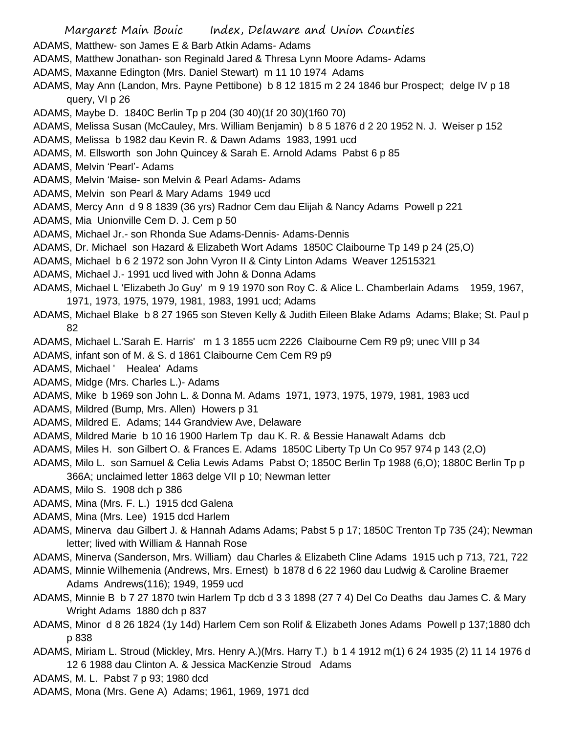- Margaret Main Bouic Index, Delaware and Union Counties
- ADAMS, Matthew- son James E & Barb Atkin Adams- Adams
- ADAMS, Matthew Jonathan- son Reginald Jared & Thresa Lynn Moore Adams- Adams
- ADAMS, Maxanne Edington (Mrs. Daniel Stewart) m 11 10 1974 Adams
- ADAMS, May Ann (Landon, Mrs. Payne Pettibone) b 8 12 1815 m 2 24 1846 bur Prospect; delge IV p 18 query, VI p 26
- ADAMS, Maybe D. 1840C Berlin Tp p 204 (30 40)(1f 20 30)(1f60 70)
- ADAMS, Melissa Susan (McCauley, Mrs. William Benjamin) b 8 5 1876 d 2 20 1952 N. J. Weiser p 152
- ADAMS, Melissa b 1982 dau Kevin R. & Dawn Adams 1983, 1991 ucd
- ADAMS, M. Ellsworth son John Quincey & Sarah E. Arnold Adams Pabst 6 p 85
- ADAMS, Melvin 'Pearl'- Adams
- ADAMS, Melvin 'Maise- son Melvin & Pearl Adams- Adams
- ADAMS, Melvin son Pearl & Mary Adams 1949 ucd
- ADAMS, Mercy Ann d 9 8 1839 (36 yrs) Radnor Cem dau Elijah & Nancy Adams Powell p 221
- ADAMS, Mia Unionville Cem D. J. Cem p 50
- ADAMS, Michael Jr.- son Rhonda Sue Adams-Dennis- Adams-Dennis
- ADAMS, Dr. Michael son Hazard & Elizabeth Wort Adams 1850C Claibourne Tp 149 p 24 (25,O)
- ADAMS, Michael b 6 2 1972 son John Vyron II & Cinty Linton Adams Weaver 12515321
- ADAMS, Michael J.- 1991 ucd lived with John & Donna Adams
- ADAMS, Michael L 'Elizabeth Jo Guy' m 9 19 1970 son Roy C. & Alice L. Chamberlain Adams 1959, 1967, 1971, 1973, 1975, 1979, 1981, 1983, 1991 ucd; Adams
- ADAMS, Michael Blake b 8 27 1965 son Steven Kelly & Judith Eileen Blake Adams Adams; Blake; St. Paul p 82
- ADAMS, Michael L.'Sarah E. Harris' m 1 3 1855 ucm 2226 Claibourne Cem R9 p9; unec VIII p 34
- ADAMS, infant son of M. & S. d 1861 Claibourne Cem Cem R9 p9
- ADAMS, Michael ' Healea' Adams
- ADAMS, Midge (Mrs. Charles L.)- Adams
- ADAMS, Mike b 1969 son John L. & Donna M. Adams 1971, 1973, 1975, 1979, 1981, 1983 ucd
- ADAMS, Mildred (Bump, Mrs. Allen) Howers p 31
- ADAMS, Mildred E. Adams; 144 Grandview Ave, Delaware
- ADAMS, Mildred Marie b 10 16 1900 Harlem Tp dau K. R. & Bessie Hanawalt Adams dcb
- ADAMS, Miles H. son Gilbert O. & Frances E. Adams 1850C Liberty Tp Un Co 957 974 p 143 (2,O)
- ADAMS, Milo L. son Samuel & Celia Lewis Adams Pabst O; 1850C Berlin Tp 1988 (6,O); 1880C Berlin Tp p 366A; unclaimed letter 1863 delge VII p 10; Newman letter
- ADAMS, Milo S. 1908 dch p 386
- ADAMS, Mina (Mrs. F. L.) 1915 dcd Galena
- ADAMS, Mina (Mrs. Lee) 1915 dcd Harlem
- ADAMS, Minerva dau Gilbert J. & Hannah Adams Adams; Pabst 5 p 17; 1850C Trenton Tp 735 (24); Newman letter; lived with William & Hannah Rose
- ADAMS, Minerva (Sanderson, Mrs. William) dau Charles & Elizabeth Cline Adams 1915 uch p 713, 721, 722
- ADAMS, Minnie Wilhemenia (Andrews, Mrs. Ernest) b 1878 d 6 22 1960 dau Ludwig & Caroline Braemer Adams Andrews(116); 1949, 1959 ucd
- ADAMS, Minnie B b 7 27 1870 twin Harlem Tp dcb d 3 3 1898 (27 7 4) Del Co Deaths dau James C. & Mary Wright Adams 1880 dch p 837
- ADAMS, Minor d 8 26 1824 (1y 14d) Harlem Cem son Rolif & Elizabeth Jones Adams Powell p 137;1880 dch p 838
- ADAMS, Miriam L. Stroud (Mickley, Mrs. Henry A.)(Mrs. Harry T.) b 1 4 1912 m(1) 6 24 1935 (2) 11 14 1976 d 12 6 1988 dau Clinton A. & Jessica MacKenzie Stroud Adams
- ADAMS, M. L. Pabst 7 p 93; 1980 dcd
- ADAMS, Mona (Mrs. Gene A) Adams; 1961, 1969, 1971 dcd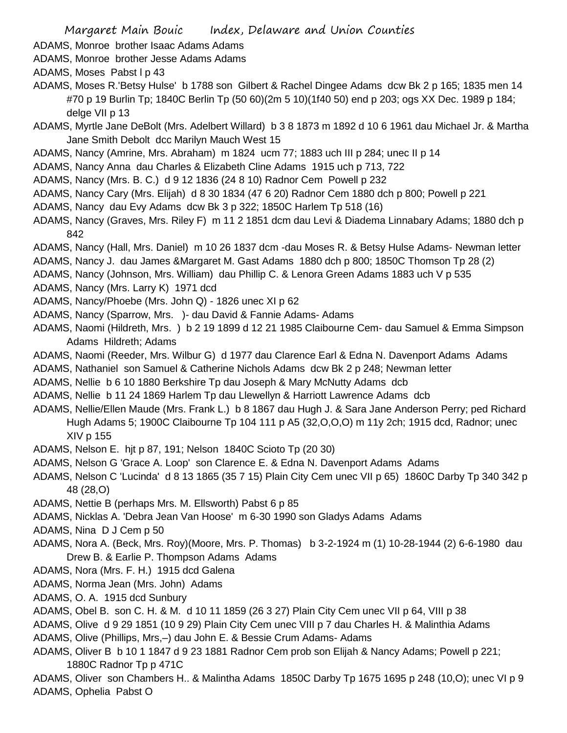ADAMS, Monroe brother Isaac Adams Adams

ADAMS, Monroe brother Jesse Adams Adams

ADAMS, Moses Pabst l p 43

- ADAMS, Moses R.'Betsy Hulse' b 1788 son Gilbert & Rachel Dingee Adams dcw Bk 2 p 165; 1835 men 14 #70 p 19 Burlin Tp; 1840C Berlin Tp (50 60)(2m 5 10)(1f40 50) end p 203; ogs XX Dec. 1989 p 184; delge VII p 13
- ADAMS, Myrtle Jane DeBolt (Mrs. Adelbert Willard) b 3 8 1873 m 1892 d 10 6 1961 dau Michael Jr. & Martha Jane Smith Debolt dcc Marilyn Mauch West 15
- ADAMS, Nancy (Amrine, Mrs. Abraham) m 1824 ucm 77; 1883 uch III p 284; unec II p 14
- ADAMS, Nancy Anna dau Charles & Elizabeth Cline Adams 1915 uch p 713, 722
- ADAMS, Nancy (Mrs. B. C.) d 9 12 1836 (24 8 10) Radnor Cem Powell p 232
- ADAMS, Nancy Cary (Mrs. Elijah) d 8 30 1834 (47 6 20) Radnor Cem 1880 dch p 800; Powell p 221
- ADAMS, Nancy dau Evy Adams dcw Bk 3 p 322; 1850C Harlem Tp 518 (16)
- ADAMS, Nancy (Graves, Mrs. Riley F) m 11 2 1851 dcm dau Levi & Diadema Linnabary Adams; 1880 dch p 842
- ADAMS, Nancy (Hall, Mrs. Daniel) m 10 26 1837 dcm -dau Moses R. & Betsy Hulse Adams- Newman letter
- ADAMS, Nancy J. dau James &Margaret M. Gast Adams 1880 dch p 800; 1850C Thomson Tp 28 (2)
- ADAMS, Nancy (Johnson, Mrs. William) dau Phillip C. & Lenora Green Adams 1883 uch V p 535
- ADAMS, Nancy (Mrs. Larry K) 1971 dcd
- ADAMS, Nancy/Phoebe (Mrs. John Q) 1826 unec XI p 62
- ADAMS, Nancy (Sparrow, Mrs. )- dau David & Fannie Adams- Adams
- ADAMS, Naomi (Hildreth, Mrs. ) b 2 19 1899 d 12 21 1985 Claibourne Cem- dau Samuel & Emma Simpson Adams Hildreth; Adams
- ADAMS, Naomi (Reeder, Mrs. Wilbur G) d 1977 dau Clarence Earl & Edna N. Davenport Adams Adams
- ADAMS, Nathaniel son Samuel & Catherine Nichols Adams dcw Bk 2 p 248; Newman letter
- ADAMS, Nellie b 6 10 1880 Berkshire Tp dau Joseph & Mary McNutty Adams dcb
- ADAMS, Nellie b 11 24 1869 Harlem Tp dau Llewellyn & Harriott Lawrence Adams dcb
- ADAMS, Nellie/Ellen Maude (Mrs. Frank L.) b 8 1867 dau Hugh J. & Sara Jane Anderson Perry; ped Richard Hugh Adams 5; 1900C Claibourne Tp 104 111 p A5 (32,O,O,O) m 11y 2ch; 1915 dcd, Radnor; unec XIV p 155
- ADAMS, Nelson E. hjt p 87, 191; Nelson 1840C Scioto Tp (20 30)
- ADAMS, Nelson G 'Grace A. Loop' son Clarence E. & Edna N. Davenport Adams Adams
- ADAMS, Nelson C 'Lucinda' d 8 13 1865 (35 7 15) Plain City Cem unec VII p 65) 1860C Darby Tp 340 342 p 48 (28,O)
- ADAMS, Nettie B (perhaps Mrs. M. Ellsworth) Pabst 6 p 85
- ADAMS, Nicklas A. 'Debra Jean Van Hoose' m 6-30 1990 son Gladys Adams Adams
- ADAMS, Nina D J Cem p 50
- ADAMS, Nora A. (Beck, Mrs. Roy)(Moore, Mrs. P. Thomas) b 3-2-1924 m (1) 10-28-1944 (2) 6-6-1980 dau Drew B. & Earlie P. Thompson Adams Adams
- ADAMS, Nora (Mrs. F. H.) 1915 dcd Galena
- ADAMS, Norma Jean (Mrs. John) Adams
- ADAMS, O. A. 1915 dcd Sunbury
- ADAMS, Obel B. son C. H. & M. d 10 11 1859 (26 3 27) Plain City Cem unec VII p 64, VIII p 38
- ADAMS, Olive d 9 29 1851 (10 9 29) Plain City Cem unec VIII p 7 dau Charles H. & Malinthia Adams
- ADAMS, Olive (Phillips, Mrs,–) dau John E. & Bessie Crum Adams- Adams
- ADAMS, Oliver B b 10 1 1847 d 9 23 1881 Radnor Cem prob son Elijah & Nancy Adams; Powell p 221; 1880C Radnor Tp p 471C
- ADAMS, Oliver son Chambers H.. & Malintha Adams 1850C Darby Tp 1675 1695 p 248 (10,O); unec VI p 9 ADAMS, Ophelia Pabst O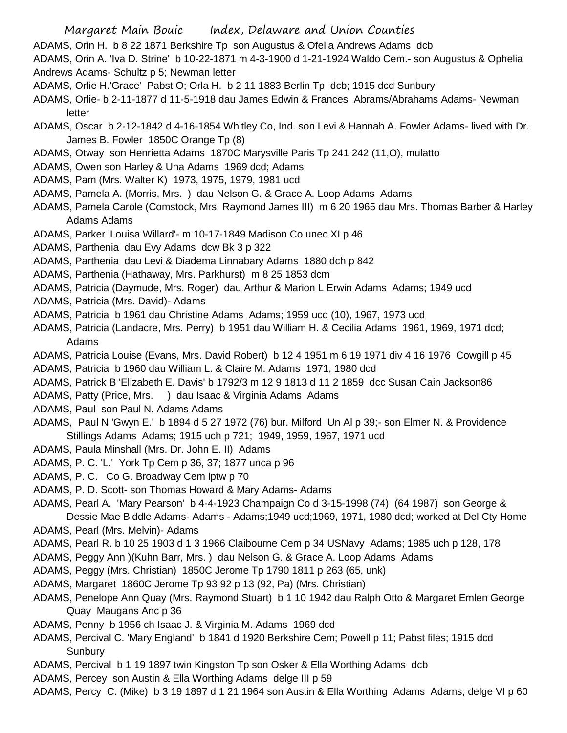- ADAMS, Orin H. b 8 22 1871 Berkshire Tp son Augustus & Ofelia Andrews Adams dcb
- ADAMS, Orin A. 'Iva D. Strine' b 10-22-1871 m 4-3-1900 d 1-21-1924 Waldo Cem.- son Augustus & Ophelia Andrews Adams- Schultz p 5; Newman letter
- ADAMS, Orlie H.'Grace' Pabst O; Orla H. b 2 11 1883 Berlin Tp dcb; 1915 dcd Sunbury
- ADAMS, Orlie- b 2-11-1877 d 11-5-1918 dau James Edwin & Frances Abrams/Abrahams Adams- Newman letter
- ADAMS, Oscar b 2-12-1842 d 4-16-1854 Whitley Co, Ind. son Levi & Hannah A. Fowler Adams- lived with Dr. James B. Fowler 1850C Orange Tp (8)
- ADAMS, Otway son Henrietta Adams 1870C Marysville Paris Tp 241 242 (11,O), mulatto
- ADAMS, Owen son Harley & Una Adams 1969 dcd; Adams
- ADAMS, Pam (Mrs. Walter K) 1973, 1975, 1979, 1981 ucd
- ADAMS, Pamela A. (Morris, Mrs. ) dau Nelson G. & Grace A. Loop Adams Adams
- ADAMS, Pamela Carole (Comstock, Mrs. Raymond James III) m 6 20 1965 dau Mrs. Thomas Barber & Harley Adams Adams
- ADAMS, Parker 'Louisa Willard'- m 10-17-1849 Madison Co unec XI p 46
- ADAMS, Parthenia dau Evy Adams dcw Bk 3 p 322
- ADAMS, Parthenia dau Levi & Diadema Linnabary Adams 1880 dch p 842
- ADAMS, Parthenia (Hathaway, Mrs. Parkhurst) m 8 25 1853 dcm
- ADAMS, Patricia (Daymude, Mrs. Roger) dau Arthur & Marion L Erwin Adams Adams; 1949 ucd
- ADAMS, Patricia (Mrs. David)- Adams
- ADAMS, Patricia b 1961 dau Christine Adams Adams; 1959 ucd (10), 1967, 1973 ucd
- ADAMS, Patricia (Landacre, Mrs. Perry) b 1951 dau William H. & Cecilia Adams 1961, 1969, 1971 dcd; Adams
- ADAMS, Patricia Louise (Evans, Mrs. David Robert) b 12 4 1951 m 6 19 1971 div 4 16 1976 Cowgill p 45
- ADAMS, Patricia b 1960 dau William L. & Claire M. Adams 1971, 1980 dcd
- ADAMS, Patrick B 'Elizabeth E. Davis' b 1792/3 m 12 9 1813 d 11 2 1859 dcc Susan Cain Jackson86
- ADAMS, Patty (Price, Mrs. ) dau Isaac & Virginia Adams Adams
- ADAMS, Paul son Paul N. Adams Adams
- ADAMS, Paul N 'Gwyn E.' b 1894 d 5 27 1972 (76) bur. Milford Un Al p 39;- son Elmer N. & Providence Stillings Adams Adams; 1915 uch p 721; 1949, 1959, 1967, 1971 ucd
- ADAMS, Paula Minshall (Mrs. Dr. John E. II) Adams
- ADAMS, P. C. 'L.' York Tp Cem p 36, 37; 1877 unca p 96
- ADAMS, P. C. Co G. Broadway Cem lptw p 70
- ADAMS, P. D. Scott- son Thomas Howard & Mary Adams- Adams
- ADAMS, Pearl A. 'Mary Pearson' b 4-4-1923 Champaign Co d 3-15-1998 (74) (64 1987) son George &

Dessie Mae Biddle Adams- Adams - Adams;1949 ucd;1969, 1971, 1980 dcd; worked at Del Cty Home ADAMS, Pearl (Mrs. Melvin)- Adams

- ADAMS, Pearl R. b 10 25 1903 d 1 3 1966 Claibourne Cem p 34 USNavy Adams; 1985 uch p 128, 178
- ADAMS, Peggy Ann )(Kuhn Barr, Mrs. ) dau Nelson G. & Grace A. Loop Adams Adams
- ADAMS, Peggy (Mrs. Christian) 1850C Jerome Tp 1790 1811 p 263 (65, unk)
- ADAMS, Margaret 1860C Jerome Tp 93 92 p 13 (92, Pa) (Mrs. Christian)
- ADAMS, Penelope Ann Quay (Mrs. Raymond Stuart) b 1 10 1942 dau Ralph Otto & Margaret Emlen George Quay Maugans Anc p 36
- ADAMS, Penny b 1956 ch Isaac J. & Virginia M. Adams 1969 dcd
- ADAMS, Percival C. 'Mary England' b 1841 d 1920 Berkshire Cem; Powell p 11; Pabst files; 1915 dcd **Sunbury**
- ADAMS, Percival b 1 19 1897 twin Kingston Tp son Osker & Ella Worthing Adams dcb
- ADAMS, Percey son Austin & Ella Worthing Adams delge III p 59
- ADAMS, Percy C. (Mike) b 3 19 1897 d 1 21 1964 son Austin & Ella Worthing Adams Adams; delge VI p 60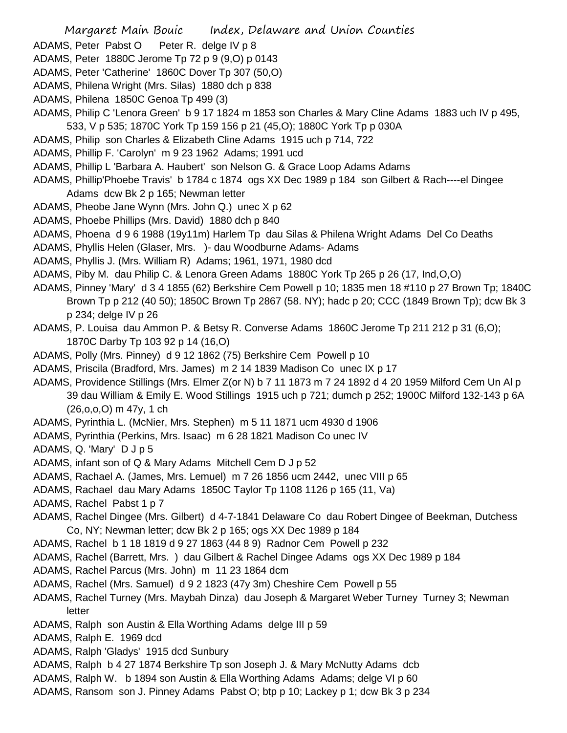- Margaret Main Bouic Index, Delaware and Union Counties
- ADAMS, Peter Pabst O Peter R. delge IV p 8
- ADAMS, Peter 1880C Jerome Tp 72 p 9 (9,O) p 0143
- ADAMS, Peter 'Catherine' 1860C Dover Tp 307 (50,O)
- ADAMS, Philena Wright (Mrs. Silas) 1880 dch p 838
- ADAMS, Philena 1850C Genoa Tp 499 (3)
- ADAMS, Philip C 'Lenora Green' b 9 17 1824 m 1853 son Charles & Mary Cline Adams 1883 uch IV p 495, 533, V p 535; 1870C York Tp 159 156 p 21 (45,O); 1880C York Tp p 030A
- ADAMS, Philip son Charles & Elizabeth Cline Adams 1915 uch p 714, 722
- ADAMS, Phillip F. 'Carolyn' m 9 23 1962 Adams; 1991 ucd
- ADAMS, Phillip L 'Barbara A. Haubert' son Nelson G. & Grace Loop Adams Adams
- ADAMS, Phillip'Phoebe Travis' b 1784 c 1874 ogs XX Dec 1989 p 184 son Gilbert & Rach----el Dingee Adams dcw Bk 2 p 165; Newman letter
- ADAMS, Pheobe Jane Wynn (Mrs. John Q.) unec X p 62
- ADAMS, Phoebe Phillips (Mrs. David) 1880 dch p 840
- ADAMS, Phoena d 9 6 1988 (19y11m) Harlem Tp dau Silas & Philena Wright Adams Del Co Deaths
- ADAMS, Phyllis Helen (Glaser, Mrs. )- dau Woodburne Adams- Adams
- ADAMS, Phyllis J. (Mrs. William R) Adams; 1961, 1971, 1980 dcd
- ADAMS, Piby M. dau Philip C. & Lenora Green Adams 1880C York Tp 265 p 26 (17, Ind,O,O)
- ADAMS, Pinney 'Mary' d 3 4 1855 (62) Berkshire Cem Powell p 10; 1835 men 18 #110 p 27 Brown Tp; 1840C Brown Tp p 212 (40 50); 1850C Brown Tp 2867 (58. NY); hadc p 20; CCC (1849 Brown Tp); dcw Bk 3 p 234; delge IV p 26
- ADAMS, P. Louisa dau Ammon P. & Betsy R. Converse Adams 1860C Jerome Tp 211 212 p 31 (6,O); 1870C Darby Tp 103 92 p 14 (16,O)
- ADAMS, Polly (Mrs. Pinney) d 9 12 1862 (75) Berkshire Cem Powell p 10
- ADAMS, Priscila (Bradford, Mrs. James) m 2 14 1839 Madison Co unec IX p 17
- ADAMS, Providence Stillings (Mrs. Elmer Z(or N) b 7 11 1873 m 7 24 1892 d 4 20 1959 Milford Cem Un Al p 39 dau William & Emily E. Wood Stillings 1915 uch p 721; dumch p 252; 1900C Milford 132-143 p 6A (26,o,o,O) m 47y, 1 ch
- ADAMS, Pyrinthia L. (McNier, Mrs. Stephen) m 5 11 1871 ucm 4930 d 1906
- ADAMS, Pyrinthia (Perkins, Mrs. Isaac) m 6 28 1821 Madison Co unec IV
- ADAMS, Q. 'Mary' D J p 5
- ADAMS, infant son of Q & Mary Adams Mitchell Cem D J p 52
- ADAMS, Rachael A. (James, Mrs. Lemuel) m 7 26 1856 ucm 2442, unec VIII p 65
- ADAMS, Rachael dau Mary Adams 1850C Taylor Tp 1108 1126 p 165 (11, Va)
- ADAMS, Rachel Pabst 1 p 7
- ADAMS, Rachel Dingee (Mrs. Gilbert) d 4-7-1841 Delaware Co dau Robert Dingee of Beekman, Dutchess Co, NY; Newman letter; dcw Bk 2 p 165; ogs XX Dec 1989 p 184
- ADAMS, Rachel b 1 18 1819 d 9 27 1863 (44 8 9) Radnor Cem Powell p 232
- ADAMS, Rachel (Barrett, Mrs. ) dau Gilbert & Rachel Dingee Adams ogs XX Dec 1989 p 184
- ADAMS, Rachel Parcus (Mrs. John) m 11 23 1864 dcm
- ADAMS, Rachel (Mrs. Samuel) d 9 2 1823 (47y 3m) Cheshire Cem Powell p 55
- ADAMS, Rachel Turney (Mrs. Maybah Dinza) dau Joseph & Margaret Weber Turney Turney 3; Newman letter
- ADAMS, Ralph son Austin & Ella Worthing Adams delge III p 59
- ADAMS, Ralph E. 1969 dcd
- ADAMS, Ralph 'Gladys' 1915 dcd Sunbury
- ADAMS, Ralph b 4 27 1874 Berkshire Tp son Joseph J. & Mary McNutty Adams dcb
- ADAMS, Ralph W. b 1894 son Austin & Ella Worthing Adams Adams; delge VI p 60
- ADAMS, Ransom son J. Pinney Adams Pabst O; btp p 10; Lackey p 1; dcw Bk 3 p 234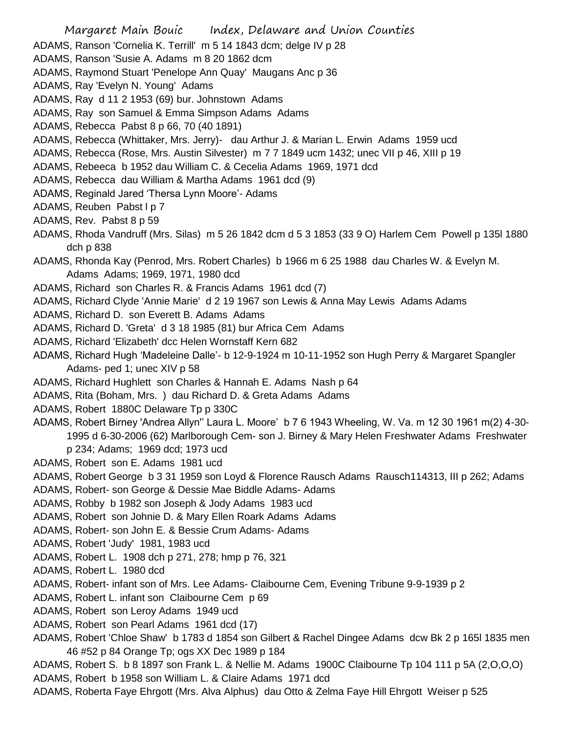- ADAMS, Ranson 'Cornelia K. Terrill' m 5 14 1843 dcm; delge IV p 28
- ADAMS, Ranson 'Susie A. Adams m 8 20 1862 dcm
- ADAMS, Raymond Stuart 'Penelope Ann Quay' Maugans Anc p 36
- ADAMS, Ray 'Evelyn N. Young' Adams
- ADAMS, Ray d 11 2 1953 (69) bur. Johnstown Adams
- ADAMS, Ray son Samuel & Emma Simpson Adams Adams
- ADAMS, Rebecca Pabst 8 p 66, 70 (40 1891)
- ADAMS, Rebecca (Whittaker, Mrs. Jerry)- dau Arthur J. & Marian L. Erwin Adams 1959 ucd
- ADAMS, Rebecca (Rose, Mrs. Austin Silvester) m 7 7 1849 ucm 1432; unec VII p 46, XIII p 19
- ADAMS, Rebeeca b 1952 dau William C. & Cecelia Adams 1969, 1971 dcd
- ADAMS, Rebecca dau William & Martha Adams 1961 dcd (9)
- ADAMS, Reginald Jared 'Thersa Lynn Moore'- Adams
- ADAMS, Reuben Pabst I p 7
- ADAMS, Rev. Pabst 8 p 59
- ADAMS, Rhoda Vandruff (Mrs. Silas) m 5 26 1842 dcm d 5 3 1853 (33 9 O) Harlem Cem Powell p 135l 1880 dch p 838
- ADAMS, Rhonda Kay (Penrod, Mrs. Robert Charles) b 1966 m 6 25 1988 dau Charles W. & Evelyn M. Adams Adams; 1969, 1971, 1980 dcd
- ADAMS, Richard son Charles R. & Francis Adams 1961 dcd (7)
- ADAMS, Richard Clyde 'Annie Marie' d 2 19 1967 son Lewis & Anna May Lewis Adams Adams
- ADAMS, Richard D. son Everett B. Adams Adams
- ADAMS, Richard D. 'Greta' d 3 18 1985 (81) bur Africa Cem Adams
- ADAMS, Richard 'Elizabeth' dcc Helen Wornstaff Kern 682
- ADAMS, Richard Hugh 'Madeleine Dalle'- b 12-9-1924 m 10-11-1952 son Hugh Perry & Margaret Spangler Adams- ped 1; unec XIV p 58
- ADAMS, Richard Hughlett son Charles & Hannah E. Adams Nash p 64
- ADAMS, Rita (Boham, Mrs. ) dau Richard D. & Greta Adams Adams
- ADAMS, Robert 1880C Delaware Tp p 330C
- ADAMS, Robert Birney 'Andrea Allyn'' Laura L. Moore' b 7 6 1943 Wheeling, W. Va. m 12 30 1961 m(2) 4-30- 1995 d 6-30-2006 (62) Marlborough Cem- son J. Birney & Mary Helen Freshwater Adams Freshwater p 234; Adams; 1969 dcd; 1973 ucd
- ADAMS, Robert son E. Adams 1981 ucd
- ADAMS, Robert George b 3 31 1959 son Loyd & Florence Rausch Adams Rausch114313, III p 262; Adams
- ADAMS, Robert- son George & Dessie Mae Biddle Adams- Adams
- ADAMS, Robby b 1982 son Joseph & Jody Adams 1983 ucd
- ADAMS, Robert son Johnie D. & Mary Ellen Roark Adams Adams
- ADAMS, Robert- son John E. & Bessie Crum Adams- Adams
- ADAMS, Robert 'Judy' 1981, 1983 ucd
- ADAMS, Robert L. 1908 dch p 271, 278; hmp p 76, 321
- ADAMS, Robert L. 1980 dcd
- ADAMS, Robert- infant son of Mrs. Lee Adams- Claibourne Cem, Evening Tribune 9-9-1939 p 2
- ADAMS, Robert L. infant son Claibourne Cem p 69
- ADAMS, Robert son Leroy Adams 1949 ucd
- ADAMS, Robert son Pearl Adams 1961 dcd (17)
- ADAMS, Robert 'Chloe Shaw' b 1783 d 1854 son Gilbert & Rachel Dingee Adams dcw Bk 2 p 165l 1835 men 46 #52 p 84 Orange Tp; ogs XX Dec 1989 p 184
- ADAMS, Robert S. b 8 1897 son Frank L. & Nellie M. Adams 1900C Claibourne Tp 104 111 p 5A (2,O,O,O) ADAMS, Robert b 1958 son William L. & Claire Adams 1971 dcd
- 
- ADAMS, Roberta Faye Ehrgott (Mrs. Alva Alphus) dau Otto & Zelma Faye Hill Ehrgott Weiser p 525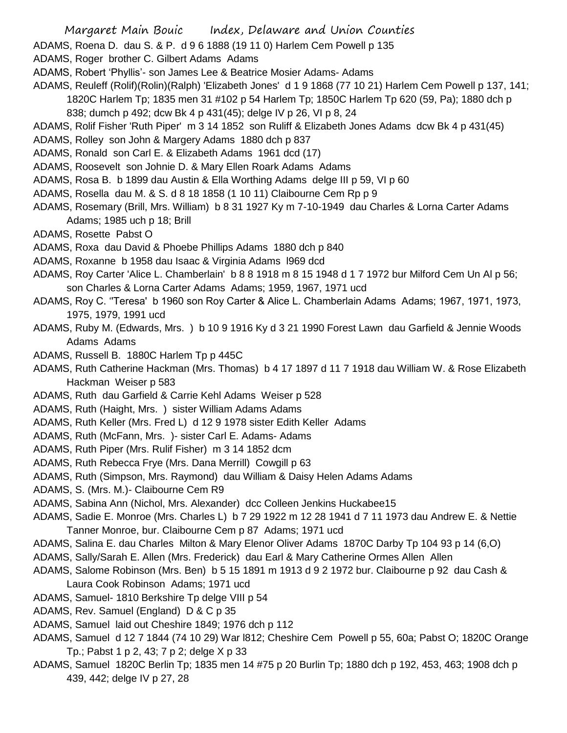- Margaret Main Bouic Index, Delaware and Union Counties
- ADAMS, Roena D. dau S. & P. d 9 6 1888 (19 11 0) Harlem Cem Powell p 135
- ADAMS, Roger brother C. Gilbert Adams Adams
- ADAMS, Robert 'Phyllis'- son James Lee & Beatrice Mosier Adams- Adams
- ADAMS, Reuleff (Rolif)(Rolin)(Ralph) 'Elizabeth Jones' d 1 9 1868 (77 10 21) Harlem Cem Powell p 137, 141; 1820C Harlem Tp; 1835 men 31 #102 p 54 Harlem Tp; 1850C Harlem Tp 620 (59, Pa); 1880 dch p 838; dumch p 492; dcw Bk 4 p 431(45); delge IV p 26, VI p 8, 24
- ADAMS, Rolif Fisher 'Ruth Piper' m 3 14 1852 son Ruliff & Elizabeth Jones Adams dcw Bk 4 p 431(45)
- ADAMS, Rolley son John & Margery Adams 1880 dch p 837
- ADAMS, Ronald son Carl E. & Elizabeth Adams 1961 dcd (17)
- ADAMS, Roosevelt son Johnie D. & Mary Ellen Roark Adams Adams
- ADAMS, Rosa B. b 1899 dau Austin & Ella Worthing Adams delge III p 59, VI p 60
- ADAMS, Rosella dau M. & S. d 8 18 1858 (1 10 11) Claibourne Cem Rp p 9
- ADAMS, Rosemary (Brill, Mrs. William) b 8 31 1927 Ky m 7-10-1949 dau Charles & Lorna Carter Adams Adams; 1985 uch p 18; Brill
- ADAMS, Rosette Pabst O
- ADAMS, Roxa dau David & Phoebe Phillips Adams 1880 dch p 840
- ADAMS, Roxanne b 1958 dau Isaac & Virginia Adams l969 dcd
- ADAMS, Roy Carter 'Alice L. Chamberlain' b 8 8 1918 m 8 15 1948 d 1 7 1972 bur Milford Cem Un Al p 56; son Charles & Lorna Carter Adams Adams; 1959, 1967, 1971 ucd
- ADAMS, Roy C. ''Teresa' b 1960 son Roy Carter & Alice L. Chamberlain Adams Adams; 1967, 1971, 1973, 1975, 1979, 1991 ucd
- ADAMS, Ruby M. (Edwards, Mrs. ) b 10 9 1916 Ky d 3 21 1990 Forest Lawn dau Garfield & Jennie Woods Adams Adams
- ADAMS, Russell B. 1880C Harlem Tp p 445C
- ADAMS, Ruth Catherine Hackman (Mrs. Thomas) b 4 17 1897 d 11 7 1918 dau William W. & Rose Elizabeth Hackman Weiser p 583
- ADAMS, Ruth dau Garfield & Carrie Kehl Adams Weiser p 528
- ADAMS, Ruth (Haight, Mrs. ) sister William Adams Adams
- ADAMS, Ruth Keller (Mrs. Fred L) d 12 9 1978 sister Edith Keller Adams
- ADAMS, Ruth (McFann, Mrs. )- sister Carl E. Adams- Adams
- ADAMS, Ruth Piper (Mrs. Rulif Fisher) m 3 14 1852 dcm
- ADAMS, Ruth Rebecca Frye (Mrs. Dana Merrill) Cowgill p 63
- ADAMS, Ruth (Simpson, Mrs. Raymond) dau William & Daisy Helen Adams Adams
- ADAMS, S. (Mrs. M.)- Claibourne Cem R9
- ADAMS, Sabina Ann (Nichol, Mrs. Alexander) dcc Colleen Jenkins Huckabee15
- ADAMS, Sadie E. Monroe (Mrs. Charles L) b 7 29 1922 m 12 28 1941 d 7 11 1973 dau Andrew E. & Nettie Tanner Monroe, bur. Claibourne Cem p 87 Adams; 1971 ucd
- ADAMS, Salina E. dau Charles Milton & Mary Elenor Oliver Adams 1870C Darby Tp 104 93 p 14 (6,O)
- ADAMS, Sally/Sarah E. Allen (Mrs. Frederick) dau Earl & Mary Catherine Ormes Allen Allen
- ADAMS, Salome Robinson (Mrs. Ben) b 5 15 1891 m 1913 d 9 2 1972 bur. Claibourne p 92 dau Cash & Laura Cook Robinson Adams; 1971 ucd
- ADAMS, Samuel- 1810 Berkshire Tp delge VIII p 54
- ADAMS, Rev. Samuel (England) D & C p 35
- ADAMS, Samuel laid out Cheshire 1849; 1976 dch p 112
- ADAMS, Samuel d 12 7 1844 (74 10 29) War l812; Cheshire Cem Powell p 55, 60a; Pabst O; 1820C Orange Tp.; Pabst 1 p 2, 43; 7 p 2; delge X p 33
- ADAMS, Samuel 1820C Berlin Tp; 1835 men 14 #75 p 20 Burlin Tp; 1880 dch p 192, 453, 463; 1908 dch p 439, 442; delge IV p 27, 28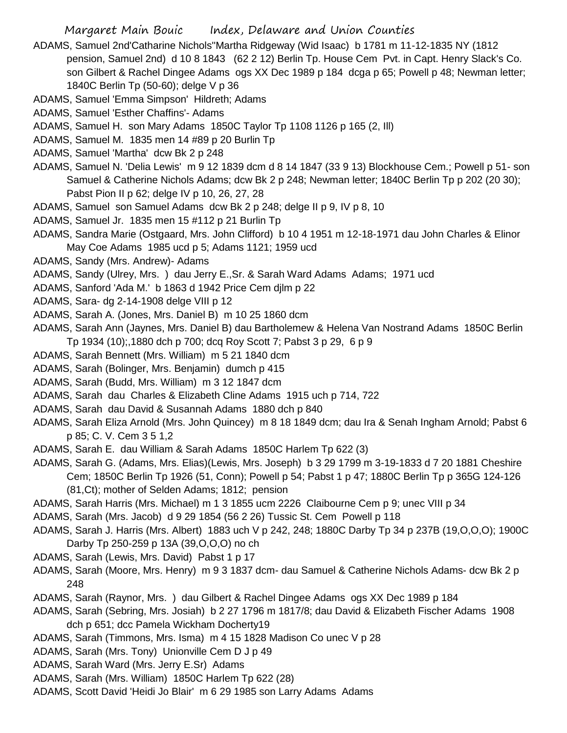- ADAMS, Samuel 2nd'Catharine Nichols''Martha Ridgeway (Wid Isaac) b 1781 m 11-12-1835 NY (1812 pension, Samuel 2nd) d 10 8 1843 (62 2 12) Berlin Tp. House Cem Pvt. in Capt. Henry Slack's Co. son Gilbert & Rachel Dingee Adams ogs XX Dec 1989 p 184 dcga p 65; Powell p 48; Newman letter; 1840C Berlin Tp (50-60); delge V p 36
- ADAMS, Samuel 'Emma Simpson' Hildreth; Adams
- ADAMS, Samuel 'Esther Chaffins'- Adams
- ADAMS, Samuel H. son Mary Adams 1850C Taylor Tp 1108 1126 p 165 (2, Ill)
- ADAMS, Samuel M. 1835 men 14 #89 p 20 Burlin Tp
- ADAMS, Samuel 'Martha' dcw Bk 2 p 248
- ADAMS, Samuel N. 'Delia Lewis' m 9 12 1839 dcm d 8 14 1847 (33 9 13) Blockhouse Cem.; Powell p 51- son Samuel & Catherine Nichols Adams; dcw Bk 2 p 248; Newman letter; 1840C Berlin Tp p 202 (20 30); Pabst Pion II p 62; delge IV p 10, 26, 27, 28
- ADAMS, Samuel son Samuel Adams dcw Bk 2 p 248; delge II p 9, IV p 8, 10
- ADAMS, Samuel Jr. 1835 men 15 #112 p 21 Burlin Tp
- ADAMS, Sandra Marie (Ostgaard, Mrs. John Clifford) b 10 4 1951 m 12-18-1971 dau John Charles & Elinor May Coe Adams 1985 ucd p 5; Adams 1121; 1959 ucd
- ADAMS, Sandy (Mrs. Andrew)- Adams
- ADAMS, Sandy (Ulrey, Mrs. ) dau Jerry E.,Sr. & Sarah Ward Adams Adams; 1971 ucd
- ADAMS, Sanford 'Ada M.' b 1863 d 1942 Price Cem djlm p 22
- ADAMS, Sara- dg 2-14-1908 delge VIII p 12
- ADAMS, Sarah A. (Jones, Mrs. Daniel B) m 10 25 1860 dcm
- ADAMS, Sarah Ann (Jaynes, Mrs. Daniel B) dau Bartholemew & Helena Van Nostrand Adams 1850C Berlin Tp 1934 (10);,1880 dch p 700; dcq Roy Scott 7; Pabst 3 p 29, 6 p 9
- ADAMS, Sarah Bennett (Mrs. William) m 5 21 1840 dcm
- ADAMS, Sarah (Bolinger, Mrs. Benjamin) dumch p 415
- ADAMS, Sarah (Budd, Mrs. William) m 3 12 1847 dcm
- ADAMS, Sarah dau Charles & Elizabeth Cline Adams 1915 uch p 714, 722
- ADAMS, Sarah dau David & Susannah Adams 1880 dch p 840
- ADAMS, Sarah Eliza Arnold (Mrs. John Quincey) m 8 18 1849 dcm; dau Ira & Senah Ingham Arnold; Pabst 6 p 85; C. V. Cem 3 5 1,2
- ADAMS, Sarah E. dau William & Sarah Adams 1850C Harlem Tp 622 (3)
- ADAMS, Sarah G. (Adams, Mrs. Elias)(Lewis, Mrs. Joseph) b 3 29 1799 m 3-19-1833 d 7 20 1881 Cheshire Cem; 1850C Berlin Tp 1926 (51, Conn); Powell p 54; Pabst 1 p 47; 1880C Berlin Tp p 365G 124-126 (81,Ct); mother of Selden Adams; 1812; pension
- ADAMS, Sarah Harris (Mrs. Michael) m 1 3 1855 ucm 2226 Claibourne Cem p 9; unec VIII p 34
- ADAMS, Sarah (Mrs. Jacob) d 9 29 1854 (56 2 26) Tussic St. Cem Powell p 118
- ADAMS, Sarah J. Harris (Mrs. Albert) 1883 uch V p 242, 248; 1880C Darby Tp 34 p 237B (19,O,O,O); 1900C Darby Tp 250-259 p 13A (39,O,O,O) no ch
- ADAMS, Sarah (Lewis, Mrs. David) Pabst 1 p 17
- ADAMS, Sarah (Moore, Mrs. Henry) m 9 3 1837 dcm- dau Samuel & Catherine Nichols Adams- dcw Bk 2 p 248
- ADAMS, Sarah (Raynor, Mrs. ) dau Gilbert & Rachel Dingee Adams ogs XX Dec 1989 p 184
- ADAMS, Sarah (Sebring, Mrs. Josiah) b 2 27 1796 m 1817/8; dau David & Elizabeth Fischer Adams 1908 dch p 651; dcc Pamela Wickham Docherty19
- ADAMS, Sarah (Timmons, Mrs. Isma) m 4 15 1828 Madison Co unec V p 28
- ADAMS, Sarah (Mrs. Tony) Unionville Cem D J p 49
- ADAMS, Sarah Ward (Mrs. Jerry E.Sr) Adams
- ADAMS, Sarah (Mrs. William) 1850C Harlem Tp 622 (28)
- ADAMS, Scott David 'Heidi Jo Blair' m 6 29 1985 son Larry Adams Adams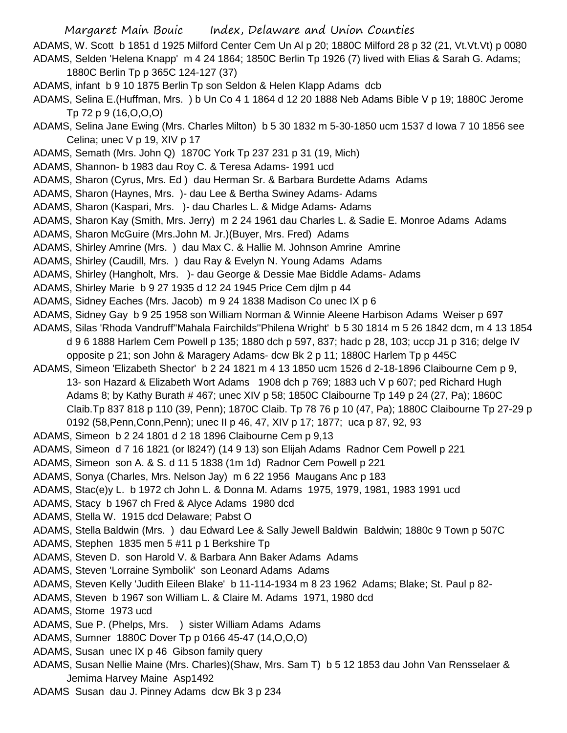Margaret Main Bouic Index, Delaware and Union Counties ADAMS, W. Scott b 1851 d 1925 Milford Center Cem Un Al p 20; 1880C Milford 28 p 32 (21, Vt.Vt.Vt) p 0080 ADAMS, Selden 'Helena Knapp' m 4 24 1864; 1850C Berlin Tp 1926 (7) lived with Elias & Sarah G. Adams;

1880C Berlin Tp p 365C 124-127 (37)

ADAMS, infant b 9 10 1875 Berlin Tp son Seldon & Helen Klapp Adams dcb

ADAMS, Selina E.(Huffman, Mrs. ) b Un Co 4 1 1864 d 12 20 1888 Neb Adams Bible V p 19; 1880C Jerome Tp 72 p 9 (16,O,O,O)

ADAMS, Selina Jane Ewing (Mrs. Charles Milton) b 5 30 1832 m 5-30-1850 ucm 1537 d Iowa 7 10 1856 see Celina; unec V p 19, XIV p 17

ADAMS, Semath (Mrs. John Q) 1870C York Tp 237 231 p 31 (19, Mich)

ADAMS, Shannon- b 1983 dau Roy C. & Teresa Adams- 1991 ucd

ADAMS, Sharon (Cyrus, Mrs. Ed ) dau Herman Sr. & Barbara Burdette Adams Adams

ADAMS, Sharon (Haynes, Mrs. )- dau Lee & Bertha Swiney Adams- Adams

ADAMS, Sharon (Kaspari, Mrs. )- dau Charles L. & Midge Adams- Adams

ADAMS, Sharon Kay (Smith, Mrs. Jerry) m 2 24 1961 dau Charles L. & Sadie E. Monroe Adams Adams

ADAMS, Sharon McGuire (Mrs.John M. Jr.)(Buyer, Mrs. Fred) Adams

ADAMS, Shirley Amrine (Mrs. ) dau Max C. & Hallie M. Johnson Amrine Amrine

ADAMS, Shirley (Caudill, Mrs. ) dau Ray & Evelyn N. Young Adams Adams

ADAMS, Shirley (Hangholt, Mrs. )- dau George & Dessie Mae Biddle Adams- Adams

ADAMS, Shirley Marie b 9 27 1935 d 12 24 1945 Price Cem djlm p 44

ADAMS, Sidney Eaches (Mrs. Jacob) m 9 24 1838 Madison Co unec IX p 6

ADAMS, Sidney Gay b 9 25 1958 son William Norman & Winnie Aleene Harbison Adams Weiser p 697

ADAMS, Silas 'Rhoda Vandruff''Mahala Fairchilds''Philena Wright' b 5 30 1814 m 5 26 1842 dcm, m 4 13 1854

d 9 6 1888 Harlem Cem Powell p 135; 1880 dch p 597, 837; hadc p 28, 103; uccp J1 p 316; delge IV

opposite p 21; son John & Maragery Adams- dcw Bk 2 p 11; 1880C Harlem Tp p 445C

ADAMS, Simeon 'Elizabeth Shector' b 2 24 1821 m 4 13 1850 ucm 1526 d 2-18-1896 Claibourne Cem p 9, 13- son Hazard & Elizabeth Wort Adams 1908 dch p 769; 1883 uch V p 607; ped Richard Hugh Adams 8; by Kathy Burath # 467; unec XIV p 58; 1850C Claibourne Tp 149 p 24 (27, Pa); 1860C Claib.Tp 837 818 p 110 (39, Penn); 1870C Claib. Tp 78 76 p 10 (47, Pa); 1880C Claibourne Tp 27-29 p 0192 (58,Penn,Conn,Penn); unec II p 46, 47, XIV p 17; 1877; uca p 87, 92, 93

ADAMS, Simeon b 2 24 1801 d 2 18 1896 Claibourne Cem p 9,13

ADAMS, Simeon d 7 16 1821 (or l824?) (14 9 13) son Elijah Adams Radnor Cem Powell p 221

ADAMS, Simeon son A. & S. d 11 5 1838 (1m 1d) Radnor Cem Powell p 221

ADAMS, Sonya (Charles, Mrs. Nelson Jay) m 6 22 1956 Maugans Anc p 183

ADAMS, Stac(e)y L. b 1972 ch John L. & Donna M. Adams 1975, 1979, 1981, 1983 1991 ucd

ADAMS, Stacy b 1967 ch Fred & Alyce Adams 1980 dcd

ADAMS, Stella W. 1915 dcd Delaware; Pabst O

ADAMS. Stella Baldwin (Mrs. ) dau Edward Lee & Sally Jewell Baldwin Baldwin; 1880c 9 Town p 507C

ADAMS, Stephen 1835 men 5 #11 p 1 Berkshire Tp

ADAMS, Steven D. son Harold V. & Barbara Ann Baker Adams Adams

ADAMS, Steven 'Lorraine Symbolik' son Leonard Adams Adams

ADAMS, Steven Kelly 'Judith Eileen Blake' b 11-114-1934 m 8 23 1962 Adams; Blake; St. Paul p 82-

ADAMS, Steven b 1967 son William L. & Claire M. Adams 1971, 1980 dcd

ADAMS, Stome 1973 ucd

ADAMS, Sue P. (Phelps, Mrs. ) sister William Adams Adams

ADAMS, Sumner 1880C Dover Tp p 0166 45-47 (14,O,O,O)

ADAMS, Susan unec IX p 46 Gibson family query

ADAMS, Susan Nellie Maine (Mrs. Charles)(Shaw, Mrs. Sam T) b 5 12 1853 dau John Van Rensselaer & Jemima Harvey Maine Asp1492

ADAMS Susan dau J. Pinney Adams dcw Bk 3 p 234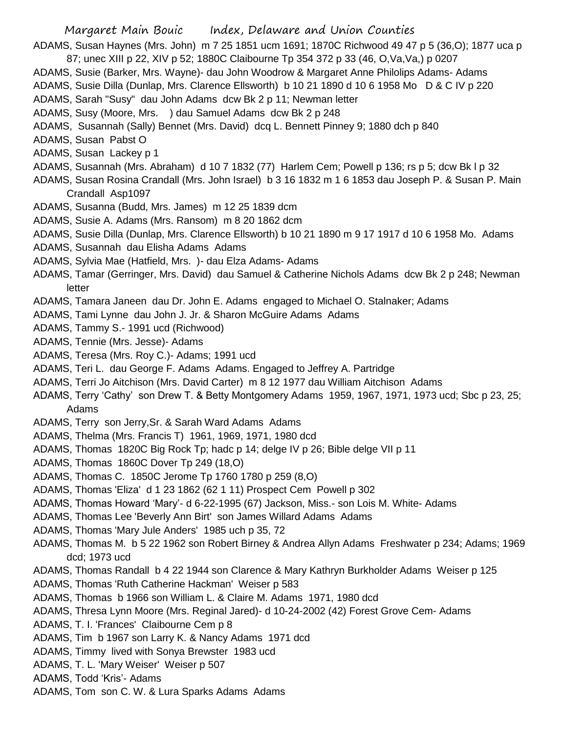ADAMS, Susan Haynes (Mrs. John) m 7 25 1851 ucm 1691; 1870C Richwood 49 47 p 5 (36,O); 1877 uca p 87; unec XIII p 22, XIV p 52; 1880C Claibourne Tp 354 372 p 33 (46, O,Va,Va,) p 0207

- ADAMS, Susie (Barker, Mrs. Wayne)- dau John Woodrow & Margaret Anne Philolips Adams- Adams
- ADAMS, Susie Dilla (Dunlap, Mrs. Clarence Ellsworth) b 10 21 1890 d 10 6 1958 Mo D & C IV p 220
- ADAMS, Sarah "Susy" dau John Adams dcw Bk 2 p 11; Newman letter
- ADAMS, Susy (Moore, Mrs. ) dau Samuel Adams dcw Bk 2 p 248
- ADAMS, Susannah (Sally) Bennet (Mrs. David) dcq L. Bennett Pinney 9; 1880 dch p 840
- ADAMS, Susan Pabst O
- ADAMS, Susan Lackey p 1
- ADAMS, Susannah (Mrs. Abraham) d 10 7 1832 (77) Harlem Cem; Powell p 136; rs p 5; dcw Bk l p 32
- ADAMS, Susan Rosina Crandall (Mrs. John Israel) b 3 16 1832 m 1 6 1853 dau Joseph P. & Susan P. Main Crandall Asp1097
- ADAMS, Susanna (Budd, Mrs. James) m 12 25 1839 dcm
- ADAMS, Susie A. Adams (Mrs. Ransom) m 8 20 1862 dcm
- ADAMS, Susie Dilla (Dunlap, Mrs. Clarence Ellsworth) b 10 21 1890 m 9 17 1917 d 10 6 1958 Mo. Adams
- ADAMS, Susannah dau Elisha Adams Adams
- ADAMS, Sylvia Mae (Hatfield, Mrs. )- dau Elza Adams- Adams
- ADAMS, Tamar (Gerringer, Mrs. David) dau Samuel & Catherine Nichols Adams dcw Bk 2 p 248; Newman letter
- ADAMS, Tamara Janeen dau Dr. John E. Adams engaged to Michael O. Stalnaker; Adams
- ADAMS, Tami Lynne dau John J. Jr. & Sharon McGuire Adams Adams
- ADAMS, Tammy S.- 1991 ucd (Richwood)
- ADAMS, Tennie (Mrs. Jesse)- Adams
- ADAMS, Teresa (Mrs. Roy C.)- Adams; 1991 ucd
- ADAMS, Teri L. dau George F. Adams Adams. Engaged to Jeffrey A. Partridge
- ADAMS, Terri Jo Aitchison (Mrs. David Carter) m 8 12 1977 dau William Aitchison Adams
- ADAMS, Terry 'Cathy' son Drew T. & Betty Montgomery Adams 1959, 1967, 1971, 1973 ucd; Sbc p 23, 25; Adams
- ADAMS, Terry son Jerry,Sr. & Sarah Ward Adams Adams
- ADAMS, Thelma (Mrs. Francis T) 1961, 1969, 1971, 1980 dcd
- ADAMS, Thomas 1820C Big Rock Tp; hadc p 14; delge IV p 26; Bible delge VII p 11
- ADAMS, Thomas 1860C Dover Tp 249 (18,O)
- ADAMS, Thomas C. 1850C Jerome Tp 1760 1780 p 259 (8,O)
- ADAMS, Thomas 'Eliza' d 1 23 1862 (62 1 11) Prospect Cem Powell p 302
- ADAMS, Thomas Howard 'Mary'- d 6-22-1995 (67) Jackson, Miss.- son Lois M. White- Adams
- ADAMS, Thomas Lee 'Beverly Ann Birt' son James Willard Adams Adams
- ADAMS, Thomas 'Mary Jule Anders' 1985 uch p 35, 72
- ADAMS, Thomas M. b 5 22 1962 son Robert Birney & Andrea Allyn Adams Freshwater p 234; Adams; 1969 dcd; 1973 ucd
- ADAMS, Thomas Randall b 4 22 1944 son Clarence & Mary Kathryn Burkholder Adams Weiser p 125
- ADAMS, Thomas 'Ruth Catherine Hackman' Weiser p 583
- ADAMS, Thomas b 1966 son William L. & Claire M. Adams 1971, 1980 dcd
- ADAMS, Thresa Lynn Moore (Mrs. Reginal Jared)- d 10-24-2002 (42) Forest Grove Cem- Adams
- ADAMS, T. I. 'Frances' Claibourne Cem p 8
- ADAMS, Tim b 1967 son Larry K. & Nancy Adams 1971 dcd
- ADAMS, Timmy lived with Sonya Brewster 1983 ucd
- ADAMS, T. L. 'Mary Weiser' Weiser p 507
- ADAMS, Todd 'Kris'- Adams
- ADAMS, Tom son C. W. & Lura Sparks Adams Adams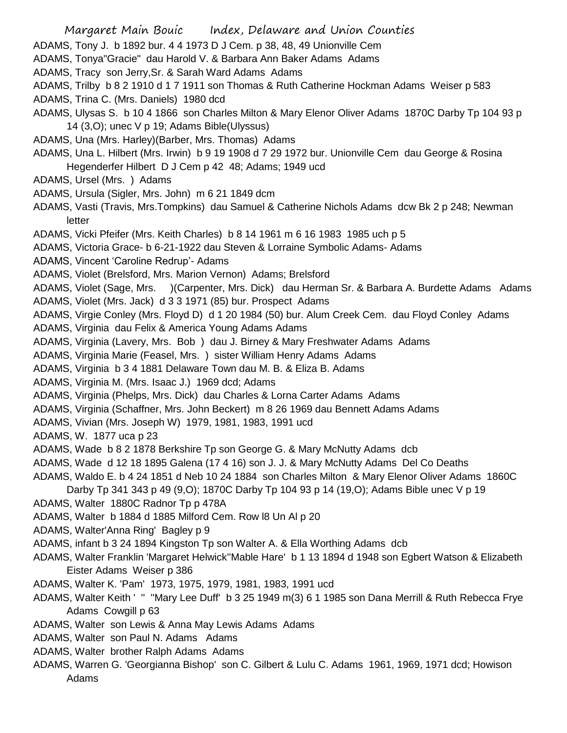- Margaret Main Bouic Index, Delaware and Union Counties
- ADAMS, Tony J. b 1892 bur. 4 4 1973 D J Cem. p 38, 48, 49 Unionville Cem
- ADAMS, Tonya"Gracie" dau Harold V. & Barbara Ann Baker Adams Adams
- ADAMS, Tracy son Jerry,Sr. & Sarah Ward Adams Adams
- ADAMS, Trilby b 8 2 1910 d 1 7 1911 son Thomas & Ruth Catherine Hockman Adams Weiser p 583 ADAMS, Trina C. (Mrs. Daniels) 1980 dcd
- ADAMS, Ulysas S. b 10 4 1866 son Charles Milton & Mary Elenor Oliver Adams 1870C Darby Tp 104 93 p 14 (3,O); unec V p 19; Adams Bible(Ulyssus)
- ADAMS, Una (Mrs. Harley)(Barber, Mrs. Thomas) Adams
- ADAMS, Una L. Hilbert (Mrs. Irwin) b 9 19 1908 d 7 29 1972 bur. Unionville Cem dau George & Rosina Hegenderfer Hilbert D J Cem p 42 48; Adams; 1949 ucd
- ADAMS, Ursel (Mrs. ) Adams
- ADAMS, Ursula (Sigler, Mrs. John) m 6 21 1849 dcm
- ADAMS, Vasti (Travis, Mrs.Tompkins) dau Samuel & Catherine Nichols Adams dcw Bk 2 p 248; Newman letter
- ADAMS, Vicki Pfeifer (Mrs. Keith Charles) b 8 14 1961 m 6 16 1983 1985 uch p 5
- ADAMS, Victoria Grace- b 6-21-1922 dau Steven & Lorraine Symbolic Adams- Adams
- ADAMS, Vincent 'Caroline Redrup'- Adams
- ADAMS, Violet (Brelsford, Mrs. Marion Vernon) Adams; Brelsford
- ADAMS, Violet (Sage, Mrs. )(Carpenter, Mrs. Dick) dau Herman Sr. & Barbara A. Burdette Adams Adams ADAMS, Violet (Mrs. Jack) d 3 3 1971 (85) bur. Prospect Adams
- 
- ADAMS, Virgie Conley (Mrs. Floyd D) d 1 20 1984 (50) bur. Alum Creek Cem. dau Floyd Conley Adams
- ADAMS, Virginia dau Felix & America Young Adams Adams
- ADAMS, Virginia (Lavery, Mrs. Bob ) dau J. Birney & Mary Freshwater Adams Adams
- ADAMS, Virginia Marie (Feasel, Mrs. ) sister William Henry Adams Adams
- ADAMS, Virginia b 3 4 1881 Delaware Town dau M. B. & Eliza B. Adams
- ADAMS, Virginia M. (Mrs. Isaac J.) 1969 dcd; Adams
- ADAMS, Virginia (Phelps, Mrs. Dick) dau Charles & Lorna Carter Adams Adams
- ADAMS, Virginia (Schaffner, Mrs. John Beckert) m 8 26 1969 dau Bennett Adams Adams
- ADAMS, Vivian (Mrs. Joseph W) 1979, 1981, 1983, 1991 ucd
- ADAMS, W. 1877 uca p 23
- ADAMS, Wade b 8 2 1878 Berkshire Tp son George G. & Mary McNutty Adams dcb
- ADAMS, Wade d 12 18 1895 Galena (17 4 16) son J. J. & Mary McNutty Adams Del Co Deaths
- ADAMS, Waldo E. b 4 24 1851 d Neb 10 24 1884 son Charles Milton & Mary Elenor Oliver Adams 1860C
	- Darby Tp 341 343 p 49 (9,O); 1870C Darby Tp 104 93 p 14 (19,O); Adams Bible unec V p 19
- ADAMS, Walter 1880C Radnor Tp p 478A
- ADAMS, Walter b 1884 d 1885 Milford Cem. Row l8 Un Al p 20
- ADAMS, Walter'Anna Ring' Bagley p 9
- ADAMS, infant b 3 24 1894 Kingston Tp son Walter A. & Ella Worthing Adams dcb
- ADAMS, Walter Franklin 'Margaret Helwick''Mable Hare' b 1 13 1894 d 1948 son Egbert Watson & Elizabeth Eister Adams Weiser p 386
- ADAMS, Walter K. 'Pam' 1973, 1975, 1979, 1981, 1983, 1991 ucd
- ADAMS, Walter Keith ' '' ''Mary Lee Duff' b 3 25 1949 m(3) 6 1 1985 son Dana Merrill & Ruth Rebecca Frye Adams Cowgill p 63
- ADAMS, Walter son Lewis & Anna May Lewis Adams Adams
- ADAMS, Walter son Paul N. Adams Adams
- ADAMS, Walter brother Ralph Adams Adams
- ADAMS, Warren G. 'Georgianna Bishop' son C. Gilbert & Lulu C. Adams 1961, 1969, 1971 dcd; Howison Adams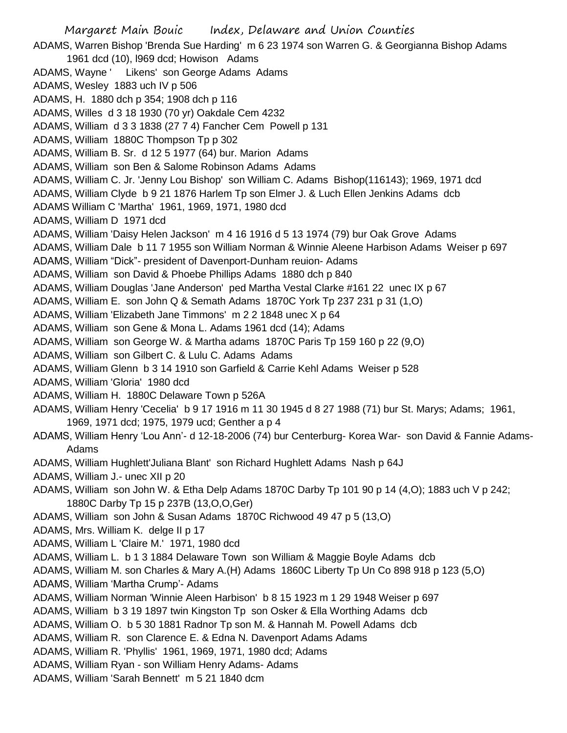Margaret Main Bouic Index, Delaware and Union Counties ADAMS, Warren Bishop 'Brenda Sue Harding' m 6 23 1974 son Warren G. & Georgianna Bishop Adams 1961 dcd (10), l969 dcd; Howison Adams ADAMS, Wayne ' Likens' son George Adams Adams ADAMS, Wesley 1883 uch IV p 506 ADAMS, H. 1880 dch p 354; 1908 dch p 116 ADAMS, Willes d 3 18 1930 (70 yr) Oakdale Cem 4232 ADAMS, William d 3 3 1838 (27 7 4) Fancher Cem Powell p 131 ADAMS, William 1880C Thompson Tp p 302 ADAMS, William B. Sr. d 12 5 1977 (64) bur. Marion Adams ADAMS, William son Ben & Salome Robinson Adams Adams ADAMS, William C. Jr. 'Jenny Lou Bishop' son William C. Adams Bishop(116143); 1969, 1971 dcd ADAMS, William Clyde b 9 21 1876 Harlem Tp son Elmer J. & Luch Ellen Jenkins Adams dcb ADAMS William C 'Martha' 1961, 1969, 1971, 1980 dcd ADAMS, William D 1971 dcd ADAMS, William 'Daisy Helen Jackson' m 4 16 1916 d 5 13 1974 (79) bur Oak Grove Adams ADAMS, William Dale b 11 7 1955 son William Norman & Winnie Aleene Harbison Adams Weiser p 697 ADAMS, William "Dick"- president of Davenport-Dunham reuion- Adams ADAMS, William son David & Phoebe Phillips Adams 1880 dch p 840 ADAMS, William Douglas 'Jane Anderson' ped Martha Vestal Clarke #161 22 unec IX p 67 ADAMS, William E. son John Q & Semath Adams 1870C York Tp 237 231 p 31 (1,O) ADAMS, William 'Elizabeth Jane Timmons' m 2 2 1848 unec X p 64 ADAMS, William son Gene & Mona L. Adams 1961 dcd (14); Adams ADAMS, William son George W. & Martha adams 1870C Paris Tp 159 160 p 22 (9,O) ADAMS, William son Gilbert C. & Lulu C. Adams Adams ADAMS, William Glenn b 3 14 1910 son Garfield & Carrie Kehl Adams Weiser p 528 ADAMS, William 'Gloria' 1980 dcd ADAMS, William H. 1880C Delaware Town p 526A ADAMS, William Henry 'Cecelia' b 9 17 1916 m 11 30 1945 d 8 27 1988 (71) bur St. Marys; Adams; 1961, 1969, 1971 dcd; 1975, 1979 ucd; Genther a p 4 ADAMS, William Henry 'Lou Ann'- d 12-18-2006 (74) bur Centerburg- Korea War- son David & Fannie Adams-Adams ADAMS, William Hughlett'Juliana Blant' son Richard Hughlett Adams Nash p 64J ADAMS, William J.- unec XII p 20 ADAMS, William son John W. & Etha Delp Adams 1870C Darby Tp 101 90 p 14 (4,O); 1883 uch V p 242; 1880C Darby Tp 15 p 237B (13,O,O,Ger) ADAMS, William son John & Susan Adams 1870C Richwood 49 47 p 5 (13,O) ADAMS, Mrs. William K. delge II p 17 ADAMS, William L 'Claire M.' 1971, 1980 dcd ADAMS, William L. b 1 3 1884 Delaware Town son William & Maggie Boyle Adams dcb ADAMS, William M. son Charles & Mary A.(H) Adams 1860C Liberty Tp Un Co 898 918 p 123 (5,O) ADAMS, William 'Martha Crump'- Adams ADAMS, William Norman 'Winnie Aleen Harbison' b 8 15 1923 m 1 29 1948 Weiser p 697 ADAMS, William b 3 19 1897 twin Kingston Tp son Osker & Ella Worthing Adams dcb ADAMS, William O. b 5 30 1881 Radnor Tp son M. & Hannah M. Powell Adams dcb ADAMS, William R. son Clarence E. & Edna N. Davenport Adams Adams ADAMS, William R. 'Phyllis' 1961, 1969, 1971, 1980 dcd; Adams ADAMS, William Ryan - son William Henry Adams- Adams ADAMS, William 'Sarah Bennett' m 5 21 1840 dcm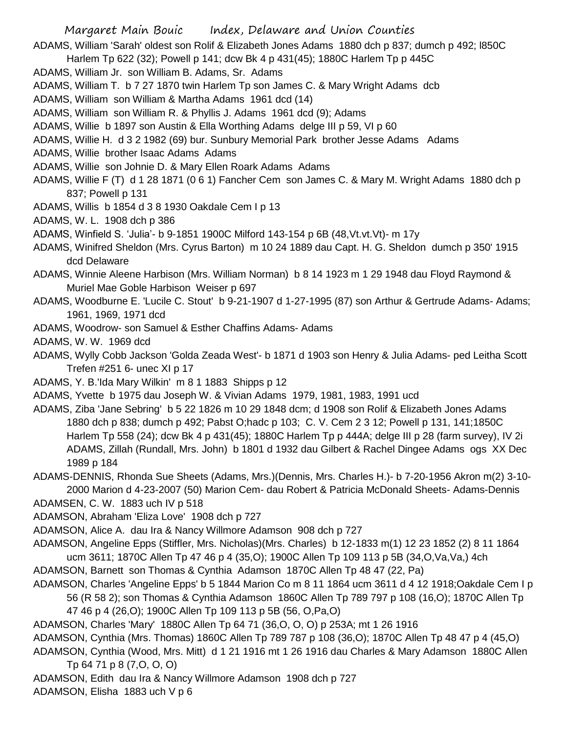- Margaret Main Bouic Index, Delaware and Union Counties
- ADAMS, William 'Sarah' oldest son Rolif & Elizabeth Jones Adams 1880 dch p 837; dumch p 492; l850C
- Harlem Tp 622 (32); Powell p 141; dcw Bk 4 p 431(45); 1880C Harlem Tp p 445C
- ADAMS, William Jr. son William B. Adams, Sr. Adams
- ADAMS, William T. b 7 27 1870 twin Harlem Tp son James C. & Mary Wright Adams dcb
- ADAMS, William son William & Martha Adams 1961 dcd (14)
- ADAMS, William son William R. & Phyllis J. Adams 1961 dcd (9); Adams
- ADAMS, Willie b 1897 son Austin & Ella Worthing Adams delge III p 59, VI p 60
- ADAMS, Willie H. d 3 2 1982 (69) bur. Sunbury Memorial Park brother Jesse Adams Adams
- ADAMS, Willie brother Isaac Adams Adams
- ADAMS, Willie son Johnie D. & Mary Ellen Roark Adams Adams
- ADAMS, Willie F (T) d 1 28 1871 (0 6 1) Fancher Cem son James C. & Mary M. Wright Adams 1880 dch p 837; Powell p 131
- ADAMS, Willis b 1854 d 3 8 1930 Oakdale Cem I p 13
- ADAMS, W. L. 1908 dch p 386
- ADAMS, Winfield S. 'Julia'- b 9-1851 1900C Milford 143-154 p 6B (48,Vt.vt.Vt)- m 17y
- ADAMS, Winifred Sheldon (Mrs. Cyrus Barton) m 10 24 1889 dau Capt. H. G. Sheldon dumch p 350' 1915 dcd Delaware
- ADAMS, Winnie Aleene Harbison (Mrs. William Norman) b 8 14 1923 m 1 29 1948 dau Floyd Raymond & Muriel Mae Goble Harbison Weiser p 697
- ADAMS, Woodburne E. 'Lucile C. Stout' b 9-21-1907 d 1-27-1995 (87) son Arthur & Gertrude Adams- Adams; 1961, 1969, 1971 dcd
- ADAMS, Woodrow- son Samuel & Esther Chaffins Adams- Adams
- ADAMS, W. W. 1969 dcd
- ADAMS, Wylly Cobb Jackson 'Golda Zeada West'- b 1871 d 1903 son Henry & Julia Adams- ped Leitha Scott Trefen #251 6- unec XI p 17
- ADAMS, Y. B.'Ida Mary Wilkin' m 8 1 1883 Shipps p 12
- ADAMS, Yvette b 1975 dau Joseph W. & Vivian Adams 1979, 1981, 1983, 1991 ucd
- ADAMS, Ziba 'Jane Sebring' b 5 22 1826 m 10 29 1848 dcm; d 1908 son Rolif & Elizabeth Jones Adams 1880 dch p 838; dumch p 492; Pabst O;hadc p 103; C. V. Cem 2 3 12; Powell p 131, 141;1850C Harlem Tp 558 (24); dcw Bk 4 p 431(45); 1880C Harlem Tp p 444A; delge III p 28 (farm survey), IV 2i ADAMS, Zillah (Rundall, Mrs. John) b 1801 d 1932 dau Gilbert & Rachel Dingee Adams ogs XX Dec 1989 p 184
- ADAMS-DENNIS, Rhonda Sue Sheets (Adams, Mrs.)(Dennis, Mrs. Charles H.)- b 7-20-1956 Akron m(2) 3-10- 2000 Marion d 4-23-2007 (50) Marion Cem- dau Robert & Patricia McDonald Sheets- Adams-Dennis
- ADAMSEN, C. W. 1883 uch IV p 518
- ADAMSON, Abraham 'Eliza Love' 1908 dch p 727
- ADAMSON, Alice A. dau Ira & Nancy Willmore Adamson 908 dch p 727
- ADAMSON, Angeline Epps (Stiffler, Mrs. Nicholas)(Mrs. Charles) b 12-1833 m(1) 12 23 1852 (2) 8 11 1864 ucm 3611; 1870C Allen Tp 47 46 p 4 (35,O); 1900C Allen Tp 109 113 p 5B (34,O,Va,Va,) 4ch
- ADAMSON, Barnett son Thomas & Cynthia Adamson 1870C Allen Tp 48 47 (22, Pa)
- ADAMSON, Charles 'Angeline Epps' b 5 1844 Marion Co m 8 11 1864 ucm 3611 d 4 12 1918;Oakdale Cem I p 56 (R 58 2); son Thomas & Cynthia Adamson 1860C Allen Tp 789 797 p 108 (16,O); 1870C Allen Tp 47 46 p 4 (26,O); 1900C Allen Tp 109 113 p 5B (56, O,Pa,O)
- ADAMSON, Charles 'Mary' 1880C Allen Tp 64 71 (36,O, O, O) p 253A; mt 1 26 1916
- ADAMSON, Cynthia (Mrs. Thomas) 1860C Allen Tp 789 787 p 108 (36,O); 1870C Allen Tp 48 47 p 4 (45,O)
- ADAMSON, Cynthia (Wood, Mrs. Mitt) d 1 21 1916 mt 1 26 1916 dau Charles & Mary Adamson 1880C Allen Tp 64 71 p 8 (7,O, O, O)
- ADAMSON, Edith dau Ira & Nancy Willmore Adamson 1908 dch p 727
- ADAMSON, Elisha 1883 uch V p 6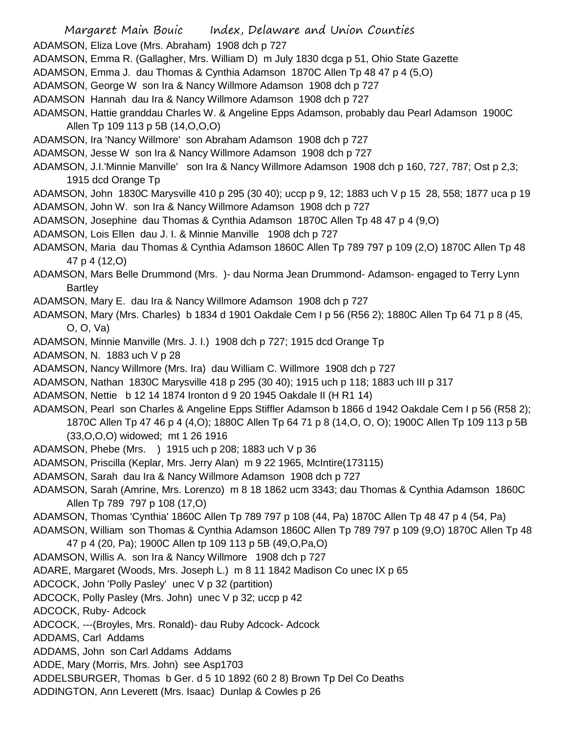Margaret Main Bouic Index, Delaware and Union Counties ADAMSON, Eliza Love (Mrs. Abraham) 1908 dch p 727 ADAMSON, Emma R. (Gallagher, Mrs. William D) m July 1830 dcga p 51, Ohio State Gazette ADAMSON, Emma J. dau Thomas & Cynthia Adamson 1870C Allen Tp 48 47 p 4 (5,O) ADAMSON, George W son Ira & Nancy Willmore Adamson 1908 dch p 727 ADAMSON Hannah dau Ira & Nancy Willmore Adamson 1908 dch p 727 ADAMSON, Hattie granddau Charles W. & Angeline Epps Adamson, probably dau Pearl Adamson 1900C Allen Tp 109 113 p 5B (14,O,O,O) ADAMSON, Ira 'Nancy Willmore' son Abraham Adamson 1908 dch p 727 ADAMSON, Jesse W son Ira & Nancy Willmore Adamson 1908 dch p 727 ADAMSON, J.I.'Minnie Manville' son Ira & Nancy Willmore Adamson 1908 dch p 160, 727, 787; Ost p 2,3; 1915 dcd Orange Tp ADAMSON, John 1830C Marysville 410 p 295 (30 40); uccp p 9, 12; 1883 uch V p 15 28, 558; 1877 uca p 19 ADAMSON, John W. son Ira & Nancy Willmore Adamson 1908 dch p 727 ADAMSON, Josephine dau Thomas & Cynthia Adamson 1870C Allen Tp 48 47 p 4 (9,O) ADAMSON, Lois Ellen dau J. I. & Minnie Manville 1908 dch p 727 ADAMSON, Maria dau Thomas & Cynthia Adamson 1860C Allen Tp 789 797 p 109 (2,O) 1870C Allen Tp 48 47 p 4 (12,O) ADAMSON, Mars Belle Drummond (Mrs. )- dau Norma Jean Drummond- Adamson- engaged to Terry Lynn Bartley ADAMSON, Mary E. dau Ira & Nancy Willmore Adamson 1908 dch p 727 ADAMSON, Mary (Mrs. Charles) b 1834 d 1901 Oakdale Cem I p 56 (R56 2); 1880C Allen Tp 64 71 p 8 (45, O, O, Va) ADAMSON, Minnie Manville (Mrs. J. I.) 1908 dch p 727; 1915 dcd Orange Tp ADAMSON, N. 1883 uch V p 28 ADAMSON, Nancy Willmore (Mrs. Ira) dau William C. Willmore 1908 dch p 727 ADAMSON, Nathan 1830C Marysville 418 p 295 (30 40); 1915 uch p 118; 1883 uch III p 317 ADAMSON, Nettie b 12 14 1874 Ironton d 9 20 1945 Oakdale II (H R1 14)

ADAMSON, Pearl son Charles & Angeline Epps Stiffler Adamson b 1866 d 1942 Oakdale Cem I p 56 (R58 2); 1870C Allen Tp 47 46 p 4 (4,O); 1880C Allen Tp 64 71 p 8 (14,O, O, O); 1900C Allen Tp 109 113 p 5B (33,O,O,O) widowed; mt 1 26 1916

ADAMSON, Phebe (Mrs. ) 1915 uch p 208; 1883 uch V p 36

ADAMSON, Priscilla (Keplar, Mrs. Jerry Alan) m 9 22 1965, McIntire(173115)

ADAMSON, Sarah dau Ira & Nancy Willmore Adamson 1908 dch p 727

ADAMSON, Sarah (Amrine, Mrs. Lorenzo) m 8 18 1862 ucm 3343; dau Thomas & Cynthia Adamson 1860C Allen Tp 789 797 p 108 (17,O)

ADAMSON, Thomas 'Cynthia' 1860C Allen Tp 789 797 p 108 (44, Pa) 1870C Allen Tp 48 47 p 4 (54, Pa)

ADAMSON, William son Thomas & Cynthia Adamson 1860C Allen Tp 789 797 p 109 (9,O) 1870C Allen Tp 48

47 p 4 (20, Pa); 1900C Allen tp 109 113 p 5B (49,O,Pa,O)

ADAMSON, Willis A. son Ira & Nancy Willmore 1908 dch p 727

ADARE, Margaret (Woods, Mrs. Joseph L.) m 8 11 1842 Madison Co unec IX p 65

ADCOCK, John 'Polly Pasley' unec V p 32 (partition)

ADCOCK, Polly Pasley (Mrs. John) unec V p 32; uccp p 42

ADCOCK, Ruby- Adcock

ADCOCK, ---(Broyles, Mrs. Ronald)- dau Ruby Adcock- Adcock

ADDAMS, Carl Addams

ADDAMS, John son Carl Addams Addams

ADDE, Mary (Morris, Mrs. John) see Asp1703

ADDELSBURGER, Thomas b Ger. d 5 10 1892 (60 2 8) Brown Tp Del Co Deaths

ADDINGTON, Ann Leverett (Mrs. Isaac) Dunlap & Cowles p 26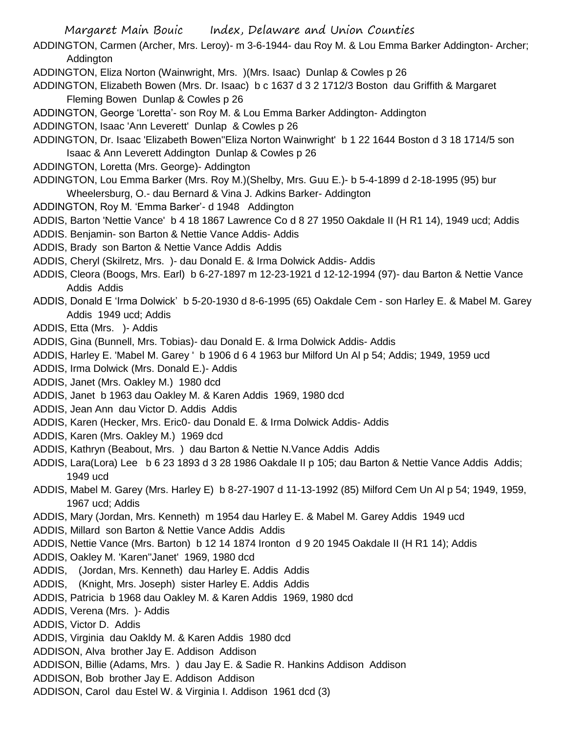Margaret Main Bouic Index, Delaware and Union Counties ADDINGTON, Carmen (Archer, Mrs. Leroy)- m 3-6-1944- dau Roy M. & Lou Emma Barker Addington- Archer; Addington ADDINGTON, Eliza Norton (Wainwright, Mrs. )(Mrs. Isaac) Dunlap & Cowles p 26 ADDINGTON, Elizabeth Bowen (Mrs. Dr. Isaac) b c 1637 d 3 2 1712/3 Boston dau Griffith & Margaret Fleming Bowen Dunlap & Cowles p 26 ADDINGTON, George 'Loretta'- son Roy M. & Lou Emma Barker Addington- Addington ADDINGTON, Isaac 'Ann Leverett' Dunlap & Cowles p 26 ADDINGTON, Dr. Isaac 'Elizabeth Bowen''Eliza Norton Wainwright' b 1 22 1644 Boston d 3 18 1714/5 son Isaac & Ann Leverett Addington Dunlap & Cowles p 26 ADDINGTON, Loretta (Mrs. George)- Addington ADDINGTON, Lou Emma Barker (Mrs. Roy M.)(Shelby, Mrs. Guu E.)- b 5-4-1899 d 2-18-1995 (95) bur Wheelersburg, O.- dau Bernard & Vina J. Adkins Barker- Addington ADDINGTON, Roy M. 'Emma Barker'- d 1948 Addington ADDIS, Barton 'Nettie Vance' b 4 18 1867 Lawrence Co d 8 27 1950 Oakdale II (H R1 14), 1949 ucd; Addis ADDIS. Benjamin- son Barton & Nettie Vance Addis- Addis ADDIS, Brady son Barton & Nettie Vance Addis Addis ADDIS, Cheryl (Skilretz, Mrs. )- dau Donald E. & Irma Dolwick Addis- Addis ADDIS, Cleora (Boogs, Mrs. Earl) b 6-27-1897 m 12-23-1921 d 12-12-1994 (97)- dau Barton & Nettie Vance Addis Addis ADDIS, Donald E 'Irma Dolwick' b 5-20-1930 d 8-6-1995 (65) Oakdale Cem - son Harley E. & Mabel M. Garey Addis 1949 ucd; Addis ADDIS, Etta (Mrs. )- Addis ADDIS, Gina (Bunnell, Mrs. Tobias)- dau Donald E. & Irma Dolwick Addis- Addis ADDIS, Harley E. 'Mabel M. Garey ' b 1906 d 6 4 1963 bur Milford Un Al p 54; Addis; 1949, 1959 ucd ADDIS, Irma Dolwick (Mrs. Donald E.)- Addis ADDIS, Janet (Mrs. Oakley M.) 1980 dcd ADDIS, Janet b 1963 dau Oakley M. & Karen Addis 1969, 1980 dcd ADDIS, Jean Ann dau Victor D. Addis Addis ADDIS, Karen (Hecker, Mrs. Eric0- dau Donald E. & Irma Dolwick Addis- Addis ADDIS, Karen (Mrs. Oakley M.) 1969 dcd ADDIS, Kathryn (Beabout, Mrs. ) dau Barton & Nettie N.Vance Addis Addis ADDIS, Lara(Lora) Lee b 6 23 1893 d 3 28 1986 Oakdale II p 105; dau Barton & Nettie Vance Addis Addis; 1949 ucd ADDIS, Mabel M. Garey (Mrs. Harley E) b 8-27-1907 d 11-13-1992 (85) Milford Cem Un Al p 54; 1949, 1959, 1967 ucd; Addis ADDIS, Mary (Jordan, Mrs. Kenneth) m 1954 dau Harley E. & Mabel M. Garey Addis 1949 ucd ADDIS, Millard son Barton & Nettie Vance Addis Addis ADDIS, Nettie Vance (Mrs. Barton) b 12 14 1874 Ironton d 9 20 1945 Oakdale II (H R1 14); Addis ADDIS, Oakley M. 'Karen''Janet' 1969, 1980 dcd ADDIS, (Jordan, Mrs. Kenneth) dau Harley E. Addis Addis ADDIS, (Knight, Mrs. Joseph) sister Harley E. Addis Addis ADDIS, Patricia b 1968 dau Oakley M. & Karen Addis 1969, 1980 dcd ADDIS, Verena (Mrs. )- Addis ADDIS, Victor D. Addis ADDIS, Virginia dau Oakldy M. & Karen Addis 1980 dcd ADDISON, Alva brother Jay E. Addison Addison ADDISON, Billie (Adams, Mrs. ) dau Jay E. & Sadie R. Hankins Addison Addison ADDISON, Bob brother Jay E. Addison Addison ADDISON, Carol dau Estel W. & Virginia I. Addison 1961 dcd (3)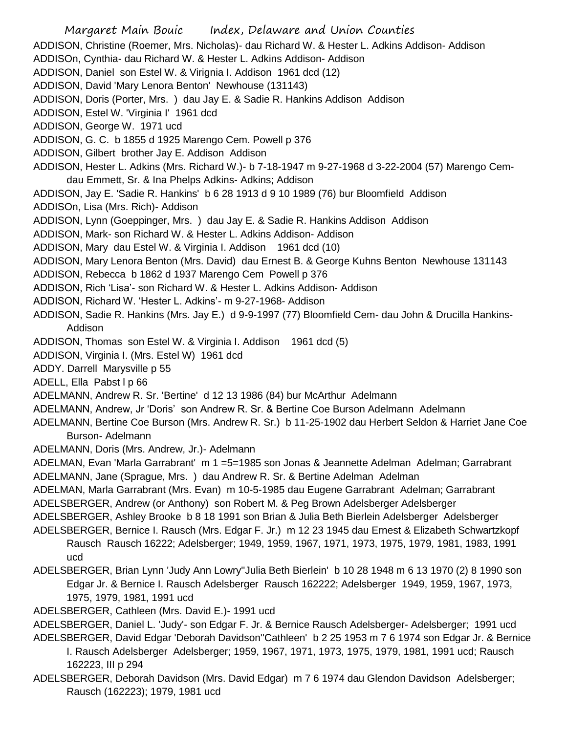Margaret Main Bouic Index, Delaware and Union Counties ADDISON, Christine (Roemer, Mrs. Nicholas)- dau Richard W. & Hester L. Adkins Addison- Addison ADDISOn, Cynthia- dau Richard W. & Hester L. Adkins Addison- Addison ADDISON, Daniel son Estel W. & Virignia I. Addison 1961 dcd (12) ADDISON, David 'Mary Lenora Benton' Newhouse (131143) ADDISON, Doris (Porter, Mrs. ) dau Jay E. & Sadie R. Hankins Addison Addison ADDISON, Estel W. 'Virginia I' 1961 dcd ADDISON, George W. 1971 ucd ADDISON, G. C. b 1855 d 1925 Marengo Cem. Powell p 376 ADDISON, Gilbert brother Jay E. Addison Addison ADDISON, Hester L. Adkins (Mrs. Richard W.)- b 7-18-1947 m 9-27-1968 d 3-22-2004 (57) Marengo Cemdau Emmett, Sr. & Ina Phelps Adkins- Adkins; Addison ADDISON, Jay E. 'Sadie R. Hankins' b 6 28 1913 d 9 10 1989 (76) bur Bloomfield Addison ADDISOn, Lisa (Mrs. Rich)- Addison ADDISON, Lynn (Goeppinger, Mrs. ) dau Jay E. & Sadie R. Hankins Addison Addison ADDISON, Mark- son Richard W. & Hester L. Adkins Addison- Addison ADDISON, Mary dau Estel W. & Virginia I. Addison 1961 dcd (10) ADDISON, Mary Lenora Benton (Mrs. David) dau Ernest B. & George Kuhns Benton Newhouse 131143 ADDISON, Rebecca b 1862 d 1937 Marengo Cem Powell p 376 ADDISON, Rich 'Lisa'- son Richard W. & Hester L. Adkins Addison- Addison ADDISON, Richard W. 'Hester L. Adkins'- m 9-27-1968- Addison ADDISON, Sadie R. Hankins (Mrs. Jay E.) d 9-9-1997 (77) Bloomfield Cem- dau John & Drucilla Hankins-Addison ADDISON, Thomas son Estel W. & Virginia I. Addison 1961 dcd (5) ADDISON, Virginia I. (Mrs. Estel W) 1961 dcd ADDY. Darrell Marysville p 55 ADELL, Ella Pabst l p 66 ADELMANN, Andrew R. Sr. 'Bertine' d 12 13 1986 (84) bur McArthur Adelmann ADELMANN, Andrew, Jr 'Doris' son Andrew R. Sr. & Bertine Coe Burson Adelmann Adelmann ADELMANN, Bertine Coe Burson (Mrs. Andrew R. Sr.) b 11-25-1902 dau Herbert Seldon & Harriet Jane Coe Burson- Adelmann ADELMANN, Doris (Mrs. Andrew, Jr.)- Adelmann ADELMAN, Evan 'Marla Garrabrant' m 1 =5=1985 son Jonas & Jeannette Adelman Adelman; Garrabrant ADELMANN, Jane (Sprague, Mrs. ) dau Andrew R. Sr. & Bertine Adelman Adelman ADELMAN, Marla Garrabrant (Mrs. Evan) m 10-5-1985 dau Eugene Garrabrant Adelman; Garrabrant ADELSBERGER, Andrew (or Anthony) son Robert M. & Peg Brown Adelsberger Adelsberger ADELSBERGER, Ashley Brooke b 8 18 1991 son Brian & Julia Beth Bierlein Adelsberger Adelsberger ADELSBERGER, Bernice I. Rausch (Mrs. Edgar F. Jr.) m 12 23 1945 dau Ernest & Elizabeth Schwartzkopf Rausch Rausch 16222; Adelsberger; 1949, 1959, 1967, 1971, 1973, 1975, 1979, 1981, 1983, 1991 ucd ADELSBERGER, Brian Lynn 'Judy Ann Lowry''Julia Beth Bierlein' b 10 28 1948 m 6 13 1970 (2) 8 1990 son Edgar Jr. & Bernice I. Rausch Adelsberger Rausch 162222; Adelsberger 1949, 1959, 1967, 1973, 1975, 1979, 1981, 1991 ucd ADELSBERGER, Cathleen (Mrs. David E.)- 1991 ucd ADELSBERGER, Daniel L. 'Judy'- son Edgar F. Jr. & Bernice Rausch Adelsberger- Adelsberger; 1991 ucd

ADELSBERGER, David Edgar 'Deborah Davidson''Cathleen' b 2 25 1953 m 7 6 1974 son Edgar Jr. & Bernice I. Rausch Adelsberger Adelsberger; 1959, 1967, 1971, 1973, 1975, 1979, 1981, 1991 ucd; Rausch 162223, III p 294

ADELSBERGER, Deborah Davidson (Mrs. David Edgar) m 7 6 1974 dau Glendon Davidson Adelsberger; Rausch (162223); 1979, 1981 ucd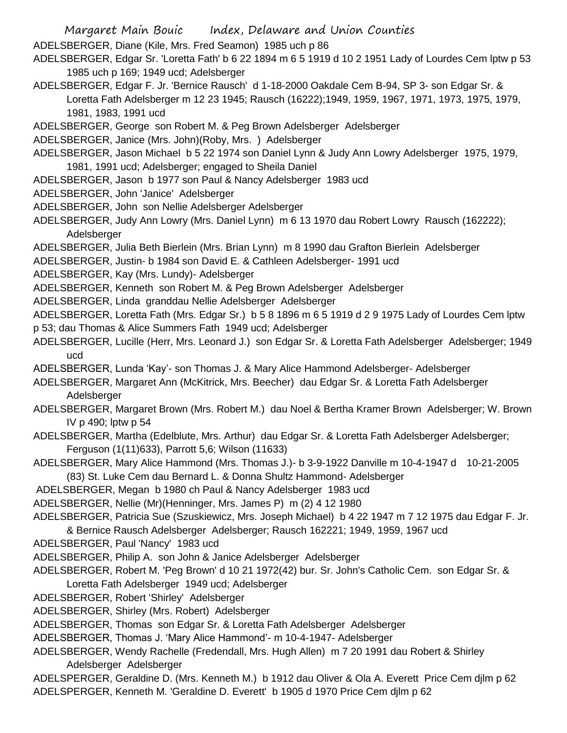- ADELSBERGER, Diane (Kile, Mrs. Fred Seamon) 1985 uch p 86
- ADELSBERGER, Edgar Sr. 'Loretta Fath' b 6 22 1894 m 6 5 1919 d 10 2 1951 Lady of Lourdes Cem lptw p 53 1985 uch p 169; 1949 ucd; Adelsberger
- ADELSBERGER, Edgar F. Jr. 'Bernice Rausch' d 1-18-2000 Oakdale Cem B-94, SP 3- son Edgar Sr. & Loretta Fath Adelsberger m 12 23 1945; Rausch (16222);1949, 1959, 1967, 1971, 1973, 1975, 1979, 1981, 1983, 1991 ucd
- ADELSBERGER, George son Robert M. & Peg Brown Adelsberger Adelsberger
- ADELSBERGER, Janice (Mrs. John)(Roby, Mrs. ) Adelsberger
- ADELSBERGER, Jason Michael b 5 22 1974 son Daniel Lynn & Judy Ann Lowry Adelsberger 1975, 1979, 1981, 1991 ucd; Adelsberger; engaged to Sheila Daniel
- ADELSBERGER, Jason b 1977 son Paul & Nancy Adelsberger 1983 ucd
- ADELSBERGER, John 'Janice' Adelsberger
- ADELSBERGER, John son Nellie Adelsberger Adelsberger
- ADELSBERGER, Judy Ann Lowry (Mrs. Daniel Lynn) m 6 13 1970 dau Robert Lowry Rausch (162222); Adelsberger
- ADELSBERGER, Julia Beth Bierlein (Mrs. Brian Lynn) m 8 1990 dau Grafton Bierlein Adelsberger
- ADELSBERGER, Justin- b 1984 son David E. & Cathleen Adelsberger- 1991 ucd
- ADELSBERGER, Kay (Mrs. Lundy)- Adelsberger
- ADELSBERGER, Kenneth son Robert M. & Peg Brown Adelsberger Adelsberger
- ADELSBERGER, Linda granddau Nellie Adelsberger Adelsberger
- ADELSBERGER, Loretta Fath (Mrs. Edgar Sr.) b 5 8 1896 m 6 5 1919 d 2 9 1975 Lady of Lourdes Cem lptw
- p 53; dau Thomas & Alice Summers Fath 1949 ucd; Adelsberger
- ADELSBERGER, Lucille (Herr, Mrs. Leonard J.) son Edgar Sr. & Loretta Fath Adelsberger Adelsberger; 1949 ucd
- ADELSBERGER, Lunda 'Kay'- son Thomas J. & Mary Alice Hammond Adelsberger- Adelsberger
- ADELSBERGER, Margaret Ann (McKitrick, Mrs. Beecher) dau Edgar Sr. & Loretta Fath Adelsberger Adelsberger
- ADELSBERGER, Margaret Brown (Mrs. Robert M.) dau Noel & Bertha Kramer Brown Adelsberger; W. Brown IV p 490; lptw p 54
- ADELSBERGER, Martha (Edelblute, Mrs. Arthur) dau Edgar Sr. & Loretta Fath Adelsberger Adelsberger; Ferguson (1(11)633), Parrott 5,6; Wilson (11633)
- ADELSBERGER, Mary Alice Hammond (Mrs. Thomas J.)- b 3-9-1922 Danville m 10-4-1947 d 10-21-2005 (83) St. Luke Cem dau Bernard L. & Donna Shultz Hammond- Adelsberger
- ADELSBERGER, Megan b 1980 ch Paul & Nancy Adelsberger 1983 ucd
- ADELSBERGER, Nellie (Mr)(Henninger, Mrs. James P) m (2) 4 12 1980
- ADELSBERGER, Patricia Sue (Szuskiewicz, Mrs. Joseph Michael) b 4 22 1947 m 7 12 1975 dau Edgar F. Jr. & Bernice Rausch Adelsberger Adelsberger; Rausch 162221; 1949, 1959, 1967 ucd
- ADELSBERGER, Paul 'Nancy' 1983 ucd
- ADELSBERGER, Philip A. son John & Janice Adelsberger Adelsberger
- ADELSBERGER, Robert M. 'Peg Brown' d 10 21 1972(42) bur. Sr. John's Catholic Cem. son Edgar Sr. & Loretta Fath Adelsberger 1949 ucd; Adelsberger
- ADELSBERGER, Robert 'Shirley' Adelsberger
- ADELSBERGER, Shirley (Mrs. Robert) Adelsberger
- ADELSBERGER, Thomas son Edgar Sr. & Loretta Fath Adelsberger Adelsberger
- ADELSBERGER, Thomas J. 'Mary Alice Hammond'- m 10-4-1947- Adelsberger
- ADELSBERGER, Wendy Rachelle (Fredendall, Mrs. Hugh Allen) m 7 20 1991 dau Robert & Shirley Adelsberger Adelsberger
- ADELSPERGER, Geraldine D. (Mrs. Kenneth M.) b 1912 dau Oliver & Ola A. Everett Price Cem djlm p 62 ADELSPERGER, Kenneth M. 'Geraldine D. Everett' b 1905 d 1970 Price Cem djlm p 62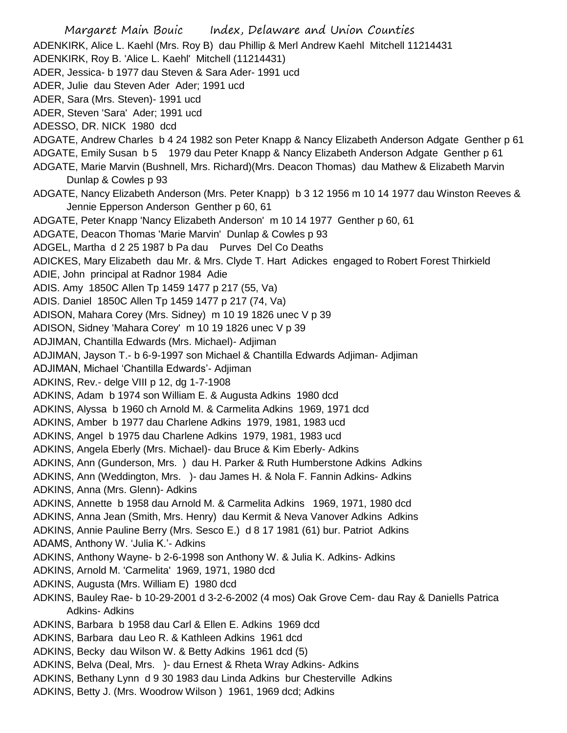Margaret Main Bouic Index, Delaware and Union Counties ADENKIRK, Alice L. Kaehl (Mrs. Roy B) dau Phillip & Merl Andrew Kaehl Mitchell 11214431 ADENKIRK, Roy B. 'Alice L. Kaehl' Mitchell (11214431) ADER, Jessica- b 1977 dau Steven & Sara Ader- 1991 ucd ADER, Julie dau Steven Ader Ader; 1991 ucd ADER, Sara (Mrs. Steven)- 1991 ucd ADER, Steven 'Sara' Ader; 1991 ucd ADESSO, DR. NICK 1980 dcd ADGATE, Andrew Charles b 4 24 1982 son Peter Knapp & Nancy Elizabeth Anderson Adgate Genther p 61 ADGATE, Emily Susan b 5 1979 dau Peter Knapp & Nancy Elizabeth Anderson Adgate Genther p 61 ADGATE, Marie Marvin (Bushnell, Mrs. Richard)(Mrs. Deacon Thomas) dau Mathew & Elizabeth Marvin Dunlap & Cowles p 93 ADGATE, Nancy Elizabeth Anderson (Mrs. Peter Knapp) b 3 12 1956 m 10 14 1977 dau Winston Reeves & Jennie Epperson Anderson Genther p 60, 61 ADGATE, Peter Knapp 'Nancy Elizabeth Anderson' m 10 14 1977 Genther p 60, 61 ADGATE, Deacon Thomas 'Marie Marvin' Dunlap & Cowles p 93 ADGEL, Martha d 2 25 1987 b Pa dau Purves Del Co Deaths ADICKES, Mary Elizabeth dau Mr. & Mrs. Clyde T. Hart Adickes engaged to Robert Forest Thirkield ADIE, John principal at Radnor 1984 Adie ADIS. Amy 1850C Allen Tp 1459 1477 p 217 (55, Va) ADIS. Daniel 1850C Allen Tp 1459 1477 p 217 (74, Va) ADISON, Mahara Corey (Mrs. Sidney) m 10 19 1826 unec V p 39 ADISON, Sidney 'Mahara Corey' m 10 19 1826 unec V p 39 ADJIMAN, Chantilla Edwards (Mrs. Michael)- Adjiman ADJIMAN, Jayson T.- b 6-9-1997 son Michael & Chantilla Edwards Adjiman- Adjiman ADJIMAN, Michael 'Chantilla Edwards'- Adjiman ADKINS, Rev.- delge VIII p 12, dg 1-7-1908 ADKINS, Adam b 1974 son William E. & Augusta Adkins 1980 dcd ADKINS, Alyssa b 1960 ch Arnold M. & Carmelita Adkins 1969, 1971 dcd ADKINS, Amber b 1977 dau Charlene Adkins 1979, 1981, 1983 ucd ADKINS, Angel b 1975 dau Charlene Adkins 1979, 1981, 1983 ucd ADKINS, Angela Eberly (Mrs. Michael)- dau Bruce & Kim Eberly- Adkins ADKINS, Ann (Gunderson, Mrs. ) dau H. Parker & Ruth Humberstone Adkins Adkins ADKINS, Ann (Weddington, Mrs. )- dau James H. & Nola F. Fannin Adkins- Adkins ADKINS, Anna (Mrs. Glenn)- Adkins ADKINS, Annette b 1958 dau Arnold M. & Carmelita Adkins 1969, 1971, 1980 dcd ADKINS, Anna Jean (Smith, Mrs. Henry) dau Kermit & Neva Vanover Adkins Adkins ADKINS, Annie Pauline Berry (Mrs. Sesco E.) d 8 17 1981 (61) bur. Patriot Adkins ADAMS, Anthony W. 'Julia K.'- Adkins ADKINS, Anthony Wayne- b 2-6-1998 son Anthony W. & Julia K. Adkins- Adkins ADKINS, Arnold M. 'Carmelita' 1969, 1971, 1980 dcd ADKINS, Augusta (Mrs. William E) 1980 dcd ADKINS, Bauley Rae- b 10-29-2001 d 3-2-6-2002 (4 mos) Oak Grove Cem- dau Ray & Daniells Patrica Adkins- Adkins ADKINS, Barbara b 1958 dau Carl & Ellen E. Adkins 1969 dcd ADKINS, Barbara dau Leo R. & Kathleen Adkins 1961 dcd ADKINS, Becky dau Wilson W. & Betty Adkins 1961 dcd (5) ADKINS, Belva (Deal, Mrs. )- dau Ernest & Rheta Wray Adkins- Adkins ADKINS, Bethany Lynn d 9 30 1983 dau Linda Adkins bur Chesterville Adkins ADKINS, Betty J. (Mrs. Woodrow Wilson ) 1961, 1969 dcd; Adkins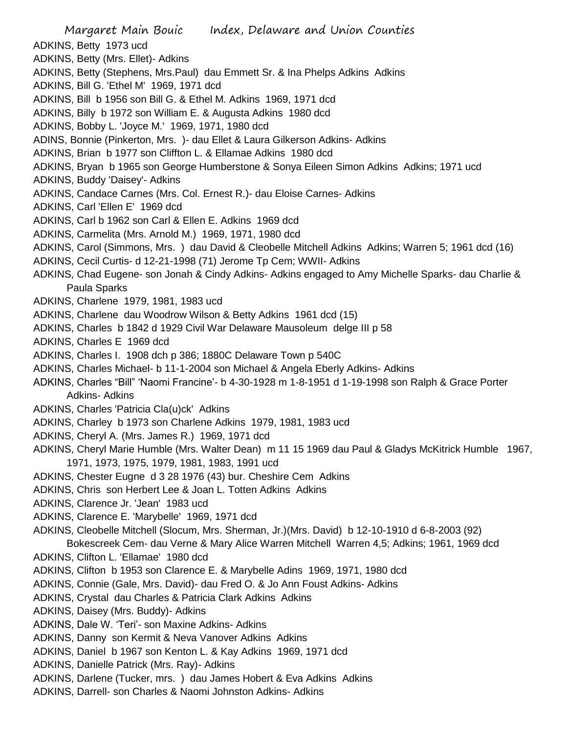- Margaret Main Bouic Index, Delaware and Union Counties ADKINS, Betty 1973 ucd ADKINS, Betty (Mrs. Ellet)- Adkins ADKINS, Betty (Stephens, Mrs.Paul) dau Emmett Sr. & Ina Phelps Adkins Adkins ADKINS, Bill G. 'Ethel M' 1969, 1971 dcd ADKINS, Bill b 1956 son Bill G. & Ethel M. Adkins 1969, 1971 dcd ADKINS, Billy b 1972 son William E. & Augusta Adkins 1980 dcd ADKINS, Bobby L. 'Joyce M.' 1969, 1971, 1980 dcd ADINS, Bonnie (Pinkerton, Mrs. )- dau Ellet & Laura Gilkerson Adkins- Adkins ADKINS, Brian b 1977 son Cliffton L. & Ellamae Adkins 1980 dcd ADKINS, Bryan b 1965 son George Humberstone & Sonya Eileen Simon Adkins Adkins; 1971 ucd ADKINS, Buddy 'Daisey'- Adkins ADKINS, Candace Carnes (Mrs. Col. Ernest R.)- dau Eloise Carnes- Adkins ADKINS, Carl 'Ellen E' 1969 dcd ADKINS, Carl b 1962 son Carl & Ellen E. Adkins 1969 dcd ADKINS, Carmelita (Mrs. Arnold M.) 1969, 1971, 1980 dcd ADKINS, Carol (Simmons, Mrs. ) dau David & Cleobelle Mitchell Adkins Adkins; Warren 5; 1961 dcd (16) ADKINS, Cecil Curtis- d 12-21-1998 (71) Jerome Tp Cem; WWII- Adkins ADKINS, Chad Eugene- son Jonah & Cindy Adkins- Adkins engaged to Amy Michelle Sparks- dau Charlie & Paula Sparks ADKINS, Charlene 1979, 1981, 1983 ucd ADKINS, Charlene dau Woodrow Wilson & Betty Adkins 1961 dcd (15) ADKINS, Charles b 1842 d 1929 Civil War Delaware Mausoleum delge III p 58 ADKINS, Charles E 1969 dcd ADKINS, Charles I. 1908 dch p 386; 1880C Delaware Town p 540C ADKINS, Charles Michael- b 11-1-2004 son Michael & Angela Eberly Adkins- Adkins ADKINS, Charles "Bill" 'Naomi Francine'- b 4-30-1928 m 1-8-1951 d 1-19-1998 son Ralph & Grace Porter Adkins- Adkins ADKINS, Charles 'Patricia Cla(u)ck' Adkins ADKINS, Charley b 1973 son Charlene Adkins 1979, 1981, 1983 ucd ADKINS, Cheryl A. (Mrs. James R.) 1969, 1971 dcd ADKINS, Cheryl Marie Humble (Mrs. Walter Dean) m 11 15 1969 dau Paul & Gladys McKitrick Humble 1967, 1971, 1973, 1975, 1979, 1981, 1983, 1991 ucd ADKINS, Chester Eugne d 3 28 1976 (43) bur. Cheshire Cem Adkins ADKINS, Chris son Herbert Lee & Joan L. Totten Adkins Adkins ADKINS, Clarence Jr. 'Jean' 1983 ucd ADKINS, Clarence E. 'Marybelle' 1969, 1971 dcd ADKINS, Cleobelle Mitchell (Slocum, Mrs. Sherman, Jr.)(Mrs. David) b 12-10-1910 d 6-8-2003 (92) Bokescreek Cem- dau Verne & Mary Alice Warren Mitchell Warren 4,5; Adkins; 1961, 1969 dcd ADKINS, Clifton L. 'Ellamae' 1980 dcd ADKINS, Clifton b 1953 son Clarence E. & Marybelle Adins 1969, 1971, 1980 dcd ADKINS, Connie (Gale, Mrs. David)- dau Fred O. & Jo Ann Foust Adkins- Adkins ADKINS, Crystal dau Charles & Patricia Clark Adkins Adkins ADKINS, Daisey (Mrs. Buddy)- Adkins ADKINS, Dale W. 'Teri'- son Maxine Adkins- Adkins ADKINS, Danny son Kermit & Neva Vanover Adkins Adkins ADKINS, Daniel b 1967 son Kenton L. & Kay Adkins 1969, 1971 dcd
- ADKINS, Danielle Patrick (Mrs. Ray)- Adkins
- ADKINS, Darlene (Tucker, mrs. ) dau James Hobert & Eva Adkins Adkins
- ADKINS, Darrell- son Charles & Naomi Johnston Adkins- Adkins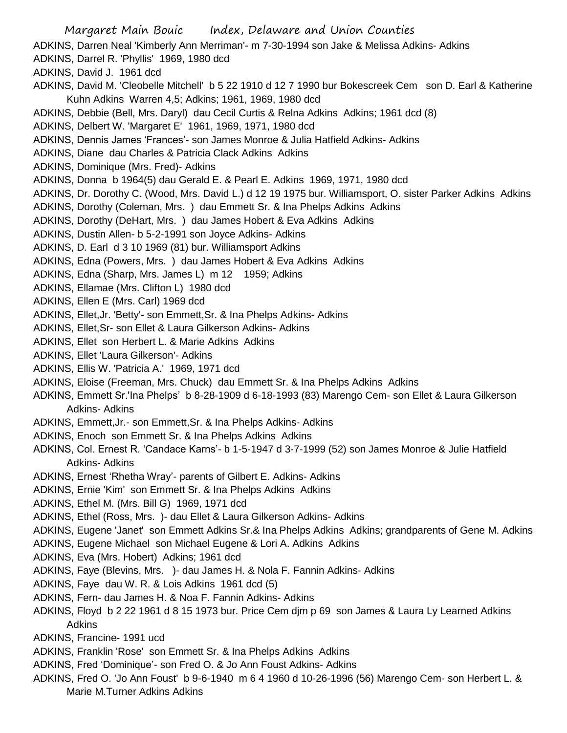- Margaret Main Bouic Index, Delaware and Union Counties ADKINS, Darren Neal 'Kimberly Ann Merriman'- m 7-30-1994 son Jake & Melissa Adkins- Adkins ADKINS, Darrel R. 'Phyllis' 1969, 1980 dcd ADKINS, David J. 1961 dcd ADKINS, David M. 'Cleobelle Mitchell' b 5 22 1910 d 12 7 1990 bur Bokescreek Cem son D. Earl & Katherine Kuhn Adkins Warren 4,5; Adkins; 1961, 1969, 1980 dcd ADKINS, Debbie (Bell, Mrs. Daryl) dau Cecil Curtis & Relna Adkins Adkins; 1961 dcd (8) ADKINS, Delbert W. 'Margaret E' 1961, 1969, 1971, 1980 dcd ADKINS, Dennis James 'Frances'- son James Monroe & Julia Hatfield Adkins- Adkins ADKINS, Diane dau Charles & Patricia Clack Adkins Adkins ADKINS, Dominique (Mrs. Fred)- Adkins ADKINS, Donna b 1964(5) dau Gerald E. & Pearl E. Adkins 1969, 1971, 1980 dcd ADKINS, Dr. Dorothy C. (Wood, Mrs. David L.) d 12 19 1975 bur. Williamsport, O. sister Parker Adkins Adkins ADKINS, Dorothy (Coleman, Mrs. ) dau Emmett Sr. & Ina Phelps Adkins Adkins ADKINS, Dorothy (DeHart, Mrs. ) dau James Hobert & Eva Adkins Adkins ADKINS, Dustin Allen- b 5-2-1991 son Joyce Adkins- Adkins ADKINS, D. Earl d 3 10 1969 (81) bur. Williamsport Adkins ADKINS, Edna (Powers, Mrs. ) dau James Hobert & Eva Adkins Adkins ADKINS, Edna (Sharp, Mrs. James L) m 12 1959; Adkins ADKINS, Ellamae (Mrs. Clifton L) 1980 dcd ADKINS, Ellen E (Mrs. Carl) 1969 dcd ADKINS, Ellet,Jr. 'Betty'- son Emmett,Sr. & Ina Phelps Adkins- Adkins ADKINS, Ellet,Sr- son Ellet & Laura Gilkerson Adkins- Adkins ADKINS, Ellet son Herbert L. & Marie Adkins Adkins ADKINS, Ellet 'Laura Gilkerson'- Adkins ADKINS, Ellis W. 'Patricia A.' 1969, 1971 dcd ADKINS, Eloise (Freeman, Mrs. Chuck) dau Emmett Sr. & Ina Phelps Adkins Adkins ADKINS, Emmett Sr.'Ina Phelps' b 8-28-1909 d 6-18-1993 (83) Marengo Cem- son Ellet & Laura Gilkerson Adkins- Adkins ADKINS, Emmett,Jr.- son Emmett,Sr. & Ina Phelps Adkins- Adkins ADKINS, Enoch son Emmett Sr. & Ina Phelps Adkins Adkins ADKINS, Col. Ernest R. 'Candace Karns'- b 1-5-1947 d 3-7-1999 (52) son James Monroe & Julie Hatfield Adkins- Adkins ADKINS, Ernest 'Rhetha Wray'- parents of Gilbert E. Adkins- Adkins ADKINS, Ernie 'Kim' son Emmett Sr. & Ina Phelps Adkins Adkins ADKINS, Ethel M. (Mrs. Bill G) 1969, 1971 dcd ADKINS, Ethel (Ross, Mrs. )- dau Ellet & Laura Gilkerson Adkins- Adkins ADKINS, Eugene 'Janet' son Emmett Adkins Sr.& Ina Phelps Adkins Adkins; grandparents of Gene M. Adkins ADKINS, Eugene Michael son Michael Eugene & Lori A. Adkins Adkins ADKINS, Eva (Mrs. Hobert) Adkins; 1961 dcd ADKINS, Faye (Blevins, Mrs. )- dau James H. & Nola F. Fannin Adkins- Adkins ADKINS, Faye dau W. R. & Lois Adkins 1961 dcd (5) ADKINS, Fern- dau James H. & Noa F. Fannin Adkins- Adkins ADKINS, Floyd b 2 22 1961 d 8 15 1973 bur. Price Cem djm p 69 son James & Laura Ly Learned Adkins Adkins
- ADKINS, Francine- 1991 ucd
- ADKINS, Franklin 'Rose' son Emmett Sr. & Ina Phelps Adkins Adkins
- ADKINS, Fred 'Dominique'- son Fred O. & Jo Ann Foust Adkins- Adkins
- ADKINS, Fred O. 'Jo Ann Foust' b 9-6-1940 m 6 4 1960 d 10-26-1996 (56) Marengo Cem- son Herbert L. & Marie M.Turner Adkins Adkins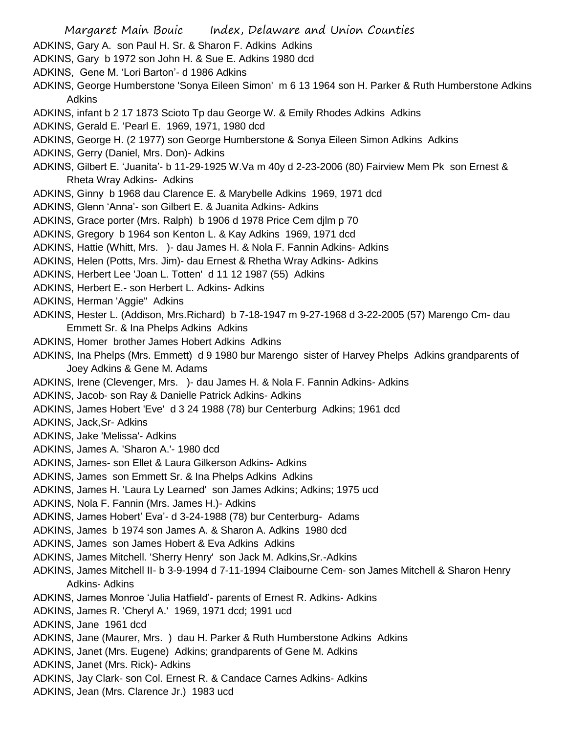- Margaret Main Bouic Index, Delaware and Union Counties
- ADKINS, Gary A. son Paul H. Sr. & Sharon F. Adkins Adkins
- ADKINS, Gary b 1972 son John H. & Sue E. Adkins 1980 dcd
- ADKINS, Gene M. 'Lori Barton'- d 1986 Adkins
- ADKINS, George Humberstone 'Sonya Eileen Simon' m 6 13 1964 son H. Parker & Ruth Humberstone Adkins Adkins
- ADKINS, infant b 2 17 1873 Scioto Tp dau George W. & Emily Rhodes Adkins Adkins
- ADKINS, Gerald E. 'Pearl E. 1969, 1971, 1980 dcd
- ADKINS, George H. (2 1977) son George Humberstone & Sonya Eileen Simon Adkins Adkins
- ADKINS, Gerry (Daniel, Mrs. Don)- Adkins
- ADKINS, Gilbert E. 'Juanita'- b 11-29-1925 W.Va m 40y d 2-23-2006 (80) Fairview Mem Pk son Ernest & Rheta Wray Adkins- Adkins
- ADKINS, Ginny b 1968 dau Clarence E. & Marybelle Adkins 1969, 1971 dcd
- ADKINS, Glenn 'Anna'- son Gilbert E. & Juanita Adkins- Adkins
- ADKINS, Grace porter (Mrs. Ralph) b 1906 d 1978 Price Cem djlm p 70
- ADKINS, Gregory b 1964 son Kenton L. & Kay Adkins 1969, 1971 dcd
- ADKINS, Hattie (Whitt, Mrs. )- dau James H. & Nola F. Fannin Adkins- Adkins
- ADKINS, Helen (Potts, Mrs. Jim)- dau Ernest & Rhetha Wray Adkins- Adkins
- ADKINS, Herbert Lee 'Joan L. Totten' d 11 12 1987 (55) Adkins
- ADKINS, Herbert E.- son Herbert L. Adkins- Adkins
- ADKINS, Herman 'Aggie" Adkins
- ADKINS, Hester L. (Addison, Mrs.Richard) b 7-18-1947 m 9-27-1968 d 3-22-2005 (57) Marengo Cm- dau Emmett Sr. & Ina Phelps Adkins Adkins
- ADKINS, Homer brother James Hobert Adkins Adkins
- ADKINS, Ina Phelps (Mrs. Emmett) d 9 1980 bur Marengo sister of Harvey Phelps Adkins grandparents of Joey Adkins & Gene M. Adams
- ADKINS, Irene (Clevenger, Mrs. )- dau James H. & Nola F. Fannin Adkins- Adkins
- ADKINS, Jacob- son Ray & Danielle Patrick Adkins- Adkins
- ADKINS, James Hobert 'Eve' d 3 24 1988 (78) bur Centerburg Adkins; 1961 dcd
- ADKINS, Jack,Sr- Adkins
- ADKINS, Jake 'Melissa'- Adkins
- ADKINS, James A. 'Sharon A.'- 1980 dcd
- ADKINS, James- son Ellet & Laura Gilkerson Adkins- Adkins
- ADKINS, James son Emmett Sr. & Ina Phelps Adkins Adkins
- ADKINS, James H. 'Laura Ly Learned' son James Adkins; Adkins; 1975 ucd
- ADKINS, Nola F. Fannin (Mrs. James H.)- Adkins
- ADKINS, James Hobert' Eva'- d 3-24-1988 (78) bur Centerburg- Adams
- ADKINS, James b 1974 son James A. & Sharon A. Adkins 1980 dcd
- ADKINS, James son James Hobert & Eva Adkins Adkins
- ADKINS, James Mitchell. 'Sherry Henry' son Jack M. Adkins,Sr.-Adkins
- ADKINS, James Mitchell II- b 3-9-1994 d 7-11-1994 Claibourne Cem- son James Mitchell & Sharon Henry Adkins- Adkins
- ADKINS, James Monroe 'Julia Hatfield'- parents of Ernest R. Adkins- Adkins
- ADKINS, James R. 'Cheryl A.' 1969, 1971 dcd; 1991 ucd
- ADKINS, Jane 1961 dcd
- ADKINS, Jane (Maurer, Mrs. ) dau H. Parker & Ruth Humberstone Adkins Adkins
- ADKINS, Janet (Mrs. Eugene) Adkins; grandparents of Gene M. Adkins
- ADKINS, Janet (Mrs. Rick)- Adkins
- ADKINS, Jay Clark- son Col. Ernest R. & Candace Carnes Adkins- Adkins
- ADKINS, Jean (Mrs. Clarence Jr.) 1983 ucd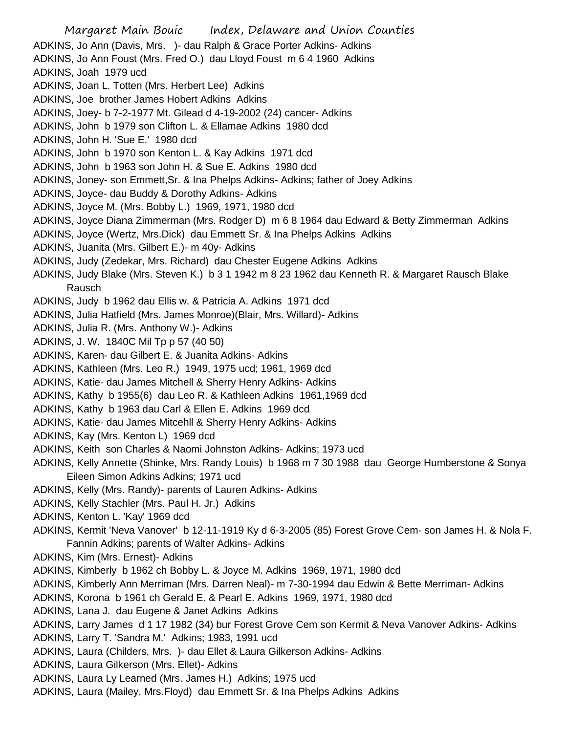Margaret Main Bouic Index, Delaware and Union Counties ADKINS, Jo Ann (Davis, Mrs. )- dau Ralph & Grace Porter Adkins- Adkins ADKINS, Jo Ann Foust (Mrs. Fred O.) dau Lloyd Foust m 6 4 1960 Adkins ADKINS, Joah 1979 ucd ADKINS, Joan L. Totten (Mrs. Herbert Lee) Adkins ADKINS, Joe brother James Hobert Adkins Adkins ADKINS, Joey- b 7-2-1977 Mt. Gilead d 4-19-2002 (24) cancer- Adkins ADKINS, John b 1979 son Clifton L. & Ellamae Adkins 1980 dcd ADKINS, John H. 'Sue E.' 1980 dcd ADKINS, John b 1970 son Kenton L. & Kay Adkins 1971 dcd ADKINS, John b 1963 son John H. & Sue E. Adkins 1980 dcd ADKINS, Joney- son Emmett,Sr. & Ina Phelps Adkins- Adkins; father of Joey Adkins ADKINS, Joyce- dau Buddy & Dorothy Adkins- Adkins ADKINS, Joyce M. (Mrs. Bobby L.) 1969, 1971, 1980 dcd ADKINS, Joyce Diana Zimmerman (Mrs. Rodger D) m 6 8 1964 dau Edward & Betty Zimmerman Adkins ADKINS, Joyce (Wertz, Mrs.Dick) dau Emmett Sr. & Ina Phelps Adkins Adkins ADKINS, Juanita (Mrs. Gilbert E.)- m 40y- Adkins ADKINS, Judy (Zedekar, Mrs. Richard) dau Chester Eugene Adkins Adkins ADKINS, Judy Blake (Mrs. Steven K.) b 3 1 1942 m 8 23 1962 dau Kenneth R. & Margaret Rausch Blake Rausch ADKINS, Judy b 1962 dau Ellis w. & Patricia A. Adkins 1971 dcd ADKINS, Julia Hatfield (Mrs. James Monroe)(Blair, Mrs. Willard)- Adkins ADKINS, Julia R. (Mrs. Anthony W.)- Adkins ADKINS, J. W. 1840C Mil Tp p 57 (40 50) ADKINS, Karen- dau Gilbert E. & Juanita Adkins- Adkins ADKINS, Kathleen (Mrs. Leo R.) 1949, 1975 ucd; 1961, 1969 dcd ADKINS, Katie- dau James Mitchell & Sherry Henry Adkins- Adkins ADKINS, Kathy b 1955(6) dau Leo R. & Kathleen Adkins 1961,1969 dcd ADKINS, Kathy b 1963 dau Carl & Ellen E. Adkins 1969 dcd ADKINS, Katie- dau James Mitcehll & Sherry Henry Adkins- Adkins ADKINS, Kay (Mrs. Kenton L) 1969 dcd ADKINS, Keith son Charles & Naomi Johnston Adkins- Adkins; 1973 ucd ADKINS, Kelly Annette (Shinke, Mrs. Randy Louis) b 1968 m 7 30 1988 dau George Humberstone & Sonya Eileen Simon Adkins Adkins; 1971 ucd ADKINS, Kelly (Mrs. Randy)- parents of Lauren Adkins- Adkins ADKINS, Kelly Stachler (Mrs. Paul H. Jr.) Adkins ADKINS, Kenton L. 'Kay' 1969 dcd ADKINS, Kermit 'Neva Vanover' b 12-11-1919 Ky d 6-3-2005 (85) Forest Grove Cem- son James H. & Nola F. Fannin Adkins; parents of Walter Adkins- Adkins ADKINS, Kim (Mrs. Ernest)- Adkins ADKINS, Kimberly b 1962 ch Bobby L. & Joyce M. Adkins 1969, 1971, 1980 dcd ADKINS, Kimberly Ann Merriman (Mrs. Darren Neal)- m 7-30-1994 dau Edwin & Bette Merriman- Adkins ADKINS, Korona b 1961 ch Gerald E. & Pearl E. Adkins 1969, 1971, 1980 dcd ADKINS, Lana J. dau Eugene & Janet Adkins Adkins ADKINS, Larry James d 1 17 1982 (34) bur Forest Grove Cem son Kermit & Neva Vanover Adkins- Adkins ADKINS, Larry T. 'Sandra M.' Adkins; 1983, 1991 ucd ADKINS, Laura (Childers, Mrs. )- dau Ellet & Laura Gilkerson Adkins- Adkins ADKINS, Laura Gilkerson (Mrs. Ellet)- Adkins ADKINS, Laura Ly Learned (Mrs. James H.) Adkins; 1975 ucd ADKINS, Laura (Mailey, Mrs.Floyd) dau Emmett Sr. & Ina Phelps Adkins Adkins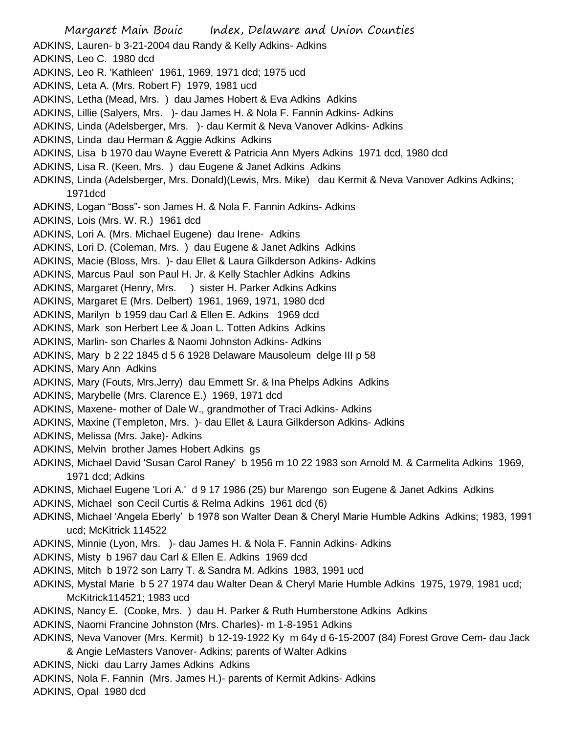Margaret Main Bouic Index, Delaware and Union Counties ADKINS, Lauren- b 3-21-2004 dau Randy & Kelly Adkins- Adkins ADKINS, Leo C. 1980 dcd ADKINS, Leo R. 'Kathleen' 1961, 1969, 1971 dcd; 1975 ucd ADKINS, Leta A. (Mrs. Robert F) 1979, 1981 ucd ADKINS, Letha (Mead, Mrs. ) dau James Hobert & Eva Adkins Adkins ADKINS, Lillie (Salyers, Mrs. )- dau James H. & Nola F. Fannin Adkins- Adkins ADKINS, Linda (Adelsberger, Mrs. )- dau Kermit & Neva Vanover Adkins- Adkins ADKINS, Linda dau Herman & Aggie Adkins Adkins ADKINS, Lisa b 1970 dau Wayne Everett & Patricia Ann Myers Adkins 1971 dcd, 1980 dcd ADKINS, Lisa R. (Keen, Mrs. ) dau Eugene & Janet Adkins Adkins ADKINS, Linda (Adelsberger, Mrs. Donald)(Lewis, Mrs. Mike) dau Kermit & Neva Vanover Adkins Adkins; 1971dcd ADKINS, Logan "Boss"- son James H. & Nola F. Fannin Adkins- Adkins ADKINS, Lois (Mrs. W. R.) 1961 dcd ADKINS, Lori A. (Mrs. Michael Eugene) dau Irene- Adkins ADKINS, Lori D. (Coleman, Mrs. ) dau Eugene & Janet Adkins Adkins ADKINS, Macie (Bloss, Mrs. )- dau Ellet & Laura Gilkderson Adkins- Adkins ADKINS, Marcus Paul son Paul H. Jr. & Kelly Stachler Adkins Adkins ADKINS, Margaret (Henry, Mrs. ) sister H. Parker Adkins Adkins ADKINS, Margaret E (Mrs. Delbert) 1961, 1969, 1971, 1980 dcd ADKINS, Marilyn b 1959 dau Carl & Ellen E. Adkins 1969 dcd ADKINS, Mark son Herbert Lee & Joan L. Totten Adkins Adkins ADKINS, Marlin- son Charles & Naomi Johnston Adkins- Adkins ADKINS, Mary b 2 22 1845 d 5 6 1928 Delaware Mausoleum delge III p 58 ADKINS, Mary Ann Adkins ADKINS, Mary (Fouts, Mrs.Jerry) dau Emmett Sr. & Ina Phelps Adkins Adkins ADKINS, Marybelle (Mrs. Clarence E.) 1969, 1971 dcd ADKINS, Maxene- mother of Dale W., grandmother of Traci Adkins- Adkins ADKINS, Maxine (Templeton, Mrs. )- dau Ellet & Laura Gilkderson Adkins- Adkins ADKINS, Melissa (Mrs. Jake)- Adkins ADKINS, Melvin brother James Hobert Adkins gs ADKINS, Michael David 'Susan Carol Raney' b 1956 m 10 22 1983 son Arnold M. & Carmelita Adkins 1969, 1971 dcd; Adkins ADKINS, Michael Eugene 'Lori A.' d 9 17 1986 (25) bur Marengo son Eugene & Janet Adkins Adkins ADKINS, Michael son Cecil Curtis & Relma Adkins 1961 dcd (6) ADKINS, Michael 'Angela Eberly' b 1978 son Walter Dean & Cheryl Marie Humble Adkins Adkins; 1983, 1991 ucd; McKitrick 114522 ADKINS, Minnie (Lyon, Mrs. )- dau James H. & Nola F. Fannin Adkins- Adkins ADKINS, Misty b 1967 dau Carl & Ellen E. Adkins 1969 dcd ADKINS, Mitch b 1972 son Larry T. & Sandra M. Adkins 1983, 1991 ucd ADKINS, Mystal Marie b 5 27 1974 dau Walter Dean & Cheryl Marie Humble Adkins 1975, 1979, 1981 ucd; McKitrick114521; 1983 ucd ADKINS, Nancy E. (Cooke, Mrs. ) dau H. Parker & Ruth Humberstone Adkins Adkins ADKINS, Naomi Francine Johnston (Mrs. Charles)- m 1-8-1951 Adkins ADKINS, Neva Vanover (Mrs. Kermit) b 12-19-1922 Ky m 64y d 6-15-2007 (84) Forest Grove Cem- dau Jack & Angie LeMasters Vanover- Adkins; parents of Walter Adkins ADKINS, Nicki dau Larry James Adkins Adkins ADKINS, Nola F. Fannin (Mrs. James H.)- parents of Kermit Adkins- Adkins

ADKINS, Opal 1980 dcd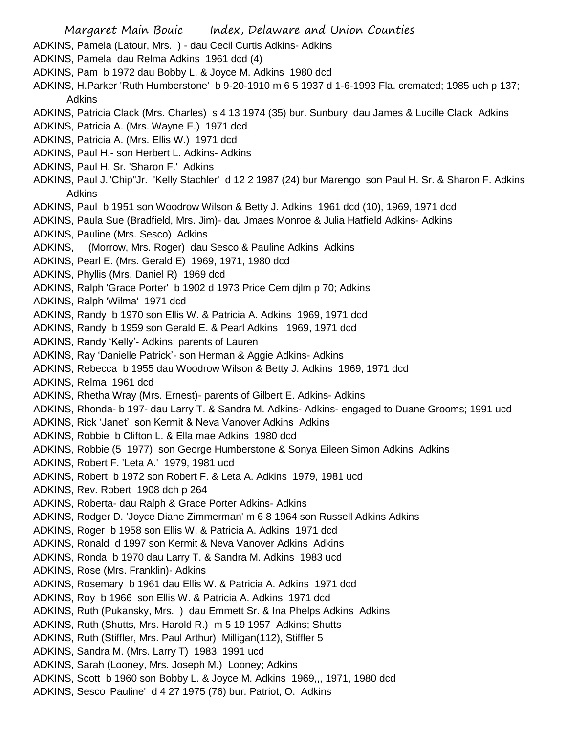Margaret Main Bouic Index, Delaware and Union Counties ADKINS, Pamela (Latour, Mrs. ) - dau Cecil Curtis Adkins- Adkins ADKINS, Pamela dau Relma Adkins 1961 dcd (4) ADKINS, Pam b 1972 dau Bobby L. & Joyce M. Adkins 1980 dcd ADKINS, H.Parker 'Ruth Humberstone' b 9-20-1910 m 6 5 1937 d 1-6-1993 Fla. cremated; 1985 uch p 137; Adkins ADKINS, Patricia Clack (Mrs. Charles) s 4 13 1974 (35) bur. Sunbury dau James & Lucille Clack Adkins ADKINS, Patricia A. (Mrs. Wayne E.) 1971 dcd ADKINS, Patricia A. (Mrs. Ellis W.) 1971 dcd ADKINS, Paul H.- son Herbert L. Adkins- Adkins ADKINS, Paul H. Sr. 'Sharon F.' Adkins ADKINS, Paul J."Chip"Jr. 'Kelly Stachler' d 12 2 1987 (24) bur Marengo son Paul H. Sr. & Sharon F. Adkins Adkins ADKINS, Paul b 1951 son Woodrow Wilson & Betty J. Adkins 1961 dcd (10), 1969, 1971 dcd ADKINS, Paula Sue (Bradfield, Mrs. Jim)- dau Jmaes Monroe & Julia Hatfield Adkins- Adkins ADKINS, Pauline (Mrs. Sesco) Adkins ADKINS, (Morrow, Mrs. Roger) dau Sesco & Pauline Adkins Adkins ADKINS, Pearl E. (Mrs. Gerald E) 1969, 1971, 1980 dcd ADKINS, Phyllis (Mrs. Daniel R) 1969 dcd ADKINS, Ralph 'Grace Porter' b 1902 d 1973 Price Cem djlm p 70; Adkins ADKINS, Ralph 'Wilma' 1971 dcd ADKINS, Randy b 1970 son Ellis W. & Patricia A. Adkins 1969, 1971 dcd ADKINS, Randy b 1959 son Gerald E. & Pearl Adkins 1969, 1971 dcd ADKINS, Randy 'Kelly'- Adkins; parents of Lauren ADKINS, Ray 'Danielle Patrick'- son Herman & Aggie Adkins- Adkins ADKINS, Rebecca b 1955 dau Woodrow Wilson & Betty J. Adkins 1969, 1971 dcd ADKINS, Relma 1961 dcd ADKINS, Rhetha Wray (Mrs. Ernest)- parents of Gilbert E. Adkins- Adkins ADKINS, Rhonda- b 197- dau Larry T. & Sandra M. Adkins- Adkins- engaged to Duane Grooms; 1991 ucd ADKINS, Rick 'Janet' son Kermit & Neva Vanover Adkins Adkins ADKINS, Robbie b Clifton L. & Ella mae Adkins 1980 dcd ADKINS, Robbie (5 1977) son George Humberstone & Sonya Eileen Simon Adkins Adkins ADKINS, Robert F. 'Leta A.' 1979, 1981 ucd ADKINS, Robert b 1972 son Robert F. & Leta A. Adkins 1979, 1981 ucd ADKINS, Rev. Robert 1908 dch p 264 ADKINS, Roberta- dau Ralph & Grace Porter Adkins- Adkins ADKINS, Rodger D. 'Joyce Diane Zimmerman' m 6 8 1964 son Russell Adkins Adkins ADKINS, Roger b 1958 son Ellis W. & Patricia A. Adkins 1971 dcd ADKINS, Ronald d 1997 son Kermit & Neva Vanover Adkins Adkins ADKINS, Ronda b 1970 dau Larry T. & Sandra M. Adkins 1983 ucd ADKINS, Rose (Mrs. Franklin)- Adkins ADKINS, Rosemary b 1961 dau Ellis W. & Patricia A. Adkins 1971 dcd ADKINS, Roy b 1966 son Ellis W. & Patricia A. Adkins 1971 dcd ADKINS, Ruth (Pukansky, Mrs. ) dau Emmett Sr. & Ina Phelps Adkins Adkins ADKINS, Ruth (Shutts, Mrs. Harold R.) m 5 19 1957 Adkins; Shutts ADKINS, Ruth (Stiffler, Mrs. Paul Arthur) Milligan(112), Stiffler 5 ADKINS, Sandra M. (Mrs. Larry T) 1983, 1991 ucd ADKINS, Sarah (Looney, Mrs. Joseph M.) Looney; Adkins ADKINS, Scott b 1960 son Bobby L. & Joyce M. Adkins 1969,,, 1971, 1980 dcd ADKINS, Sesco 'Pauline' d 4 27 1975 (76) bur. Patriot, O. Adkins